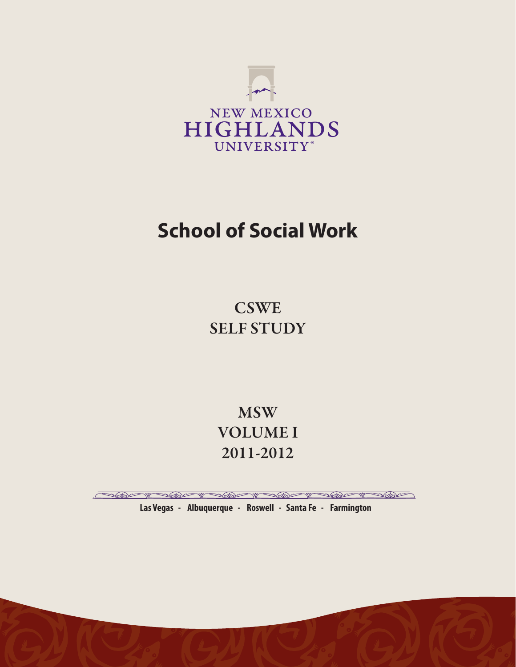

# **School of Social Work**

**CSWE** SELF STUDY

**MSW** VOLUME I 2011-2012

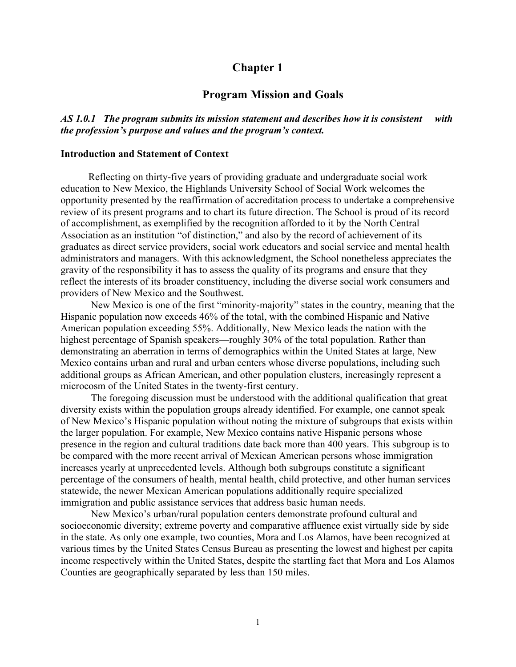# **Chapter 1**

# **Program Mission and Goals**

*AS 1.0.1 The program submits its mission statement and describes how it is consistent with the profession's purpose and values and the program's context.*

#### **Introduction and Statement of Context**

 Reflecting on thirty-five years of providing graduate and undergraduate social work education to New Mexico, the Highlands University School of Social Work welcomes the opportunity presented by the reaffirmation of accreditation process to undertake a comprehensive review of its present programs and to chart its future direction. The School is proud of its record of accomplishment, as exemplified by the recognition afforded to it by the North Central Association as an institution "of distinction," and also by the record of achievement of its graduates as direct service providers, social work educators and social service and mental health administrators and managers. With this acknowledgment, the School nonetheless appreciates the gravity of the responsibility it has to assess the quality of its programs and ensure that they reflect the interests of its broader constituency, including the diverse social work consumers and providers of New Mexico and the Southwest.

New Mexico is one of the first "minority-majority" states in the country, meaning that the Hispanic population now exceeds 46% of the total, with the combined Hispanic and Native American population exceeding 55%. Additionally, New Mexico leads the nation with the highest percentage of Spanish speakers—roughly 30% of the total population. Rather than demonstrating an aberration in terms of demographics within the United States at large, New Mexico contains urban and rural and urban centers whose diverse populations, including such additional groups as African American, and other population clusters, increasingly represent a microcosm of the United States in the twenty-first century.

The foregoing discussion must be understood with the additional qualification that great diversity exists within the population groups already identified. For example, one cannot speak of New Mexico's Hispanic population without noting the mixture of subgroups that exists within the larger population. For example, New Mexico contains native Hispanic persons whose presence in the region and cultural traditions date back more than 400 years. This subgroup is to be compared with the more recent arrival of Mexican American persons whose immigration increases yearly at unprecedented levels. Although both subgroups constitute a significant percentage of the consumers of health, mental health, child protective, and other human services statewide, the newer Mexican American populations additionally require specialized immigration and public assistance services that address basic human needs.

New Mexico's urban/rural population centers demonstrate profound cultural and socioeconomic diversity; extreme poverty and comparative affluence exist virtually side by side in the state. As only one example, two counties, Mora and Los Alamos, have been recognized at various times by the United States Census Bureau as presenting the lowest and highest per capita income respectively within the United States, despite the startling fact that Mora and Los Alamos Counties are geographically separated by less than 150 miles.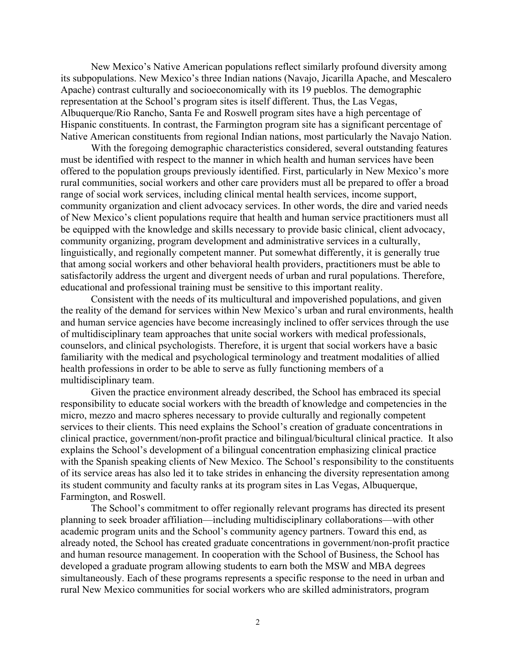New Mexico's Native American populations reflect similarly profound diversity among its subpopulations. New Mexico's three Indian nations (Navajo, Jicarilla Apache, and Mescalero Apache) contrast culturally and socioeconomically with its 19 pueblos. The demographic representation at the School's program sites is itself different. Thus, the Las Vegas, Albuquerque/Rio Rancho, Santa Fe and Roswell program sites have a high percentage of Hispanic constituents. In contrast, the Farmington program site has a significant percentage of Native American constituents from regional Indian nations, most particularly the Navajo Nation.

With the foregoing demographic characteristics considered, several outstanding features must be identified with respect to the manner in which health and human services have been offered to the population groups previously identified. First, particularly in New Mexico's more rural communities, social workers and other care providers must all be prepared to offer a broad range of social work services, including clinical mental health services, income support, community organization and client advocacy services. In other words, the dire and varied needs of New Mexico's client populations require that health and human service practitioners must all be equipped with the knowledge and skills necessary to provide basic clinical, client advocacy, community organizing, program development and administrative services in a culturally, linguistically, and regionally competent manner. Put somewhat differently, it is generally true that among social workers and other behavioral health providers, practitioners must be able to satisfactorily address the urgent and divergent needs of urban and rural populations. Therefore, educational and professional training must be sensitive to this important reality.

Consistent with the needs of its multicultural and impoverished populations, and given the reality of the demand for services within New Mexico's urban and rural environments, health and human service agencies have become increasingly inclined to offer services through the use of multidisciplinary team approaches that unite social workers with medical professionals, counselors, and clinical psychologists. Therefore, it is urgent that social workers have a basic familiarity with the medical and psychological terminology and treatment modalities of allied health professions in order to be able to serve as fully functioning members of a multidisciplinary team.

Given the practice environment already described, the School has embraced its special responsibility to educate social workers with the breadth of knowledge and competencies in the micro, mezzo and macro spheres necessary to provide culturally and regionally competent services to their clients. This need explains the School's creation of graduate concentrations in clinical practice, government/non-profit practice and bilingual/bicultural clinical practice. It also explains the School's development of a bilingual concentration emphasizing clinical practice with the Spanish speaking clients of New Mexico. The School's responsibility to the constituents of its service areas has also led it to take strides in enhancing the diversity representation among its student community and faculty ranks at its program sites in Las Vegas, Albuquerque, Farmington, and Roswell.

The School's commitment to offer regionally relevant programs has directed its present planning to seek broader affiliation—including multidisciplinary collaborations—with other academic program units and the School's community agency partners. Toward this end, as already noted, the School has created graduate concentrations in government/non-profit practice and human resource management. In cooperation with the School of Business, the School has developed a graduate program allowing students to earn both the MSW and MBA degrees simultaneously. Each of these programs represents a specific response to the need in urban and rural New Mexico communities for social workers who are skilled administrators, program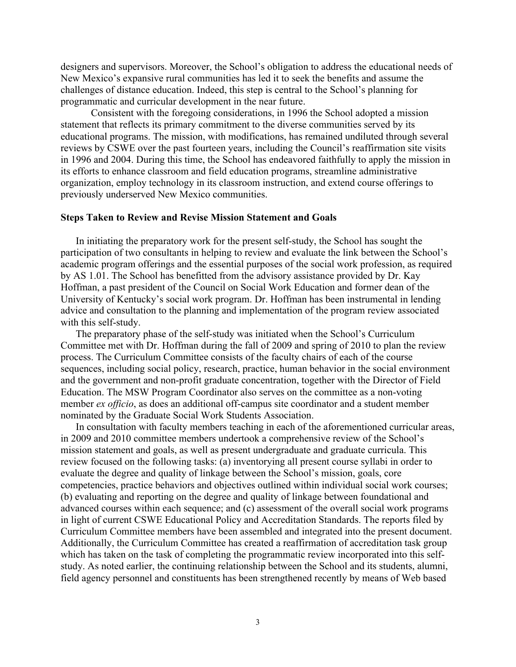designers and supervisors. Moreover, the School's obligation to address the educational needs of New Mexico's expansive rural communities has led it to seek the benefits and assume the challenges of distance education. Indeed, this step is central to the School's planning for programmatic and curricular development in the near future.

Consistent with the foregoing considerations, in 1996 the School adopted a mission statement that reflects its primary commitment to the diverse communities served by its educational programs. The mission, with modifications, has remained undiluted through several reviews by CSWE over the past fourteen years, including the Council's reaffirmation site visits in 1996 and 2004. During this time, the School has endeavored faithfully to apply the mission in its efforts to enhance classroom and field education programs, streamline administrative organization, employ technology in its classroom instruction, and extend course offerings to previously underserved New Mexico communities.

#### **Steps Taken to Review and Revise Mission Statement and Goals**

In initiating the preparatory work for the present self-study, the School has sought the participation of two consultants in helping to review and evaluate the link between the School's academic program offerings and the essential purposes of the social work profession, as required by AS 1.01. The School has benefitted from the advisory assistance provided by Dr. Kay Hoffman, a past president of the Council on Social Work Education and former dean of the University of Kentucky's social work program. Dr. Hoffman has been instrumental in lending advice and consultation to the planning and implementation of the program review associated with this self-study.

The preparatory phase of the self-study was initiated when the School's Curriculum Committee met with Dr. Hoffman during the fall of 2009 and spring of 2010 to plan the review process. The Curriculum Committee consists of the faculty chairs of each of the course sequences, including social policy, research, practice, human behavior in the social environment and the government and non-profit graduate concentration, together with the Director of Field Education. The MSW Program Coordinator also serves on the committee as a non-voting member *ex officio*, as does an additional off-campus site coordinator and a student member nominated by the Graduate Social Work Students Association.

In consultation with faculty members teaching in each of the aforementioned curricular areas, in 2009 and 2010 committee members undertook a comprehensive review of the School's mission statement and goals, as well as present undergraduate and graduate curricula. This review focused on the following tasks: (a) inventorying all present course syllabi in order to evaluate the degree and quality of linkage between the School's mission, goals, core competencies, practice behaviors and objectives outlined within individual social work courses; (b) evaluating and reporting on the degree and quality of linkage between foundational and advanced courses within each sequence; and (c) assessment of the overall social work programs in light of current CSWE Educational Policy and Accreditation Standards. The reports filed by Curriculum Committee members have been assembled and integrated into the present document. Additionally, the Curriculum Committee has created a reaffirmation of accreditation task group which has taken on the task of completing the programmatic review incorporated into this selfstudy. As noted earlier, the continuing relationship between the School and its students, alumni, field agency personnel and constituents has been strengthened recently by means of Web based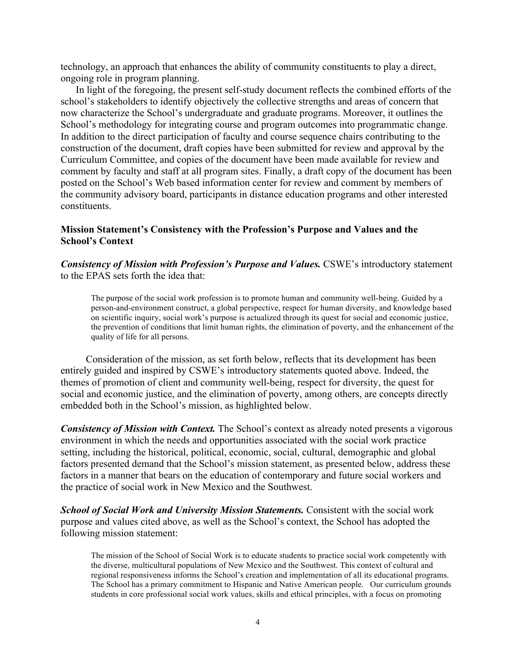technology, an approach that enhances the ability of community constituents to play a direct, ongoing role in program planning.

In light of the foregoing, the present self-study document reflects the combined efforts of the school's stakeholders to identify objectively the collective strengths and areas of concern that now characterize the School's undergraduate and graduate programs. Moreover, it outlines the School's methodology for integrating course and program outcomes into programmatic change. In addition to the direct participation of faculty and course sequence chairs contributing to the construction of the document, draft copies have been submitted for review and approval by the Curriculum Committee, and copies of the document have been made available for review and comment by faculty and staff at all program sites. Finally, a draft copy of the document has been posted on the School's Web based information center for review and comment by members of the community advisory board, participants in distance education programs and other interested constituents.

#### **Mission Statement's Consistency with the Profession's Purpose and Values and the School's Context**

*Consistency of Mission with Profession's Purpose and Values.* CSWE's introductory statement to the EPAS sets forth the idea that:

The purpose of the social work profession is to promote human and community well-being. Guided by a person-and-environment construct, a global perspective, respect for human diversity, and knowledge based on scientific inquiry, social work's purpose is actualized through its quest for social and economic justice, the prevention of conditions that limit human rights, the elimination of poverty, and the enhancement of the quality of life for all persons.

 Consideration of the mission, as set forth below, reflects that its development has been entirely guided and inspired by CSWE's introductory statements quoted above. Indeed, the themes of promotion of client and community well-being, respect for diversity, the quest for social and economic justice, and the elimination of poverty, among others, are concepts directly embedded both in the School's mission, as highlighted below.

*Consistency of Mission with Context.* The School's context as already noted presents a vigorous environment in which the needs and opportunities associated with the social work practice setting, including the historical, political, economic, social, cultural, demographic and global factors presented demand that the School's mission statement, as presented below, address these factors in a manner that bears on the education of contemporary and future social workers and the practice of social work in New Mexico and the Southwest.

**School of Social Work and University Mission Statements.** Consistent with the social work purpose and values cited above, as well as the School's context, the School has adopted the following mission statement:

The mission of the School of Social Work is to educate students to practice social work competently with the diverse, multicultural populations of New Mexico and the Southwest. This context of cultural and regional responsiveness informs the School's creation and implementation of all its educational programs. The School has a primary commitment to Hispanic and Native American people. Our curriculum grounds students in core professional social work values, skills and ethical principles, with a focus on promoting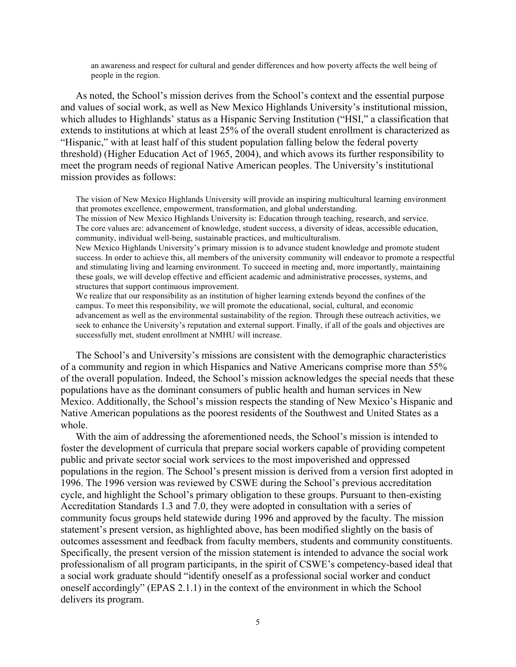an awareness and respect for cultural and gender differences and how poverty affects the well being of people in the region.

As noted, the School's mission derives from the School's context and the essential purpose and values of social work, as well as New Mexico Highlands University's institutional mission, which alludes to Highlands' status as a Hispanic Serving Institution ("HSI," a classification that extends to institutions at which at least 25% of the overall student enrollment is characterized as "Hispanic," with at least half of this student population falling below the federal poverty threshold) (Higher Education Act of 1965, 2004), and which avows its further responsibility to meet the program needs of regional Native American peoples. The University's institutional mission provides as follows:

The vision of New Mexico Highlands University will provide an inspiring multicultural learning environment that promotes excellence, empowerment, transformation, and global understanding.

The mission of New Mexico Highlands University is: Education through teaching, research, and service. The core values are: advancement of knowledge, student success, a diversity of ideas, accessible education, community, individual well-being, sustainable practices, and multiculturalism.

New Mexico Highlands University's primary mission is to advance student knowledge and promote student success. In order to achieve this, all members of the university community will endeavor to promote a respectful and stimulating living and learning environment. To succeed in meeting and, more importantly, maintaining these goals, we will develop effective and efficient academic and administrative processes, systems, and structures that support continuous improvement.

We realize that our responsibility as an institution of higher learning extends beyond the confines of the campus. To meet this responsibility, we will promote the educational, social, cultural, and economic advancement as well as the environmental sustainability of the region. Through these outreach activities, we seek to enhance the University's reputation and external support. Finally, if all of the goals and objectives are successfully met, student enrollment at NMHU will increase.

The School's and University's missions are consistent with the demographic characteristics of a community and region in which Hispanics and Native Americans comprise more than 55% of the overall population. Indeed, the School's mission acknowledges the special needs that these populations have as the dominant consumers of public health and human services in New Mexico. Additionally, the School's mission respects the standing of New Mexico's Hispanic and Native American populations as the poorest residents of the Southwest and United States as a whole.

With the aim of addressing the aforementioned needs, the School's mission is intended to foster the development of curricula that prepare social workers capable of providing competent public and private sector social work services to the most impoverished and oppressed populations in the region. The School's present mission is derived from a version first adopted in 1996. The 1996 version was reviewed by CSWE during the School's previous accreditation cycle, and highlight the School's primary obligation to these groups. Pursuant to then-existing Accreditation Standards 1.3 and 7.0, they were adopted in consultation with a series of community focus groups held statewide during 1996 and approved by the faculty. The mission statement's present version, as highlighted above, has been modified slightly on the basis of outcomes assessment and feedback from faculty members, students and community constituents. Specifically, the present version of the mission statement is intended to advance the social work professionalism of all program participants, in the spirit of CSWE's competency-based ideal that a social work graduate should "identify oneself as a professional social worker and conduct oneself accordingly" (EPAS 2.1.1) in the context of the environment in which the School delivers its program.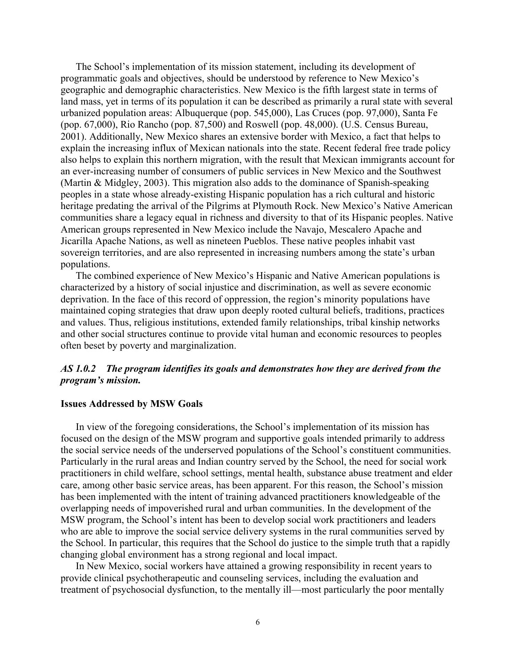The School's implementation of its mission statement, including its development of programmatic goals and objectives, should be understood by reference to New Mexico's geographic and demographic characteristics. New Mexico is the fifth largest state in terms of land mass, yet in terms of its population it can be described as primarily a rural state with several urbanized population areas: Albuquerque (pop. 545,000), Las Cruces (pop. 97,000), Santa Fe (pop. 67,000), Rio Rancho (pop. 87,500) and Roswell (pop. 48,000). (U.S. Census Bureau, 2001). Additionally, New Mexico shares an extensive border with Mexico, a fact that helps to explain the increasing influx of Mexican nationals into the state. Recent federal free trade policy also helps to explain this northern migration, with the result that Mexican immigrants account for an ever-increasing number of consumers of public services in New Mexico and the Southwest (Martin & Midgley, 2003). This migration also adds to the dominance of Spanish-speaking peoples in a state whose already-existing Hispanic population has a rich cultural and historic heritage predating the arrival of the Pilgrims at Plymouth Rock. New Mexico's Native American communities share a legacy equal in richness and diversity to that of its Hispanic peoples. Native American groups represented in New Mexico include the Navajo, Mescalero Apache and Jicarilla Apache Nations, as well as nineteen Pueblos. These native peoples inhabit vast sovereign territories, and are also represented in increasing numbers among the state's urban populations.

The combined experience of New Mexico's Hispanic and Native American populations is characterized by a history of social injustice and discrimination, as well as severe economic deprivation. In the face of this record of oppression, the region's minority populations have maintained coping strategies that draw upon deeply rooted cultural beliefs, traditions, practices and values. Thus, religious institutions, extended family relationships, tribal kinship networks and other social structures continue to provide vital human and economic resources to peoples often beset by poverty and marginalization.

#### *AS 1.0.2 The program identifies its goals and demonstrates how they are derived from the program's mission.*

#### **Issues Addressed by MSW Goals**

In view of the foregoing considerations, the School's implementation of its mission has focused on the design of the MSW program and supportive goals intended primarily to address the social service needs of the underserved populations of the School's constituent communities. Particularly in the rural areas and Indian country served by the School, the need for social work practitioners in child welfare, school settings, mental health, substance abuse treatment and elder care, among other basic service areas, has been apparent. For this reason, the School's mission has been implemented with the intent of training advanced practitioners knowledgeable of the overlapping needs of impoverished rural and urban communities. In the development of the MSW program, the School's intent has been to develop social work practitioners and leaders who are able to improve the social service delivery systems in the rural communities served by the School. In particular, this requires that the School do justice to the simple truth that a rapidly changing global environment has a strong regional and local impact.

In New Mexico, social workers have attained a growing responsibility in recent years to provide clinical psychotherapeutic and counseling services, including the evaluation and treatment of psychosocial dysfunction, to the mentally ill—most particularly the poor mentally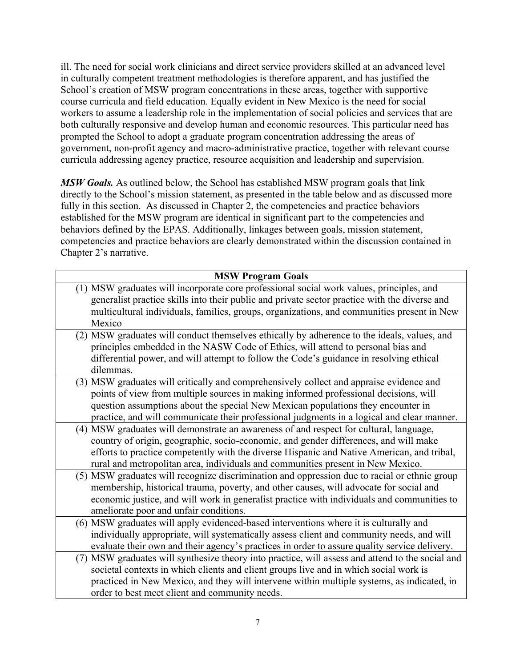ill. The need for social work clinicians and direct service providers skilled at an advanced level in culturally competent treatment methodologies is therefore apparent, and has justified the School's creation of MSW program concentrations in these areas, together with supportive course curricula and field education. Equally evident in New Mexico is the need for social workers to assume a leadership role in the implementation of social policies and services that are both culturally responsive and develop human and economic resources. This particular need has prompted the School to adopt a graduate program concentration addressing the areas of government, non-profit agency and macro-administrative practice, together with relevant course curricula addressing agency practice, resource acquisition and leadership and supervision.

*MSW Goals.* As outlined below, the School has established MSW program goals that link directly to the School's mission statement, as presented in the table below and as discussed more fully in this section. As discussed in Chapter 2, the competencies and practice behaviors established for the MSW program are identical in significant part to the competencies and behaviors defined by the EPAS. Additionally, linkages between goals, mission statement, competencies and practice behaviors are clearly demonstrated within the discussion contained in Chapter 2's narrative.

| <b>MSW Program Goals</b>                                                                         |  |  |
|--------------------------------------------------------------------------------------------------|--|--|
| (1) MSW graduates will incorporate core professional social work values, principles, and         |  |  |
| generalist practice skills into their public and private sector practice with the diverse and    |  |  |
| multicultural individuals, families, groups, organizations, and communities present in New       |  |  |
| Mexico                                                                                           |  |  |
| (2) MSW graduates will conduct themselves ethically by adherence to the ideals, values, and      |  |  |
| principles embedded in the NASW Code of Ethics, will attend to personal bias and                 |  |  |
| differential power, and will attempt to follow the Code's guidance in resolving ethical          |  |  |
| dilemmas.                                                                                        |  |  |
| (3) MSW graduates will critically and comprehensively collect and appraise evidence and          |  |  |
| points of view from multiple sources in making informed professional decisions, will             |  |  |
| question assumptions about the special New Mexican populations they encounter in                 |  |  |
| practice, and will communicate their professional judgments in a logical and clear manner.       |  |  |
| (4) MSW graduates will demonstrate an awareness of and respect for cultural, language,           |  |  |
| country of origin, geographic, socio-economic, and gender differences, and will make             |  |  |
| efforts to practice competently with the diverse Hispanic and Native American, and tribal,       |  |  |
| rural and metropolitan area, individuals and communities present in New Mexico.                  |  |  |
| (5) MSW graduates will recognize discrimination and oppression due to racial or ethnic group     |  |  |
| membership, historical trauma, poverty, and other causes, will advocate for social and           |  |  |
| economic justice, and will work in generalist practice with individuals and communities to       |  |  |
| ameliorate poor and unfair conditions.                                                           |  |  |
| (6) MSW graduates will apply evidenced-based interventions where it is culturally and            |  |  |
| individually appropriate, will systematically assess client and community needs, and will        |  |  |
| evaluate their own and their agency's practices in order to assure quality service delivery.     |  |  |
| (7) MSW graduates will synthesize theory into practice, will assess and attend to the social and |  |  |
| societal contexts in which clients and client groups live and in which social work is            |  |  |
| practiced in New Mexico, and they will intervene within multiple systems, as indicated, in       |  |  |
| order to best meet client and community needs.                                                   |  |  |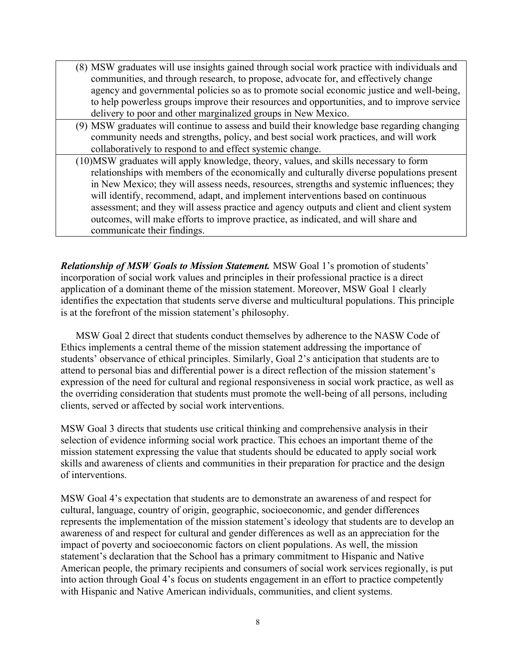- (8) MSW graduates will use insights gained through social work practice with individuals and communities, and through research, to propose, advocate for, and effectively change agency and governmental policies so as to promote social economic justice and well-being, to help powerless groups improve their resources and opportunities, and to improve service delivery to poor and other marginalized groups in New Mexico.
- (9) MSW graduates will continue to assess and build their knowledge base regarding changing community needs and strengths, policy, and best social work practices, and will work collaboratively to respond to and effect systemic change.
- (10)MSW graduates will apply knowledge, theory, values, and skills necessary to form relationships with members of the economically and culturally diverse populations present in New Mexico; they will assess needs, resources, strengths and systemic influences; they will identify, recommend, adapt, and implement interventions based on continuous assessment; and they will assess practice and agency outputs and client and client system outcomes, will make efforts to improve practice, as indicated, and will share and communicate their findings.

*Relationship of MSW Goals to Mission Statement.* MSW Goal 1's promotion of students' incorporation of social work values and principles in their professional practice is a direct application of a dominant theme of the mission statement. Moreover, MSW Goal 1 clearly identifies the expectation that students serve diverse and multicultural populations. This principle is at the forefront of the mission statement's philosophy.

MSW Goal 2 direct that students conduct themselves by adherence to the NASW Code of Ethics implements a central theme of the mission statement addressing the importance of students' observance of ethical principles. Similarly, Goal 2's anticipation that students are to attend to personal bias and differential power is a direct reflection of the mission statement's expression of the need for cultural and regional responsiveness in social work practice, as well as the overriding consideration that students must promote the well-being of all persons, including clients, served or affected by social work interventions.

MSW Goal 3 directs that students use critical thinking and comprehensive analysis in their selection of evidence informing social work practice. This echoes an important theme of the mission statement expressing the value that students should be educated to apply social work skills and awareness of clients and communities in their preparation for practice and the design of interventions.

MSW Goal 4's expectation that students are to demonstrate an awareness of and respect for cultural, language, country of origin, geographic, socioeconomic, and gender differences represents the implementation of the mission statement's ideology that students are to develop an awareness of and respect for cultural and gender differences as well as an appreciation for the impact of poverty and socioeconomic factors on client populations. As well, the mission statement's declaration that the School has a primary commitment to Hispanic and Native American people, the primary recipients and consumers of social work services regionally, is put into action through Goal 4's focus on students engagement in an effort to practice competently with Hispanic and Native American individuals, communities, and client systems.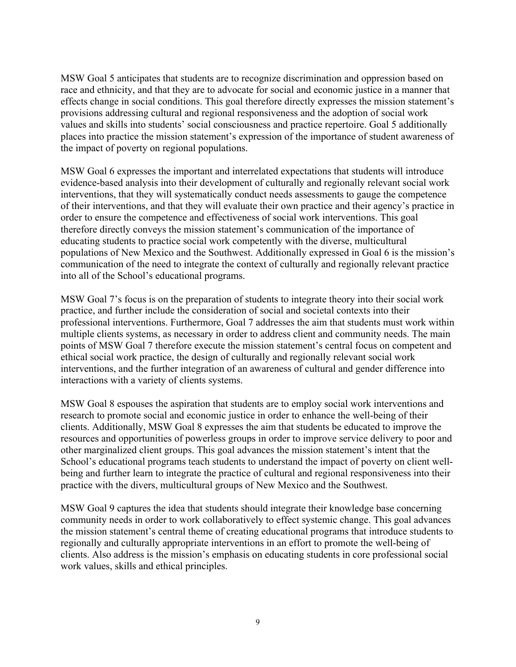MSW Goal 5 anticipates that students are to recognize discrimination and oppression based on race and ethnicity, and that they are to advocate for social and economic justice in a manner that effects change in social conditions. This goal therefore directly expresses the mission statement's provisions addressing cultural and regional responsiveness and the adoption of social work values and skills into students' social consciousness and practice repertoire. Goal 5 additionally places into practice the mission statement's expression of the importance of student awareness of the impact of poverty on regional populations.

MSW Goal 6 expresses the important and interrelated expectations that students will introduce evidence-based analysis into their development of culturally and regionally relevant social work interventions, that they will systematically conduct needs assessments to gauge the competence of their interventions, and that they will evaluate their own practice and their agency's practice in order to ensure the competence and effectiveness of social work interventions. This goal therefore directly conveys the mission statement's communication of the importance of educating students to practice social work competently with the diverse, multicultural populations of New Mexico and the Southwest. Additionally expressed in Goal 6 is the mission's communication of the need to integrate the context of culturally and regionally relevant practice into all of the School's educational programs.

MSW Goal 7's focus is on the preparation of students to integrate theory into their social work practice, and further include the consideration of social and societal contexts into their professional interventions. Furthermore, Goal 7 addresses the aim that students must work within multiple clients systems, as necessary in order to address client and community needs. The main points of MSW Goal 7 therefore execute the mission statement's central focus on competent and ethical social work practice, the design of culturally and regionally relevant social work interventions, and the further integration of an awareness of cultural and gender difference into interactions with a variety of clients systems.

MSW Goal 8 espouses the aspiration that students are to employ social work interventions and research to promote social and economic justice in order to enhance the well-being of their clients. Additionally, MSW Goal 8 expresses the aim that students be educated to improve the resources and opportunities of powerless groups in order to improve service delivery to poor and other marginalized client groups. This goal advances the mission statement's intent that the School's educational programs teach students to understand the impact of poverty on client wellbeing and further learn to integrate the practice of cultural and regional responsiveness into their practice with the divers, multicultural groups of New Mexico and the Southwest.

MSW Goal 9 captures the idea that students should integrate their knowledge base concerning community needs in order to work collaboratively to effect systemic change. This goal advances the mission statement's central theme of creating educational programs that introduce students to regionally and culturally appropriate interventions in an effort to promote the well-being of clients. Also address is the mission's emphasis on educating students in core professional social work values, skills and ethical principles.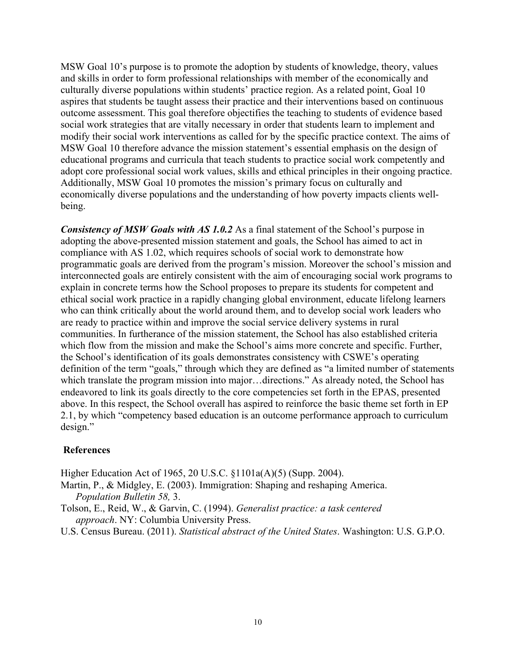MSW Goal 10's purpose is to promote the adoption by students of knowledge, theory, values and skills in order to form professional relationships with member of the economically and culturally diverse populations within students' practice region. As a related point, Goal 10 aspires that students be taught assess their practice and their interventions based on continuous outcome assessment. This goal therefore objectifies the teaching to students of evidence based social work strategies that are vitally necessary in order that students learn to implement and modify their social work interventions as called for by the specific practice context. The aims of MSW Goal 10 therefore advance the mission statement's essential emphasis on the design of educational programs and curricula that teach students to practice social work competently and adopt core professional social work values, skills and ethical principles in their ongoing practice. Additionally, MSW Goal 10 promotes the mission's primary focus on culturally and economically diverse populations and the understanding of how poverty impacts clients wellbeing.

*Consistency of MSW Goals with AS 1.0.2* As a final statement of the School's purpose in adopting the above-presented mission statement and goals, the School has aimed to act in compliance with AS 1.02, which requires schools of social work to demonstrate how programmatic goals are derived from the program's mission. Moreover the school's mission and interconnected goals are entirely consistent with the aim of encouraging social work programs to explain in concrete terms how the School proposes to prepare its students for competent and ethical social work practice in a rapidly changing global environment, educate lifelong learners who can think critically about the world around them, and to develop social work leaders who are ready to practice within and improve the social service delivery systems in rural communities. In furtherance of the mission statement, the School has also established criteria which flow from the mission and make the School's aims more concrete and specific. Further, the School's identification of its goals demonstrates consistency with CSWE's operating definition of the term "goals," through which they are defined as "a limited number of statements which translate the program mission into major...directions." As already noted, the School has endeavored to link its goals directly to the core competencies set forth in the EPAS, presented above. In this respect, the School overall has aspired to reinforce the basic theme set forth in EP 2.1, by which "competency based education is an outcome performance approach to curriculum design."

#### **References**

Higher Education Act of 1965, 20 U.S.C. §1101a(A)(5) (Supp. 2004).

Martin, P., & Midgley, E. (2003). Immigration: Shaping and reshaping America. *Population Bulletin 58,* 3.

Tolson, E., Reid, W., & Garvin, C. (1994). *Generalist practice: a task centered approach*. NY: Columbia University Press.

U.S. Census Bureau. (2011). *Statistical abstract of the United States*. Washington: U.S. G.P.O.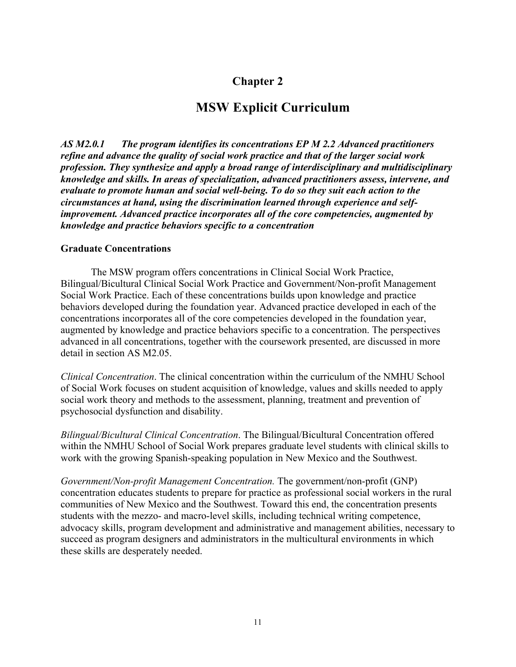# **Chapter 2**

# **MSW Explicit Curriculum**

*AS M2.0.1 The program identifies its concentrations EP M 2.2 Advanced practitioners refine and advance the quality of social work practice and that of the larger social work profession. They synthesize and apply a broad range of interdisciplinary and multidisciplinary knowledge and skills. In areas of specialization, advanced practitioners assess, intervene, and evaluate to promote human and social well-being. To do so they suit each action to the circumstances at hand, using the discrimination learned through experience and selfimprovement. Advanced practice incorporates all of the core competencies, augmented by knowledge and practice behaviors specific to a concentration*

#### **Graduate Concentrations**

The MSW program offers concentrations in Clinical Social Work Practice, Bilingual/Bicultural Clinical Social Work Practice and Government/Non-profit Management Social Work Practice. Each of these concentrations builds upon knowledge and practice behaviors developed during the foundation year. Advanced practice developed in each of the concentrations incorporates all of the core competencies developed in the foundation year, augmented by knowledge and practice behaviors specific to a concentration. The perspectives advanced in all concentrations, together with the coursework presented, are discussed in more detail in section AS M2.05.

*Clinical Concentration*. The clinical concentration within the curriculum of the NMHU School of Social Work focuses on student acquisition of knowledge, values and skills needed to apply social work theory and methods to the assessment, planning, treatment and prevention of psychosocial dysfunction and disability.

*Bilingual/Bicultural Clinical Concentration*. The Bilingual/Bicultural Concentration offered within the NMHU School of Social Work prepares graduate level students with clinical skills to work with the growing Spanish-speaking population in New Mexico and the Southwest.

*Government/Non-profit Management Concentration.* The government/non-profit (GNP) concentration educates students to prepare for practice as professional social workers in the rural communities of New Mexico and the Southwest. Toward this end, the concentration presents students with the mezzo- and macro-level skills, including technical writing competence, advocacy skills, program development and administrative and management abilities, necessary to succeed as program designers and administrators in the multicultural environments in which these skills are desperately needed.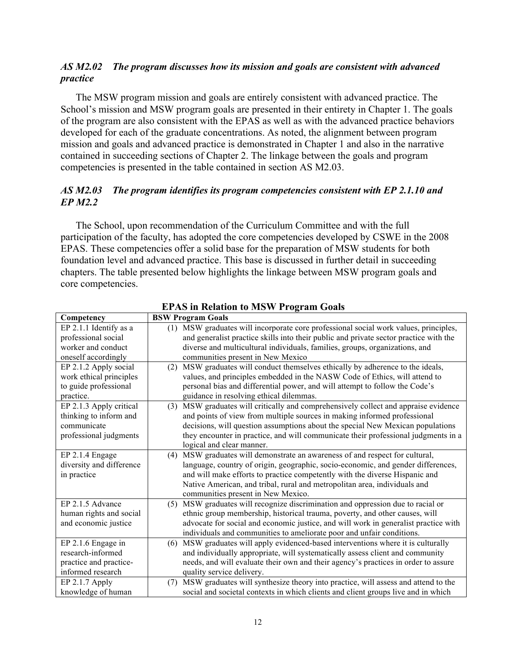# *AS M2.02 The program discusses how its mission and goals are consistent with advanced practice*

The MSW program mission and goals are entirely consistent with advanced practice. The School's mission and MSW program goals are presented in their entirety in Chapter 1. The goals of the program are also consistent with the EPAS as well as with the advanced practice behaviors developed for each of the graduate concentrations. As noted, the alignment between program mission and goals and advanced practice is demonstrated in Chapter 1 and also in the narrative contained in succeeding sections of Chapter 2. The linkage between the goals and program competencies is presented in the table contained in section AS M2.03.

# *AS M2.03 The program identifies its program competencies consistent with EP 2.1.10 and EP M2.2*

The School, upon recommendation of the Curriculum Committee and with the full participation of the faculty, has adopted the core competencies developed by CSWE in the 2008 EPAS. These competencies offer a solid base for the preparation of MSW students for both foundation level and advanced practice. This base is discussed in further detail in succeeding chapters. The table presented below highlights the linkage between MSW program goals and core competencies.

| Competency               | <b>BSW Program Goals</b>                                                                 |
|--------------------------|------------------------------------------------------------------------------------------|
| EP 2.1.1 Identify as a   | MSW graduates will incorporate core professional social work values, principles,<br>(1)  |
| professional social      | and generalist practice skills into their public and private sector practice with the    |
| worker and conduct       | diverse and multicultural individuals, families, groups, organizations, and              |
| oneself accordingly      | communities present in New Mexico                                                        |
| EP 2.1.2 Apply social    | MSW graduates will conduct themselves ethically by adherence to the ideals,<br>(2)       |
| work ethical principles  | values, and principles embedded in the NASW Code of Ethics, will attend to               |
| to guide professional    | personal bias and differential power, and will attempt to follow the Code's              |
| practice.                | guidance in resolving ethical dilemmas.                                                  |
| EP 2.1.3 Apply critical  | MSW graduates will critically and comprehensively collect and appraise evidence<br>(3)   |
| thinking to inform and   | and points of view from multiple sources in making informed professional                 |
| communicate              | decisions, will question assumptions about the special New Mexican populations           |
| professional judgments   | they encounter in practice, and will communicate their professional judgments in a       |
|                          | logical and clear manner.                                                                |
| EP 2.1.4 Engage          | MSW graduates will demonstrate an awareness of and respect for cultural,<br>(4)          |
| diversity and difference | language, country of origin, geographic, socio-economic, and gender differences,         |
| in practice              | and will make efforts to practice competently with the diverse Hispanic and              |
|                          | Native American, and tribal, rural and metropolitan area, individuals and                |
|                          | communities present in New Mexico.                                                       |
| EP 2.1.5 Advance         | MSW graduates will recognize discrimination and oppression due to racial or<br>(5)       |
| human rights and social  | ethnic group membership, historical trauma, poverty, and other causes, will              |
| and economic justice     | advocate for social and economic justice, and will work in generalist practice with      |
|                          | individuals and communities to ameliorate poor and unfair conditions.                    |
| EP 2.1.6 Engage in       | MSW graduates will apply evidenced-based interventions where it is culturally<br>(6)     |
| research-informed        | and individually appropriate, will systematically assess client and community            |
| practice and practice-   | needs, and will evaluate their own and their agency's practices in order to assure       |
| informed research        | quality service delivery.                                                                |
| $EP$ 2.1.7 Apply         | MSW graduates will synthesize theory into practice, will assess and attend to the<br>(7) |
| knowledge of human       | social and societal contexts in which clients and client groups live and in which        |

 **EPAS in Relation to MSW Program Goals**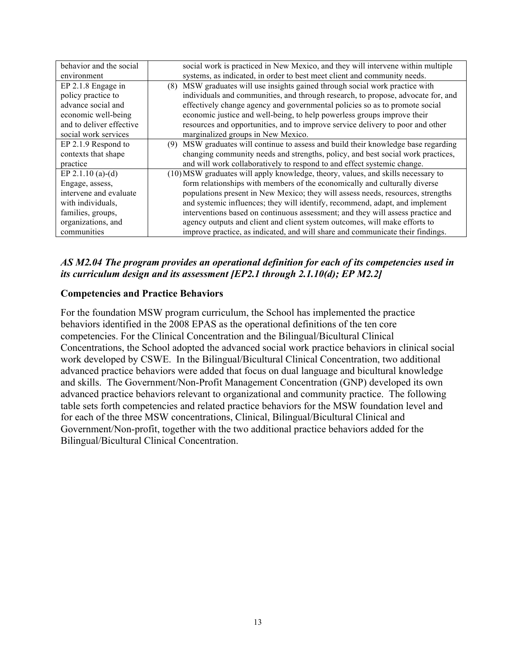| behavior and the social  | social work is practiced in New Mexico, and they will intervene within multiple    |
|--------------------------|------------------------------------------------------------------------------------|
| environment              | systems, as indicated, in order to best meet client and community needs.           |
| EP 2.1.8 Engage in       | (8) MSW graduates will use insights gained through social work practice with       |
| policy practice to       | individuals and communities, and through research, to propose, advocate for, and   |
| advance social and       | effectively change agency and governmental policies so as to promote social        |
| economic well-being      | economic justice and well-being, to help powerless groups improve their            |
| and to deliver effective | resources and opportunities, and to improve service delivery to poor and other     |
| social work services     | marginalized groups in New Mexico.                                                 |
| EP 2.1.9 Respond to      | (9) MSW graduates will continue to assess and build their knowledge base regarding |
| contexts that shape      | changing community needs and strengths, policy, and best social work practices,    |
| practice                 | and will work collaboratively to respond to and effect systemic change.            |
| EP 2.1.10 (a)-(d)        | (10) MSW graduates will apply knowledge, theory, values, and skills necessary to   |
| Engage, assess,          | form relationships with members of the economically and culturally diverse         |
| intervene and evaluate   | populations present in New Mexico; they will assess needs, resources, strengths    |
| with individuals,        | and systemic influences; they will identify, recommend, adapt, and implement       |
| families, groups,        | interventions based on continuous assessment; and they will assess practice and    |
| organizations, and       | agency outputs and client and client system outcomes, will make efforts to         |
| communities              | improve practice, as indicated, and will share and communicate their findings.     |

# *AS M2.04 The program provides an operational definition for each of its competencies used in its curriculum design and its assessment [EP2.1 through 2.1.10(d); EP M2.2]*

## **Competencies and Practice Behaviors**

For the foundation MSW program curriculum, the School has implemented the practice behaviors identified in the 2008 EPAS as the operational definitions of the ten core competencies. For the Clinical Concentration and the Bilingual/Bicultural Clinical Concentrations, the School adopted the advanced social work practice behaviors in clinical social work developed by CSWE. In the Bilingual/Bicultural Clinical Concentration, two additional advanced practice behaviors were added that focus on dual language and bicultural knowledge and skills. The Government/Non-Profit Management Concentration (GNP) developed its own advanced practice behaviors relevant to organizational and community practice. The following table sets forth competencies and related practice behaviors for the MSW foundation level and for each of the three MSW concentrations, Clinical, Bilingual/Bicultural Clinical and Government/Non-profit, together with the two additional practice behaviors added for the Bilingual/Bicultural Clinical Concentration.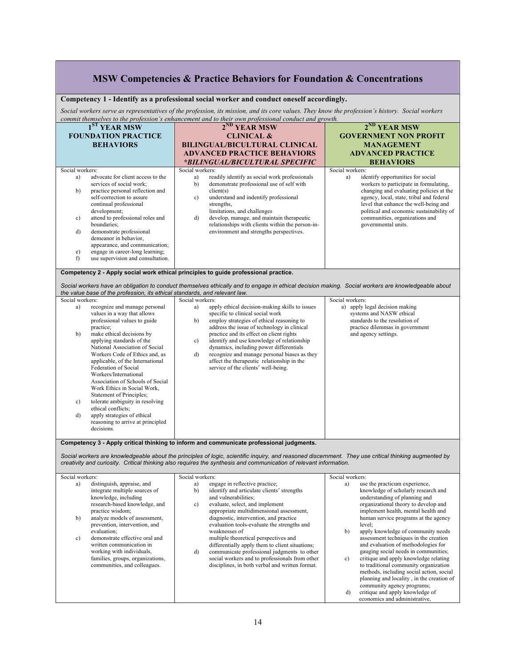|                 |                                                                                                                                                                                                                                                                                                                                                                                                                             | MSW Competencies & Practice Behaviors for Foundation & Concentrations                                                                                                                                                                                                                                                                                                                                                                                                            |                                                                                                                                                                                                                                                                                                       |
|-----------------|-----------------------------------------------------------------------------------------------------------------------------------------------------------------------------------------------------------------------------------------------------------------------------------------------------------------------------------------------------------------------------------------------------------------------------|----------------------------------------------------------------------------------------------------------------------------------------------------------------------------------------------------------------------------------------------------------------------------------------------------------------------------------------------------------------------------------------------------------------------------------------------------------------------------------|-------------------------------------------------------------------------------------------------------------------------------------------------------------------------------------------------------------------------------------------------------------------------------------------------------|
|                 |                                                                                                                                                                                                                                                                                                                                                                                                                             | Competency 1 - Identify as a professional social worker and conduct oneself accordingly.                                                                                                                                                                                                                                                                                                                                                                                         |                                                                                                                                                                                                                                                                                                       |
|                 |                                                                                                                                                                                                                                                                                                                                                                                                                             | Social workers serve as representatives of the profession, its mission, and its core values. They know the profession's history. Social workers<br>commit themselves to the profession's enhancement and to their own professional conduct and growth.                                                                                                                                                                                                                           |                                                                                                                                                                                                                                                                                                       |
|                 | 1 <sup>ST</sup> YEAR MSW<br><b>FOUNDATION PRACTICE</b><br><b>BEHAVIORS</b>                                                                                                                                                                                                                                                                                                                                                  | $2^{ND}$ YEAR MSW<br><b>CLINICAL &amp;</b><br><b>BILINGUAL/BICULTURAL CLINICAL</b><br><b>ADVANCED PRACTICE BEHAVIORS</b>                                                                                                                                                                                                                                                                                                                                                         | 2 <sup>ND</sup> YEAR MSW<br><b>GOVERNMENT NON PROFIT</b><br><b>MANAGEMENT</b><br><b>ADVANCED PRACTICE</b>                                                                                                                                                                                             |
| Social workers: |                                                                                                                                                                                                                                                                                                                                                                                                                             | *BILINGUAL/BICULTURAL SPECIFIC<br>Social workers:                                                                                                                                                                                                                                                                                                                                                                                                                                | <b>BEHAVIORS</b><br>Social workers:                                                                                                                                                                                                                                                                   |
| a)<br>b)        | advocate for client access to the<br>services of social work:<br>practice personal reflection and<br>self-correction to assure<br>continual professional<br>development;                                                                                                                                                                                                                                                    | readily identify as social work professionals<br>a)<br>demonstrate professional use of self with<br>b)<br>client(s)<br>understand and indentify professional<br>$\mathbf{c}$ )<br>strengths,<br>limitations, and challenges                                                                                                                                                                                                                                                      | identify opportunities for social<br>a)<br>workers to participate in formulating,<br>changing and evaluating policies at the<br>agency, local, state, tribal and federal<br>level that enhance the well-being and<br>political and economic sustainability of                                         |
| c)<br>d)<br>e)  | attend to professional roles and<br>boundaries;<br>demonstrate professional<br>demeanor in behavior,<br>appearance, and communication;<br>engage in career-long learning;                                                                                                                                                                                                                                                   | develop, manage, and maintain therapeutic<br>d)<br>relationships with clients within the person-in-<br>environment and strengths perspectives.                                                                                                                                                                                                                                                                                                                                   | communities, organizations and<br>governmental units.                                                                                                                                                                                                                                                 |
| f)              | use supervision and consultation.                                                                                                                                                                                                                                                                                                                                                                                           |                                                                                                                                                                                                                                                                                                                                                                                                                                                                                  |                                                                                                                                                                                                                                                                                                       |
|                 |                                                                                                                                                                                                                                                                                                                                                                                                                             | Competency 2 - Apply social work ethical principles to guide professional practice.                                                                                                                                                                                                                                                                                                                                                                                              |                                                                                                                                                                                                                                                                                                       |
|                 |                                                                                                                                                                                                                                                                                                                                                                                                                             | Social workers have an obligation to conduct themselves ethically and to engage in ethical decision making. Social workers are knowledgeable about                                                                                                                                                                                                                                                                                                                               |                                                                                                                                                                                                                                                                                                       |
| Social workers: | the value base of the profession, its ethical standards, and relevant law.                                                                                                                                                                                                                                                                                                                                                  | Social workers:                                                                                                                                                                                                                                                                                                                                                                                                                                                                  | Social workers:                                                                                                                                                                                                                                                                                       |
| a)<br>b)        | recognize and manage personal<br>values in a way that allows<br>professional values to guide<br>practice:<br>make ethical decisions by<br>applying standards of the<br>National Association of Social<br>Workers Code of Ethics and, as<br>applicable, of the International<br>Federation of Social<br>Workers/International<br>Association of Schools of Social<br>Work Ethics in Social Work,<br>Statement of Principles; | apply ethical decision-making skills to issues<br>a)<br>specific to clinical social work<br>employ strategies of ethical reasoning to<br>b)<br>address the issue of technology in clinical<br>practice and its effect on client rights<br>identify and use knowledge of relationship<br>c)<br>dynamics, including power differentials<br>recognize and manage personal biases as they<br>d)<br>affect the therapeutic relationship in the<br>service of the clients' well-being. | a) apply legal decision making<br>systems and NASW ethical<br>standards to the resolution of<br>practice dilemmas in government<br>and agency settings.                                                                                                                                               |
| c)              | tolerate ambiguity in resolving<br>ethical conflicts:                                                                                                                                                                                                                                                                                                                                                                       |                                                                                                                                                                                                                                                                                                                                                                                                                                                                                  |                                                                                                                                                                                                                                                                                                       |
| d)              | apply strategies of ethical<br>reasoning to arrive at principled<br>decisions.                                                                                                                                                                                                                                                                                                                                              |                                                                                                                                                                                                                                                                                                                                                                                                                                                                                  |                                                                                                                                                                                                                                                                                                       |
|                 |                                                                                                                                                                                                                                                                                                                                                                                                                             | Competency 3 - Apply critical thinking to inform and communicate professional judgments                                                                                                                                                                                                                                                                                                                                                                                          |                                                                                                                                                                                                                                                                                                       |
|                 |                                                                                                                                                                                                                                                                                                                                                                                                                             | Social workers are knowledgeable about the principles of logic, scientific inquiry, and reasoned discernment. They use critical thinking augmented by<br>creativity and curiosity. Critical thinking also requires the synthesis and communication of relevant information.                                                                                                                                                                                                      |                                                                                                                                                                                                                                                                                                       |
| Social workers: |                                                                                                                                                                                                                                                                                                                                                                                                                             | Social workers:                                                                                                                                                                                                                                                                                                                                                                                                                                                                  | Social workers:                                                                                                                                                                                                                                                                                       |
| a)              | distinguish, appraise, and<br>integrate multiple sources of<br>knowledge, including<br>research-based knowledge, and                                                                                                                                                                                                                                                                                                        | engage in reflective practice;<br>a)<br>identify and articulate clients' strengths<br>b)<br>and vulnerabilities;<br>evaluate, select, and implement<br>c)                                                                                                                                                                                                                                                                                                                        | use the practicum experience,<br>a)<br>knowledge of scholarly research and<br>understanding of planning and<br>organizational theory to develop and                                                                                                                                                   |
| b)              | practice wisdom;<br>analyze models of assessment,<br>prevention, intervention, and<br>evaluation;                                                                                                                                                                                                                                                                                                                           | appropriate multidimensional assessment,<br>diagnostic, intervention, and practice<br>evaluation tools-evaluate the strengths and<br>weaknesses of                                                                                                                                                                                                                                                                                                                               | implement health, mental health and<br>human service programs at the agency<br>level;<br>apply knowledge of community needs<br>b)                                                                                                                                                                     |
| c)              | demonstrate effective oral and<br>written communication in<br>working with individuals,<br>families, groups, organizations,<br>communities, and colleagues.                                                                                                                                                                                                                                                                 | multiple theoretical perspectives and<br>differentially apply them to client situations;<br>communicate professional judgments to other<br>d)<br>social workers and to professionals from other<br>disciplines, in both verbal and written format.                                                                                                                                                                                                                               | assessment techniques in the creation<br>and evaluation of methodologies for<br>gauging social needs in communities;<br>critique and apply knowledge relating<br>c)<br>to traditional community organization<br>methods, including social action, social<br>planning and locality, in the creation of |
|                 |                                                                                                                                                                                                                                                                                                                                                                                                                             |                                                                                                                                                                                                                                                                                                                                                                                                                                                                                  | community agency programs;<br>critique and apply knowledge of<br>d)<br>economics and administrative,                                                                                                                                                                                                  |

٦

г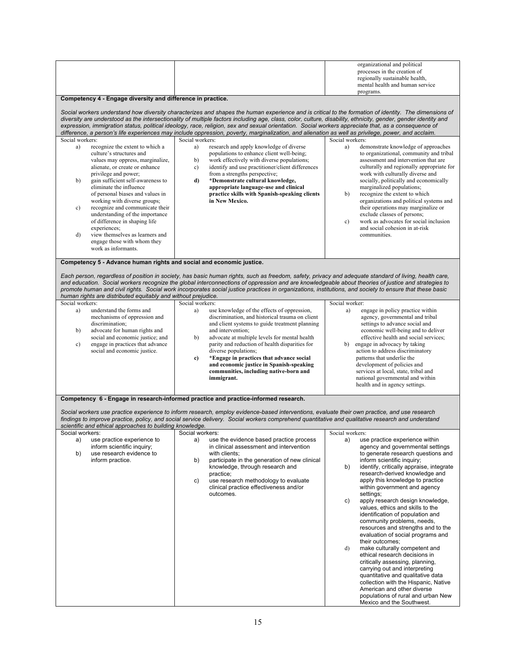|                                                                                                                                                                                                                                                                                                                                                                                                                                                                                                                                               |                                                                                                                                                                                                                                                                                                                                                                                                                                                                           | organizational and political<br>processes in the creation of<br>regionally sustainable health,<br>mental health and human service                                                                                                                                                                                                                                                                                                                                                                                                                              |  |
|-----------------------------------------------------------------------------------------------------------------------------------------------------------------------------------------------------------------------------------------------------------------------------------------------------------------------------------------------------------------------------------------------------------------------------------------------------------------------------------------------------------------------------------------------|---------------------------------------------------------------------------------------------------------------------------------------------------------------------------------------------------------------------------------------------------------------------------------------------------------------------------------------------------------------------------------------------------------------------------------------------------------------------------|----------------------------------------------------------------------------------------------------------------------------------------------------------------------------------------------------------------------------------------------------------------------------------------------------------------------------------------------------------------------------------------------------------------------------------------------------------------------------------------------------------------------------------------------------------------|--|
|                                                                                                                                                                                                                                                                                                                                                                                                                                                                                                                                               |                                                                                                                                                                                                                                                                                                                                                                                                                                                                           | programs.                                                                                                                                                                                                                                                                                                                                                                                                                                                                                                                                                      |  |
| Competency 4 - Engage diversity and difference in practice.<br>Social workers understand how diversity characterizes and shapes the human experience and is critical to the formation of identity. The dimensions of<br>diversity are understood as the intersectionality of multiple factors including age, class, color, culture, disability, ethnicity, gender, gender identity and<br>expression, immigration status, political ideology, race, religion, sex and sexual orientation. Social workers appreciate that, as a consequence of |                                                                                                                                                                                                                                                                                                                                                                                                                                                                           |                                                                                                                                                                                                                                                                                                                                                                                                                                                                                                                                                                |  |
| Social workers:                                                                                                                                                                                                                                                                                                                                                                                                                                                                                                                               | difference, a person's life experiences may include oppression, poverty, marginalization, and alienation as well as privilege, power, and acclaim.<br>Social workers:                                                                                                                                                                                                                                                                                                     | Social workers:                                                                                                                                                                                                                                                                                                                                                                                                                                                                                                                                                |  |
| a)<br>recognize the extent to which a<br>culture's structures and<br>values may oppress, marginalize,<br>alienate, or create or enhance<br>privilege and power;<br>gain sufficient self-awareness to<br>b)<br>eliminate the influence<br>of personal biases and values in<br>working with diverse groups;<br>recognize and communicate their<br>c)<br>understanding of the importance<br>of difference in shaping life<br>experiences;                                                                                                        | research and apply knowledge of diverse<br>a)<br>populations to enhance client well-being;<br>work effectively with diverse populations;<br>b)<br>identify and use practitioner/client differences<br>c)<br>from a strengths perspective;<br>*Demonstrate cultural knowledge,<br>d)<br>appropriate language-use and clinical<br>practice skills with Spanish-speaking clients<br>in New Mexico.                                                                           | demonstrate knowledge of approaches<br>a)<br>to organizational, community and tribal<br>assessment and intervention that are<br>culturally and regionally appropriate for<br>work with culturally diverse and<br>socially, politically and economically<br>marginalized populations;<br>recognize the extent to which<br>b)<br>organizations and political systems and<br>their operations may marginalize or<br>exclude classes of persons;<br>work as advocates for social inclusion<br>c)<br>and social cohesion in at-risk                                 |  |
| view themselves as learners and<br>$\mathbf{d}$<br>engage those with whom they<br>work as informants.                                                                                                                                                                                                                                                                                                                                                                                                                                         |                                                                                                                                                                                                                                                                                                                                                                                                                                                                           | communities.                                                                                                                                                                                                                                                                                                                                                                                                                                                                                                                                                   |  |
| Competency 5 - Advance human rights and social and economic justice.                                                                                                                                                                                                                                                                                                                                                                                                                                                                          |                                                                                                                                                                                                                                                                                                                                                                                                                                                                           |                                                                                                                                                                                                                                                                                                                                                                                                                                                                                                                                                                |  |
| human rights are distributed equitably and without prejudice.                                                                                                                                                                                                                                                                                                                                                                                                                                                                                 | Each person, regardless of position in society, has basic human rights, such as freedom, safety, privacy and adequate standard of living, health care,<br>and education. Social workers recognize the global interconnections of oppression and are knowledgeable about theories of justice and strategies to<br>promote human and civil rights. Social work incorporates social justice practices in organizations, institutions, and society to ensure that these basic |                                                                                                                                                                                                                                                                                                                                                                                                                                                                                                                                                                |  |
| Social workers:                                                                                                                                                                                                                                                                                                                                                                                                                                                                                                                               | Social workers:                                                                                                                                                                                                                                                                                                                                                                                                                                                           | Social worker:                                                                                                                                                                                                                                                                                                                                                                                                                                                                                                                                                 |  |
| a)<br>understand the forms and<br>mechanisms of oppression and<br>discrimination:<br>advocate for human rights and<br>b)<br>social and economic justice; and<br>engage in practices that advance<br>c)<br>social and economic justice.                                                                                                                                                                                                                                                                                                        | use knowledge of the effects of oppression,<br>a)<br>discrimination, and historical trauma on client<br>and client systems to guide treatment planning<br>and intervention;<br>advocate at multiple levels for mental health<br>b)<br>parity and reduction of health disparities for<br>diverse populations;<br>*Engage in practices that advance social<br>c)<br>and economic justice in Spanish-speaking<br>communities, including native-born and<br>immigrant.        | engage in policy practice within<br>a)<br>agency, governmental and tribal<br>settings to advance social and<br>economic well-being and to deliver<br>effective health and social services;<br>b) engage in advocacy by taking<br>action to address discriminatory<br>patterns that underlie the<br>development of policies and<br>services at local, state, tribal and<br>national governmental and within<br>health and in agency settings.                                                                                                                   |  |
|                                                                                                                                                                                                                                                                                                                                                                                                                                                                                                                                               | Competency 6 - Engage in research-informed practice and practice-informed research.                                                                                                                                                                                                                                                                                                                                                                                       |                                                                                                                                                                                                                                                                                                                                                                                                                                                                                                                                                                |  |
| scientific and ethical approaches to building knowledge.                                                                                                                                                                                                                                                                                                                                                                                                                                                                                      | Social workers use practice experience to inform research, employ evidence-based interventions, evaluate their own practice, and use research<br>findings to improve practice, policy, and social service delivery. Social workers comprehend quantitative and qualitative research and understand                                                                                                                                                                        |                                                                                                                                                                                                                                                                                                                                                                                                                                                                                                                                                                |  |
| Social workers:<br>a)<br>use practice experience to                                                                                                                                                                                                                                                                                                                                                                                                                                                                                           | Social workers:<br>use the evidence based practice process<br>a)                                                                                                                                                                                                                                                                                                                                                                                                          | Social workers:<br>use practice experience within<br>a)                                                                                                                                                                                                                                                                                                                                                                                                                                                                                                        |  |
| inform scientific inquiry;<br>b)<br>use research evidence to<br>inform practice.                                                                                                                                                                                                                                                                                                                                                                                                                                                              | in clinical assessment and intervention<br>with clients;<br>participate in the generation of new clinical<br>b)<br>knowledge, through research and<br>practice;<br>use research methodology to evaluate<br>C)<br>clinical practice effectiveness and/or<br>outcomes.                                                                                                                                                                                                      | agency and governmental settings<br>to generate research questions and<br>inform scientific inquiry;<br>b)<br>identify, critically appraise, integrate<br>research-derived knowledge and<br>apply this knowledge to practice<br>within government and agency<br>settings;<br>apply research design knowledge,<br>C)<br>values, ethics and skills to the<br>identification of population and<br>community problems, needs,<br>resources and strengths and to the<br>evaluation of social programs and<br>their outcomes;<br>d)<br>make culturally competent and |  |
|                                                                                                                                                                                                                                                                                                                                                                                                                                                                                                                                               |                                                                                                                                                                                                                                                                                                                                                                                                                                                                           | ethical research decisions in<br>critically assessing, planning,<br>carrying out and interpreting<br>quantitative and qualitative data<br>collection with the Hispanic, Native<br>American and other diverse<br>populations of rural and urban New<br>Mexico and the Southwest.                                                                                                                                                                                                                                                                                |  |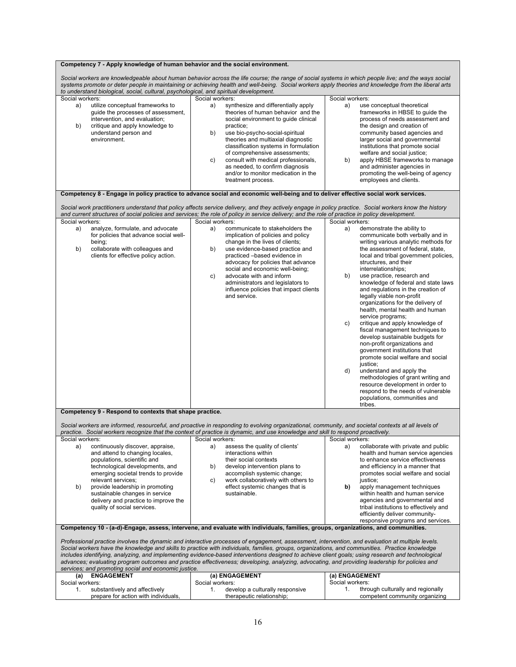| Competency 7 - Apply knowledge of human behavior and the social environment.                                                                                                                                                                                                                                                                                                                                                                                                                                                                                                                                                                                       |                                                                                                                                                                                                                                                                                                                                                |                                                                                                                                                                                                                                                                                                                                                                                                                                            |                                                                                                                                                                                                                                                                                                                                                                                                                                                                                                                                                                                                                                                                                                                                                                                                                                                                                                                    |
|--------------------------------------------------------------------------------------------------------------------------------------------------------------------------------------------------------------------------------------------------------------------------------------------------------------------------------------------------------------------------------------------------------------------------------------------------------------------------------------------------------------------------------------------------------------------------------------------------------------------------------------------------------------------|------------------------------------------------------------------------------------------------------------------------------------------------------------------------------------------------------------------------------------------------------------------------------------------------------------------------------------------------|--------------------------------------------------------------------------------------------------------------------------------------------------------------------------------------------------------------------------------------------------------------------------------------------------------------------------------------------------------------------------------------------------------------------------------------------|--------------------------------------------------------------------------------------------------------------------------------------------------------------------------------------------------------------------------------------------------------------------------------------------------------------------------------------------------------------------------------------------------------------------------------------------------------------------------------------------------------------------------------------------------------------------------------------------------------------------------------------------------------------------------------------------------------------------------------------------------------------------------------------------------------------------------------------------------------------------------------------------------------------------|
|                                                                                                                                                                                                                                                                                                                                                                                                                                                                                                                                                                                                                                                                    | to understand biological, social, cultural, psychological, and spiritual development.                                                                                                                                                                                                                                                          | Social workers are knowledgeable about human behavior across the life course; the range of social systems in which people live; and the ways social<br>systems promote or deter people in maintaining or achieving health and well-being. Social workers apply theories and knowledge from the liberal arts                                                                                                                                |                                                                                                                                                                                                                                                                                                                                                                                                                                                                                                                                                                                                                                                                                                                                                                                                                                                                                                                    |
| Social workers:                                                                                                                                                                                                                                                                                                                                                                                                                                                                                                                                                                                                                                                    |                                                                                                                                                                                                                                                                                                                                                | Social workers:                                                                                                                                                                                                                                                                                                                                                                                                                            | Social workers:                                                                                                                                                                                                                                                                                                                                                                                                                                                                                                                                                                                                                                                                                                                                                                                                                                                                                                    |
| a)<br>b)                                                                                                                                                                                                                                                                                                                                                                                                                                                                                                                                                                                                                                                           | utilize conceptual frameworks to<br>guide the processes of assessment,<br>intervention, and evaluation;<br>critique and apply knowledge to<br>understand person and<br>environment.                                                                                                                                                            | a)<br>synthesize and differentially apply<br>theories of human behavior and the<br>social environment to guide clinical<br>practice;<br>use bio-psycho-social-spiritual<br>b)<br>theories and multiaxial diagnostic<br>classification systems in formulation<br>of comprehensive assessments;<br>consult with medical professionals,<br>C)<br>as needed, to confirm diagnosis<br>and/or to monitor medication in the<br>treatment process. | use conceptual theoretical<br>a)<br>frameworks in HBSE to guide the<br>process of needs assessment and<br>the design and creation of<br>community based agencies and<br>larger social and governmental<br>institutions that promote social<br>welfare and social justice;<br>apply HBSE frameworks to manage<br>b)<br>and administer agencies in<br>promoting the well-being of agency<br>employees and clients.                                                                                                                                                                                                                                                                                                                                                                                                                                                                                                   |
|                                                                                                                                                                                                                                                                                                                                                                                                                                                                                                                                                                                                                                                                    |                                                                                                                                                                                                                                                                                                                                                | Competency 8 - Engage in policy practice to advance social and economic well-being and to deliver effective social work services.<br>Social work practitioners understand that policy affects service delivery, and they actively engage in policy practice. Social workers know the history                                                                                                                                               |                                                                                                                                                                                                                                                                                                                                                                                                                                                                                                                                                                                                                                                                                                                                                                                                                                                                                                                    |
|                                                                                                                                                                                                                                                                                                                                                                                                                                                                                                                                                                                                                                                                    |                                                                                                                                                                                                                                                                                                                                                | and current structures of social policies and services; the role of policy in service delivery; and the role of practice in policy development.                                                                                                                                                                                                                                                                                            |                                                                                                                                                                                                                                                                                                                                                                                                                                                                                                                                                                                                                                                                                                                                                                                                                                                                                                                    |
| Social workers:                                                                                                                                                                                                                                                                                                                                                                                                                                                                                                                                                                                                                                                    |                                                                                                                                                                                                                                                                                                                                                | Social workers:                                                                                                                                                                                                                                                                                                                                                                                                                            | Social workers:                                                                                                                                                                                                                                                                                                                                                                                                                                                                                                                                                                                                                                                                                                                                                                                                                                                                                                    |
| a)<br>b)                                                                                                                                                                                                                                                                                                                                                                                                                                                                                                                                                                                                                                                           | analyze, formulate, and advocate<br>for policies that advance social well-<br>being;<br>collaborate with colleagues and<br>clients for effective policy action.<br>Competency 9 - Respond to contexts that shape practice.                                                                                                                     | communicate to stakeholders the<br>a)<br>implication of policies and policy<br>change in the lives of clients;<br>use evidence-based practice and<br>b)<br>practiced -based evidence in<br>advocacy for policies that advance<br>social and economic well-being;<br>advocate with and inform<br>C)<br>administrators and legislators to<br>influence policies that impact clients<br>and service.                                          | a)<br>demonstrate the ability to<br>communicate both verbally and in<br>writing various analytic methods for<br>the assessment of federal, state,<br>local and tribal government policies,<br>structures, and their<br>interrelationships;<br>use practice, research and<br>b)<br>knowledge of federal and state laws<br>and regulations in the creation of<br>legally viable non-profit<br>organizations for the delivery of<br>health, mental health and human<br>service programs;<br>critique and apply knowledge of<br>c)<br>fiscal management techniques to<br>develop sustainable budgets for<br>non-profit organizations and<br>government institutions that<br>promote social welfare and social<br>justice;<br>understand and apply the<br>d)<br>methodologies of grant writing and<br>resource development in order to<br>respond to the needs of vulnerable<br>populations, communities and<br>tribes. |
|                                                                                                                                                                                                                                                                                                                                                                                                                                                                                                                                                                                                                                                                    |                                                                                                                                                                                                                                                                                                                                                |                                                                                                                                                                                                                                                                                                                                                                                                                                            |                                                                                                                                                                                                                                                                                                                                                                                                                                                                                                                                                                                                                                                                                                                                                                                                                                                                                                                    |
|                                                                                                                                                                                                                                                                                                                                                                                                                                                                                                                                                                                                                                                                    |                                                                                                                                                                                                                                                                                                                                                | Social workers are informed, resourceful, and proactive in responding to evolving organizational, community, and societal contexts at all levels of<br>practice. Social workers recognize that the context of practice is dynamic, and use knowledge and skill to respond proactively.                                                                                                                                                     |                                                                                                                                                                                                                                                                                                                                                                                                                                                                                                                                                                                                                                                                                                                                                                                                                                                                                                                    |
| Social workers:                                                                                                                                                                                                                                                                                                                                                                                                                                                                                                                                                                                                                                                    |                                                                                                                                                                                                                                                                                                                                                | Social workers:                                                                                                                                                                                                                                                                                                                                                                                                                            | Social workers:                                                                                                                                                                                                                                                                                                                                                                                                                                                                                                                                                                                                                                                                                                                                                                                                                                                                                                    |
| a)<br>b)                                                                                                                                                                                                                                                                                                                                                                                                                                                                                                                                                                                                                                                           | continuously discover, appraise,<br>and attend to changing locales,<br>populations, scientific and<br>technological developments, and<br>emerging societal trends to provide<br>relevant services;<br>provide leadership in promoting<br>sustainable changes in service<br>delivery and practice to improve the<br>quality of social services. | a)<br>assess the quality of clients'<br>interactions within<br>their social contexts<br>develop intervention plans to<br>b)<br>accomplish systemic change;<br>work collaboratively with others to<br>C)<br>effect systemic changes that is<br>sustainable.                                                                                                                                                                                 | collaborate with private and public<br>a)<br>health and human service agencies<br>to enhance service effectiveness<br>and efficiency in a manner that<br>promotes social welfare and social<br>justice;<br>apply management techniques<br>b)<br>within health and human service<br>agencies and governmental and<br>tribal institutions to effectively and<br>efficiently deliver community-<br>responsive programs and services.                                                                                                                                                                                                                                                                                                                                                                                                                                                                                  |
|                                                                                                                                                                                                                                                                                                                                                                                                                                                                                                                                                                                                                                                                    |                                                                                                                                                                                                                                                                                                                                                | Competency 10 - (a-d)-Engage, assess, intervene, and evaluate with individuals, families, groups, organizations, and communities.                                                                                                                                                                                                                                                                                                          |                                                                                                                                                                                                                                                                                                                                                                                                                                                                                                                                                                                                                                                                                                                                                                                                                                                                                                                    |
| Professional practice involves the dynamic and interactive processes of engagement, assessment, intervention, and evaluation at multiple levels.<br>Social workers have the knowledge and skills to practice with individuals, families, groups, organizations, and communities. Practice knowledge<br>includes identifying, analyzing, and implementing evidence-based interventions designed to achieve client goals; using research and technological<br>advances; evaluating program outcomes and practice effectiveness; developing, analyzing, advocating, and providing leadership for policies and<br>services; and promoting social and economic justice. |                                                                                                                                                                                                                                                                                                                                                |                                                                                                                                                                                                                                                                                                                                                                                                                                            |                                                                                                                                                                                                                                                                                                                                                                                                                                                                                                                                                                                                                                                                                                                                                                                                                                                                                                                    |
| (a)                                                                                                                                                                                                                                                                                                                                                                                                                                                                                                                                                                                                                                                                | <b>ENGAGEMENT</b>                                                                                                                                                                                                                                                                                                                              | (a) ENGAGEMENT                                                                                                                                                                                                                                                                                                                                                                                                                             | (a) ENGAGEMENT                                                                                                                                                                                                                                                                                                                                                                                                                                                                                                                                                                                                                                                                                                                                                                                                                                                                                                     |
| Social workers:<br>1.                                                                                                                                                                                                                                                                                                                                                                                                                                                                                                                                                                                                                                              | substantively and affectively                                                                                                                                                                                                                                                                                                                  | Social workers:<br>develop a culturally responsive<br>1.                                                                                                                                                                                                                                                                                                                                                                                   | Social workers:<br>through culturally and regionally<br>1.                                                                                                                                                                                                                                                                                                                                                                                                                                                                                                                                                                                                                                                                                                                                                                                                                                                         |
|                                                                                                                                                                                                                                                                                                                                                                                                                                                                                                                                                                                                                                                                    | prepare for action with individuals,                                                                                                                                                                                                                                                                                                           | therapeutic relationship;                                                                                                                                                                                                                                                                                                                                                                                                                  | competent community organizing                                                                                                                                                                                                                                                                                                                                                                                                                                                                                                                                                                                                                                                                                                                                                                                                                                                                                     |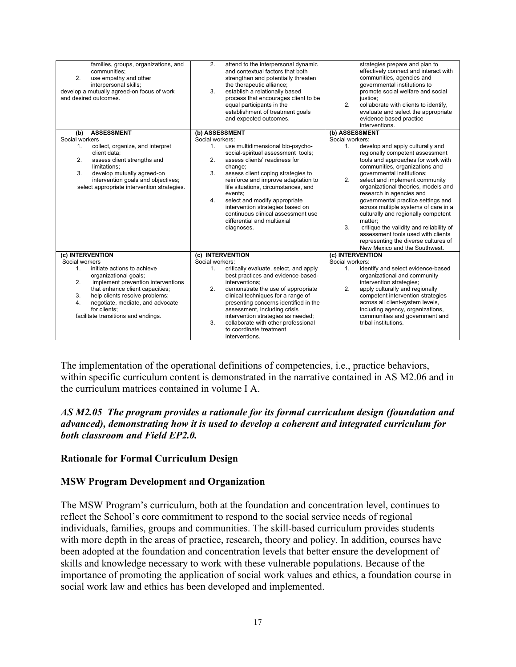| families, groups, organizations, and<br>communities:<br>2.<br>use empathy and other<br>interpersonal skills;<br>develop a mutually agreed-on focus of work<br>and desired outcomes.                                                                                                | 2.<br>attend to the interpersonal dynamic<br>and contextual factors that both<br>strengthen and potentially threaten<br>the therapeutic alliance;<br>3 <sub>1</sub><br>establish a relationally based<br>process that encourages client to be<br>equal participants in the<br>establishment of treatment goals<br>and expected outcomes.                                                                                                                                           | strategies prepare and plan to<br>effectively connect and interact with<br>communities, agencies and<br>governmental institutions to<br>promote social welfare and social<br>iustice:<br>2.<br>collaborate with clients to identify,<br>evaluate and select the appropriate<br>evidence based practice<br>interventions.                                                                                                                                                                                                                                                                                                                     |
|------------------------------------------------------------------------------------------------------------------------------------------------------------------------------------------------------------------------------------------------------------------------------------|------------------------------------------------------------------------------------------------------------------------------------------------------------------------------------------------------------------------------------------------------------------------------------------------------------------------------------------------------------------------------------------------------------------------------------------------------------------------------------|----------------------------------------------------------------------------------------------------------------------------------------------------------------------------------------------------------------------------------------------------------------------------------------------------------------------------------------------------------------------------------------------------------------------------------------------------------------------------------------------------------------------------------------------------------------------------------------------------------------------------------------------|
| <b>ASSESSMENT</b><br>(b)<br>Social workers<br>collect, organize, and interpret<br>1.<br>client data;<br>2.<br>assess client strengths and<br>limitations:<br>3.<br>develop mutually agreed-on<br>intervention goals and objectives;<br>select appropriate intervention strategies. | (b) ASSESSMENT<br>Social workers:<br>use multidimensional bio-psycho-<br>1 <sub>1</sub><br>social-spiritual assessment tools;<br>2.<br>assess clients' readiness for<br>change;<br>assess client coping strategies to<br>3.<br>reinforce and improve adaptation to<br>life situations, circumstances, and<br>events:<br>select and modify appropriate<br>4.<br>intervention strategies based on<br>continuous clinical assessment use<br>differential and multiaxial<br>diagnoses. | (b) ASSESSMENT<br>Social workers:<br>develop and apply culturally and<br>1 <sub>1</sub><br>regionally competent assessment<br>tools and approaches for work with<br>communities, organizations and<br>governmental institutions;<br>select and implement community<br>2.<br>organizational theories, models and<br>research in agencies and<br>governmental practice settings and<br>across multiple systems of care in a<br>culturally and regionally competent<br>matter;<br>critique the validity and reliability of<br>3.<br>assessment tools used with clients<br>representing the diverse cultures of<br>New Mexico and the Southwest. |
| (c) INTERVENTION                                                                                                                                                                                                                                                                   | (c) INTERVENTION                                                                                                                                                                                                                                                                                                                                                                                                                                                                   | (c) INTERVENTION                                                                                                                                                                                                                                                                                                                                                                                                                                                                                                                                                                                                                             |
| Social workers<br>initiate actions to achieve<br>$1_{-}$                                                                                                                                                                                                                           | Social workers:<br>critically evaluate, select, and apply<br>$1_{-}$                                                                                                                                                                                                                                                                                                                                                                                                               | Social workers:<br>identify and select evidence-based<br>1 <sub>1</sub>                                                                                                                                                                                                                                                                                                                                                                                                                                                                                                                                                                      |
| organizational goals;<br>2.<br>implement prevention interventions<br>that enhance client capacities;<br>help clients resolve problems;<br>3.                                                                                                                                       | best practices and evidence-based-<br>interventions:<br>2.<br>demonstrate the use of appropriate<br>clinical techniques for a range of                                                                                                                                                                                                                                                                                                                                             | organizational and community<br>intervention strategies;<br>2.<br>apply culturally and regionally<br>competent intervention strategies                                                                                                                                                                                                                                                                                                                                                                                                                                                                                                       |
| negotiate, mediate, and advocate<br>4.<br>for clients:<br>facilitate transitions and endings.                                                                                                                                                                                      | presenting concerns identified in the<br>assessment, including crisis<br>intervention strategies as needed;<br>collaborate with other professional<br>3.<br>to coordinate treatment<br>interventions.                                                                                                                                                                                                                                                                              | across all client-system levels,<br>including agency, organizations,<br>communities and government and<br>tribal institutions.                                                                                                                                                                                                                                                                                                                                                                                                                                                                                                               |

The implementation of the operational definitions of competencies, i.e., practice behaviors, within specific curriculum content is demonstrated in the narrative contained in AS M2.06 and in the curriculum matrices contained in volume I A.

## *AS M2.05 The program provides a rationale for its formal curriculum design (foundation and advanced), demonstrating how it is used to develop a coherent and integrated curriculum for both classroom and Field EP2.0.*

#### **Rationale for Formal Curriculum Design**

#### **MSW Program Development and Organization**

The MSW Program's curriculum, both at the foundation and concentration level, continues to reflect the School's core commitment to respond to the social service needs of regional individuals, families, groups and communities. The skill-based curriculum provides students with more depth in the areas of practice, research, theory and policy. In addition, courses have been adopted at the foundation and concentration levels that better ensure the development of skills and knowledge necessary to work with these vulnerable populations. Because of the importance of promoting the application of social work values and ethics, a foundation course in social work law and ethics has been developed and implemented.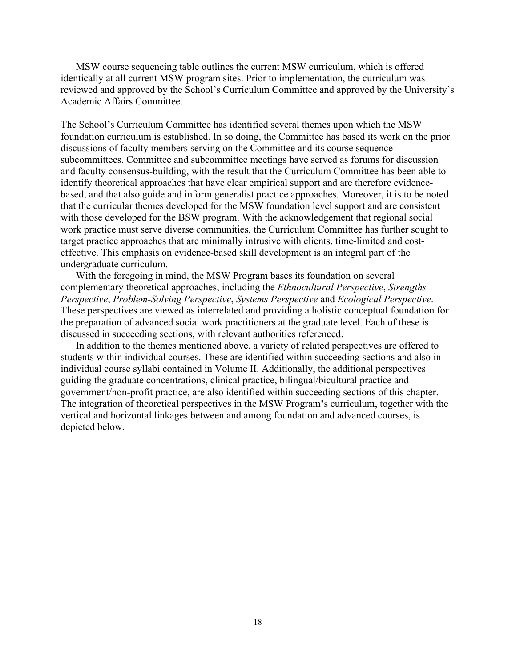MSW course sequencing table outlines the current MSW curriculum, which is offered identically at all current MSW program sites. Prior to implementation, the curriculum was reviewed and approved by the School's Curriculum Committee and approved by the University's Academic Affairs Committee.

The School**'**s Curriculum Committee has identified several themes upon which the MSW foundation curriculum is established. In so doing, the Committee has based its work on the prior discussions of faculty members serving on the Committee and its course sequence subcommittees. Committee and subcommittee meetings have served as forums for discussion and faculty consensus-building, with the result that the Curriculum Committee has been able to identify theoretical approaches that have clear empirical support and are therefore evidencebased, and that also guide and inform generalist practice approaches. Moreover, it is to be noted that the curricular themes developed for the MSW foundation level support and are consistent with those developed for the BSW program. With the acknowledgement that regional social work practice must serve diverse communities, the Curriculum Committee has further sought to target practice approaches that are minimally intrusive with clients, time-limited and costeffective. This emphasis on evidence-based skill development is an integral part of the undergraduate curriculum.

With the foregoing in mind, the MSW Program bases its foundation on several complementary theoretical approaches, including the *Ethnocultural Perspective*, *Strengths Perspective*, *Problem-Solving Perspective*, *Systems Perspective* and *Ecological Perspective*. These perspectives are viewed as interrelated and providing a holistic conceptual foundation for the preparation of advanced social work practitioners at the graduate level. Each of these is discussed in succeeding sections, with relevant authorities referenced.

In addition to the themes mentioned above, a variety of related perspectives are offered to students within individual courses. These are identified within succeeding sections and also in individual course syllabi contained in Volume II. Additionally, the additional perspectives guiding the graduate concentrations, clinical practice, bilingual/bicultural practice and government/non-profit practice, are also identified within succeeding sections of this chapter. The integration of theoretical perspectives in the MSW Program**'**s curriculum, together with the vertical and horizontal linkages between and among foundation and advanced courses, is depicted below.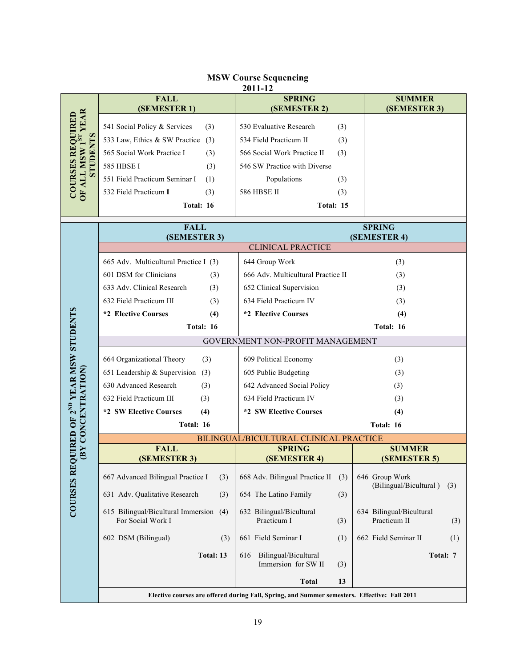#### **MSW Course Sequencing 2011-12**

|                                              | <b>FALL</b><br>(SEMESTER 1)                                 | <b>SPRING</b><br>(SEMESTER 2)                                                                | <b>SUMMER</b><br>(SEMESTER 3)                   |
|----------------------------------------------|-------------------------------------------------------------|----------------------------------------------------------------------------------------------|-------------------------------------------------|
| YEAR<br><b>COURSES REQUIRED</b>              | 541 Social Policy & Services<br>(3)                         | 530 Evaluative Research<br>(3)                                                               |                                                 |
|                                              | 533 Law, Ethics & SW Practice<br>(3)                        | 534 Field Practicum II<br>(3)                                                                |                                                 |
| STUDENTS                                     | 565 Social Work Practice I<br>(3)<br><b>585 HBSE I</b>      | 566 Social Work Practice II<br>(3)<br>546 SW Practice with Diverse                           |                                                 |
|                                              | (3)<br>551 Field Practicum Seminar I<br>(1)                 | Populations<br>(3)                                                                           |                                                 |
| OF ALL MSW 1ST                               | 532 Field Practicum I<br>(3)                                | <b>586 HBSE II</b><br>(3)                                                                    |                                                 |
|                                              | Total: 16                                                   | Total: 15                                                                                    |                                                 |
|                                              | <b>FALL</b>                                                 |                                                                                              | <b>SPRING</b>                                   |
|                                              | (SEMESTER 3)                                                |                                                                                              | (SEMESTER 4)                                    |
|                                              |                                                             | <b>CLINICAL PRACTICE</b>                                                                     |                                                 |
|                                              | 665 Adv. Multicultural Practice I (3)                       | 644 Group Work                                                                               | (3)                                             |
|                                              | 601 DSM for Clinicians<br>(3)                               | 666 Adv. Multicultural Practice II                                                           | (3)                                             |
|                                              | 633 Adv. Clinical Research<br>(3)                           | 652 Clinical Supervision                                                                     | (3)                                             |
|                                              | 632 Field Practicum III<br>(3)<br>*2 Elective Courses       | 634 Field Practicum IV<br>*2 Elective Courses                                                | (3)                                             |
|                                              | (4)<br>Total: 16                                            |                                                                                              | (4)<br>Total: 16                                |
|                                              |                                                             | GOVERNMENT NON-PROFIT MANAGEMENT                                                             |                                                 |
|                                              |                                                             |                                                                                              |                                                 |
|                                              | 664 Organizational Theory<br>(3)                            | 609 Political Economy                                                                        | (3)                                             |
|                                              | 651 Leadership & Supervision (3)                            | 605 Public Budgeting                                                                         | (3)                                             |
|                                              | 630 Advanced Research<br>(3)                                | 642 Advanced Social Policy                                                                   | (3)                                             |
|                                              | 632 Field Practicum III<br>(3)                              | 634 Field Practicum IV                                                                       | (3)                                             |
|                                              | *2 SW Elective Courses<br>(4)<br>Total: 16                  | *2 SW Elective Courses                                                                       | (4)<br>Total: 16                                |
|                                              |                                                             | BILINGUAL/BICULTURAL CLINICAL PRACTICE                                                       |                                                 |
| (BY CONCENTRATION)                           | <b>FALL</b>                                                 | <b>SPRING</b>                                                                                | <b>SUMMER</b>                                   |
| EQUIRED OF 2 <sup>ND</sup> YEAR MSW STUDENTS | (SEMESTER 3)                                                | (SEMESTER 4)                                                                                 | (SEMESTER 5)                                    |
|                                              | 667 Advanced Bilingual Practice I<br>(3)                    | 668 Adv. Bilingual Practice II<br>(3)                                                        | 646 Group Work                                  |
| <b>COURSES R</b>                             | 631 Adv. Qualitative Research<br>(3)                        | 654 The Latino Family<br>(3)                                                                 | (Bilingual/Bicultural)<br>(3)                   |
|                                              | 615 Bilingual/Bicultural Immersion (4)<br>For Social Work I | 632 Bilingual/Bicultural<br>Practicum I<br>(3)                                               | 634 Bilingual/Bicultural<br>Practicum II<br>(3) |
|                                              | 602 DSM (Bilingual)<br>(3)                                  | 661 Field Seminar I<br>(1)                                                                   | 662 Field Seminar II<br>(1)                     |
|                                              | Total: 13                                                   | Bilingual/Bicultural<br>616<br>Immersion for SW II<br>(3)                                    | Total: 7                                        |
|                                              |                                                             | <b>Total</b><br>13                                                                           |                                                 |
|                                              |                                                             | Elective courses are offered during Fall, Spring, and Summer semesters. Effective: Fall 2011 |                                                 |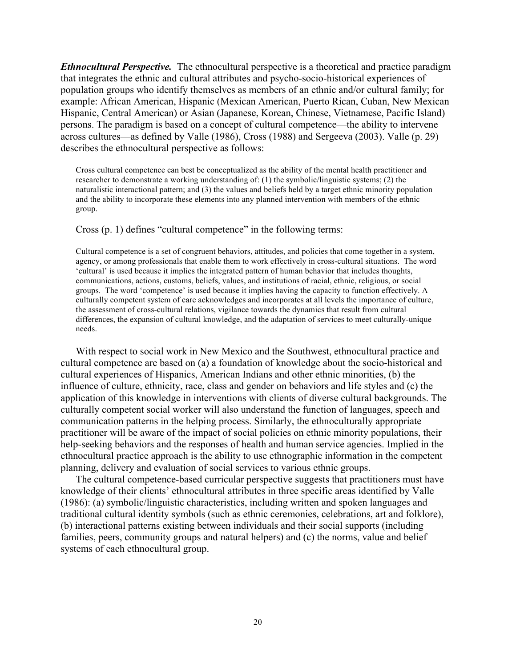*Ethnocultural Perspective.* The ethnocultural perspective is a theoretical and practice paradigm that integrates the ethnic and cultural attributes and psycho-socio-historical experiences of population groups who identify themselves as members of an ethnic and/or cultural family; for example: African American, Hispanic (Mexican American, Puerto Rican, Cuban, New Mexican Hispanic, Central American) or Asian (Japanese, Korean, Chinese, Vietnamese, Pacific Island) persons. The paradigm is based on a concept of cultural competence—the ability to intervene across cultures—as defined by Valle (1986), Cross (1988) and Sergeeva (2003). Valle (p. 29) describes the ethnocultural perspective as follows:

Cross cultural competence can best be conceptualized as the ability of the mental health practitioner and researcher to demonstrate a working understanding of: (1) the symbolic/linguistic systems; (2) the naturalistic interactional pattern; and (3) the values and beliefs held by a target ethnic minority population and the ability to incorporate these elements into any planned intervention with members of the ethnic group.

#### Cross (p. 1) defines "cultural competence" in the following terms:

Cultural competence is a set of congruent behaviors, attitudes, and policies that come together in a system, agency, or among professionals that enable them to work effectively in cross-cultural situations. The word 'cultural' is used because it implies the integrated pattern of human behavior that includes thoughts, communications, actions, customs, beliefs, values, and institutions of racial, ethnic, religious, or social groups. The word 'competence' is used because it implies having the capacity to function effectively. A culturally competent system of care acknowledges and incorporates at all levels the importance of culture, the assessment of cross-cultural relations, vigilance towards the dynamics that result from cultural differences, the expansion of cultural knowledge, and the adaptation of services to meet culturally-unique needs.

With respect to social work in New Mexico and the Southwest, ethnocultural practice and cultural competence are based on (a) a foundation of knowledge about the socio-historical and cultural experiences of Hispanics, American Indians and other ethnic minorities, (b) the influence of culture, ethnicity, race, class and gender on behaviors and life styles and (c) the application of this knowledge in interventions with clients of diverse cultural backgrounds. The culturally competent social worker will also understand the function of languages, speech and communication patterns in the helping process. Similarly, the ethnoculturally appropriate practitioner will be aware of the impact of social policies on ethnic minority populations, their help-seeking behaviors and the responses of health and human service agencies. Implied in the ethnocultural practice approach is the ability to use ethnographic information in the competent planning, delivery and evaluation of social services to various ethnic groups.

The cultural competence-based curricular perspective suggests that practitioners must have knowledge of their clients' ethnocultural attributes in three specific areas identified by Valle (1986): (a) symbolic/linguistic characteristics, including written and spoken languages and traditional cultural identity symbols (such as ethnic ceremonies, celebrations, art and folklore), (b) interactional patterns existing between individuals and their social supports (including families, peers, community groups and natural helpers) and (c) the norms, value and belief systems of each ethnocultural group.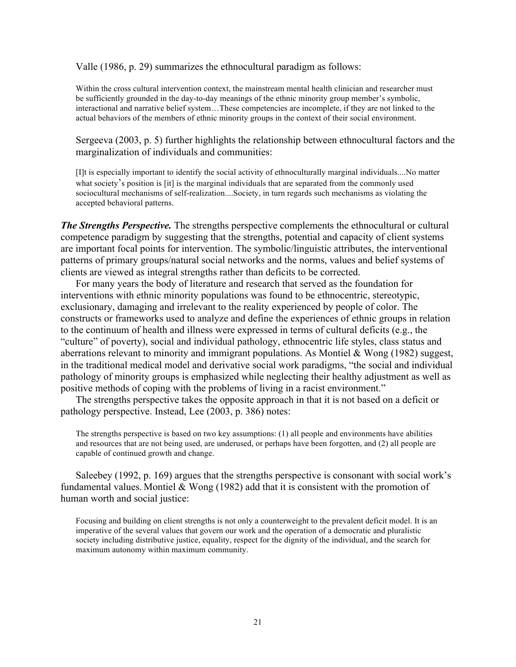Valle (1986, p. 29) summarizes the ethnocultural paradigm as follows:

Within the cross cultural intervention context, the mainstream mental health clinician and researcher must be sufficiently grounded in the day-to-day meanings of the ethnic minority group member's symbolic, interactional and narrative belief system…These competencies are incomplete, if they are not linked to the actual behaviors of the members of ethnic minority groups in the context of their social environment.

Sergeeva (2003, p. 5) further highlights the relationship between ethnocultural factors and the marginalization of individuals and communities:

[I]t is especially important to identify the social activity of ethnoculturally marginal individuals....No matter what society's position is [it] is the marginal individuals that are separated from the commonly used sociocultural mechanisms of self-realization....Society, in turn regards such mechanisms as violating the accepted behavioral patterns.

*The Strengths Perspective.* The strengths perspective complements the ethnocultural or cultural competence paradigm by suggesting that the strengths, potential and capacity of client systems are important focal points for intervention. The symbolic/linguistic attributes, the interventional patterns of primary groups/natural social networks and the norms, values and belief systems of clients are viewed as integral strengths rather than deficits to be corrected.

For many years the body of literature and research that served as the foundation for interventions with ethnic minority populations was found to be ethnocentric, stereotypic, exclusionary, damaging and irrelevant to the reality experienced by people of color. The constructs or frameworks used to analyze and define the experiences of ethnic groups in relation to the continuum of health and illness were expressed in terms of cultural deficits (e.g., the "culture" of poverty), social and individual pathology, ethnocentric life styles, class status and aberrations relevant to minority and immigrant populations. As Montiel & Wong (1982) suggest, in the traditional medical model and derivative social work paradigms, "the social and individual pathology of minority groups is emphasized while neglecting their healthy adjustment as well as positive methods of coping with the problems of living in a racist environment."

The strengths perspective takes the opposite approach in that it is not based on a deficit or pathology perspective. Instead, Lee (2003, p. 386) notes:

The strengths perspective is based on two key assumptions: (1) all people and environments have abilities and resources that are not being used, are underused, or perhaps have been forgotten, and (2) all people are capable of continued growth and change.

Saleebey (1992, p. 169) argues that the strengths perspective is consonant with social work's fundamental values. Montiel & Wong (1982) add that it is consistent with the promotion of human worth and social justice:

Focusing and building on client strengths is not only a counterweight to the prevalent deficit model. It is an imperative of the several values that govern our work and the operation of a democratic and pluralistic society including distributive justice, equality, respect for the dignity of the individual, and the search for maximum autonomy within maximum community.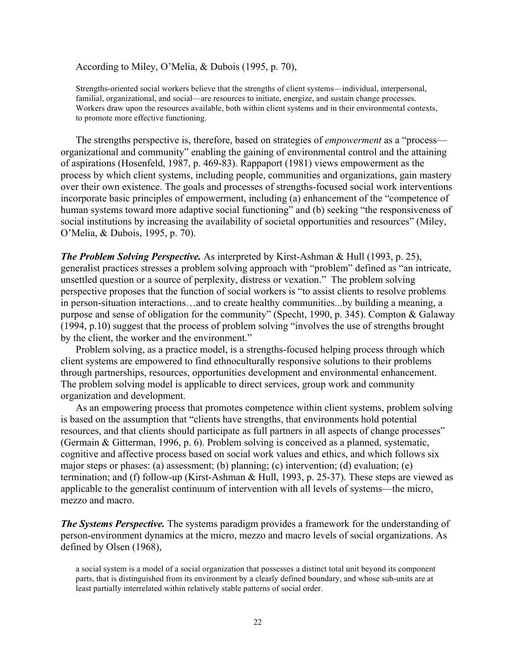According to Miley, O'Melia, & Dubois (1995, p. 70),

Strengths-oriented social workers believe that the strengths of client systems—individual, interpersonal, familial, organizational, and social—are resources to initiate, energize, and sustain change processes. Workers draw upon the resources available, both within client systems and in their environmental contexts, to promote more effective functioning.

The strengths perspective is, therefore, based on strategies of *empowerment* as a "process organizational and community" enabling the gaining of environmental control and the attaining of aspirations (Hosenfeld, 1987, p. 469-83). Rappaport (1981) views empowerment as the process by which client systems, including people, communities and organizations, gain mastery over their own existence. The goals and processes of strengths-focused social work interventions incorporate basic principles of empowerment, including (a) enhancement of the "competence of human systems toward more adaptive social functioning" and (b) seeking "the responsiveness of social institutions by increasing the availability of societal opportunities and resources" (Miley, O'Melia, & Dubois, 1995, p. 70).

*The Problem Solving Perspective.* As interpreted by Kirst-Ashman & Hull (1993, p. 25), generalist practices stresses a problem solving approach with "problem" defined as "an intricate, unsettled question or a source of perplexity, distress or vexation." The problem solving perspective proposes that the function of social workers is "to assist clients to resolve problems in person-situation interactions…and to create healthy communities...by building a meaning, a purpose and sense of obligation for the community" (Specht, 1990, p. 345). Compton & Galaway (1994, p.10) suggest that the process of problem solving "involves the use of strengths brought by the client, the worker and the environment."

Problem solving, as a practice model, is a strengths-focused helping process through which client systems are empowered to find ethnoculturally responsive solutions to their problems through partnerships, resources, opportunities development and environmental enhancement. The problem solving model is applicable to direct services, group work and community organization and development.

As an empowering process that promotes competence within client systems, problem solving is based on the assumption that "clients have strengths, that environments hold potential resources, and that clients should participate as full partners in all aspects of change processes" (Germain & Gitterman, 1996, p. 6). Problem solving is conceived as a planned, systematic, cognitive and affective process based on social work values and ethics, and which follows six major steps or phases: (a) assessment; (b) planning; (c) intervention; (d) evaluation; (e) termination; and (f) follow-up (Kirst-Ashman & Hull, 1993, p. 25-37). These steps are viewed as applicable to the generalist continuum of intervention with all levels of systems—the micro, mezzo and macro.

*The Systems Perspective.* The systems paradigm provides a framework for the understanding of person-environment dynamics at the micro, mezzo and macro levels of social organizations. As defined by Olsen (1968),

a social system is a model of a social organization that possesses a distinct total unit beyond its component parts, that is distinguished from its environment by a clearly defined boundary, and whose sub-units are at least partially interrelated within relatively stable patterns of social order.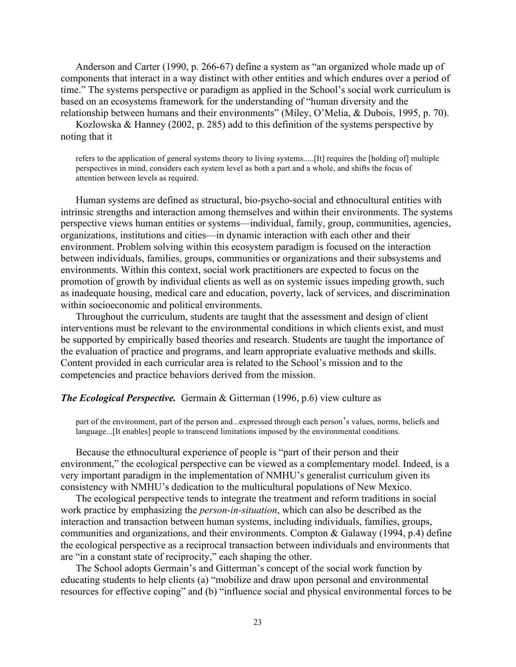Anderson and Carter (1990, p. 266-67) define a system as "an organized whole made up of components that interact in a way distinct with other entities and which endures over a period of time." The systems perspective or paradigm as applied in the School's social work curriculum is based on an ecosystems framework for the understanding of "human diversity and the relationship between humans and their environments" (Miley, O'Melia, & Dubois, 1995, p. 70).

Kozlowska & Hanney (2002, p. 285) add to this definition of the systems perspective by noting that it

refers to the application of general systems theory to living systems.....[It] requires the [holding of] multiple perspectives in mind, considers each system level as both a part and a whole, and shifts the focus of attention between levels as required.

Human systems are defined as structural, bio-psycho-social and ethnocultural entities with intrinsic strengths and interaction among themselves and within their environments. The systems perspective views human entities or systems—individual, family, group, communities, agencies, organizations, institutions and cities—in dynamic interaction with each other and their environment. Problem solving within this ecosystem paradigm is focused on the interaction between individuals, families, groups, communities or organizations and their subsystems and environments. Within this context, social work practitioners are expected to focus on the promotion of growth by individual clients as well as on systemic issues impeding growth, such as inadequate housing, medical care and education, poverty, lack of services, and discrimination within socioeconomic and political environments.

Throughout the curriculum, students are taught that the assessment and design of client interventions must be relevant to the environmental conditions in which clients exist, and must be supported by empirically based theories and research. Students are taught the importance of the evaluation of practice and programs, and learn appropriate evaluative methods and skills. Content provided in each curricular area is related to the School's mission and to the competencies and practice behaviors derived from the mission.

#### *The Ecological Perspective.* Germain & Gitterman (1996, p.6) view culture as

part of the environment, part of the person and...expressed through each person's values, norms, beliefs and language...[It enables] people to transcend limitations imposed by the environmental conditions.

Because the ethnocultural experience of people is "part of their person and their environment," the ecological perspective can be viewed as a complementary model. Indeed, is a very important paradigm in the implementation of NMHU's generalist curriculum given its consistency with NMHU's dedication to the multicultural populations of New Mexico.

The ecological perspective tends to integrate the treatment and reform traditions in social work practice by emphasizing the *person-in-situation*, which can also be described as the interaction and transaction between human systems, including individuals, families, groups, communities and organizations, and their environments. Compton & Galaway (1994, p.4) define the ecological perspective as a reciprocal transaction between individuals and environments that are "in a constant state of reciprocity," each shaping the other.

The School adopts Germain's and Gitterman's concept of the social work function by educating students to help clients (a) "mobilize and draw upon personal and environmental resources for effective coping" and (b) "influence social and physical environmental forces to be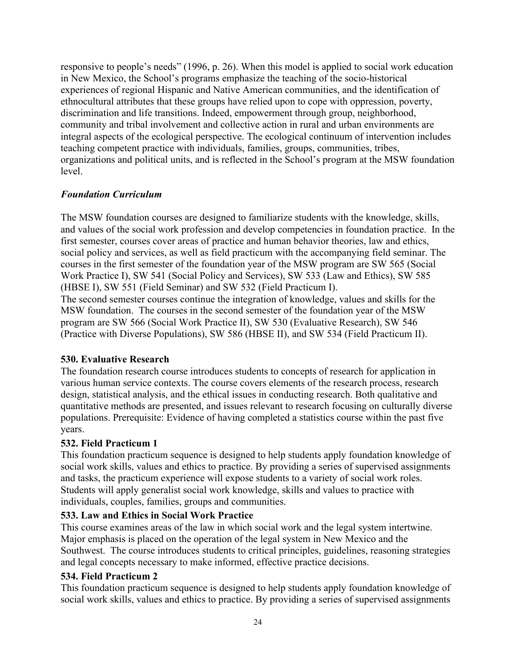responsive to people's needs" (1996, p. 26). When this model is applied to social work education in New Mexico, the School's programs emphasize the teaching of the socio-historical experiences of regional Hispanic and Native American communities, and the identification of ethnocultural attributes that these groups have relied upon to cope with oppression, poverty, discrimination and life transitions. Indeed, empowerment through group, neighborhood, community and tribal involvement and collective action in rural and urban environments are integral aspects of the ecological perspective. The ecological continuum of intervention includes teaching competent practice with individuals, families, groups, communities, tribes, organizations and political units, and is reflected in the School's program at the MSW foundation level.

# *Foundation Curriculum*

The MSW foundation courses are designed to familiarize students with the knowledge, skills, and values of the social work profession and develop competencies in foundation practice. In the first semester, courses cover areas of practice and human behavior theories, law and ethics, social policy and services, as well as field practicum with the accompanying field seminar. The courses in the first semester of the foundation year of the MSW program are SW 565 (Social Work Practice I), SW 541 (Social Policy and Services), SW 533 (Law and Ethics), SW 585 (HBSE I), SW 551 (Field Seminar) and SW 532 (Field Practicum I).

The second semester courses continue the integration of knowledge, values and skills for the MSW foundation. The courses in the second semester of the foundation year of the MSW program are SW 566 (Social Work Practice II), SW 530 (Evaluative Research), SW 546 (Practice with Diverse Populations), SW 586 (HBSE II), and SW 534 (Field Practicum II).

# **530. Evaluative Research**

The foundation research course introduces students to concepts of research for application in various human service contexts. The course covers elements of the research process, research design, statistical analysis, and the ethical issues in conducting research. Both qualitative and quantitative methods are presented, and issues relevant to research focusing on culturally diverse populations. Prerequisite: Evidence of having completed a statistics course within the past five years.

# **532. Field Practicum 1**

This foundation practicum sequence is designed to help students apply foundation knowledge of social work skills, values and ethics to practice. By providing a series of supervised assignments and tasks, the practicum experience will expose students to a variety of social work roles. Students will apply generalist social work knowledge, skills and values to practice with individuals, couples, families, groups and communities.

# **533. Law and Ethics in Social Work Practice**

This course examines areas of the law in which social work and the legal system intertwine. Major emphasis is placed on the operation of the legal system in New Mexico and the Southwest. The course introduces students to critical principles, guidelines, reasoning strategies and legal concepts necessary to make informed, effective practice decisions.

# **534. Field Practicum 2**

This foundation practicum sequence is designed to help students apply foundation knowledge of social work skills, values and ethics to practice. By providing a series of supervised assignments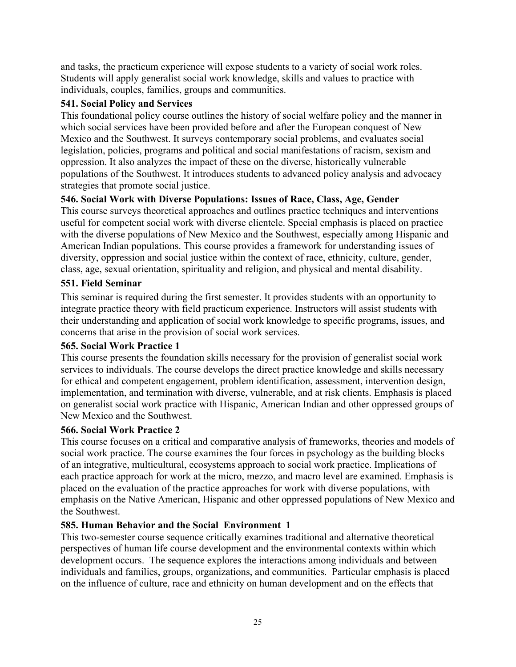and tasks, the practicum experience will expose students to a variety of social work roles. Students will apply generalist social work knowledge, skills and values to practice with individuals, couples, families, groups and communities.

# **541. Social Policy and Services**

This foundational policy course outlines the history of social welfare policy and the manner in which social services have been provided before and after the European conquest of New Mexico and the Southwest. It surveys contemporary social problems, and evaluates social legislation, policies, programs and political and social manifestations of racism, sexism and oppression. It also analyzes the impact of these on the diverse, historically vulnerable populations of the Southwest. It introduces students to advanced policy analysis and advocacy strategies that promote social justice.

# **546. Social Work with Diverse Populations: Issues of Race, Class, Age, Gender**

This course surveys theoretical approaches and outlines practice techniques and interventions useful for competent social work with diverse clientele. Special emphasis is placed on practice with the diverse populations of New Mexico and the Southwest, especially among Hispanic and American Indian populations. This course provides a framework for understanding issues of diversity, oppression and social justice within the context of race, ethnicity, culture, gender, class, age, sexual orientation, spirituality and religion, and physical and mental disability.

# **551. Field Seminar**

This seminar is required during the first semester. It provides students with an opportunity to integrate practice theory with field practicum experience. Instructors will assist students with their understanding and application of social work knowledge to specific programs, issues, and concerns that arise in the provision of social work services.

#### **565. Social Work Practice 1**

This course presents the foundation skills necessary for the provision of generalist social work services to individuals. The course develops the direct practice knowledge and skills necessary for ethical and competent engagement, problem identification, assessment, intervention design, implementation, and termination with diverse, vulnerable, and at risk clients. Emphasis is placed on generalist social work practice with Hispanic, American Indian and other oppressed groups of New Mexico and the Southwest.

#### **566. Social Work Practice 2**

This course focuses on a critical and comparative analysis of frameworks, theories and models of social work practice. The course examines the four forces in psychology as the building blocks of an integrative, multicultural, ecosystems approach to social work practice. Implications of each practice approach for work at the micro, mezzo, and macro level are examined. Emphasis is placed on the evaluation of the practice approaches for work with diverse populations, with emphasis on the Native American, Hispanic and other oppressed populations of New Mexico and the Southwest.

#### **585. Human Behavior and the Social Environment 1**

This two-semester course sequence critically examines traditional and alternative theoretical perspectives of human life course development and the environmental contexts within which development occurs. The sequence explores the interactions among individuals and between individuals and families, groups, organizations, and communities. Particular emphasis is placed on the influence of culture, race and ethnicity on human development and on the effects that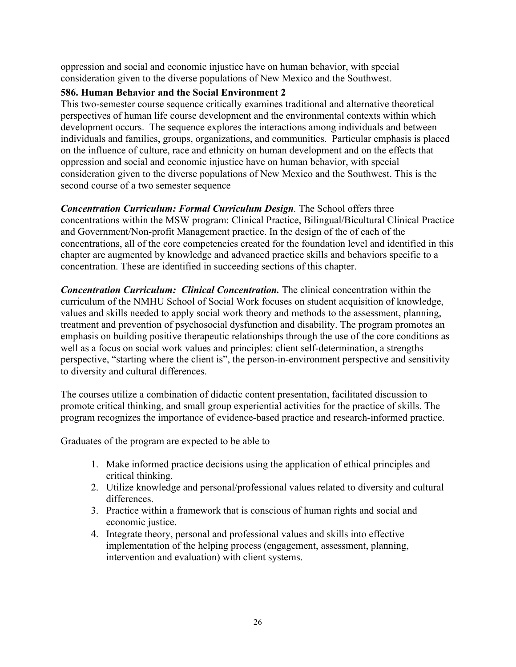oppression and social and economic injustice have on human behavior, with special consideration given to the diverse populations of New Mexico and the Southwest.

# **586. Human Behavior and the Social Environment 2**

This two-semester course sequence critically examines traditional and alternative theoretical perspectives of human life course development and the environmental contexts within which development occurs. The sequence explores the interactions among individuals and between individuals and families, groups, organizations, and communities. Particular emphasis is placed on the influence of culture, race and ethnicity on human development and on the effects that oppression and social and economic injustice have on human behavior, with special consideration given to the diverse populations of New Mexico and the Southwest. This is the second course of a two semester sequence

*Concentration Curriculum: Formal Curriculum Design.* The School offers three concentrations within the MSW program: Clinical Practice, Bilingual/Bicultural Clinical Practice and Government/Non-profit Management practice. In the design of the of each of the concentrations, all of the core competencies created for the foundation level and identified in this chapter are augmented by knowledge and advanced practice skills and behaviors specific to a concentration. These are identified in succeeding sections of this chapter.

*Concentration Curriculum: Clinical Concentration.* The clinical concentration within the curriculum of the NMHU School of Social Work focuses on student acquisition of knowledge, values and skills needed to apply social work theory and methods to the assessment, planning, treatment and prevention of psychosocial dysfunction and disability. The program promotes an emphasis on building positive therapeutic relationships through the use of the core conditions as well as a focus on social work values and principles: client self-determination, a strengths perspective, "starting where the client is", the person-in-environment perspective and sensitivity to diversity and cultural differences.

The courses utilize a combination of didactic content presentation, facilitated discussion to promote critical thinking, and small group experiential activities for the practice of skills. The program recognizes the importance of evidence-based practice and research-informed practice.

Graduates of the program are expected to be able to

- 1. Make informed practice decisions using the application of ethical principles and critical thinking.
- 2. Utilize knowledge and personal/professional values related to diversity and cultural differences.
- 3. Practice within a framework that is conscious of human rights and social and economic justice.
- 4. Integrate theory, personal and professional values and skills into effective implementation of the helping process (engagement, assessment, planning, intervention and evaluation) with client systems.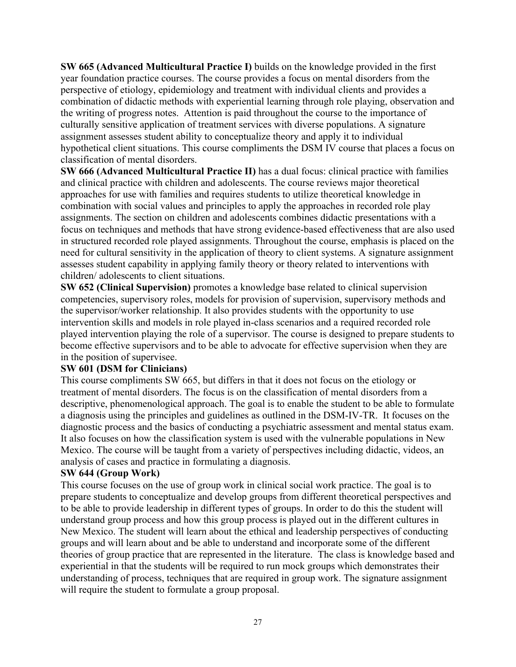**SW 665 (Advanced Multicultural Practice I)** builds on the knowledge provided in the first year foundation practice courses. The course provides a focus on mental disorders from the perspective of etiology, epidemiology and treatment with individual clients and provides a combination of didactic methods with experiential learning through role playing, observation and the writing of progress notes. Attention is paid throughout the course to the importance of culturally sensitive application of treatment services with diverse populations. A signature assignment assesses student ability to conceptualize theory and apply it to individual hypothetical client situations. This course compliments the DSM IV course that places a focus on classification of mental disorders.

**SW 666 (Advanced Multicultural Practice II)** has a dual focus: clinical practice with families and clinical practice with children and adolescents. The course reviews major theoretical approaches for use with families and requires students to utilize theoretical knowledge in combination with social values and principles to apply the approaches in recorded role play assignments. The section on children and adolescents combines didactic presentations with a focus on techniques and methods that have strong evidence-based effectiveness that are also used in structured recorded role played assignments. Throughout the course, emphasis is placed on the need for cultural sensitivity in the application of theory to client systems. A signature assignment assesses student capability in applying family theory or theory related to interventions with children/ adolescents to client situations.

**SW 652 (Clinical Supervision)** promotes a knowledge base related to clinical supervision competencies, supervisory roles, models for provision of supervision, supervisory methods and the supervisor/worker relationship. It also provides students with the opportunity to use intervention skills and models in role played in-class scenarios and a required recorded role played intervention playing the role of a supervisor. The course is designed to prepare students to become effective supervisors and to be able to advocate for effective supervision when they are in the position of supervisee.

# **SW 601 (DSM for Clinicians)**

This course compliments SW 665, but differs in that it does not focus on the etiology or treatment of mental disorders. The focus is on the classification of mental disorders from a descriptive, phenomenological approach. The goal is to enable the student to be able to formulate a diagnosis using the principles and guidelines as outlined in the DSM-IV-TR. It focuses on the diagnostic process and the basics of conducting a psychiatric assessment and mental status exam. It also focuses on how the classification system is used with the vulnerable populations in New Mexico. The course will be taught from a variety of perspectives including didactic, videos, an analysis of cases and practice in formulating a diagnosis.

# **SW 644 (Group Work)**

This course focuses on the use of group work in clinical social work practice. The goal is to prepare students to conceptualize and develop groups from different theoretical perspectives and to be able to provide leadership in different types of groups. In order to do this the student will understand group process and how this group process is played out in the different cultures in New Mexico. The student will learn about the ethical and leadership perspectives of conducting groups and will learn about and be able to understand and incorporate some of the different theories of group practice that are represented in the literature. The class is knowledge based and experiential in that the students will be required to run mock groups which demonstrates their understanding of process, techniques that are required in group work. The signature assignment will require the student to formulate a group proposal.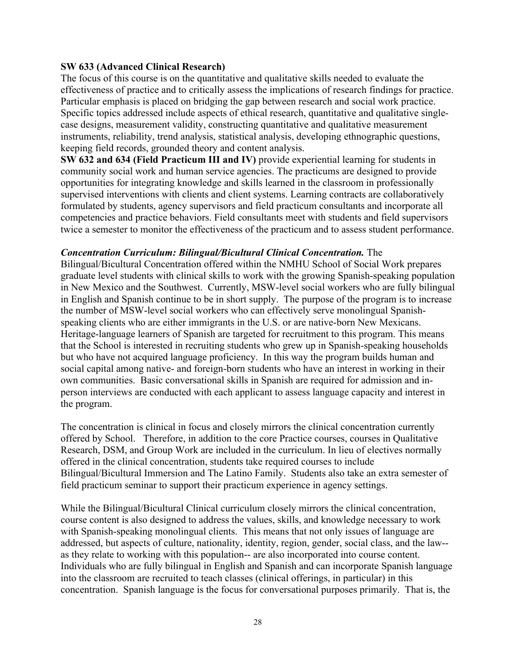#### **SW 633 (Advanced Clinical Research)**

The focus of this course is on the quantitative and qualitative skills needed to evaluate the effectiveness of practice and to critically assess the implications of research findings for practice. Particular emphasis is placed on bridging the gap between research and social work practice. Specific topics addressed include aspects of ethical research, quantitative and qualitative singlecase designs, measurement validity, constructing quantitative and qualitative measurement instruments, reliability, trend analysis, statistical analysis, developing ethnographic questions, keeping field records, grounded theory and content analysis.

**SW 632 and 634 (Field Practicum III and IV)** provide experiential learning for students in community social work and human service agencies. The practicums are designed to provide opportunities for integrating knowledge and skills learned in the classroom in professionally supervised interventions with clients and client systems. Learning contracts are collaboratively formulated by students, agency supervisors and field practicum consultants and incorporate all competencies and practice behaviors. Field consultants meet with students and field supervisors twice a semester to monitor the effectiveness of the practicum and to assess student performance.

#### *Concentration Curriculum: Bilingual/Bicultural Clinical Concentration.* The

Bilingual/Bicultural Concentration offered within the NMHU School of Social Work prepares graduate level students with clinical skills to work with the growing Spanish-speaking population in New Mexico and the Southwest. Currently, MSW-level social workers who are fully bilingual in English and Spanish continue to be in short supply. The purpose of the program is to increase the number of MSW-level social workers who can effectively serve monolingual Spanishspeaking clients who are either immigrants in the U.S. or are native-born New Mexicans. Heritage-language learners of Spanish are targeted for recruitment to this program. This means that the School is interested in recruiting students who grew up in Spanish-speaking households but who have not acquired language proficiency. In this way the program builds human and social capital among native- and foreign-born students who have an interest in working in their own communities. Basic conversational skills in Spanish are required for admission and inperson interviews are conducted with each applicant to assess language capacity and interest in the program.

The concentration is clinical in focus and closely mirrors the clinical concentration currently offered by School. Therefore, in addition to the core Practice courses, courses in Qualitative Research, DSM, and Group Work are included in the curriculum. In lieu of electives normally offered in the clinical concentration, students take required courses to include Bilingual/Bicultural Immersion and The Latino Family. Students also take an extra semester of field practicum seminar to support their practicum experience in agency settings.

While the Bilingual/Bicultural Clinical curriculum closely mirrors the clinical concentration, course content is also designed to address the values, skills, and knowledge necessary to work with Spanish-speaking monolingual clients. This means that not only issues of language are addressed, but aspects of culture, nationality, identity, region, gender, social class, and the law- as they relate to working with this population-- are also incorporated into course content. Individuals who are fully bilingual in English and Spanish and can incorporate Spanish language into the classroom are recruited to teach classes (clinical offerings, in particular) in this concentration. Spanish language is the focus for conversational purposes primarily. That is, the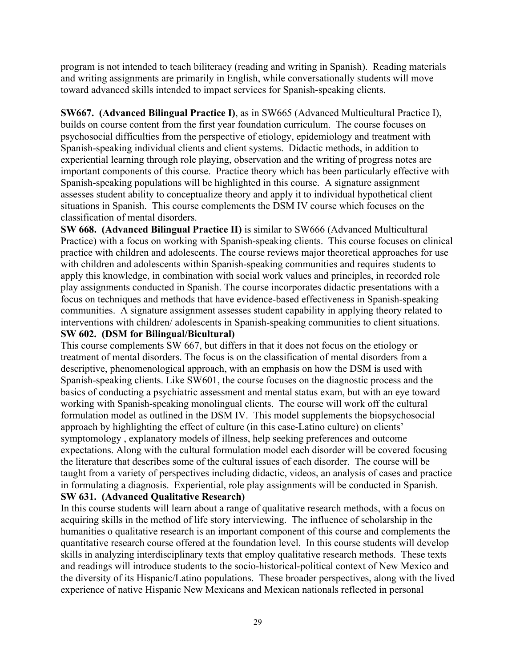program is not intended to teach biliteracy (reading and writing in Spanish). Reading materials and writing assignments are primarily in English, while conversationally students will move toward advanced skills intended to impact services for Spanish-speaking clients.

**SW667. (Advanced Bilingual Practice I)**, as in SW665 (Advanced Multicultural Practice I), builds on course content from the first year foundation curriculum. The course focuses on psychosocial difficulties from the perspective of etiology, epidemiology and treatment with Spanish-speaking individual clients and client systems. Didactic methods, in addition to experiential learning through role playing, observation and the writing of progress notes are important components of this course. Practice theory which has been particularly effective with Spanish-speaking populations will be highlighted in this course. A signature assignment assesses student ability to conceptualize theory and apply it to individual hypothetical client situations in Spanish. This course complements the DSM IV course which focuses on the classification of mental disorders.

**SW 668. (Advanced Bilingual Practice II)** is similar to SW666 (Advanced Multicultural Practice) with a focus on working with Spanish-speaking clients. This course focuses on clinical practice with children and adolescents. The course reviews major theoretical approaches for use with children and adolescents within Spanish-speaking communities and requires students to apply this knowledge, in combination with social work values and principles, in recorded role play assignments conducted in Spanish. The course incorporates didactic presentations with a focus on techniques and methods that have evidence-based effectiveness in Spanish-speaking communities. A signature assignment assesses student capability in applying theory related to interventions with children/ adolescents in Spanish-speaking communities to client situations. **SW 602. (DSM for Bilingual/Bicultural)**

This course complements SW 667, but differs in that it does not focus on the etiology or treatment of mental disorders. The focus is on the classification of mental disorders from a descriptive, phenomenological approach, with an emphasis on how the DSM is used with Spanish-speaking clients. Like SW601, the course focuses on the diagnostic process and the basics of conducting a psychiatric assessment and mental status exam, but with an eye toward working with Spanish-speaking monolingual clients. The course will work off the cultural formulation model as outlined in the DSM IV. This model supplements the biopsychosocial approach by highlighting the effect of culture (in this case-Latino culture) on clients' symptomology , explanatory models of illness, help seeking preferences and outcome expectations. Along with the cultural formulation model each disorder will be covered focusing the literature that describes some of the cultural issues of each disorder. The course will be taught from a variety of perspectives including didactic, videos, an analysis of cases and practice in formulating a diagnosis. Experiential, role play assignments will be conducted in Spanish. **SW 631. (Advanced Qualitative Research)**

In this course students will learn about a range of qualitative research methods, with a focus on acquiring skills in the method of life story interviewing. The influence of scholarship in the humanities o qualitative research is an important component of this course and complements the quantitative research course offered at the foundation level. In this course students will develop skills in analyzing interdisciplinary texts that employ qualitative research methods. These texts and readings will introduce students to the socio-historical-political context of New Mexico and the diversity of its Hispanic/Latino populations. These broader perspectives, along with the lived experience of native Hispanic New Mexicans and Mexican nationals reflected in personal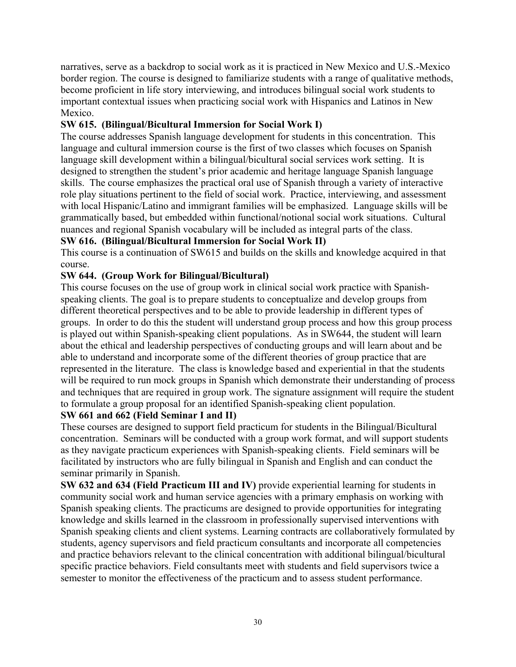narratives, serve as a backdrop to social work as it is practiced in New Mexico and U.S.-Mexico border region. The course is designed to familiarize students with a range of qualitative methods, become proficient in life story interviewing, and introduces bilingual social work students to important contextual issues when practicing social work with Hispanics and Latinos in New Mexico.

# **SW 615. (Bilingual/Bicultural Immersion for Social Work I)**

The course addresses Spanish language development for students in this concentration. This language and cultural immersion course is the first of two classes which focuses on Spanish language skill development within a bilingual/bicultural social services work setting. It is designed to strengthen the student's prior academic and heritage language Spanish language skills. The course emphasizes the practical oral use of Spanish through a variety of interactive role play situations pertinent to the field of social work. Practice, interviewing, and assessment with local Hispanic/Latino and immigrant families will be emphasized. Language skills will be grammatically based, but embedded within functional/notional social work situations. Cultural nuances and regional Spanish vocabulary will be included as integral parts of the class.

# **SW 616. (Bilingual/Bicultural Immersion for Social Work II)**

This course is a continuation of SW615 and builds on the skills and knowledge acquired in that course.

# **SW 644. (Group Work for Bilingual/Bicultural)**

This course focuses on the use of group work in clinical social work practice with Spanishspeaking clients. The goal is to prepare students to conceptualize and develop groups from different theoretical perspectives and to be able to provide leadership in different types of groups. In order to do this the student will understand group process and how this group process is played out within Spanish-speaking client populations. As in SW644, the student will learn about the ethical and leadership perspectives of conducting groups and will learn about and be able to understand and incorporate some of the different theories of group practice that are represented in the literature. The class is knowledge based and experiential in that the students will be required to run mock groups in Spanish which demonstrate their understanding of process and techniques that are required in group work. The signature assignment will require the student to formulate a group proposal for an identified Spanish-speaking client population.

# **SW 661 and 662 (Field Seminar I and II)**

These courses are designed to support field practicum for students in the Bilingual/Bicultural concentration. Seminars will be conducted with a group work format, and will support students as they navigate practicum experiences with Spanish-speaking clients. Field seminars will be facilitated by instructors who are fully bilingual in Spanish and English and can conduct the seminar primarily in Spanish.

**SW 632 and 634 (Field Practicum III and IV)** provide experiential learning for students in community social work and human service agencies with a primary emphasis on working with Spanish speaking clients. The practicums are designed to provide opportunities for integrating knowledge and skills learned in the classroom in professionally supervised interventions with Spanish speaking clients and client systems. Learning contracts are collaboratively formulated by students, agency supervisors and field practicum consultants and incorporate all competencies and practice behaviors relevant to the clinical concentration with additional bilingual/bicultural specific practice behaviors. Field consultants meet with students and field supervisors twice a semester to monitor the effectiveness of the practicum and to assess student performance.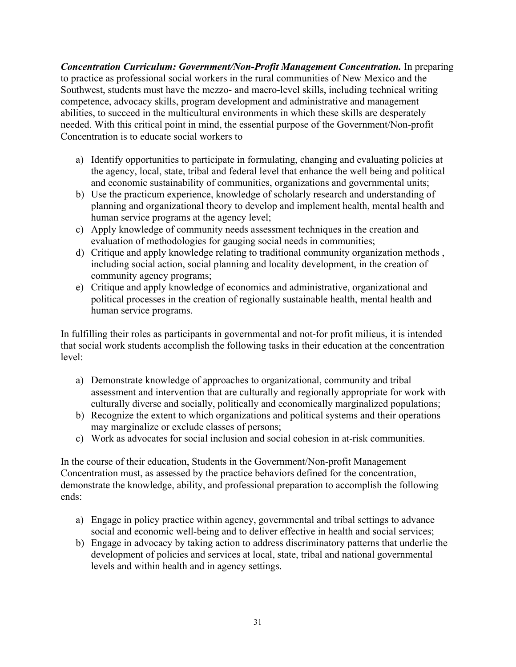*Concentration Curriculum: Government/Non-Profit Management Concentration.* In preparing to practice as professional social workers in the rural communities of New Mexico and the Southwest, students must have the mezzo- and macro-level skills, including technical writing competence, advocacy skills, program development and administrative and management abilities, to succeed in the multicultural environments in which these skills are desperately needed. With this critical point in mind, the essential purpose of the Government/Non-profit Concentration is to educate social workers to

- a) Identify opportunities to participate in formulating, changing and evaluating policies at the agency, local, state, tribal and federal level that enhance the well being and political and economic sustainability of communities, organizations and governmental units;
- b) Use the practicum experience, knowledge of scholarly research and understanding of planning and organizational theory to develop and implement health, mental health and human service programs at the agency level;
- c) Apply knowledge of community needs assessment techniques in the creation and evaluation of methodologies for gauging social needs in communities;
- d) Critique and apply knowledge relating to traditional community organization methods , including social action, social planning and locality development, in the creation of community agency programs;
- e) Critique and apply knowledge of economics and administrative, organizational and political processes in the creation of regionally sustainable health, mental health and human service programs.

In fulfilling their roles as participants in governmental and not-for profit milieus, it is intended that social work students accomplish the following tasks in their education at the concentration level:

- a) Demonstrate knowledge of approaches to organizational, community and tribal assessment and intervention that are culturally and regionally appropriate for work with culturally diverse and socially, politically and economically marginalized populations;
- b) Recognize the extent to which organizations and political systems and their operations may marginalize or exclude classes of persons;
- c) Work as advocates for social inclusion and social cohesion in at-risk communities.

In the course of their education, Students in the Government/Non-profit Management Concentration must, as assessed by the practice behaviors defined for the concentration, demonstrate the knowledge, ability, and professional preparation to accomplish the following ends:

- a) Engage in policy practice within agency, governmental and tribal settings to advance social and economic well-being and to deliver effective in health and social services;
- b) Engage in advocacy by taking action to address discriminatory patterns that underlie the development of policies and services at local, state, tribal and national governmental levels and within health and in agency settings.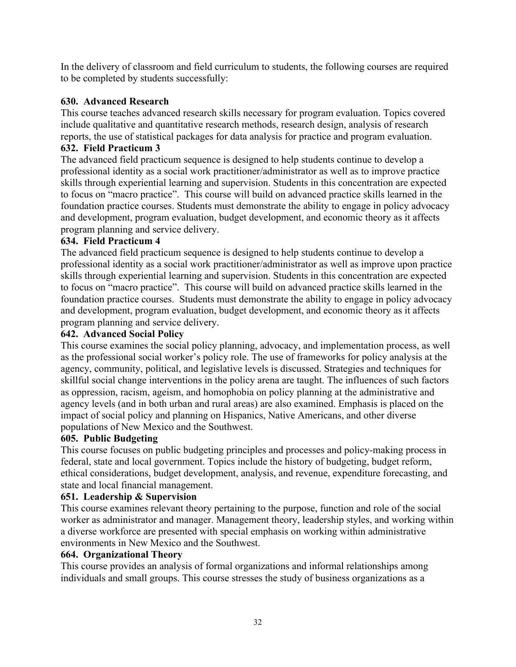In the delivery of classroom and field curriculum to students, the following courses are required to be completed by students successfully:

# **630. Advanced Research**

This course teaches advanced research skills necessary for program evaluation. Topics covered include qualitative and quantitative research methods, research design, analysis of research reports, the use of statistical packages for data analysis for practice and program evaluation.

# **632. Field Practicum 3**

The advanced field practicum sequence is designed to help students continue to develop a professional identity as a social work practitioner/administrator as well as to improve practice skills through experiential learning and supervision. Students in this concentration are expected to focus on "macro practice". This course will build on advanced practice skills learned in the foundation practice courses. Students must demonstrate the ability to engage in policy advocacy and development, program evaluation, budget development, and economic theory as it affects program planning and service delivery.

## **634. Field Practicum 4**

The advanced field practicum sequence is designed to help students continue to develop a professional identity as a social work practitioner/administrator as well as improve upon practice skills through experiential learning and supervision. Students in this concentration are expected to focus on "macro practice". This course will build on advanced practice skills learned in the foundation practice courses. Students must demonstrate the ability to engage in policy advocacy and development, program evaluation, budget development, and economic theory as it affects program planning and service delivery.

## **642. Advanced Social Policy**

This course examines the social policy planning, advocacy, and implementation process, as well as the professional social worker's policy role. The use of frameworks for policy analysis at the agency, community, political, and legislative levels is discussed. Strategies and techniques for skillful social change interventions in the policy arena are taught. The influences of such factors as oppression, racism, ageism, and homophobia on policy planning at the administrative and agency levels (and in both urban and rural areas) are also examined. Emphasis is placed on the impact of social policy and planning on Hispanics, Native Americans, and other diverse populations of New Mexico and the Southwest.

#### **605. Public Budgeting**

This course focuses on public budgeting principles and processes and policy-making process in federal, state and local government. Topics include the history of budgeting, budget reform, ethical considerations, budget development, analysis, and revenue, expenditure forecasting, and state and local financial management.

#### **651. Leadership & Supervision**

This course examines relevant theory pertaining to the purpose, function and role of the social worker as administrator and manager. Management theory, leadership styles, and working within a diverse workforce are presented with special emphasis on working within administrative environments in New Mexico and the Southwest.

#### **664. Organizational Theory**

This course provides an analysis of formal organizations and informal relationships among individuals and small groups. This course stresses the study of business organizations as a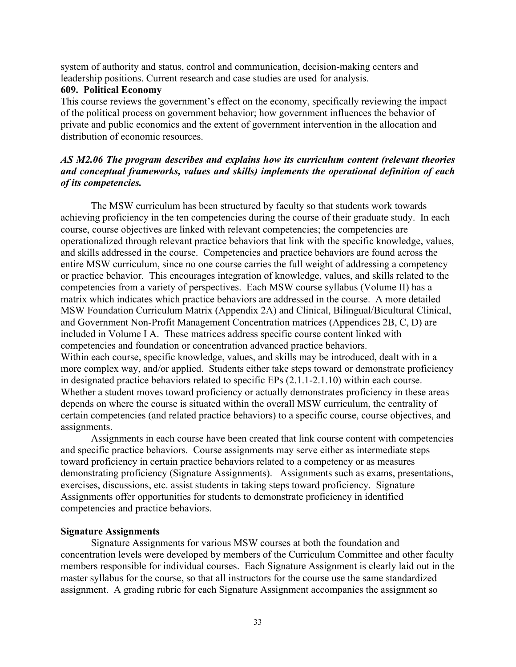system of authority and status, control and communication, decision-making centers and leadership positions. Current research and case studies are used for analysis.

#### **609. Political Economy**

This course reviews the government's effect on the economy, specifically reviewing the impact of the political process on government behavior; how government influences the behavior of private and public economics and the extent of government intervention in the allocation and distribution of economic resources.

#### *AS M2.06 The program describes and explains how its curriculum content (relevant theories and conceptual frameworks, values and skills) implements the operational definition of each of its competencies.*

The MSW curriculum has been structured by faculty so that students work towards achieving proficiency in the ten competencies during the course of their graduate study. In each course, course objectives are linked with relevant competencies; the competencies are operationalized through relevant practice behaviors that link with the specific knowledge, values, and skills addressed in the course. Competencies and practice behaviors are found across the entire MSW curriculum, since no one course carries the full weight of addressing a competency or practice behavior. This encourages integration of knowledge, values, and skills related to the competencies from a variety of perspectives. Each MSW course syllabus (Volume II) has a matrix which indicates which practice behaviors are addressed in the course. A more detailed MSW Foundation Curriculum Matrix (Appendix 2A) and Clinical, Bilingual/Bicultural Clinical, and Government Non-Profit Management Concentration matrices (Appendices 2B, C, D) are included in Volume I A. These matrices address specific course content linked with competencies and foundation or concentration advanced practice behaviors. Within each course, specific knowledge, values, and skills may be introduced, dealt with in a more complex way, and/or applied. Students either take steps toward or demonstrate proficiency in designated practice behaviors related to specific EPs (2.1.1-2.1.10) within each course. Whether a student moves toward proficiency or actually demonstrates proficiency in these areas depends on where the course is situated within the overall MSW curriculum, the centrality of certain competencies (and related practice behaviors) to a specific course, course objectives, and assignments.

Assignments in each course have been created that link course content with competencies and specific practice behaviors. Course assignments may serve either as intermediate steps toward proficiency in certain practice behaviors related to a competency or as measures demonstrating proficiency (Signature Assignments). Assignments such as exams, presentations, exercises, discussions, etc. assist students in taking steps toward proficiency. Signature Assignments offer opportunities for students to demonstrate proficiency in identified competencies and practice behaviors.

#### **Signature Assignments**

Signature Assignments for various MSW courses at both the foundation and concentration levels were developed by members of the Curriculum Committee and other faculty members responsible for individual courses. Each Signature Assignment is clearly laid out in the master syllabus for the course, so that all instructors for the course use the same standardized assignment. A grading rubric for each Signature Assignment accompanies the assignment so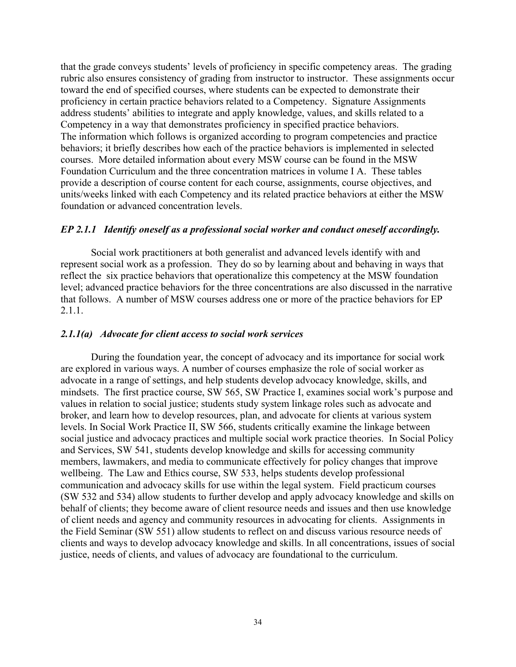that the grade conveys students' levels of proficiency in specific competency areas. The grading rubric also ensures consistency of grading from instructor to instructor. These assignments occur toward the end of specified courses, where students can be expected to demonstrate their proficiency in certain practice behaviors related to a Competency. Signature Assignments address students' abilities to integrate and apply knowledge, values, and skills related to a Competency in a way that demonstrates proficiency in specified practice behaviors. The information which follows is organized according to program competencies and practice behaviors; it briefly describes how each of the practice behaviors is implemented in selected courses. More detailed information about every MSW course can be found in the MSW Foundation Curriculum and the three concentration matrices in volume I A.These tables provide a description of course content for each course, assignments, course objectives, and units/weeks linked with each Competency and its related practice behaviors at either the MSW foundation or advanced concentration levels.

#### *EP 2.1.1 Identify oneself as a professional social worker and conduct oneself accordingly.*

Social work practitioners at both generalist and advanced levels identify with and represent social work as a profession. They do so by learning about and behaving in ways that reflect the six practice behaviors that operationalize this competency at the MSW foundation level; advanced practice behaviors for the three concentrations are also discussed in the narrative that follows. A number of MSW courses address one or more of the practice behaviors for EP 2.1.1.

#### *2.1.1(a) Advocate for client access to social work services*

During the foundation year, the concept of advocacy and its importance for social work are explored in various ways. A number of courses emphasize the role of social worker as advocate in a range of settings, and help students develop advocacy knowledge, skills, and mindsets. The first practice course, SW 565, SW Practice I, examines social work's purpose and values in relation to social justice; students study system linkage roles such as advocate and broker, and learn how to develop resources, plan, and advocate for clients at various system levels. In Social Work Practice II, SW 566, students critically examine the linkage between social justice and advocacy practices and multiple social work practice theories. In Social Policy and Services, SW 541, students develop knowledge and skills for accessing community members, lawmakers, and media to communicate effectively for policy changes that improve wellbeing. The Law and Ethics course, SW 533, helps students develop professional communication and advocacy skills for use within the legal system. Field practicum courses (SW 532 and 534) allow students to further develop and apply advocacy knowledge and skills on behalf of clients; they become aware of client resource needs and issues and then use knowledge of client needs and agency and community resources in advocating for clients. Assignments in the Field Seminar (SW 551) allow students to reflect on and discuss various resource needs of clients and ways to develop advocacy knowledge and skills. In all concentrations, issues of social justice, needs of clients, and values of advocacy are foundational to the curriculum.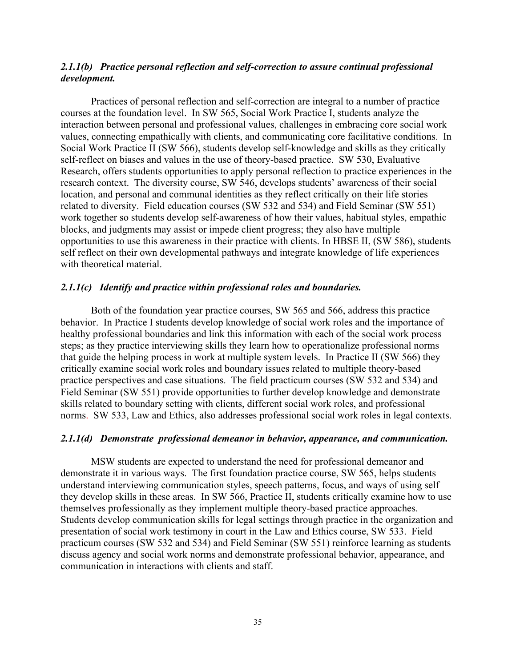#### *2.1.1(b) Practice personal reflection and self-correction to assure continual professional development.*

Practices of personal reflection and self-correction are integral to a number of practice courses at the foundation level. In SW 565, Social Work Practice I, students analyze the interaction between personal and professional values, challenges in embracing core social work values, connecting empathically with clients, and communicating core facilitative conditions. In Social Work Practice II (SW 566), students develop self-knowledge and skills as they critically self-reflect on biases and values in the use of theory-based practice. SW 530, Evaluative Research, offers students opportunities to apply personal reflection to practice experiences in the research context. The diversity course, SW 546, develops students' awareness of their social location, and personal and communal identities as they reflect critically on their life stories related to diversity. Field education courses (SW 532 and 534) and Field Seminar (SW 551) work together so students develop self-awareness of how their values, habitual styles, empathic blocks, and judgments may assist or impede client progress; they also have multiple opportunities to use this awareness in their practice with clients. In HBSE II, (SW 586), students self reflect on their own developmental pathways and integrate knowledge of life experiences with theoretical material.

#### *2.1.1(c) Identify and practice within professional roles and boundaries.*

Both of the foundation year practice courses, SW 565 and 566, address this practice behavior. In Practice I students develop knowledge of social work roles and the importance of healthy professional boundaries and link this information with each of the social work process steps; as they practice interviewing skills they learn how to operationalize professional norms that guide the helping process in work at multiple system levels. In Practice II (SW 566) they critically examine social work roles and boundary issues related to multiple theory-based practice perspectives and case situations. The field practicum courses (SW 532 and 534) and Field Seminar (SW 551) provide opportunities to further develop knowledge and demonstrate skills related to boundary setting with clients, different social work roles, and professional norms. SW 533, Law and Ethics, also addresses professional social work roles in legal contexts.

#### *2.1.1(d) Demonstrate professional demeanor in behavior, appearance, and communication.*

MSW students are expected to understand the need for professional demeanor and demonstrate it in various ways. The first foundation practice course, SW 565, helps students understand interviewing communication styles, speech patterns, focus, and ways of using self they develop skills in these areas. In SW 566, Practice II, students critically examine how to use themselves professionally as they implement multiple theory-based practice approaches. Students develop communication skills for legal settings through practice in the organization and presentation of social work testimony in court in the Law and Ethics course, SW 533. Field practicum courses (SW 532 and 534) and Field Seminar (SW 551) reinforce learning as students discuss agency and social work norms and demonstrate professional behavior, appearance, and communication in interactions with clients and staff.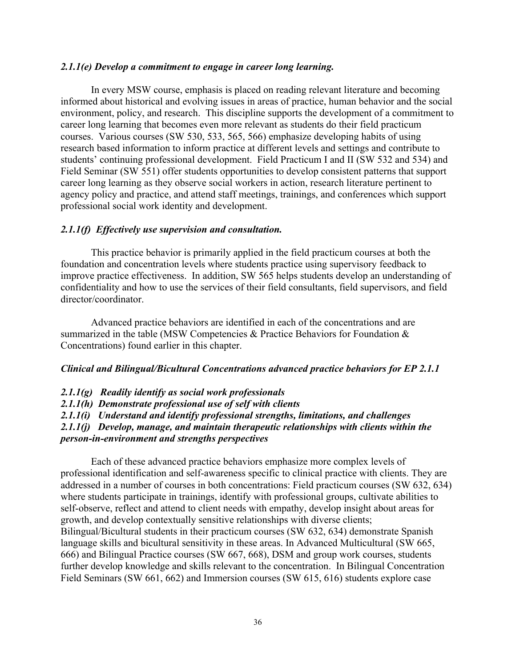### *2.1.1(e) Develop a commitment to engage in career long learning.*

In every MSW course, emphasis is placed on reading relevant literature and becoming informed about historical and evolving issues in areas of practice, human behavior and the social environment, policy, and research. This discipline supports the development of a commitment to career long learning that becomes even more relevant as students do their field practicum courses. Various courses (SW 530, 533, 565, 566) emphasize developing habits of using research based information to inform practice at different levels and settings and contribute to students' continuing professional development. Field Practicum I and II (SW 532 and 534) and Field Seminar (SW 551) offer students opportunities to develop consistent patterns that support career long learning as they observe social workers in action, research literature pertinent to agency policy and practice, and attend staff meetings, trainings, and conferences which support professional social work identity and development.

#### *2.1.1(f) Effectively use supervision and consultation.*

This practice behavior is primarily applied in the field practicum courses at both the foundation and concentration levels where students practice using supervisory feedback to improve practice effectiveness. In addition, SW 565 helps students develop an understanding of confidentiality and how to use the services of their field consultants, field supervisors, and field director/coordinator.

Advanced practice behaviors are identified in each of the concentrations and are summarized in the table (MSW Competencies & Practice Behaviors for Foundation & Concentrations) found earlier in this chapter.

### *Clinical and Bilingual/Bicultural Concentrations advanced practice behaviors for EP 2.1.1*

#### *2.1.1(g) Readily identify as social work professionals*

*2.1.1(h) Demonstrate professional use of self with clients*

*2.1.1(i) Understand and identify professional strengths, limitations, and challenges*

*2.1.1(j) Develop, manage, and maintain therapeutic relationships with clients within the* 

# *person-in-environment and strengths perspectives*

Each of these advanced practice behaviors emphasize more complex levels of professional identification and self-awareness specific to clinical practice with clients. They are addressed in a number of courses in both concentrations: Field practicum courses (SW 632, 634) where students participate in trainings, identify with professional groups, cultivate abilities to self-observe, reflect and attend to client needs with empathy, develop insight about areas for growth, and develop contextually sensitive relationships with diverse clients; Bilingual/Bicultural students in their practicum courses (SW 632, 634) demonstrate Spanish language skills and bicultural sensitivity in these areas. In Advanced Multicultural (SW 665, 666) and Bilingual Practice courses (SW 667, 668), DSM and group work courses, students further develop knowledge and skills relevant to the concentration. In Bilingual Concentration Field Seminars (SW 661, 662) and Immersion courses (SW 615, 616) students explore case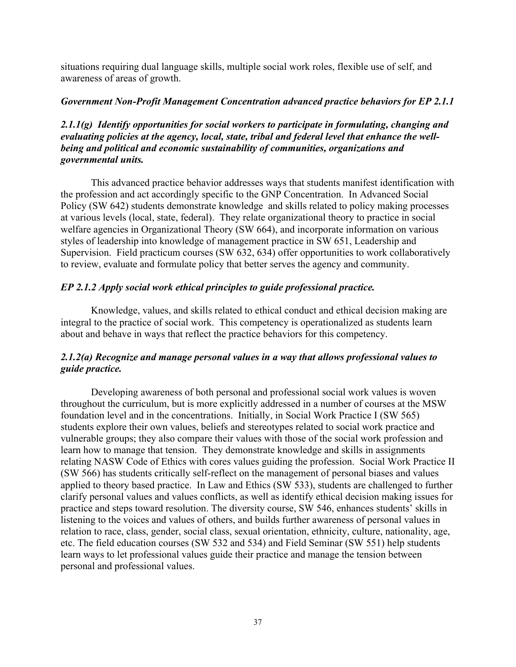situations requiring dual language skills, multiple social work roles, flexible use of self, and awareness of areas of growth.

# *Government Non-Profit Management Concentration advanced practice behaviors for EP 2.1.1*

# *2.1.1(g) Identify opportunities for social workers to participate in formulating, changing and evaluating policies at the agency, local, state, tribal and federal level that enhance the wellbeing and political and economic sustainability of communities, organizations and governmental units.*

This advanced practice behavior addresses ways that students manifest identification with the profession and act accordingly specific to the GNP Concentration. In Advanced Social Policy (SW 642) students demonstrate knowledge and skills related to policy making processes at various levels (local, state, federal). They relate organizational theory to practice in social welfare agencies in Organizational Theory (SW 664), and incorporate information on various styles of leadership into knowledge of management practice in SW 651, Leadership and Supervision. Field practicum courses (SW 632, 634) offer opportunities to work collaboratively to review, evaluate and formulate policy that better serves the agency and community.

# *EP 2.1.2 Apply social work ethical principles to guide professional practice.*

Knowledge, values, and skills related to ethical conduct and ethical decision making are integral to the practice of social work. This competency is operationalized as students learn about and behave in ways that reflect the practice behaviors for this competency.

# *2.1.2(a) Recognize and manage personal values in a way that allows professional values to guide practice.*

Developing awareness of both personal and professional social work values is woven throughout the curriculum, but is more explicitly addressed in a number of courses at the MSW foundation level and in the concentrations. Initially, in Social Work Practice I (SW 565) students explore their own values, beliefs and stereotypes related to social work practice and vulnerable groups; they also compare their values with those of the social work profession and learn how to manage that tension. They demonstrate knowledge and skills in assignments relating NASW Code of Ethics with cores values guiding the profession. Social Work Practice II (SW 566) has students critically self-reflect on the management of personal biases and values applied to theory based practice. In Law and Ethics (SW 533), students are challenged to further clarify personal values and values conflicts, as well as identify ethical decision making issues for practice and steps toward resolution. The diversity course, SW 546, enhances students' skills in listening to the voices and values of others, and builds further awareness of personal values in relation to race, class, gender, social class, sexual orientation, ethnicity, culture, nationality, age, etc. The field education courses (SW 532 and 534) and Field Seminar (SW 551) help students learn ways to let professional values guide their practice and manage the tension between personal and professional values.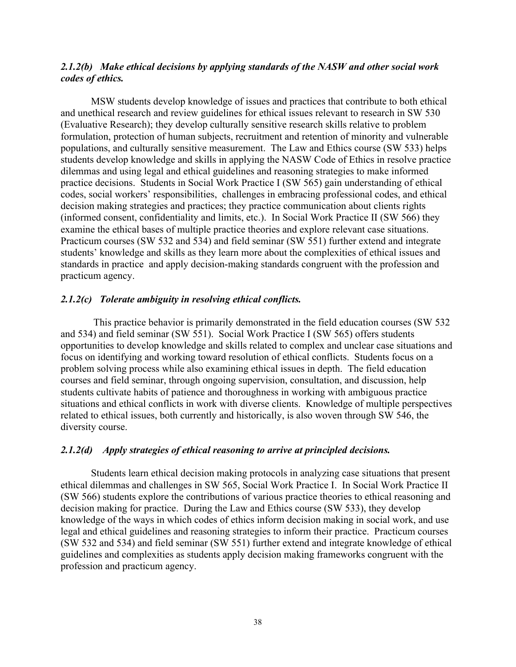## *2.1.2(b) Make ethical decisions by applying standards of the NASW and other social work codes of ethics.*

MSW students develop knowledge of issues and practices that contribute to both ethical and unethical research and review guidelines for ethical issues relevant to research in SW 530 (Evaluative Research); they develop culturally sensitive research skills relative to problem formulation, protection of human subjects, recruitment and retention of minority and vulnerable populations, and culturally sensitive measurement. The Law and Ethics course (SW 533) helps students develop knowledge and skills in applying the NASW Code of Ethics in resolve practice dilemmas and using legal and ethical guidelines and reasoning strategies to make informed practice decisions. Students in Social Work Practice I (SW 565) gain understanding of ethical codes, social workers' responsibilities, challenges in embracing professional codes, and ethical decision making strategies and practices; they practice communication about clients rights (informed consent, confidentiality and limits, etc.). In Social Work Practice II (SW 566) they examine the ethical bases of multiple practice theories and explore relevant case situations. Practicum courses (SW 532 and 534) and field seminar (SW 551) further extend and integrate students' knowledge and skills as they learn more about the complexities of ethical issues and standards in practice and apply decision-making standards congruent with the profession and practicum agency.

### *2.1.2(c) Tolerate ambiguity in resolving ethical conflicts.*

This practice behavior is primarily demonstrated in the field education courses (SW 532 and 534) and field seminar (SW 551). Social Work Practice I (SW 565) offers students opportunities to develop knowledge and skills related to complex and unclear case situations and focus on identifying and working toward resolution of ethical conflicts. Students focus on a problem solving process while also examining ethical issues in depth. The field education courses and field seminar, through ongoing supervision, consultation, and discussion, help students cultivate habits of patience and thoroughness in working with ambiguous practice situations and ethical conflicts in work with diverse clients. Knowledge of multiple perspectives related to ethical issues, both currently and historically, is also woven through SW 546, the diversity course.

### *2.1.2(d) Apply strategies of ethical reasoning to arrive at principled decisions.*

Students learn ethical decision making protocols in analyzing case situations that present ethical dilemmas and challenges in SW 565, Social Work Practice I. In Social Work Practice II (SW 566) students explore the contributions of various practice theories to ethical reasoning and decision making for practice. During the Law and Ethics course (SW 533), they develop knowledge of the ways in which codes of ethics inform decision making in social work, and use legal and ethical guidelines and reasoning strategies to inform their practice. Practicum courses (SW 532 and 534) and field seminar (SW 551) further extend and integrate knowledge of ethical guidelines and complexities as students apply decision making frameworks congruent with the profession and practicum agency.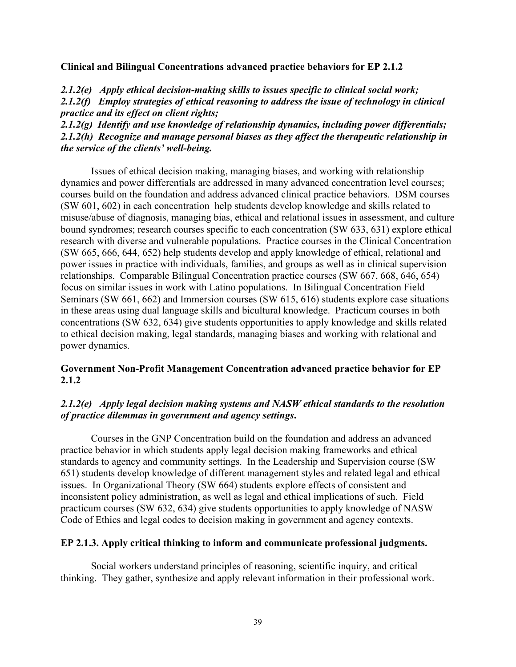**Clinical and Bilingual Concentrations advanced practice behaviors for EP 2.1.2**

*2.1.2(e) Apply ethical decision-making skills to issues specific to clinical social work; 2.1.2(f) Employ strategies of ethical reasoning to address the issue of technology in clinical practice and its effect on client rights;*

*2.1.2(g) Identify and use knowledge of relationship dynamics, including power differentials; 2.1.2(h) Recognize and manage personal biases as they affect the therapeutic relationship in the service of the clients' well-being.*

Issues of ethical decision making, managing biases, and working with relationship dynamics and power differentials are addressed in many advanced concentration level courses; courses build on the foundation and address advanced clinical practice behaviors. DSM courses (SW 601, 602) in each concentration help students develop knowledge and skills related to misuse/abuse of diagnosis, managing bias, ethical and relational issues in assessment, and culture bound syndromes; research courses specific to each concentration (SW 633, 631) explore ethical research with diverse and vulnerable populations. Practice courses in the Clinical Concentration (SW 665, 666, 644, 652) help students develop and apply knowledge of ethical, relational and power issues in practice with individuals, families, and groups as well as in clinical supervision relationships. Comparable Bilingual Concentration practice courses (SW 667, 668, 646, 654) focus on similar issues in work with Latino populations. In Bilingual Concentration Field Seminars (SW 661, 662) and Immersion courses (SW 615, 616) students explore case situations in these areas using dual language skills and bicultural knowledge. Practicum courses in both concentrations (SW 632, 634) give students opportunities to apply knowledge and skills related to ethical decision making, legal standards, managing biases and working with relational and power dynamics.

# **Government Non-Profit Management Concentration advanced practice behavior for EP 2.1.2**

# *2.1.2(e) Apply legal decision making systems and NASW ethical standards to the resolution of practice dilemmas in government and agency settings***.**

Courses in the GNP Concentration build on the foundation and address an advanced practice behavior in which students apply legal decision making frameworks and ethical standards to agency and community settings. In the Leadership and Supervision course (SW 651) students develop knowledge of different management styles and related legal and ethical issues. In Organizational Theory (SW 664) students explore effects of consistent and inconsistent policy administration, as well as legal and ethical implications of such. Field practicum courses (SW 632, 634) give students opportunities to apply knowledge of NASW Code of Ethics and legal codes to decision making in government and agency contexts.

## **EP 2.1.3. Apply critical thinking to inform and communicate professional judgments.**

Social workers understand principles of reasoning, scientific inquiry, and critical thinking. They gather, synthesize and apply relevant information in their professional work.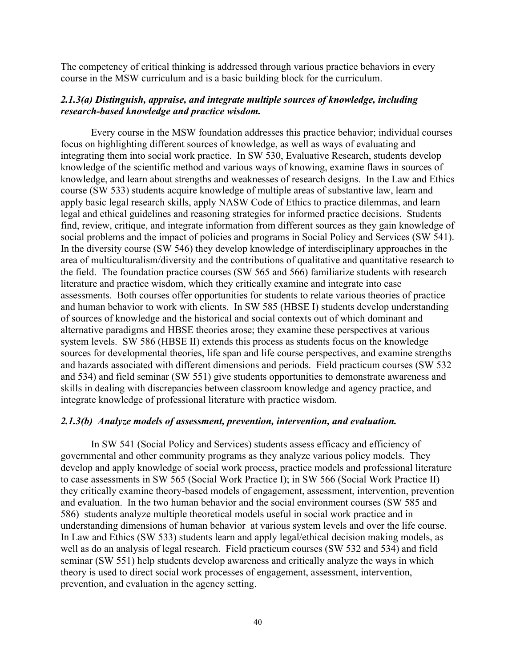The competency of critical thinking is addressed through various practice behaviors in every course in the MSW curriculum and is a basic building block for the curriculum.

### *2.1.3(a) Distinguish, appraise, and integrate multiple sources of knowledge, including research-based knowledge and practice wisdom.*

Every course in the MSW foundation addresses this practice behavior; individual courses focus on highlighting different sources of knowledge, as well as ways of evaluating and integrating them into social work practice. In SW 530, Evaluative Research, students develop knowledge of the scientific method and various ways of knowing, examine flaws in sources of knowledge, and learn about strengths and weaknesses of research designs. In the Law and Ethics course (SW 533) students acquire knowledge of multiple areas of substantive law, learn and apply basic legal research skills, apply NASW Code of Ethics to practice dilemmas, and learn legal and ethical guidelines and reasoning strategies for informed practice decisions. Students find, review, critique, and integrate information from different sources as they gain knowledge of social problems and the impact of policies and programs in Social Policy and Services (SW 541). In the diversity course (SW 546) they develop knowledge of interdisciplinary approaches in the area of multiculturalism/diversity and the contributions of qualitative and quantitative research to the field. The foundation practice courses (SW 565 and 566) familiarize students with research literature and practice wisdom, which they critically examine and integrate into case assessments. Both courses offer opportunities for students to relate various theories of practice and human behavior to work with clients. In SW 585 (HBSE I) students develop understanding of sources of knowledge and the historical and social contexts out of which dominant and alternative paradigms and HBSE theories arose; they examine these perspectives at various system levels. SW 586 (HBSE II) extends this process as students focus on the knowledge sources for developmental theories, life span and life course perspectives, and examine strengths and hazards associated with different dimensions and periods. Field practicum courses (SW 532 and 534) and field seminar (SW 551) give students opportunities to demonstrate awareness and skills in dealing with discrepancies between classroom knowledge and agency practice, and integrate knowledge of professional literature with practice wisdom.

### *2.1.3(b) Analyze models of assessment, prevention, intervention, and evaluation.*

In SW 541 (Social Policy and Services) students assess efficacy and efficiency of governmental and other community programs as they analyze various policy models. They develop and apply knowledge of social work process, practice models and professional literature to case assessments in SW 565 (Social Work Practice I); in SW 566 (Social Work Practice II) they critically examine theory-based models of engagement, assessment, intervention, prevention and evaluation. In the two human behavior and the social environment courses (SW 585 and 586) students analyze multiple theoretical models useful in social work practice and in understanding dimensions of human behavior at various system levels and over the life course. In Law and Ethics (SW 533) students learn and apply legal/ethical decision making models, as well as do an analysis of legal research. Field practicum courses (SW 532 and 534) and field seminar (SW 551) help students develop awareness and critically analyze the ways in which theory is used to direct social work processes of engagement, assessment, intervention, prevention, and evaluation in the agency setting.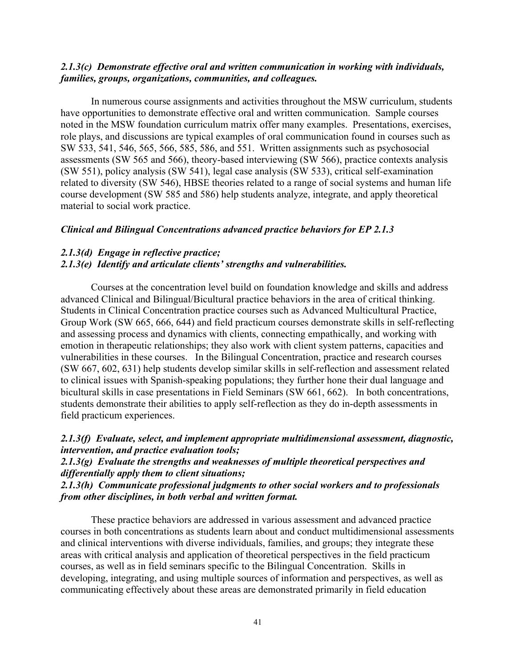### *2.1.3(c) Demonstrate effective oral and written communication in working with individuals, families, groups, organizations, communities, and colleagues.*

In numerous course assignments and activities throughout the MSW curriculum, students have opportunities to demonstrate effective oral and written communication. Sample courses noted in the MSW foundation curriculum matrix offer many examples. Presentations, exercises, role plays, and discussions are typical examples of oral communication found in courses such as SW 533, 541, 546, 565, 566, 585, 586, and 551. Written assignments such as psychosocial assessments (SW 565 and 566), theory-based interviewing (SW 566), practice contexts analysis (SW 551), policy analysis (SW 541), legal case analysis (SW 533), critical self-examination related to diversity (SW 546), HBSE theories related to a range of social systems and human life course development (SW 585 and 586) help students analyze, integrate, and apply theoretical material to social work practice.

### *Clinical and Bilingual Concentrations advanced practice behaviors for EP 2.1.3*

### *2.1.3(d) Engage in reflective practice; 2.1.3(e) Identify and articulate clients' strengths and vulnerabilities.*

Courses at the concentration level build on foundation knowledge and skills and address advanced Clinical and Bilingual/Bicultural practice behaviors in the area of critical thinking. Students in Clinical Concentration practice courses such as Advanced Multicultural Practice, Group Work (SW 665, 666, 644) and field practicum courses demonstrate skills in self-reflecting and assessing process and dynamics with clients, connecting empathically, and working with emotion in therapeutic relationships; they also work with client system patterns, capacities and vulnerabilities in these courses. In the Bilingual Concentration, practice and research courses (SW 667, 602, 631) help students develop similar skills in self-reflection and assessment related to clinical issues with Spanish-speaking populations; they further hone their dual language and bicultural skills in case presentations in Field Seminars (SW 661, 662). In both concentrations, students demonstrate their abilities to apply self-reflection as they do in-depth assessments in field practicum experiences.

## *2.1.3(f) Evaluate, select, and implement appropriate multidimensional assessment, diagnostic, intervention, and practice evaluation tools;*

# *2.1.3(g) Evaluate the strengths and weaknesses of multiple theoretical perspectives and differentially apply them to client situations;*

## *2.1.3(h) Communicate professional judgments to other social workers and to professionals from other disciplines, in both verbal and written format.*

These practice behaviors are addressed in various assessment and advanced practice courses in both concentrations as students learn about and conduct multidimensional assessments and clinical interventions with diverse individuals, families, and groups; they integrate these areas with critical analysis and application of theoretical perspectives in the field practicum courses, as well as in field seminars specific to the Bilingual Concentration. Skills in developing, integrating, and using multiple sources of information and perspectives, as well as communicating effectively about these areas are demonstrated primarily in field education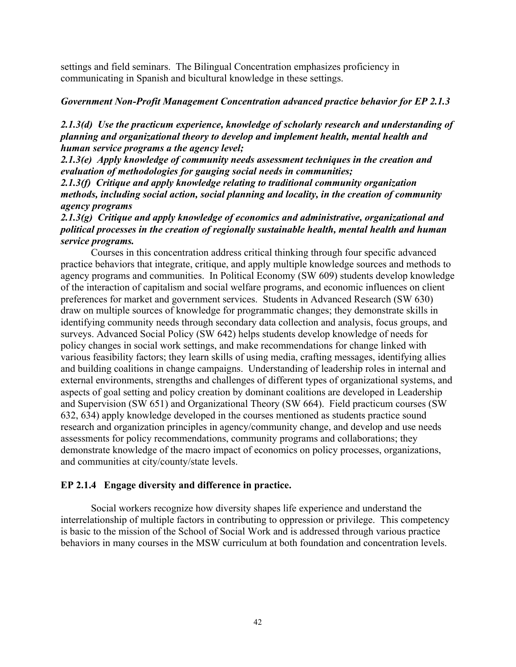settings and field seminars. The Bilingual Concentration emphasizes proficiency in communicating in Spanish and bicultural knowledge in these settings.

# *Government Non-Profit Management Concentration advanced practice behavior for EP 2.1.3*

# *2.1.3(d) Use the practicum experience, knowledge of scholarly research and understanding of planning and organizational theory to develop and implement health, mental health and human service programs a the agency level;*

*2.1.3(e) Apply knowledge of community needs assessment techniques in the creation and evaluation of methodologies for gauging social needs in communities;*

*2.1.3(f) Critique and apply knowledge relating to traditional community organization methods, including social action, social planning and locality, in the creation of community agency programs* 

*2.1.3(g) Critique and apply knowledge of economics and administrative, organizational and political processes in the creation of regionally sustainable health, mental health and human service programs.*

Courses in this concentration address critical thinking through four specific advanced practice behaviors that integrate, critique, and apply multiple knowledge sources and methods to agency programs and communities. In Political Economy (SW 609) students develop knowledge of the interaction of capitalism and social welfare programs, and economic influences on client preferences for market and government services. Students in Advanced Research (SW 630) draw on multiple sources of knowledge for programmatic changes; they demonstrate skills in identifying community needs through secondary data collection and analysis, focus groups, and surveys. Advanced Social Policy (SW 642) helps students develop knowledge of needs for policy changes in social work settings, and make recommendations for change linked with various feasibility factors; they learn skills of using media, crafting messages, identifying allies and building coalitions in change campaigns. Understanding of leadership roles in internal and external environments, strengths and challenges of different types of organizational systems, and aspects of goal setting and policy creation by dominant coalitions are developed in Leadership and Supervision (SW 651) and Organizational Theory (SW 664). Field practicum courses (SW 632, 634) apply knowledge developed in the courses mentioned as students practice sound research and organization principles in agency/community change, and develop and use needs assessments for policy recommendations, community programs and collaborations; they demonstrate knowledge of the macro impact of economics on policy processes, organizations, and communities at city/county/state levels.

# **EP 2.1.4 Engage diversity and difference in practice.**

Social workers recognize how diversity shapes life experience and understand the interrelationship of multiple factors in contributing to oppression or privilege. This competency is basic to the mission of the School of Social Work and is addressed through various practice behaviors in many courses in the MSW curriculum at both foundation and concentration levels.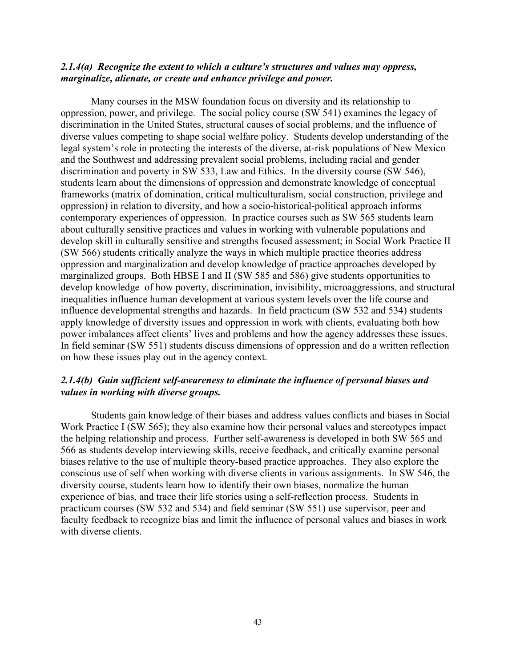### *2.1.4(a) Recognize the extent to which a culture's structures and values may oppress, marginalize, alienate, or create and enhance privilege and power.*

Many courses in the MSW foundation focus on diversity and its relationship to oppression, power, and privilege. The social policy course (SW 541) examines the legacy of discrimination in the United States, structural causes of social problems, and the influence of diverse values competing to shape social welfare policy. Students develop understanding of the legal system's role in protecting the interests of the diverse, at-risk populations of New Mexico and the Southwest and addressing prevalent social problems, including racial and gender discrimination and poverty in SW 533, Law and Ethics. In the diversity course (SW 546), students learn about the dimensions of oppression and demonstrate knowledge of conceptual frameworks (matrix of domination, critical multiculturalism, social construction, privilege and oppression) in relation to diversity, and how a socio-historical-political approach informs contemporary experiences of oppression. In practice courses such as SW 565 students learn about culturally sensitive practices and values in working with vulnerable populations and develop skill in culturally sensitive and strengths focused assessment; in Social Work Practice II (SW 566) students critically analyze the ways in which multiple practice theories address oppression and marginalization and develop knowledge of practice approaches developed by marginalized groups. Both HBSE I and II (SW 585 and 586) give students opportunities to develop knowledge of how poverty, discrimination, invisibility, microaggressions, and structural inequalities influence human development at various system levels over the life course and influence developmental strengths and hazards. In field practicum (SW 532 and 534) students apply knowledge of diversity issues and oppression in work with clients, evaluating both how power imbalances affect clients' lives and problems and how the agency addresses these issues. In field seminar (SW 551) students discuss dimensions of oppression and do a written reflection on how these issues play out in the agency context.

## *2.1.4(b) Gain sufficient self-awareness to eliminate the influence of personal biases and values in working with diverse groups.*

Students gain knowledge of their biases and address values conflicts and biases in Social Work Practice I (SW 565); they also examine how their personal values and stereotypes impact the helping relationship and process. Further self-awareness is developed in both SW 565 and 566 as students develop interviewing skills, receive feedback, and critically examine personal biases relative to the use of multiple theory-based practice approaches. They also explore the conscious use of self when working with diverse clients in various assignments. In SW 546, the diversity course, students learn how to identify their own biases, normalize the human experience of bias, and trace their life stories using a self-reflection process. Students in practicum courses (SW 532 and 534) and field seminar (SW 551) use supervisor, peer and faculty feedback to recognize bias and limit the influence of personal values and biases in work with diverse clients.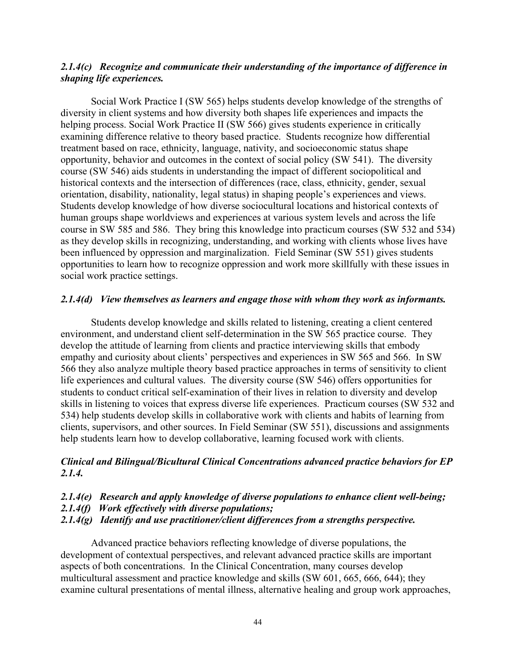## *2.1.4(c) Recognize and communicate their understanding of the importance of difference in shaping life experiences.*

Social Work Practice I (SW 565) helps students develop knowledge of the strengths of diversity in client systems and how diversity both shapes life experiences and impacts the helping process. Social Work Practice II (SW 566) gives students experience in critically examining difference relative to theory based practice. Students recognize how differential treatment based on race, ethnicity, language, nativity, and socioeconomic status shape opportunity, behavior and outcomes in the context of social policy (SW 541). The diversity course (SW 546) aids students in understanding the impact of different sociopolitical and historical contexts and the intersection of differences (race, class, ethnicity, gender, sexual orientation, disability, nationality, legal status) in shaping people's experiences and views. Students develop knowledge of how diverse sociocultural locations and historical contexts of human groups shape worldviews and experiences at various system levels and across the life course in SW 585 and 586. They bring this knowledge into practicum courses (SW 532 and 534) as they develop skills in recognizing, understanding, and working with clients whose lives have been influenced by oppression and marginalization. Field Seminar (SW 551) gives students opportunities to learn how to recognize oppression and work more skillfully with these issues in social work practice settings.

### *2.1.4(d) View themselves as learners and engage those with whom they work as informants.*

Students develop knowledge and skills related to listening, creating a client centered environment, and understand client self-determination in the SW 565 practice course. They develop the attitude of learning from clients and practice interviewing skills that embody empathy and curiosity about clients' perspectives and experiences in SW 565 and 566. In SW 566 they also analyze multiple theory based practice approaches in terms of sensitivity to client life experiences and cultural values. The diversity course (SW 546) offers opportunities for students to conduct critical self-examination of their lives in relation to diversity and develop skills in listening to voices that express diverse life experiences. Practicum courses (SW 532 and 534) help students develop skills in collaborative work with clients and habits of learning from clients, supervisors, and other sources. In Field Seminar (SW 551), discussions and assignments help students learn how to develop collaborative, learning focused work with clients.

## *Clinical and Bilingual/Bicultural Clinical Concentrations advanced practice behaviors for EP 2.1.4.*

### *2.1.4(e) Research and apply knowledge of diverse populations to enhance client well-being;*

*2.1.4(f) Work effectively with diverse populations;*

*2.1.4(g) Identify and use practitioner/client differences from a strengths perspective.*

Advanced practice behaviors reflecting knowledge of diverse populations, the development of contextual perspectives, and relevant advanced practice skills are important aspects of both concentrations. In the Clinical Concentration, many courses develop multicultural assessment and practice knowledge and skills (SW 601, 665, 666, 644); they examine cultural presentations of mental illness, alternative healing and group work approaches,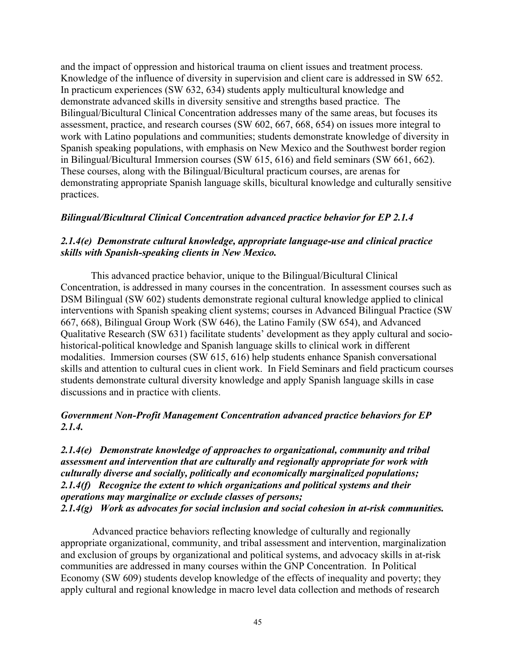and the impact of oppression and historical trauma on client issues and treatment process. Knowledge of the influence of diversity in supervision and client care is addressed in SW 652. In practicum experiences (SW 632, 634) students apply multicultural knowledge and demonstrate advanced skills in diversity sensitive and strengths based practice. The Bilingual/Bicultural Clinical Concentration addresses many of the same areas, but focuses its assessment, practice, and research courses (SW 602, 667, 668, 654) on issues more integral to work with Latino populations and communities; students demonstrate knowledge of diversity in Spanish speaking populations, with emphasis on New Mexico and the Southwest border region in Bilingual/Bicultural Immersion courses (SW 615, 616) and field seminars (SW 661, 662). These courses, along with the Bilingual/Bicultural practicum courses, are arenas for demonstrating appropriate Spanish language skills, bicultural knowledge and culturally sensitive practices.

## *Bilingual/Bicultural Clinical Concentration advanced practice behavior for EP 2.1.4*

# *2.1.4(e) Demonstrate cultural knowledge, appropriate language-use and clinical practice skills with Spanish-speaking clients in New Mexico.*

This advanced practice behavior, unique to the Bilingual/Bicultural Clinical Concentration, is addressed in many courses in the concentration. In assessment courses such as DSM Bilingual (SW 602) students demonstrate regional cultural knowledge applied to clinical interventions with Spanish speaking client systems; courses in Advanced Bilingual Practice (SW 667, 668), Bilingual Group Work (SW 646), the Latino Family (SW 654), and Advanced Qualitative Research (SW 631) facilitate students' development as they apply cultural and sociohistorical-political knowledge and Spanish language skills to clinical work in different modalities. Immersion courses (SW 615, 616) help students enhance Spanish conversational skills and attention to cultural cues in client work. In Field Seminars and field practicum courses students demonstrate cultural diversity knowledge and apply Spanish language skills in case discussions and in practice with clients.

# *Government Non-Profit Management Concentration advanced practice behaviors for EP 2.1.4.*

*2.1.4(e) Demonstrate knowledge of approaches to organizational, community and tribal assessment and intervention that are culturally and regionally appropriate for work with culturally diverse and socially, politically and economically marginalized populations; 2.1.4(f) Recognize the extent to which organizations and political systems and their operations may marginalize or exclude classes of persons; 2.1.4(g) Work as advocates for social inclusion and social cohesion in at-risk communities.* 

Advanced practice behaviors reflecting knowledge of culturally and regionally appropriate organizational, community, and tribal assessment and intervention, marginalization and exclusion of groups by organizational and political systems, and advocacy skills in at-risk communities are addressed in many courses within the GNP Concentration. In Political Economy (SW 609) students develop knowledge of the effects of inequality and poverty; they apply cultural and regional knowledge in macro level data collection and methods of research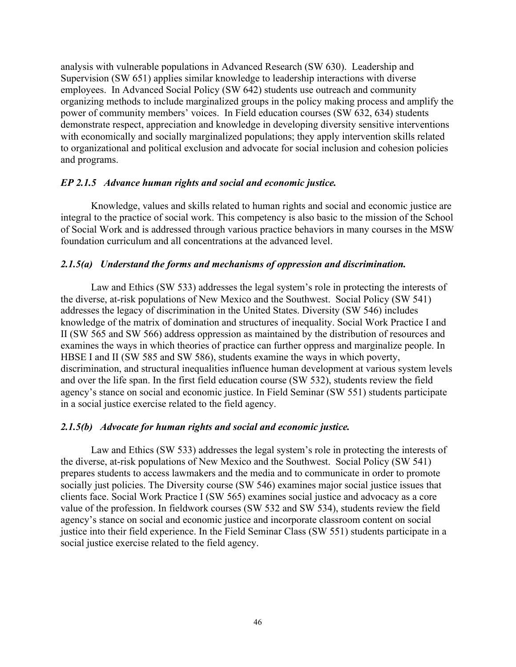analysis with vulnerable populations in Advanced Research (SW 630). Leadership and Supervision (SW 651) applies similar knowledge to leadership interactions with diverse employees. In Advanced Social Policy (SW 642) students use outreach and community organizing methods to include marginalized groups in the policy making process and amplify the power of community members' voices. In Field education courses (SW 632, 634) students demonstrate respect, appreciation and knowledge in developing diversity sensitive interventions with economically and socially marginalized populations; they apply intervention skills related to organizational and political exclusion and advocate for social inclusion and cohesion policies and programs.

## *EP 2.1.5 Advance human rights and social and economic justice.*

Knowledge, values and skills related to human rights and social and economic justice are integral to the practice of social work. This competency is also basic to the mission of the School of Social Work and is addressed through various practice behaviors in many courses in the MSW foundation curriculum and all concentrations at the advanced level.

# *2.1.5(a) Understand the forms and mechanisms of oppression and discrimination.*

Law and Ethics (SW 533) addresses the legal system's role in protecting the interests of the diverse, at-risk populations of New Mexico and the Southwest. Social Policy (SW 541) addresses the legacy of discrimination in the United States. Diversity (SW 546) includes knowledge of the matrix of domination and structures of inequality. Social Work Practice I and II (SW 565 and SW 566) address oppression as maintained by the distribution of resources and examines the ways in which theories of practice can further oppress and marginalize people. In HBSE I and II (SW 585 and SW 586), students examine the ways in which poverty, discrimination, and structural inequalities influence human development at various system levels and over the life span. In the first field education course (SW 532), students review the field agency's stance on social and economic justice. In Field Seminar (SW 551) students participate in a social justice exercise related to the field agency.

## *2.1.5(b) Advocate for human rights and social and economic justice.*

Law and Ethics (SW 533) addresses the legal system's role in protecting the interests of the diverse, at-risk populations of New Mexico and the Southwest. Social Policy (SW 541) prepares students to access lawmakers and the media and to communicate in order to promote socially just policies. The Diversity course (SW 546) examines major social justice issues that clients face. Social Work Practice I (SW 565) examines social justice and advocacy as a core value of the profession. In fieldwork courses (SW 532 and SW 534), students review the field agency's stance on social and economic justice and incorporate classroom content on social justice into their field experience. In the Field Seminar Class (SW 551) students participate in a social justice exercise related to the field agency.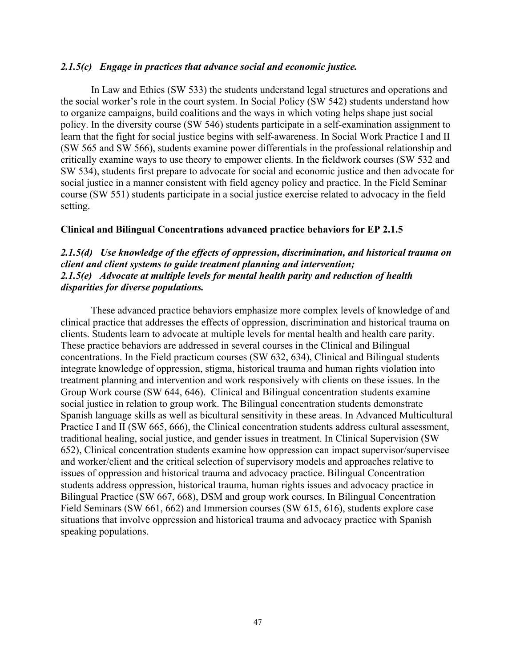### *2.1.5(c) Engage in practices that advance social and economic justice.*

In Law and Ethics (SW 533) the students understand legal structures and operations and the social worker's role in the court system. In Social Policy (SW 542) students understand how to organize campaigns, build coalitions and the ways in which voting helps shape just social policy. In the diversity course (SW 546) students participate in a self-examination assignment to learn that the fight for social justice begins with self-awareness. In Social Work Practice I and II (SW 565 and SW 566), students examine power differentials in the professional relationship and critically examine ways to use theory to empower clients. In the fieldwork courses (SW 532 and SW 534), students first prepare to advocate for social and economic justice and then advocate for social justice in a manner consistent with field agency policy and practice. In the Field Seminar course (SW 551) students participate in a social justice exercise related to advocacy in the field setting.

## **Clinical and Bilingual Concentrations advanced practice behaviors for EP 2.1.5**

## *2.1.5(d) Use knowledge of the effects of oppression, discrimination, and historical trauma on client and client systems to guide treatment planning and intervention; 2.1.5(e) Advocate at multiple levels for mental health parity and reduction of health disparities for diverse populations.*

These advanced practice behaviors emphasize more complex levels of knowledge of and clinical practice that addresses the effects of oppression, discrimination and historical trauma on clients. Students learn to advocate at multiple levels for mental health and health care parity. These practice behaviors are addressed in several courses in the Clinical and Bilingual concentrations. In the Field practicum courses (SW 632, 634), Clinical and Bilingual students integrate knowledge of oppression, stigma, historical trauma and human rights violation into treatment planning and intervention and work responsively with clients on these issues. In the Group Work course (SW 644, 646). Clinical and Bilingual concentration students examine social justice in relation to group work. The Bilingual concentration students demonstrate Spanish language skills as well as bicultural sensitivity in these areas. In Advanced Multicultural Practice I and II (SW 665, 666), the Clinical concentration students address cultural assessment, traditional healing, social justice, and gender issues in treatment. In Clinical Supervision (SW 652), Clinical concentration students examine how oppression can impact supervisor/supervisee and worker/client and the critical selection of supervisory models and approaches relative to issues of oppression and historical trauma and advocacy practice. Bilingual Concentration students address oppression, historical trauma, human rights issues and advocacy practice in Bilingual Practice (SW 667, 668), DSM and group work courses. In Bilingual Concentration Field Seminars (SW 661, 662) and Immersion courses (SW 615, 616), students explore case situations that involve oppression and historical trauma and advocacy practice with Spanish speaking populations.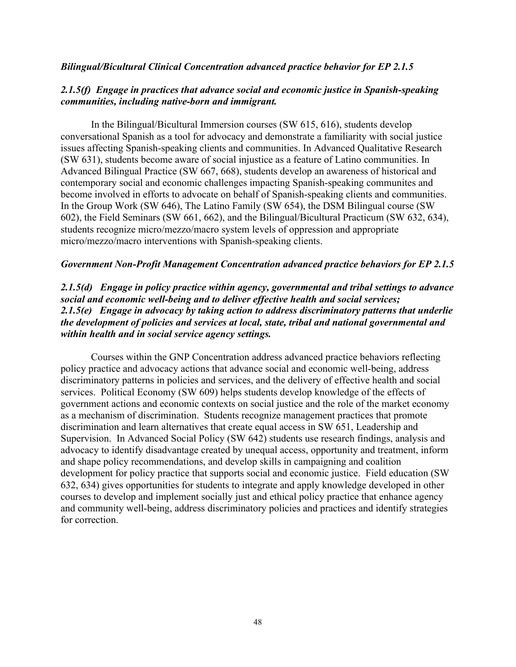### *Bilingual/Bicultural Clinical Concentration advanced practice behavior for EP 2.1.5*

# *2.1.5(f) Engage in practices that advance social and economic justice in Spanish-speaking communities, including native-born and immigrant.*

In the Bilingual/Bicultural Immersion courses (SW 615, 616), students develop conversational Spanish as a tool for advocacy and demonstrate a familiarity with social justice issues affecting Spanish-speaking clients and communities. In Advanced Qualitative Research (SW 631), students become aware of social injustice as a feature of Latino communities. In Advanced Bilingual Practice (SW 667, 668), students develop an awareness of historical and contemporary social and economic challenges impacting Spanish-speaking communites and become involved in efforts to advocate on behalf of Spanish-speaking clients and communities. In the Group Work (SW 646), The Latino Family (SW 654), the DSM Bilingual course (SW 602), the Field Seminars (SW 661, 662), and the Bilingual/Bicultural Practicum (SW 632, 634), students recognize micro/mezzo/macro system levels of oppression and appropriate micro/mezzo/macro interventions with Spanish-speaking clients.

### *Government Non-Profit Management Concentration advanced practice behaviors for EP 2.1.5*

# *2.1.5(d) Engage in policy practice within agency, governmental and tribal settings to advance social and economic well-being and to deliver effective health and social services; 2.1.5(e) Engage in advocacy by taking action to address discriminatory patterns that underlie the development of policies and services at local, state, tribal and national governmental and within health and in social service agency settings.*

Courses within the GNP Concentration address advanced practice behaviors reflecting policy practice and advocacy actions that advance social and economic well-being, address discriminatory patterns in policies and services, and the delivery of effective health and social services. Political Economy (SW 609) helps students develop knowledge of the effects of government actions and economic contexts on social justice and the role of the market economy as a mechanism of discrimination. Students recognize management practices that promote discrimination and learn alternatives that create equal access in SW 651, Leadership and Supervision. In Advanced Social Policy (SW 642) students use research findings, analysis and advocacy to identify disadvantage created by unequal access, opportunity and treatment, inform and shape policy recommendations, and develop skills in campaigning and coalition development for policy practice that supports social and economic justice. Field education (SW 632, 634) gives opportunities for students to integrate and apply knowledge developed in other courses to develop and implement socially just and ethical policy practice that enhance agency and community well-being, address discriminatory policies and practices and identify strategies for correction.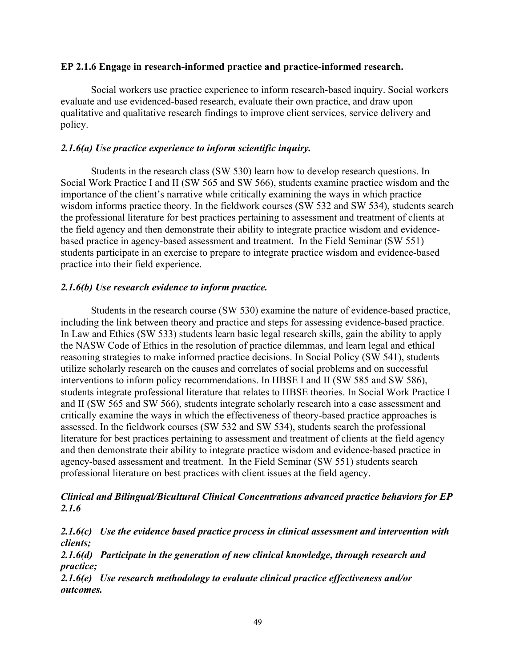## **EP 2.1.6 Engage in research-informed practice and practice-informed research.**

Social workers use practice experience to inform research-based inquiry. Social workers evaluate and use evidenced-based research, evaluate their own practice, and draw upon qualitative and qualitative research findings to improve client services, service delivery and policy.

# *2.1.6(a) Use practice experience to inform scientific inquiry.*

Students in the research class (SW 530) learn how to develop research questions. In Social Work Practice I and II (SW 565 and SW 566), students examine practice wisdom and the importance of the client's narrative while critically examining the ways in which practice wisdom informs practice theory. In the fieldwork courses (SW 532 and SW 534), students search the professional literature for best practices pertaining to assessment and treatment of clients at the field agency and then demonstrate their ability to integrate practice wisdom and evidencebased practice in agency-based assessment and treatment. In the Field Seminar (SW 551) students participate in an exercise to prepare to integrate practice wisdom and evidence-based practice into their field experience.

# *2.1.6(b) Use research evidence to inform practice.*

Students in the research course (SW 530) examine the nature of evidence-based practice, including the link between theory and practice and steps for assessing evidence-based practice. In Law and Ethics (SW 533) students learn basic legal research skills, gain the ability to apply the NASW Code of Ethics in the resolution of practice dilemmas, and learn legal and ethical reasoning strategies to make informed practice decisions. In Social Policy (SW 541), students utilize scholarly research on the causes and correlates of social problems and on successful interventions to inform policy recommendations. In HBSE I and II (SW 585 and SW 586), students integrate professional literature that relates to HBSE theories. In Social Work Practice I and II (SW 565 and SW 566), students integrate scholarly research into a case assessment and critically examine the ways in which the effectiveness of theory-based practice approaches is assessed. In the fieldwork courses (SW 532 and SW 534), students search the professional literature for best practices pertaining to assessment and treatment of clients at the field agency and then demonstrate their ability to integrate practice wisdom and evidence-based practice in agency-based assessment and treatment. In the Field Seminar (SW 551) students search professional literature on best practices with client issues at the field agency.

# *Clinical and Bilingual/Bicultural Clinical Concentrations advanced practice behaviors for EP 2.1.6*

*2.1.6(c) Use the evidence based practice process in clinical assessment and intervention with clients; 2.1.6(d) Participate in the generation of new clinical knowledge, through research and practice; 2.1.6(e) Use research methodology to evaluate clinical practice effectiveness and/or outcomes.*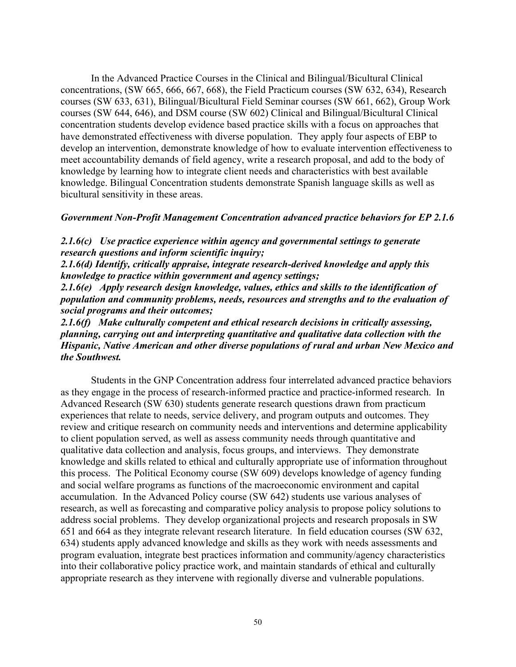In the Advanced Practice Courses in the Clinical and Bilingual/Bicultural Clinical concentrations, (SW 665, 666, 667, 668), the Field Practicum courses (SW 632, 634), Research courses (SW 633, 631), Bilingual/Bicultural Field Seminar courses (SW 661, 662), Group Work courses (SW 644, 646), and DSM course (SW 602) Clinical and Bilingual/Bicultural Clinical concentration students develop evidence based practice skills with a focus on approaches that have demonstrated effectiveness with diverse population. They apply four aspects of EBP to develop an intervention, demonstrate knowledge of how to evaluate intervention effectiveness to meet accountability demands of field agency, write a research proposal, and add to the body of knowledge by learning how to integrate client needs and characteristics with best available knowledge. Bilingual Concentration students demonstrate Spanish language skills as well as bicultural sensitivity in these areas.

### *Government Non-Profit Management Concentration advanced practice behaviors for EP 2.1.6*

*2.1.6(c) Use practice experience within agency and governmental settings to generate research questions and inform scientific inquiry;* 

*2.1.6(d) Identify, critically appraise, integrate research-derived knowledge and apply this knowledge to practice within government and agency settings;* 

*2.1.6(e) Apply research design knowledge, values, ethics and skills to the identification of population and community problems, needs, resources and strengths and to the evaluation of social programs and their outcomes;*

*2.1.6(f) Make culturally competent and ethical research decisions in critically assessing, planning, carrying out and interpreting quantitative and qualitative data collection with the Hispanic, Native American and other diverse populations of rural and urban New Mexico and the Southwest.*

Students in the GNP Concentration address four interrelated advanced practice behaviors as they engage in the process of research-informed practice and practice-informed research. In Advanced Research (SW 630) students generate research questions drawn from practicum experiences that relate to needs, service delivery, and program outputs and outcomes. They review and critique research on community needs and interventions and determine applicability to client population served, as well as assess community needs through quantitative and qualitative data collection and analysis, focus groups, and interviews. They demonstrate knowledge and skills related to ethical and culturally appropriate use of information throughout this process. The Political Economy course (SW 609) develops knowledge of agency funding and social welfare programs as functions of the macroeconomic environment and capital accumulation. In the Advanced Policy course (SW 642) students use various analyses of research, as well as forecasting and comparative policy analysis to propose policy solutions to address social problems. They develop organizational projects and research proposals in SW 651 and 664 as they integrate relevant research literature. In field education courses (SW 632, 634) students apply advanced knowledge and skills as they work with needs assessments and program evaluation, integrate best practices information and community/agency characteristics into their collaborative policy practice work, and maintain standards of ethical and culturally appropriate research as they intervene with regionally diverse and vulnerable populations.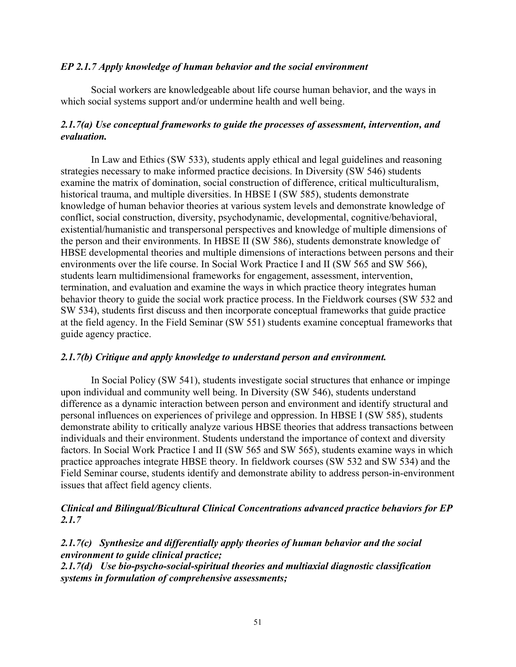## *EP 2.1.7 Apply knowledge of human behavior and the social environment*

Social workers are knowledgeable about life course human behavior, and the ways in which social systems support and/or undermine health and well being.

# *2.1.7(a) Use conceptual frameworks to guide the processes of assessment, intervention, and evaluation.*

In Law and Ethics (SW 533), students apply ethical and legal guidelines and reasoning strategies necessary to make informed practice decisions. In Diversity (SW 546) students examine the matrix of domination, social construction of difference, critical multiculturalism, historical trauma, and multiple diversities. In HBSE I (SW 585), students demonstrate knowledge of human behavior theories at various system levels and demonstrate knowledge of conflict, social construction, diversity, psychodynamic, developmental, cognitive/behavioral, existential/humanistic and transpersonal perspectives and knowledge of multiple dimensions of the person and their environments. In HBSE II (SW 586), students demonstrate knowledge of HBSE developmental theories and multiple dimensions of interactions between persons and their environments over the life course. In Social Work Practice I and II (SW 565 and SW 566), students learn multidimensional frameworks for engagement, assessment, intervention, termination, and evaluation and examine the ways in which practice theory integrates human behavior theory to guide the social work practice process. In the Fieldwork courses (SW 532 and SW 534), students first discuss and then incorporate conceptual frameworks that guide practice at the field agency. In the Field Seminar (SW 551) students examine conceptual frameworks that guide agency practice.

## *2.1.7(b) Critique and apply knowledge to understand person and environment.*

In Social Policy (SW 541), students investigate social structures that enhance or impinge upon individual and community well being. In Diversity (SW 546), students understand difference as a dynamic interaction between person and environment and identify structural and personal influences on experiences of privilege and oppression. In HBSE I (SW 585), students demonstrate ability to critically analyze various HBSE theories that address transactions between individuals and their environment. Students understand the importance of context and diversity factors. In Social Work Practice I and II (SW 565 and SW 565), students examine ways in which practice approaches integrate HBSE theory. In fieldwork courses (SW 532 and SW 534) and the Field Seminar course, students identify and demonstrate ability to address person-in-environment issues that affect field agency clients.

## *Clinical and Bilingual/Bicultural Clinical Concentrations advanced practice behaviors for EP 2.1.7*

*2.1.7(c) Synthesize and differentially apply theories of human behavior and the social environment to guide clinical practice; 2.1.7(d) Use bio-psycho-social-spiritual theories and multiaxial diagnostic classification systems in formulation of comprehensive assessments;*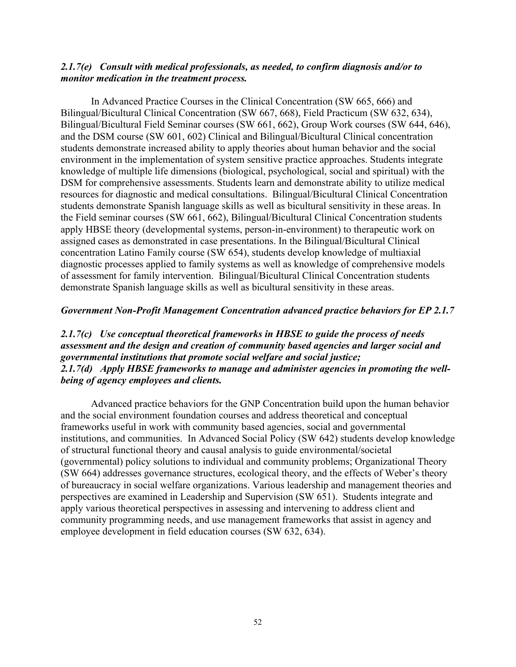### *2.1.7(e) Consult with medical professionals, as needed, to confirm diagnosis and/or to monitor medication in the treatment process.*

In Advanced Practice Courses in the Clinical Concentration (SW 665, 666) and Bilingual/Bicultural Clinical Concentration (SW 667, 668), Field Practicum (SW 632, 634), Bilingual/Bicultural Field Seminar courses (SW 661, 662), Group Work courses (SW 644, 646), and the DSM course (SW 601, 602) Clinical and Bilingual/Bicultural Clinical concentration students demonstrate increased ability to apply theories about human behavior and the social environment in the implementation of system sensitive practice approaches. Students integrate knowledge of multiple life dimensions (biological, psychological, social and spiritual) with the DSM for comprehensive assessments. Students learn and demonstrate ability to utilize medical resources for diagnostic and medical consultations. Bilingual/Bicultural Clinical Concentration students demonstrate Spanish language skills as well as bicultural sensitivity in these areas. In the Field seminar courses (SW 661, 662), Bilingual/Bicultural Clinical Concentration students apply HBSE theory (developmental systems, person-in-environment) to therapeutic work on assigned cases as demonstrated in case presentations. In the Bilingual/Bicultural Clinical concentration Latino Family course (SW 654), students develop knowledge of multiaxial diagnostic processes applied to family systems as well as knowledge of comprehensive models of assessment for family intervention. Bilingual/Bicultural Clinical Concentration students demonstrate Spanish language skills as well as bicultural sensitivity in these areas.

### *Government Non-Profit Management Concentration advanced practice behaviors for EP 2.1.7*

# *2.1.7(c) Use conceptual theoretical frameworks in HBSE to guide the process of needs assessment and the design and creation of community based agencies and larger social and governmental institutions that promote social welfare and social justice; 2.1.7(d) Apply HBSE frameworks to manage and administer agencies in promoting the wellbeing of agency employees and clients.*

Advanced practice behaviors for the GNP Concentration build upon the human behavior and the social environment foundation courses and address theoretical and conceptual frameworks useful in work with community based agencies, social and governmental institutions, and communities. In Advanced Social Policy (SW 642) students develop knowledge of structural functional theory and causal analysis to guide environmental/societal (governmental) policy solutions to individual and community problems; Organizational Theory (SW 664) addresses governance structures, ecological theory, and the effects of Weber's theory of bureaucracy in social welfare organizations. Various leadership and management theories and perspectives are examined in Leadership and Supervision (SW 651). Students integrate and apply various theoretical perspectives in assessing and intervening to address client and community programming needs, and use management frameworks that assist in agency and employee development in field education courses (SW 632, 634).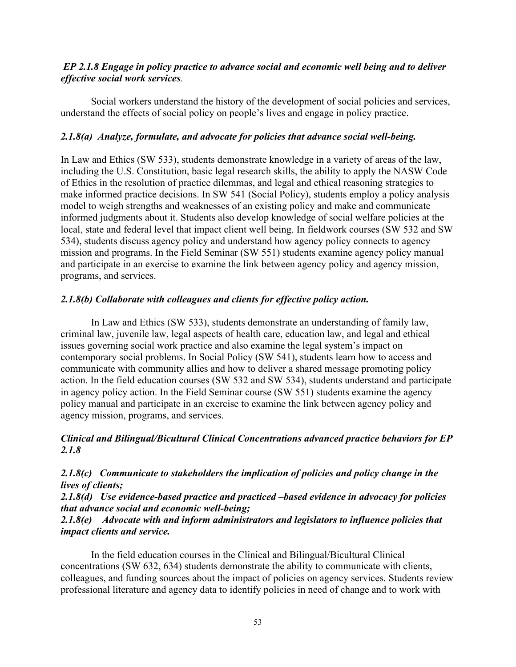## *EP 2.1.8 Engage in policy practice to advance social and economic well being and to deliver effective social work services.*

Social workers understand the history of the development of social policies and services, understand the effects of social policy on people's lives and engage in policy practice.

## *2.1.8(a) Analyze, formulate, and advocate for policies that advance social well-being.*

In Law and Ethics (SW 533), students demonstrate knowledge in a variety of areas of the law, including the U.S. Constitution, basic legal research skills, the ability to apply the NASW Code of Ethics in the resolution of practice dilemmas, and legal and ethical reasoning strategies to make informed practice decisions. In SW 541 (Social Policy), students employ a policy analysis model to weigh strengths and weaknesses of an existing policy and make and communicate informed judgments about it. Students also develop knowledge of social welfare policies at the local, state and federal level that impact client well being. In fieldwork courses (SW 532 and SW 534), students discuss agency policy and understand how agency policy connects to agency mission and programs. In the Field Seminar (SW 551) students examine agency policy manual and participate in an exercise to examine the link between agency policy and agency mission, programs, and services.

## *2.1.8(b) Collaborate with colleagues and clients for effective policy action.*

In Law and Ethics (SW 533), students demonstrate an understanding of family law, criminal law, juvenile law, legal aspects of health care, education law, and legal and ethical issues governing social work practice and also examine the legal system's impact on contemporary social problems. In Social Policy (SW 541), students learn how to access and communicate with community allies and how to deliver a shared message promoting policy action. In the field education courses (SW 532 and SW 534), students understand and participate in agency policy action. In the Field Seminar course (SW 551) students examine the agency policy manual and participate in an exercise to examine the link between agency policy and agency mission, programs, and services.

# *Clinical and Bilingual/Bicultural Clinical Concentrations advanced practice behaviors for EP 2.1.8*

*2.1.8(c) Communicate to stakeholders the implication of policies and policy change in the lives of clients;*

*2.1.8(d) Use evidence-based practice and practiced –based evidence in advocacy for policies that advance social and economic well-being;*

# *2.1.8(e) Advocate with and inform administrators and legislators to influence policies that impact clients and service.*

In the field education courses in the Clinical and Bilingual/Bicultural Clinical concentrations (SW 632, 634) students demonstrate the ability to communicate with clients, colleagues, and funding sources about the impact of policies on agency services. Students review professional literature and agency data to identify policies in need of change and to work with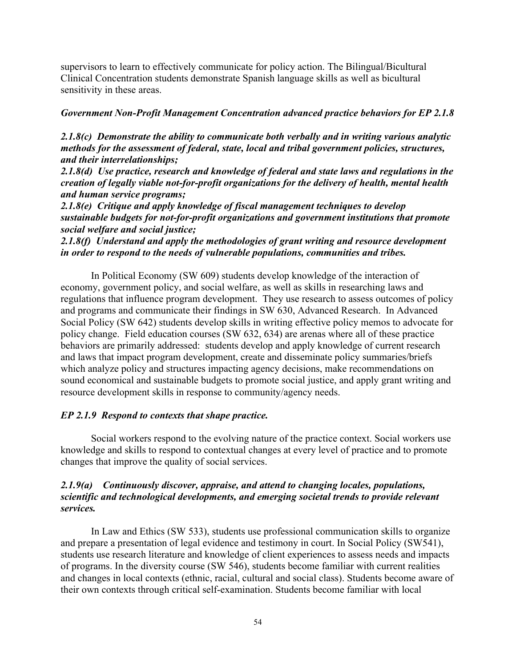supervisors to learn to effectively communicate for policy action. The Bilingual/Bicultural Clinical Concentration students demonstrate Spanish language skills as well as bicultural sensitivity in these areas.

## *Government Non-Profit Management Concentration advanced practice behaviors for EP 2.1.8*

*2.1.8(c) Demonstrate the ability to communicate both verbally and in writing various analytic methods for the assessment of federal, state, local and tribal government policies, structures, and their interrelationships;*

*2.1.8(d) Use practice, research and knowledge of federal and state laws and regulations in the creation of legally viable not-for-profit organizations for the delivery of health, mental health and human service programs;*

*2.1.8(e) Critique and apply knowledge of fiscal management techniques to develop sustainable budgets for not-for-profit organizations and government institutions that promote social welfare and social justice;*

# *2.1.8(f) Understand and apply the methodologies of grant writing and resource development in order to respond to the needs of vulnerable populations, communities and tribes.*

In Political Economy (SW 609) students develop knowledge of the interaction of economy, government policy, and social welfare, as well as skills in researching laws and regulations that influence program development. They use research to assess outcomes of policy and programs and communicate their findings in SW 630, Advanced Research. In Advanced Social Policy (SW 642) students develop skills in writing effective policy memos to advocate for policy change. Field education courses (SW 632, 634) are arenas where all of these practice behaviors are primarily addressed: students develop and apply knowledge of current research and laws that impact program development, create and disseminate policy summaries/briefs which analyze policy and structures impacting agency decisions, make recommendations on sound economical and sustainable budgets to promote social justice, and apply grant writing and resource development skills in response to community/agency needs.

# *EP 2.1.9 Respond to contexts that shape practice.*

Social workers respond to the evolving nature of the practice context. Social workers use knowledge and skills to respond to contextual changes at every level of practice and to promote changes that improve the quality of social services.

## *2.1.9(a) Continuously discover, appraise, and attend to changing locales, populations, scientific and technological developments, and emerging societal trends to provide relevant services.*

In Law and Ethics (SW 533), students use professional communication skills to organize and prepare a presentation of legal evidence and testimony in court. In Social Policy (SW541), students use research literature and knowledge of client experiences to assess needs and impacts of programs. In the diversity course (SW 546), students become familiar with current realities and changes in local contexts (ethnic, racial, cultural and social class). Students become aware of their own contexts through critical self-examination. Students become familiar with local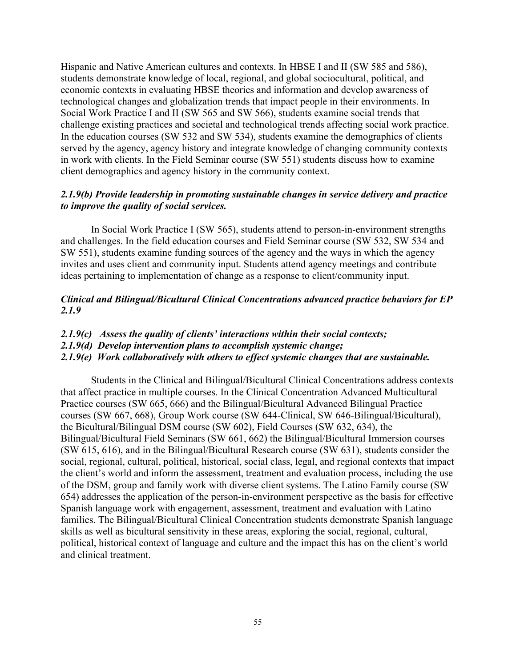Hispanic and Native American cultures and contexts. In HBSE I and II (SW 585 and 586), students demonstrate knowledge of local, regional, and global sociocultural, political, and economic contexts in evaluating HBSE theories and information and develop awareness of technological changes and globalization trends that impact people in their environments. In Social Work Practice I and II (SW 565 and SW 566), students examine social trends that challenge existing practices and societal and technological trends affecting social work practice. In the education courses (SW 532 and SW 534), students examine the demographics of clients served by the agency, agency history and integrate knowledge of changing community contexts in work with clients. In the Field Seminar course (SW 551) students discuss how to examine client demographics and agency history in the community context.

# *2.1.9(b) Provide leadership in promoting sustainable changes in service delivery and practice to improve the quality of social services.*

In Social Work Practice I (SW 565), students attend to person-in-environment strengths and challenges. In the field education courses and Field Seminar course (SW 532, SW 534 and SW 551), students examine funding sources of the agency and the ways in which the agency invites and uses client and community input. Students attend agency meetings and contribute ideas pertaining to implementation of change as a response to client/community input.

# *Clinical and Bilingual/Bicultural Clinical Concentrations advanced practice behaviors for EP 2.1.9*

- *2.1.9(c) Assess the quality of clients' interactions within their social contexts;*
- *2.1.9(d) Develop intervention plans to accomplish systemic change;*

# *2.1.9(e) Work collaboratively with others to effect systemic changes that are sustainable.*

Students in the Clinical and Bilingual/Bicultural Clinical Concentrations address contexts that affect practice in multiple courses. In the Clinical Concentration Advanced Multicultural Practice courses (SW 665, 666) and the Bilingual/Bicultural Advanced Bilingual Practice courses (SW 667, 668), Group Work course (SW 644-Clinical, SW 646-Bilingual/Bicultural), the Bicultural/Bilingual DSM course (SW 602), Field Courses (SW 632, 634), the Bilingual/Bicultural Field Seminars (SW 661, 662) the Bilingual/Bicultural Immersion courses (SW 615, 616), and in the Bilingual/Bicultural Research course (SW 631), students consider the social, regional, cultural, political, historical, social class, legal, and regional contexts that impact the client's world and inform the assessment, treatment and evaluation process, including the use of the DSM, group and family work with diverse client systems. The Latino Family course (SW 654) addresses the application of the person-in-environment perspective as the basis for effective Spanish language work with engagement, assessment, treatment and evaluation with Latino families. The Bilingual/Bicultural Clinical Concentration students demonstrate Spanish language skills as well as bicultural sensitivity in these areas, exploring the social, regional, cultural, political, historical context of language and culture and the impact this has on the client's world and clinical treatment.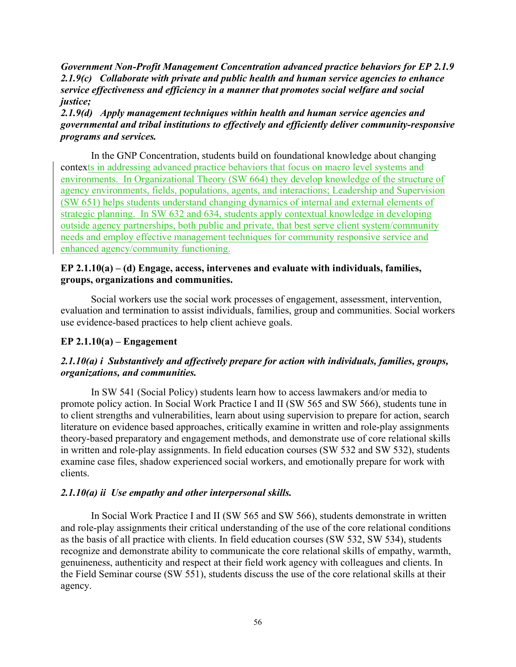*Government Non-Profit Management Concentration advanced practice behaviors for EP 2.1.9 2.1.9(c) Collaborate with private and public health and human service agencies to enhance service effectiveness and efficiency in a manner that promotes social welfare and social justice;*

*2.1.9(d) Apply management techniques within health and human service agencies and governmental and tribal institutions to effectively and efficiently deliver community-responsive programs and services.* 

In the GNP Concentration, students build on foundational knowledge about changing contexts in addressing advanced practice behaviors that focus on macro level systems and environments. In Organizational Theory (SW 664) they develop knowledge of the structure of agency environments, fields, populations, agents, and interactions; Leadership and Supervision (SW 651) helps students understand changing dynamics of internal and external elements of strategic planning. In SW 632 and 634, students apply contextual knowledge in developing outside agency partnerships, both public and private, that best serve client system/community needs and employ effective management techniques for community responsive service and enhanced agency/community functioning.

# **EP 2.1.10(a) – (d) Engage, access, intervenes and evaluate with individuals, families, groups, organizations and communities.**

Social workers use the social work processes of engagement, assessment, intervention, evaluation and termination to assist individuals, families, group and communities. Social workers use evidence-based practices to help client achieve goals.

# **EP 2.1.10(a) – Engagement**

# *2.1.10(a) i Substantively and affectively prepare for action with individuals, families, groups, organizations, and communities.*

In SW 541 (Social Policy) students learn how to access lawmakers and/or media to promote policy action. In Social Work Practice I and II (SW 565 and SW 566), students tune in to client strengths and vulnerabilities, learn about using supervision to prepare for action, search literature on evidence based approaches, critically examine in written and role-play assignments theory-based preparatory and engagement methods, and demonstrate use of core relational skills in written and role-play assignments. In field education courses (SW 532 and SW 532), students examine case files, shadow experienced social workers, and emotionally prepare for work with clients.

## *2.1.10(a) ii Use empathy and other interpersonal skills.*

In Social Work Practice I and II (SW 565 and SW 566), students demonstrate in written and role-play assignments their critical understanding of the use of the core relational conditions as the basis of all practice with clients. In field education courses (SW 532, SW 534), students recognize and demonstrate ability to communicate the core relational skills of empathy, warmth, genuineness, authenticity and respect at their field work agency with colleagues and clients. In the Field Seminar course (SW 551), students discuss the use of the core relational skills at their agency.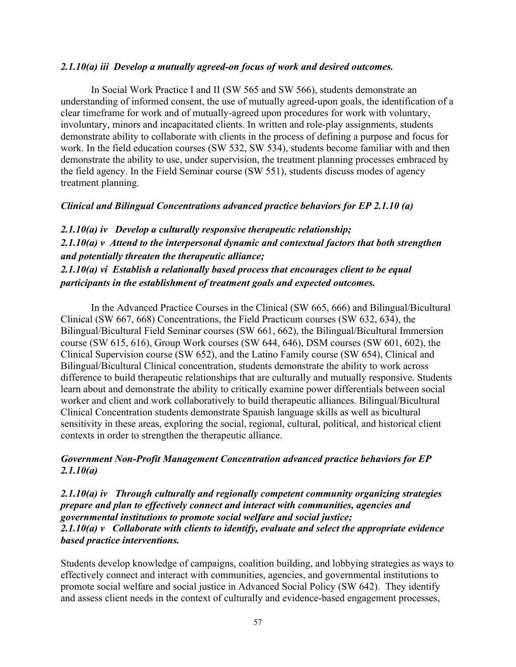### *2.1.10(a) iii Develop a mutually agreed-on focus of work and desired outcomes.*

In Social Work Practice I and II (SW 565 and SW 566), students demonstrate an understanding of informed consent, the use of mutually agreed-upon goals, the identification of a clear timeframe for work and of mutually-agreed upon procedures for work with voluntary, involuntary, minors and incapacitated clients. In written and role-play assignments, students demonstrate ability to collaborate with clients in the process of defining a purpose and focus for work. In the field education courses (SW 532, SW 534), students become familiar with and then demonstrate the ability to use, under supervision, the treatment planning processes embraced by the field agency. In the Field Seminar course (SW 551), students discuss modes of agency treatment planning.

## *Clinical and Bilingual Concentrations advanced practice behaviors for EP 2.1.10 (a)*

*2.1.10(a) iv Develop a culturally responsive therapeutic relationship; 2.1.10(a) v Attend to the interpersonal dynamic and contextual factors that both strengthen and potentially threaten the therapeutic alliance; 2.1.10(a) vi Establish a relationally based process that encourages client to be equal participants in the establishment of treatment goals and expected outcomes.*

In the Advanced Practice Courses in the Clinical (SW 665, 666) and Bilingual/Bicultural Clinical (SW 667, 668) Concentrations, the Field Practicum courses (SW 632, 634), the Bilingual/Bicultural Field Seminar courses (SW 661, 662), the Bilingual/Bicultural Immersion course (SW 615, 616), Group Work courses (SW 644, 646), DSM courses (SW 601, 602), the Clinical Supervision course (SW 652), and the Latino Family course (SW 654), Clinical and Bilingual/Bicultural Clinical concentration, students demonstrate the ability to work across difference to build therapeutic relationships that are culturally and mutually responsive. Students learn about and demonstrate the ability to critically examine power differentials between social worker and client and work collaboratively to build therapeutic alliances. Bilingual/Bicultural Clinical Concentration students demonstrate Spanish language skills as well as bicultural sensitivity in these areas, exploring the social, regional, cultural, political, and historical client contexts in order to strengthen the therapeutic alliance.

# *Government Non-Profit Management Concentration advanced practice behaviors for EP 2.1.10(a)*

*2.1.10(a) iv Through culturally and regionally competent community organizing strategies prepare and plan to effectively connect and interact with communities, agencies and governmental institutions to promote social welfare and social justice; 2.1.10(a) v Collaborate with clients to identify, evaluate and select the appropriate evidence based practice interventions.*

Students develop knowledge of campaigns, coalition building, and lobbying strategies as ways to effectively connect and interact with communities, agencies, and governmental institutions to promote social welfare and social justice in Advanced Social Policy (SW 642). They identify and assess client needs in the context of culturally and evidence-based engagement processes,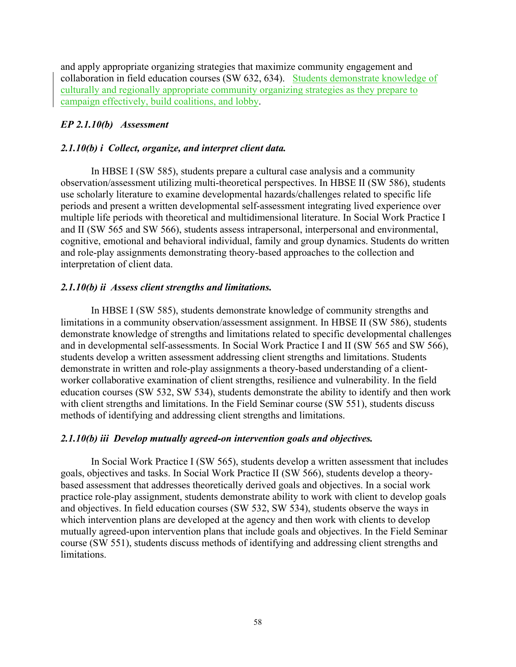and apply appropriate organizing strategies that maximize community engagement and collaboration in field education courses (SW 632, 634). Students demonstrate knowledge of culturally and regionally appropriate community organizing strategies as they prepare to campaign effectively, build coalitions, and lobby.

# *EP 2.1.10(b) Assessment*

# *2.1.10(b) i Collect, organize, and interpret client data.*

In HBSE I (SW 585), students prepare a cultural case analysis and a community observation/assessment utilizing multi-theoretical perspectives. In HBSE II (SW 586), students use scholarly literature to examine developmental hazards/challenges related to specific life periods and present a written developmental self-assessment integrating lived experience over multiple life periods with theoretical and multidimensional literature. In Social Work Practice I and II (SW 565 and SW 566), students assess intrapersonal, interpersonal and environmental, cognitive, emotional and behavioral individual, family and group dynamics. Students do written and role-play assignments demonstrating theory-based approaches to the collection and interpretation of client data.

# *2.1.10(b) ii Assess client strengths and limitations.*

In HBSE I (SW 585), students demonstrate knowledge of community strengths and limitations in a community observation/assessment assignment. In HBSE II (SW 586), students demonstrate knowledge of strengths and limitations related to specific developmental challenges and in developmental self-assessments. In Social Work Practice I and II (SW 565 and SW 566), students develop a written assessment addressing client strengths and limitations. Students demonstrate in written and role-play assignments a theory-based understanding of a clientworker collaborative examination of client strengths, resilience and vulnerability. In the field education courses (SW 532, SW 534), students demonstrate the ability to identify and then work with client strengths and limitations. In the Field Seminar course (SW 551), students discuss methods of identifying and addressing client strengths and limitations.

## *2.1.10(b) iii Develop mutually agreed-on intervention goals and objectives.*

In Social Work Practice I (SW 565), students develop a written assessment that includes goals, objectives and tasks. In Social Work Practice II (SW 566), students develop a theorybased assessment that addresses theoretically derived goals and objectives. In a social work practice role-play assignment, students demonstrate ability to work with client to develop goals and objectives. In field education courses (SW 532, SW 534), students observe the ways in which intervention plans are developed at the agency and then work with clients to develop mutually agreed-upon intervention plans that include goals and objectives. In the Field Seminar course (SW 551), students discuss methods of identifying and addressing client strengths and limitations.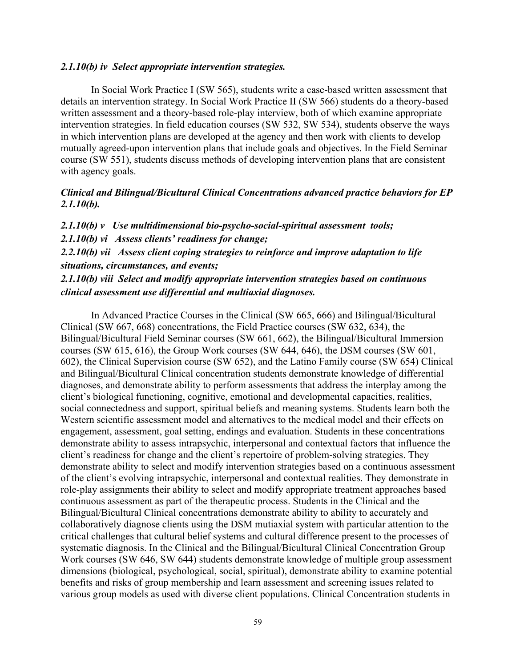### *2.1.10(b) iv Select appropriate intervention strategies.*

In Social Work Practice I (SW 565), students write a case-based written assessment that details an intervention strategy. In Social Work Practice II (SW 566) students do a theory-based written assessment and a theory-based role-play interview, both of which examine appropriate intervention strategies. In field education courses (SW 532, SW 534), students observe the ways in which intervention plans are developed at the agency and then work with clients to develop mutually agreed-upon intervention plans that include goals and objectives. In the Field Seminar course (SW 551), students discuss methods of developing intervention plans that are consistent with agency goals.

## *Clinical and Bilingual/Bicultural Clinical Concentrations advanced practice behaviors for EP 2.1.10(b).*

*2.1.10(b) v Use multidimensional bio-psycho-social-spiritual assessment tools; 2.1.10(b) vi Assess clients' readiness for change; 2.2.10(b) vii Assess client coping strategies to reinforce and improve adaptation to life situations, circumstances, and events;*

*2.1.10(b) viii Select and modify appropriate intervention strategies based on continuous clinical assessment use differential and multiaxial diagnoses.*

In Advanced Practice Courses in the Clinical (SW 665, 666) and Bilingual/Bicultural Clinical (SW 667, 668) concentrations, the Field Practice courses (SW 632, 634), the Bilingual/Bicultural Field Seminar courses (SW 661, 662), the Bilingual/Bicultural Immersion courses (SW 615, 616), the Group Work courses (SW 644, 646), the DSM courses (SW 601, 602), the Clinical Supervision course (SW 652), and the Latino Family course (SW 654) Clinical and Bilingual/Bicultural Clinical concentration students demonstrate knowledge of differential diagnoses, and demonstrate ability to perform assessments that address the interplay among the client's biological functioning, cognitive, emotional and developmental capacities, realities, social connectedness and support, spiritual beliefs and meaning systems. Students learn both the Western scientific assessment model and alternatives to the medical model and their effects on engagement, assessment, goal setting, endings and evaluation. Students in these concentrations demonstrate ability to assess intrapsychic, interpersonal and contextual factors that influence the client's readiness for change and the client's repertoire of problem-solving strategies. They demonstrate ability to select and modify intervention strategies based on a continuous assessment of the client's evolving intrapsychic, interpersonal and contextual realities. They demonstrate in role-play assignments their ability to select and modify appropriate treatment approaches based continuous assessment as part of the therapeutic process. Students in the Clinical and the Bilingual/Bicultural Clinical concentrations demonstrate ability to ability to accurately and collaboratively diagnose clients using the DSM mutiaxial system with particular attention to the critical challenges that cultural belief systems and cultural difference present to the processes of systematic diagnosis. In the Clinical and the Bilingual/Bicultural Clinical Concentration Group Work courses (SW 646, SW 644) students demonstrate knowledge of multiple group assessment dimensions (biological, psychological, social, spiritual), demonstrate ability to examine potential benefits and risks of group membership and learn assessment and screening issues related to various group models as used with diverse client populations. Clinical Concentration students in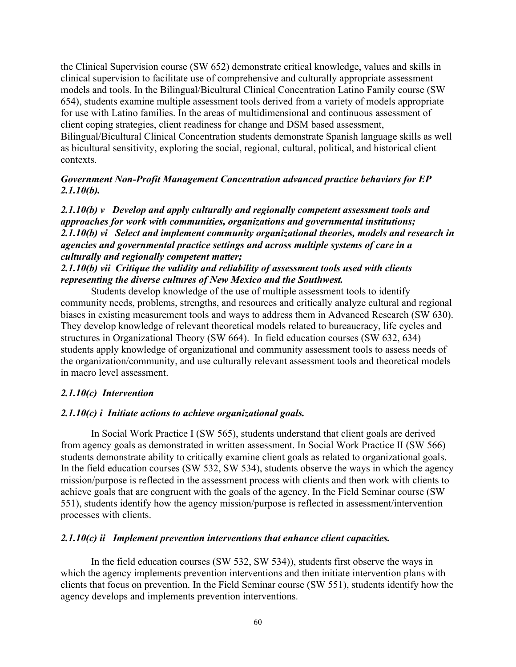the Clinical Supervision course (SW 652) demonstrate critical knowledge, values and skills in clinical supervision to facilitate use of comprehensive and culturally appropriate assessment models and tools. In the Bilingual/Bicultural Clinical Concentration Latino Family course (SW 654), students examine multiple assessment tools derived from a variety of models appropriate for use with Latino families. In the areas of multidimensional and continuous assessment of client coping strategies, client readiness for change and DSM based assessment, Bilingual/Bicultural Clinical Concentration students demonstrate Spanish language skills as well as bicultural sensitivity, exploring the social, regional, cultural, political, and historical client contexts.

## *Government Non-Profit Management Concentration advanced practice behaviors for EP 2.1.10(b).*

# *2.1.10(b) v Develop and apply culturally and regionally competent assessment tools and approaches for work with communities, organizations and governmental institutions; 2.1.10(b) vi Select and implement community organizational theories, models and research in agencies and governmental practice settings and across multiple systems of care in a culturally and regionally competent matter;*

# *2.1.10(b) vii Critique the validity and reliability of assessment tools used with clients representing the diverse cultures of New Mexico and the Southwest.*

Students develop knowledge of the use of multiple assessment tools to identify community needs, problems, strengths, and resources and critically analyze cultural and regional biases in existing measurement tools and ways to address them in Advanced Research (SW 630). They develop knowledge of relevant theoretical models related to bureaucracy, life cycles and structures in Organizational Theory (SW 664). In field education courses (SW 632, 634) students apply knowledge of organizational and community assessment tools to assess needs of the organization/community, and use culturally relevant assessment tools and theoretical models in macro level assessment.

## *2.1.10(c) Intervention*

### *2.1.10(c) i Initiate actions to achieve organizational goals.*

In Social Work Practice I (SW 565), students understand that client goals are derived from agency goals as demonstrated in written assessment. In Social Work Practice II (SW 566) students demonstrate ability to critically examine client goals as related to organizational goals. In the field education courses (SW 532, SW 534), students observe the ways in which the agency mission/purpose is reflected in the assessment process with clients and then work with clients to achieve goals that are congruent with the goals of the agency. In the Field Seminar course (SW 551), students identify how the agency mission/purpose is reflected in assessment/intervention processes with clients.

### *2.1.10(c) ii Implement prevention interventions that enhance client capacities.*

In the field education courses (SW 532, SW 534)), students first observe the ways in which the agency implements prevention interventions and then initiate intervention plans with clients that focus on prevention. In the Field Seminar course (SW 551), students identify how the agency develops and implements prevention interventions.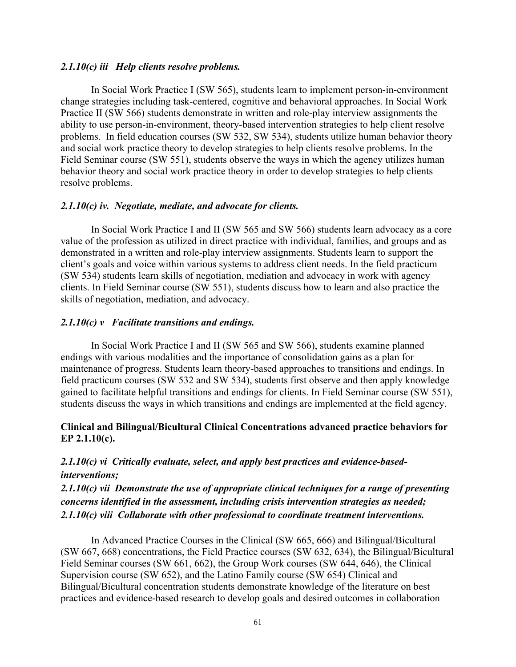### *2.1.10(c) iii Help clients resolve problems.*

In Social Work Practice I (SW 565), students learn to implement person-in-environment change strategies including task-centered, cognitive and behavioral approaches. In Social Work Practice II (SW 566) students demonstrate in written and role-play interview assignments the ability to use person-in-environment, theory-based intervention strategies to help client resolve problems. In field education courses (SW 532, SW 534), students utilize human behavior theory and social work practice theory to develop strategies to help clients resolve problems. In the Field Seminar course (SW 551), students observe the ways in which the agency utilizes human behavior theory and social work practice theory in order to develop strategies to help clients resolve problems.

### *2.1.10(c) iv. Negotiate, mediate, and advocate for clients.*

In Social Work Practice I and II (SW 565 and SW 566) students learn advocacy as a core value of the profession as utilized in direct practice with individual, families, and groups and as demonstrated in a written and role-play interview assignments. Students learn to support the client's goals and voice within various systems to address client needs. In the field practicum (SW 534) students learn skills of negotiation, mediation and advocacy in work with agency clients. In Field Seminar course (SW 551), students discuss how to learn and also practice the skills of negotiation, mediation, and advocacy.

## *2.1.10(c) v Facilitate transitions and endings.*

In Social Work Practice I and II (SW 565 and SW 566), students examine planned endings with various modalities and the importance of consolidation gains as a plan for maintenance of progress. Students learn theory-based approaches to transitions and endings. In field practicum courses (SW 532 and SW 534), students first observe and then apply knowledge gained to facilitate helpful transitions and endings for clients. In Field Seminar course (SW 551), students discuss the ways in which transitions and endings are implemented at the field agency.

# **Clinical and Bilingual/Bicultural Clinical Concentrations advanced practice behaviors for EP 2.1.10(c).**

# *2.1.10(c) vi Critically evaluate, select, and apply best practices and evidence-basedinterventions;*

*2.1.10(c) vii Demonstrate the use of appropriate clinical techniques for a range of presenting concerns identified in the assessment, including crisis intervention strategies as needed; 2.1.10(c) viii Collaborate with other professional to coordinate treatment interventions.* 

In Advanced Practice Courses in the Clinical (SW 665, 666) and Bilingual/Bicultural (SW 667, 668) concentrations, the Field Practice courses (SW 632, 634), the Bilingual/Bicultural Field Seminar courses (SW 661, 662), the Group Work courses (SW 644, 646), the Clinical Supervision course (SW 652), and the Latino Family course (SW 654) Clinical and Bilingual/Bicultural concentration students demonstrate knowledge of the literature on best practices and evidence-based research to develop goals and desired outcomes in collaboration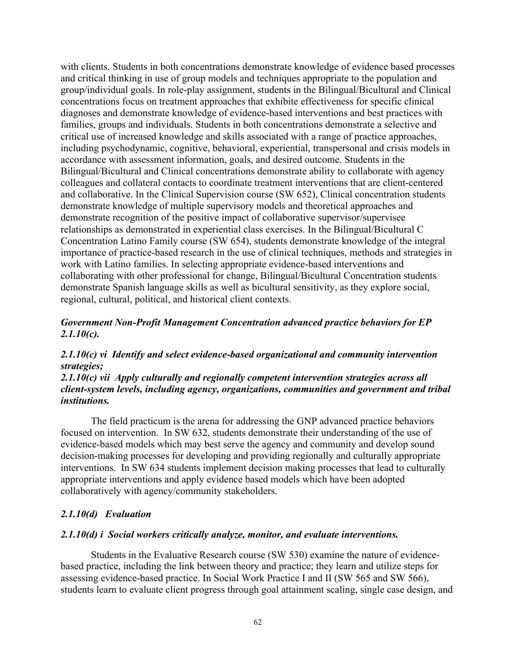with clients. Students in both concentrations demonstrate knowledge of evidence based processes and critical thinking in use of group models and techniques appropriate to the population and group/individual goals. In role-play assignment, students in the Bilingual/Bicultural and Clinical concentrations focus on treatment approaches that exhibite effectiveness for specific clinical diagnoses and demonstrate knowledge of evidence-based interventions and best practices with families, groups and individuals. Students in both concentrations demonstrate a selective and critical use of increased knowledge and skills associated with a range of practice approaches, including psychodynamic, cognitive, behavioral, experiential, transpersonal and crisis models in accordance with assessment information, goals, and desired outcome. Students in the Bilingual/Bicultural and Clinical concentrations demonstrate ability to collaborate with agency colleagues and collateral contacts to coordinate treatment interventions that are client-centered and collaborative. In the Clinical Supervision course (SW 652), Clinical concentration students demonstrate knowledge of multiple supervisory models and theoretical approaches and demonstrate recognition of the positive impact of collaborative supervisor/supervisee relationships as demonstrated in experiential class exercises. In the Bilingual/Bicultural C Concentration Latino Family course (SW 654), students demonstrate knowledge of the integral importance of practice-based research in the use of clinical techniques, methods and strategies in work with Latino families. In selecting appropriate evidence-based interventions and collaborating with other professional for change, Bilingual/Bicultural Concentration students demonstrate Spanish language skills as well as bicultural sensitivity, as they explore social, regional, cultural, political, and historical client contexts.

# *Government Non-Profit Management Concentration advanced practice behaviors for EP 2.1.10(c).*

# *2.1.10(c) vi Identify and select evidence-based organizational and community intervention strategies;*

# *2.1.10(c) vii Apply culturally and regionally competent intervention strategies across all client-system levels, including agency, organizations, communities and government and tribal institutions.*

The field practicum is the arena for addressing the GNP advanced practice behaviors focused on intervention. In SW 632, students demonstrate their understanding of the use of evidence-based models which may best serve the agency and community and develop sound decision-making processes for developing and providing regionally and culturally appropriate interventions. In SW 634 students implement decision making processes that lead to culturally appropriate interventions and apply evidence based models which have been adopted collaboratively with agency/community stakeholders.

# *2.1.10(d) Evaluation*

### *2.1.10(d) i Social workers critically analyze, monitor, and evaluate interventions.*

Students in the Evaluative Research course (SW 530) examine the nature of evidencebased practice, including the link between theory and practice; they learn and utilize steps for assessing evidence-based practice. In Social Work Practice I and II (SW 565 and SW 566), students learn to evaluate client progress through goal attainment scaling, single case design, and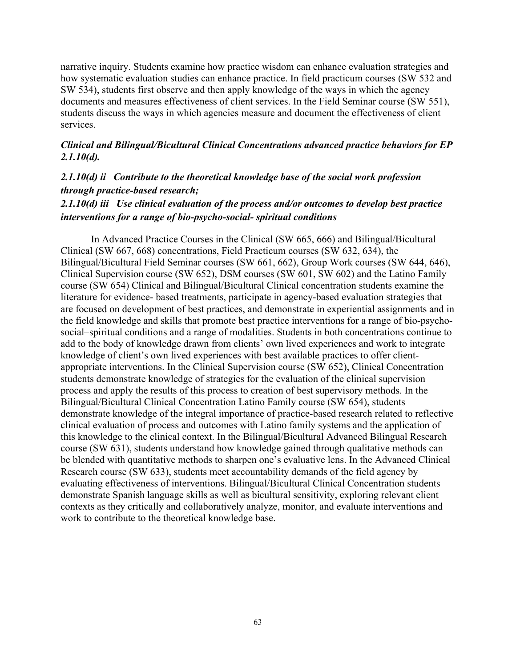narrative inquiry. Students examine how practice wisdom can enhance evaluation strategies and how systematic evaluation studies can enhance practice. In field practicum courses (SW 532 and SW 534), students first observe and then apply knowledge of the ways in which the agency documents and measures effectiveness of client services. In the Field Seminar course (SW 551), students discuss the ways in which agencies measure and document the effectiveness of client services.

## *Clinical and Bilingual/Bicultural Clinical Concentrations advanced practice behaviors for EP 2.1.10(d).*

# *2.1.10(d) ii Contribute to the theoretical knowledge base of the social work profession through practice-based research;*

# *2.1.10(d) iii Use clinical evaluation of the process and/or outcomes to develop best practice interventions for a range of bio-psycho-social- spiritual conditions*

In Advanced Practice Courses in the Clinical (SW 665, 666) and Bilingual/Bicultural Clinical (SW 667, 668) concentrations, Field Practicum courses (SW 632, 634), the Bilingual/Bicultural Field Seminar courses (SW 661, 662), Group Work courses (SW 644, 646), Clinical Supervision course (SW 652), DSM courses (SW 601, SW 602) and the Latino Family course (SW 654) Clinical and Bilingual/Bicultural Clinical concentration students examine the literature for evidence- based treatments, participate in agency-based evaluation strategies that are focused on development of best practices, and demonstrate in experiential assignments and in the field knowledge and skills that promote best practice interventions for a range of bio-psychosocial–spiritual conditions and a range of modalities. Students in both concentrations continue to add to the body of knowledge drawn from clients' own lived experiences and work to integrate knowledge of client's own lived experiences with best available practices to offer clientappropriate interventions. In the Clinical Supervision course (SW 652), Clinical Concentration students demonstrate knowledge of strategies for the evaluation of the clinical supervision process and apply the results of this process to creation of best supervisory methods. In the Bilingual/Bicultural Clinical Concentration Latino Family course (SW 654), students demonstrate knowledge of the integral importance of practice-based research related to reflective clinical evaluation of process and outcomes with Latino family systems and the application of this knowledge to the clinical context. In the Bilingual/Bicultural Advanced Bilingual Research course (SW 631), students understand how knowledge gained through qualitative methods can be blended with quantitative methods to sharpen one's evaluative lens. In the Advanced Clinical Research course (SW 633), students meet accountability demands of the field agency by evaluating effectiveness of interventions. Bilingual/Bicultural Clinical Concentration students demonstrate Spanish language skills as well as bicultural sensitivity, exploring relevant client contexts as they critically and collaboratively analyze, monitor, and evaluate interventions and work to contribute to the theoretical knowledge base.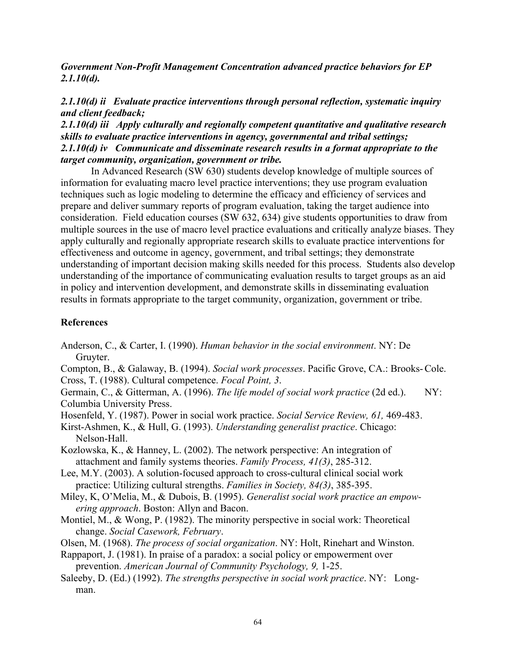*Government Non-Profit Management Concentration advanced practice behaviors for EP 2.1.10(d).*

# *2.1.10(d) ii Evaluate practice interventions through personal reflection, systematic inquiry and client feedback;*

*2.1.10(d) iii Apply culturally and regionally competent quantitative and qualitative research skills to evaluate practice interventions in agency, governmental and tribal settings; 2.1.10(d) iv Communicate and disseminate research results in a format appropriate to the target community, organization, government or tribe.* 

In Advanced Research (SW 630) students develop knowledge of multiple sources of information for evaluating macro level practice interventions; they use program evaluation techniques such as logic modeling to determine the efficacy and efficiency of services and prepare and deliver summary reports of program evaluation, taking the target audience into consideration. Field education courses (SW 632, 634) give students opportunities to draw from multiple sources in the use of macro level practice evaluations and critically analyze biases. They apply culturally and regionally appropriate research skills to evaluate practice interventions for effectiveness and outcome in agency, government, and tribal settings; they demonstrate understanding of important decision making skills needed for this process. Students also develop understanding of the importance of communicating evaluation results to target groups as an aid in policy and intervention development, and demonstrate skills in disseminating evaluation results in formats appropriate to the target community, organization, government or tribe.

# **References**

- Anderson, C., & Carter, I. (1990). *Human behavior in the social environment*. NY: De Gruyter.
- Compton, B., & Galaway, B. (1994). *Social work processes*. Pacific Grove, CA.: Brooks-Cole. Cross, T. (1988). Cultural competence. *Focal Point, 3*.
- Germain, C., & Gitterman, A. (1996). *The life model of social work practice* (2d ed.). NY: Columbia University Press.
- Hosenfeld, Y. (1987). Power in social work practice. *Social Service Review, 61,* 469-483.
- Kirst-Ashmen, K., & Hull, G. (1993). *Understanding generalist practice*. Chicago: Nelson-Hall.
- Kozlowska, K., & Hanney, L. (2002). The network perspective: An integration of attachment and family systems theories. *Family Process, 41(3)*, 285-312.
- Lee, M.Y. (2003). A solution-focused approach to cross-cultural clinical social work practice: Utilizing cultural strengths. *Families in Society, 84(3)*, 385-395.
- Miley, K, O'Melia, M., & Dubois, B. (1995). *Generalist social work practice an empowering approach*. Boston: Allyn and Bacon.
- Montiel, M., & Wong, P. (1982). The minority perspective in social work: Theoretical change. *Social Casework, February*.
- Olsen, M. (1968). *The process of social organization*. NY: Holt, Rinehart and Winston.
- Rappaport, J. (1981). In praise of a paradox: a social policy or empowerment over prevention. *American Journal of Community Psychology, 9,* 1-25.
- Saleeby, D. (Ed.) (1992). *The strengths perspective in social work practice*. NY: Longman.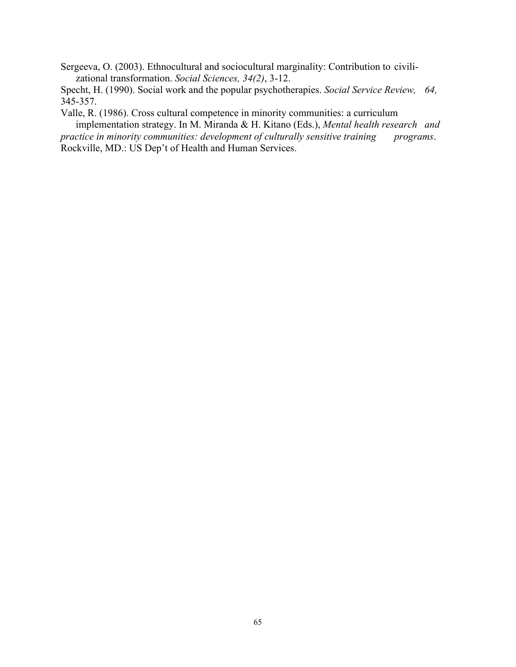Sergeeva, O. (2003). Ethnocultural and sociocultural marginality: Contribution to civilizational transformation. *Social Sciences, 34(2)*, 3-12.

Specht, H. (1990). Social work and the popular psychotherapies. *Social Service Review, 64,*  345-357.

Valle, R. (1986). Cross cultural competence in minority communities: a curriculum

implementation strategy. In M. Miranda & H. Kitano (Eds.), *Mental health research and practice in minority communities: development of culturally sensitive training programs.* Rockville, MD.: US Dep't of Health and Human Services.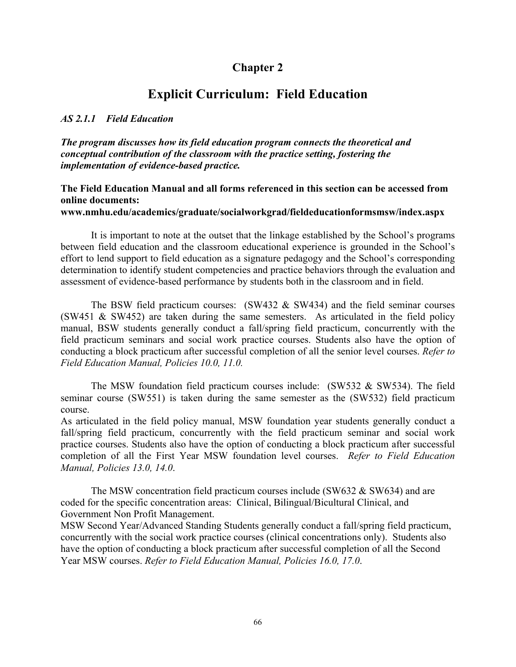# **Chapter 2**

# **Explicit Curriculum: Field Education**

### *AS 2.1.1 Field Education*

*The program discusses how its field education program connects the theoretical and conceptual contribution of the classroom with the practice setting, fostering the implementation of evidence-based practice.*

## **The Field Education Manual and all forms referenced in this section can be accessed from online documents:**

### **www.nmhu.edu/academics/graduate/socialworkgrad/fieldeducationformsmsw/index.aspx**

It is important to note at the outset that the linkage established by the School's programs between field education and the classroom educational experience is grounded in the School's effort to lend support to field education as a signature pedagogy and the School's corresponding determination to identify student competencies and practice behaviors through the evaluation and assessment of evidence-based performance by students both in the classroom and in field.

The BSW field practicum courses:  $(SW432 \& SW434)$  and the field seminar courses  $(SW451 \& SW452)$  are taken during the same semesters. As articulated in the field policy manual, BSW students generally conduct a fall/spring field practicum, concurrently with the field practicum seminars and social work practice courses. Students also have the option of conducting a block practicum after successful completion of all the senior level courses. *Refer to Field Education Manual, Policies 10.0, 11.0.* 

The MSW foundation field practicum courses include: (SW532 & SW534). The field seminar course (SW551) is taken during the same semester as the (SW532) field practicum course.

As articulated in the field policy manual, MSW foundation year students generally conduct a fall/spring field practicum, concurrently with the field practicum seminar and social work practice courses. Students also have the option of conducting a block practicum after successful completion of all the First Year MSW foundation level courses. *Refer to Field Education Manual, Policies 13.0, 14.0*.

The MSW concentration field practicum courses include (SW632 & SW634) and are coded for the specific concentration areas: Clinical, Bilingual/Bicultural Clinical, and Government Non Profit Management.

MSW Second Year/Advanced Standing Students generally conduct a fall/spring field practicum, concurrently with the social work practice courses (clinical concentrations only). Students also have the option of conducting a block practicum after successful completion of all the Second Year MSW courses. *Refer to Field Education Manual, Policies 16.0, 17.0*.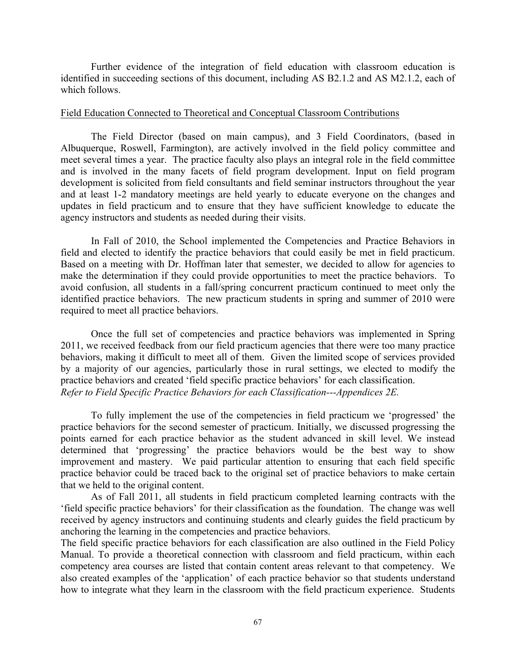Further evidence of the integration of field education with classroom education is identified in succeeding sections of this document, including AS B2.1.2 and AS M2.1.2, each of which follows.

### Field Education Connected to Theoretical and Conceptual Classroom Contributions

The Field Director (based on main campus), and 3 Field Coordinators, (based in Albuquerque, Roswell, Farmington), are actively involved in the field policy committee and meet several times a year. The practice faculty also plays an integral role in the field committee and is involved in the many facets of field program development. Input on field program development is solicited from field consultants and field seminar instructors throughout the year and at least 1-2 mandatory meetings are held yearly to educate everyone on the changes and updates in field practicum and to ensure that they have sufficient knowledge to educate the agency instructors and students as needed during their visits.

In Fall of 2010, the School implemented the Competencies and Practice Behaviors in field and elected to identify the practice behaviors that could easily be met in field practicum. Based on a meeting with Dr. Hoffman later that semester, we decided to allow for agencies to make the determination if they could provide opportunities to meet the practice behaviors. To avoid confusion, all students in a fall/spring concurrent practicum continued to meet only the identified practice behaviors. The new practicum students in spring and summer of 2010 were required to meet all practice behaviors.

Once the full set of competencies and practice behaviors was implemented in Spring 2011, we received feedback from our field practicum agencies that there were too many practice behaviors, making it difficult to meet all of them. Given the limited scope of services provided by a majority of our agencies, particularly those in rural settings, we elected to modify the practice behaviors and created 'field specific practice behaviors' for each classification. *Refer to Field Specific Practice Behaviors for each Classification---Appendices 2E.*

To fully implement the use of the competencies in field practicum we 'progressed' the practice behaviors for the second semester of practicum. Initially, we discussed progressing the points earned for each practice behavior as the student advanced in skill level. We instead determined that 'progressing' the practice behaviors would be the best way to show improvement and mastery. We paid particular attention to ensuring that each field specific practice behavior could be traced back to the original set of practice behaviors to make certain that we held to the original content.

As of Fall 2011, all students in field practicum completed learning contracts with the 'field specific practice behaviors' for their classification as the foundation. The change was well received by agency instructors and continuing students and clearly guides the field practicum by anchoring the learning in the competencies and practice behaviors.

The field specific practice behaviors for each classification are also outlined in the Field Policy Manual. To provide a theoretical connection with classroom and field practicum, within each competency area courses are listed that contain content areas relevant to that competency. We also created examples of the 'application' of each practice behavior so that students understand how to integrate what they learn in the classroom with the field practicum experience. Students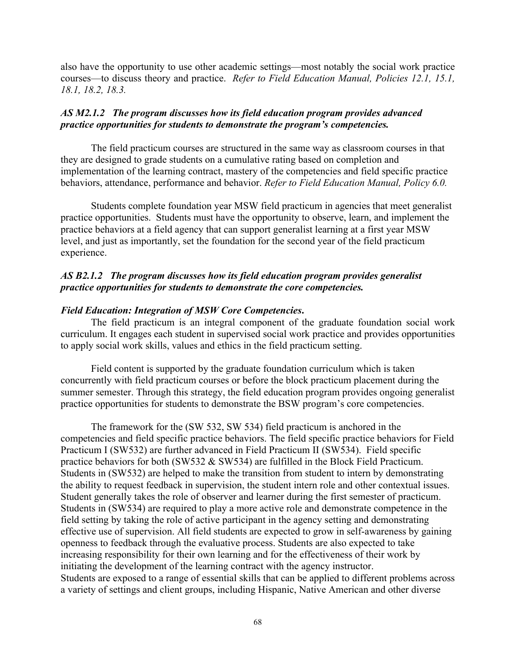also have the opportunity to use other academic settings—most notably the social work practice courses—to discuss theory and practice. *Refer to Field Education Manual, Policies 12.1, 15.1, 18.1, 18.2, 18.3.* 

# *AS M2.1.2 The program discusses how its field education program provides advanced practice opportunities for students to demonstrate the program's competencies.*

The field practicum courses are structured in the same way as classroom courses in that they are designed to grade students on a cumulative rating based on completion and implementation of the learning contract, mastery of the competencies and field specific practice behaviors, attendance, performance and behavior. *Refer to Field Education Manual, Policy 6.0.*

Students complete foundation year MSW field practicum in agencies that meet generalist practice opportunities. Students must have the opportunity to observe, learn, and implement the practice behaviors at a field agency that can support generalist learning at a first year MSW level, and just as importantly, set the foundation for the second year of the field practicum experience.

## *AS B2.1.2 The program discusses how its field education program provides generalist practice opportunities for students to demonstrate the core competencies.*

## *Field Education: Integration of MSW Core Competencies***.**

The field practicum is an integral component of the graduate foundation social work curriculum. It engages each student in supervised social work practice and provides opportunities to apply social work skills, values and ethics in the field practicum setting.

Field content is supported by the graduate foundation curriculum which is taken concurrently with field practicum courses or before the block practicum placement during the summer semester. Through this strategy, the field education program provides ongoing generalist practice opportunities for students to demonstrate the BSW program's core competencies.

The framework for the (SW 532, SW 534) field practicum is anchored in the competencies and field specific practice behaviors. The field specific practice behaviors for Field Practicum I (SW532) are further advanced in Field Practicum II (SW534). Field specific practice behaviors for both (SW532 & SW534) are fulfilled in the Block Field Practicum. Students in (SW532) are helped to make the transition from student to intern by demonstrating the ability to request feedback in supervision, the student intern role and other contextual issues. Student generally takes the role of observer and learner during the first semester of practicum. Students in (SW534) are required to play a more active role and demonstrate competence in the field setting by taking the role of active participant in the agency setting and demonstrating effective use of supervision. All field students are expected to grow in self-awareness by gaining openness to feedback through the evaluative process. Students are also expected to take increasing responsibility for their own learning and for the effectiveness of their work by initiating the development of the learning contract with the agency instructor. Students are exposed to a range of essential skills that can be applied to different problems across a variety of settings and client groups, including Hispanic, Native American and other diverse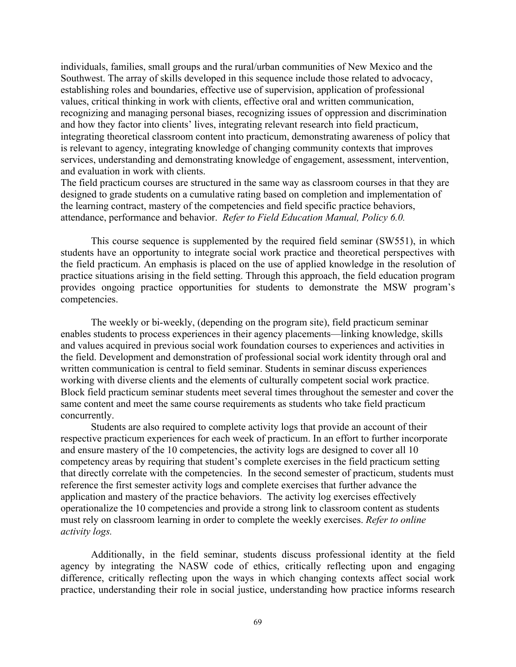individuals, families, small groups and the rural/urban communities of New Mexico and the Southwest. The array of skills developed in this sequence include those related to advocacy, establishing roles and boundaries, effective use of supervision, application of professional values, critical thinking in work with clients, effective oral and written communication, recognizing and managing personal biases, recognizing issues of oppression and discrimination and how they factor into clients' lives, integrating relevant research into field practicum, integrating theoretical classroom content into practicum, demonstrating awareness of policy that is relevant to agency, integrating knowledge of changing community contexts that improves services, understanding and demonstrating knowledge of engagement, assessment, intervention, and evaluation in work with clients.

The field practicum courses are structured in the same way as classroom courses in that they are designed to grade students on a cumulative rating based on completion and implementation of the learning contract, mastery of the competencies and field specific practice behaviors, attendance, performance and behavior. *Refer to Field Education Manual, Policy 6.0.*

This course sequence is supplemented by the required field seminar (SW551), in which students have an opportunity to integrate social work practice and theoretical perspectives with the field practicum. An emphasis is placed on the use of applied knowledge in the resolution of practice situations arising in the field setting. Through this approach, the field education program provides ongoing practice opportunities for students to demonstrate the MSW program's competencies.

The weekly or bi-weekly, (depending on the program site), field practicum seminar enables students to process experiences in their agency placements—linking knowledge, skills and values acquired in previous social work foundation courses to experiences and activities in the field. Development and demonstration of professional social work identity through oral and written communication is central to field seminar. Students in seminar discuss experiences working with diverse clients and the elements of culturally competent social work practice. Block field practicum seminar students meet several times throughout the semester and cover the same content and meet the same course requirements as students who take field practicum concurrently.

Students are also required to complete activity logs that provide an account of their respective practicum experiences for each week of practicum. In an effort to further incorporate and ensure mastery of the 10 competencies, the activity logs are designed to cover all 10 competency areas by requiring that student's complete exercises in the field practicum setting that directly correlate with the competencies. In the second semester of practicum, students must reference the first semester activity logs and complete exercises that further advance the application and mastery of the practice behaviors. The activity log exercises effectively operationalize the 10 competencies and provide a strong link to classroom content as students must rely on classroom learning in order to complete the weekly exercises. *Refer to online activity logs.*

Additionally, in the field seminar, students discuss professional identity at the field agency by integrating the NASW code of ethics, critically reflecting upon and engaging difference, critically reflecting upon the ways in which changing contexts affect social work practice, understanding their role in social justice, understanding how practice informs research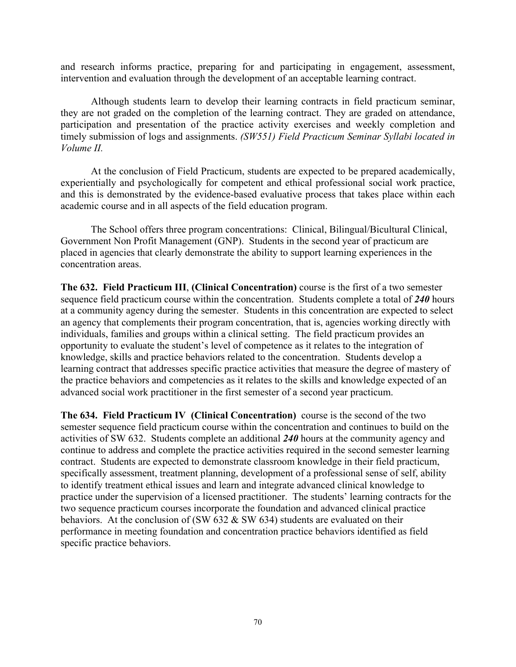and research informs practice, preparing for and participating in engagement, assessment, intervention and evaluation through the development of an acceptable learning contract.

Although students learn to develop their learning contracts in field practicum seminar, they are not graded on the completion of the learning contract. They are graded on attendance, participation and presentation of the practice activity exercises and weekly completion and timely submission of logs and assignments. *(SW551) Field Practicum Seminar Syllabi located in Volume II.*

At the conclusion of Field Practicum, students are expected to be prepared academically, experientially and psychologically for competent and ethical professional social work practice, and this is demonstrated by the evidence-based evaluative process that takes place within each academic course and in all aspects of the field education program.

The School offers three program concentrations: Clinical, Bilingual/Bicultural Clinical, Government Non Profit Management (GNP). Students in the second year of practicum are placed in agencies that clearly demonstrate the ability to support learning experiences in the concentration areas.

**The 632. Field Practicum III**, **(Clinical Concentration)** course is the first of a two semester sequence field practicum course within the concentration. Students complete a total of *240* hours at a community agency during the semester. Students in this concentration are expected to select an agency that complements their program concentration, that is, agencies working directly with individuals, families and groups within a clinical setting. The field practicum provides an opportunity to evaluate the student's level of competence as it relates to the integration of knowledge, skills and practice behaviors related to the concentration. Students develop a learning contract that addresses specific practice activities that measure the degree of mastery of the practice behaviors and competencies as it relates to the skills and knowledge expected of an advanced social work practitioner in the first semester of a second year practicum.

**The 634. Field Practicum IV (Clinical Concentration)** course is the second of the two semester sequence field practicum course within the concentration and continues to build on the activities of SW 632. Students complete an additional *240* hours at the community agency and continue to address and complete the practice activities required in the second semester learning contract. Students are expected to demonstrate classroom knowledge in their field practicum, specifically assessment, treatment planning, development of a professional sense of self, ability to identify treatment ethical issues and learn and integrate advanced clinical knowledge to practice under the supervision of a licensed practitioner. The students' learning contracts for the two sequence practicum courses incorporate the foundation and advanced clinical practice behaviors. At the conclusion of (SW  $\overline{632}$  & SW  $\overline{634}$ ) students are evaluated on their performance in meeting foundation and concentration practice behaviors identified as field specific practice behaviors.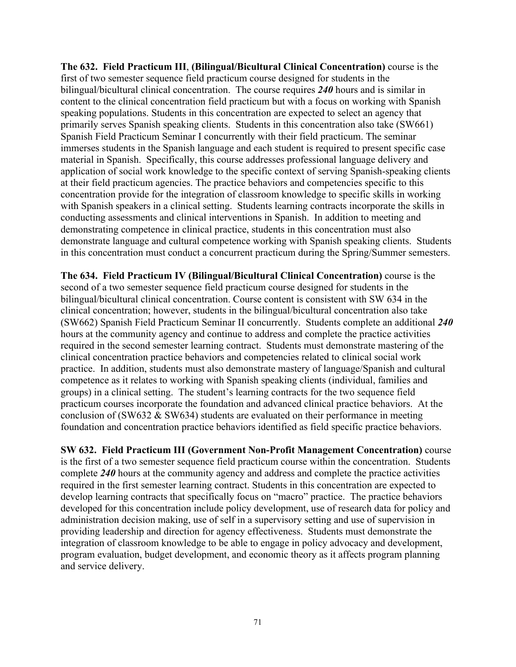**The 632. Field Practicum III**, **(Bilingual/Bicultural Clinical Concentration)** course is the first of two semester sequence field practicum course designed for students in the bilingual/bicultural clinical concentration. The course requires *240* hours and is similar in content to the clinical concentration field practicum but with a focus on working with Spanish speaking populations. Students in this concentration are expected to select an agency that primarily serves Spanish speaking clients. Students in this concentration also take (SW661) Spanish Field Practicum Seminar I concurrently with their field practicum. The seminar immerses students in the Spanish language and each student is required to present specific case material in Spanish. Specifically, this course addresses professional language delivery and application of social work knowledge to the specific context of serving Spanish-speaking clients at their field practicum agencies. The practice behaviors and competencies specific to this concentration provide for the integration of classroom knowledge to specific skills in working with Spanish speakers in a clinical setting. Students learning contracts incorporate the skills in conducting assessments and clinical interventions in Spanish. In addition to meeting and demonstrating competence in clinical practice, students in this concentration must also demonstrate language and cultural competence working with Spanish speaking clients. Students in this concentration must conduct a concurrent practicum during the Spring/Summer semesters.

**The 634. Field Practicum IV (Bilingual/Bicultural Clinical Concentration)** course is the second of a two semester sequence field practicum course designed for students in the bilingual/bicultural clinical concentration. Course content is consistent with SW 634 in the clinical concentration; however, students in the bilingual/bicultural concentration also take (SW662) Spanish Field Practicum Seminar II concurrently. Students complete an additional *240* hours at the community agency and continue to address and complete the practice activities required in the second semester learning contract. Students must demonstrate mastering of the clinical concentration practice behaviors and competencies related to clinical social work practice. In addition, students must also demonstrate mastery of language/Spanish and cultural competence as it relates to working with Spanish speaking clients (individual, families and groups) in a clinical setting. The student's learning contracts for the two sequence field practicum courses incorporate the foundation and advanced clinical practice behaviors. At the conclusion of (SW632 & SW634) students are evaluated on their performance in meeting foundation and concentration practice behaviors identified as field specific practice behaviors.

**SW 632. Field Practicum III (Government Non-Profit Management Concentration)** course is the first of a two semester sequence field practicum course within the concentration. Students complete *240* hours at the community agency and address and complete the practice activities required in the first semester learning contract. Students in this concentration are expected to develop learning contracts that specifically focus on "macro" practice. The practice behaviors developed for this concentration include policy development, use of research data for policy and administration decision making, use of self in a supervisory setting and use of supervision in providing leadership and direction for agency effectiveness. Students must demonstrate the integration of classroom knowledge to be able to engage in policy advocacy and development, program evaluation, budget development, and economic theory as it affects program planning and service delivery.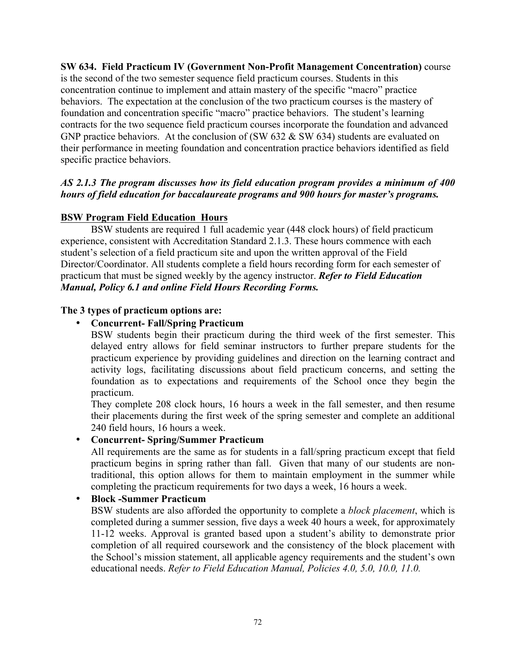**SW 634. Field Practicum IV (Government Non-Profit Management Concentration)** course is the second of the two semester sequence field practicum courses. Students in this concentration continue to implement and attain mastery of the specific "macro" practice behaviors. The expectation at the conclusion of the two practicum courses is the mastery of foundation and concentration specific "macro" practice behaviors. The student's learning contracts for the two sequence field practicum courses incorporate the foundation and advanced GNP practice behaviors. At the conclusion of (SW 632 & SW 634) students are evaluated on their performance in meeting foundation and concentration practice behaviors identified as field specific practice behaviors.

# *AS 2.1.3 The program discusses how its field education program provides a minimum of 400 hours of field education for baccalaureate programs and 900 hours for master's programs.*

# **BSW Program Field Education Hours**

BSW students are required 1 full academic year (448 clock hours) of field practicum experience, consistent with Accreditation Standard 2.1.3. These hours commence with each student's selection of a field practicum site and upon the written approval of the Field Director/Coordinator. All students complete a field hours recording form for each semester of practicum that must be signed weekly by the agency instructor. *Refer to Field Education Manual, Policy 6.1 and online Field Hours Recording Forms.* 

# **The 3 types of practicum options are:**

# • **Concurrent- Fall/Spring Practicum**

BSW students begin their practicum during the third week of the first semester. This delayed entry allows for field seminar instructors to further prepare students for the practicum experience by providing guidelines and direction on the learning contract and activity logs, facilitating discussions about field practicum concerns, and setting the foundation as to expectations and requirements of the School once they begin the practicum.

They complete 208 clock hours, 16 hours a week in the fall semester, and then resume their placements during the first week of the spring semester and complete an additional 240 field hours, 16 hours a week.

# • **Concurrent- Spring/Summer Practicum**

All requirements are the same as for students in a fall/spring practicum except that field practicum begins in spring rather than fall. Given that many of our students are nontraditional, this option allows for them to maintain employment in the summer while completing the practicum requirements for two days a week, 16 hours a week.

# • **Block -Summer Practicum**

BSW students are also afforded the opportunity to complete a *block placement*, which is completed during a summer session, five days a week 40 hours a week, for approximately 11-12 weeks. Approval is granted based upon a student's ability to demonstrate prior completion of all required coursework and the consistency of the block placement with the School's mission statement, all applicable agency requirements and the student's own educational needs. *Refer to Field Education Manual, Policies 4.0, 5.0, 10.0, 11.0.*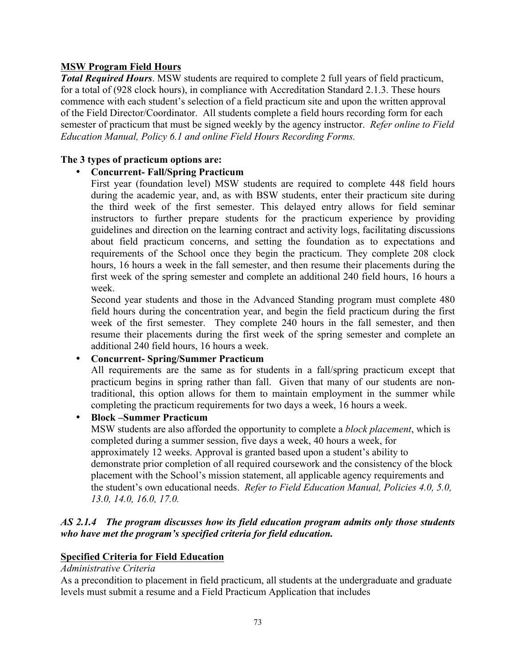# **MSW Program Field Hours**

*Total Required Hours*. MSW students are required to complete 2 full years of field practicum, for a total of (928 clock hours), in compliance with Accreditation Standard 2.1.3. These hours commence with each student's selection of a field practicum site and upon the written approval of the Field Director/Coordinator. All students complete a field hours recording form for each semester of practicum that must be signed weekly by the agency instructor. *Refer online to Field Education Manual, Policy 6.1 and online Field Hours Recording Forms.* 

# **The 3 types of practicum options are:**

# • **Concurrent- Fall/Spring Practicum**

First year (foundation level) MSW students are required to complete 448 field hours during the academic year, and, as with BSW students, enter their practicum site during the third week of the first semester. This delayed entry allows for field seminar instructors to further prepare students for the practicum experience by providing guidelines and direction on the learning contract and activity logs, facilitating discussions about field practicum concerns, and setting the foundation as to expectations and requirements of the School once they begin the practicum. They complete 208 clock hours, 16 hours a week in the fall semester, and then resume their placements during the first week of the spring semester and complete an additional 240 field hours, 16 hours a week.

Second year students and those in the Advanced Standing program must complete 480 field hours during the concentration year, and begin the field practicum during the first week of the first semester. They complete 240 hours in the fall semester, and then resume their placements during the first week of the spring semester and complete an additional 240 field hours, 16 hours a week.

# • **Concurrent- Spring/Summer Practicum**

All requirements are the same as for students in a fall/spring practicum except that practicum begins in spring rather than fall. Given that many of our students are nontraditional, this option allows for them to maintain employment in the summer while completing the practicum requirements for two days a week, 16 hours a week.

# • **Block –Summer Practicum**

MSW students are also afforded the opportunity to complete a *block placement*, which is completed during a summer session, five days a week, 40 hours a week, for approximately 12 weeks. Approval is granted based upon a student's ability to demonstrate prior completion of all required coursework and the consistency of the block placement with the School's mission statement, all applicable agency requirements and the student's own educational needs. *Refer to Field Education Manual, Policies 4.0, 5.0, 13.0, 14.0, 16.0, 17.0.*

## *AS 2.1.4 The program discusses how its field education program admits only those students who have met the program's specified criteria for field education.*

# **Specified Criteria for Field Education**

## *Administrative Criteria*

As a precondition to placement in field practicum, all students at the undergraduate and graduate levels must submit a resume and a Field Practicum Application that includes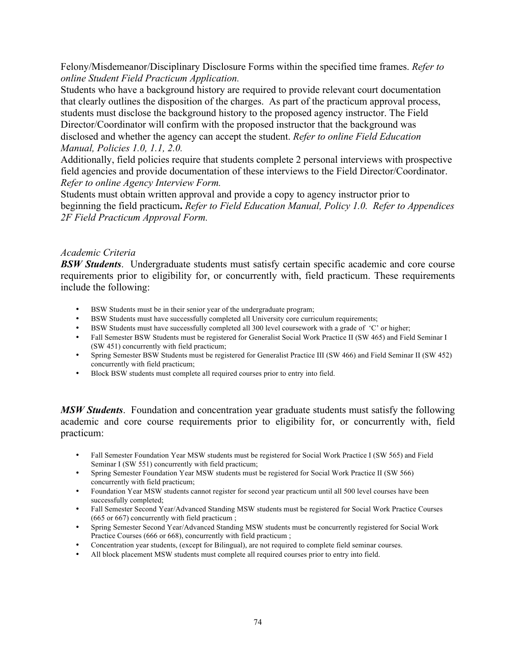Felony/Misdemeanor/Disciplinary Disclosure Forms within the specified time frames. *Refer to online Student Field Practicum Application.*

Students who have a background history are required to provide relevant court documentation that clearly outlines the disposition of the charges. As part of the practicum approval process, students must disclose the background history to the proposed agency instructor. The Field Director/Coordinator will confirm with the proposed instructor that the background was disclosed and whether the agency can accept the student. *Refer to online Field Education Manual, Policies 1.0, 1.1, 2.0.*

Additionally, field policies require that students complete 2 personal interviews with prospective field agencies and provide documentation of these interviews to the Field Director/Coordinator. *Refer to online Agency Interview Form.* 

Students must obtain written approval and provide a copy to agency instructor prior to beginning the field practicum**.** *Refer to Field Education Manual, Policy 1.0. Refer to Appendices 2F Field Practicum Approval Form.* 

## *Academic Criteria*

*BSW Students*. Undergraduate students must satisfy certain specific academic and core course requirements prior to eligibility for, or concurrently with, field practicum. These requirements include the following:

- BSW Students must be in their senior year of the undergraduate program;
- BSW Students must have successfully completed all University core curriculum requirements;
- BSW Students must have successfully completed all 300 level coursework with a grade of 'C' or higher;
- Fall Semester BSW Students must be registered for Generalist Social Work Practice II (SW 465) and Field Seminar I (SW 451) concurrently with field practicum;
- Spring Semester BSW Students must be registered for Generalist Practice III (SW 466) and Field Seminar II (SW 452) concurrently with field practicum;
- Block BSW students must complete all required courses prior to entry into field.

*MSW Students*. Foundation and concentration year graduate students must satisfy the following academic and core course requirements prior to eligibility for, or concurrently with, field practicum:

- Fall Semester Foundation Year MSW students must be registered for Social Work Practice I (SW 565) and Field Seminar I (SW 551) concurrently with field practicum;
- Spring Semester Foundation Year MSW students must be registered for Social Work Practice II (SW 566) concurrently with field practicum;
- Foundation Year MSW students cannot register for second year practicum until all 500 level courses have been successfully completed;
- Fall Semester Second Year/Advanced Standing MSW students must be registered for Social Work Practice Courses (665 or 667) concurrently with field practicum ;
- Spring Semester Second Year/Advanced Standing MSW students must be concurrently registered for Social Work Practice Courses (666 or 668), concurrently with field practicum ;
- Concentration year students, (except for Bilingual), are not required to complete field seminar courses.
- All block placement MSW students must complete all required courses prior to entry into field.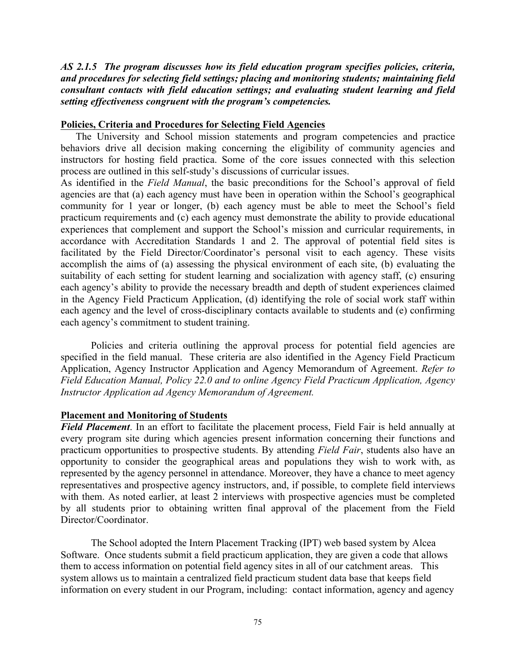*AS 2.1.5 The program discusses how its field education program specifies policies, criteria, and procedures for selecting field settings; placing and monitoring students; maintaining field consultant contacts with field education settings; and evaluating student learning and field setting effectiveness congruent with the program's competencies.*

### **Policies, Criteria and Procedures for Selecting Field Agencies**

The University and School mission statements and program competencies and practice behaviors drive all decision making concerning the eligibility of community agencies and instructors for hosting field practica. Some of the core issues connected with this selection process are outlined in this self-study's discussions of curricular issues.

As identified in the *Field Manual*, the basic preconditions for the School's approval of field agencies are that (a) each agency must have been in operation within the School's geographical community for 1 year or longer, (b) each agency must be able to meet the School's field practicum requirements and (c) each agency must demonstrate the ability to provide educational experiences that complement and support the School's mission and curricular requirements, in accordance with Accreditation Standards 1 and 2. The approval of potential field sites is facilitated by the Field Director/Coordinator's personal visit to each agency. These visits accomplish the aims of (a) assessing the physical environment of each site, (b) evaluating the suitability of each setting for student learning and socialization with agency staff, (c) ensuring each agency's ability to provide the necessary breadth and depth of student experiences claimed in the Agency Field Practicum Application, (d) identifying the role of social work staff within each agency and the level of cross-disciplinary contacts available to students and (e) confirming each agency's commitment to student training.

Policies and criteria outlining the approval process for potential field agencies are specified in the field manual. These criteria are also identified in the Agency Field Practicum Application, Agency Instructor Application and Agency Memorandum of Agreement. *Refer to Field Education Manual, Policy 22.0 and to online Agency Field Practicum Application, Agency Instructor Application ad Agency Memorandum of Agreement.*

## **Placement and Monitoring of Students**

*Field Placement*. In an effort to facilitate the placement process, Field Fair is held annually at every program site during which agencies present information concerning their functions and practicum opportunities to prospective students. By attending *Field Fair*, students also have an opportunity to consider the geographical areas and populations they wish to work with, as represented by the agency personnel in attendance. Moreover, they have a chance to meet agency representatives and prospective agency instructors, and, if possible, to complete field interviews with them. As noted earlier, at least 2 interviews with prospective agencies must be completed by all students prior to obtaining written final approval of the placement from the Field Director/Coordinator.

The School adopted the Intern Placement Tracking (IPT) web based system by Alcea Software. Once students submit a field practicum application, they are given a code that allows them to access information on potential field agency sites in all of our catchment areas. This system allows us to maintain a centralized field practicum student data base that keeps field information on every student in our Program, including: contact information, agency and agency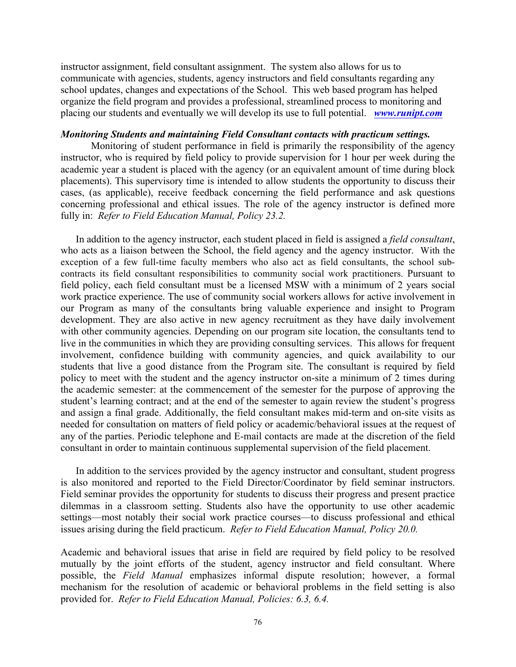instructor assignment, field consultant assignment. The system also allows for us to communicate with agencies, students, agency instructors and field consultants regarding any school updates, changes and expectations of the School. This web based program has helped organize the field program and provides a professional, streamlined process to monitoring and placing our students and eventually we will develop its use to full potential. *www.runipt.com*

#### *Monitoring Students and maintaining Field Consultant contacts with practicum settings.*

Monitoring of student performance in field is primarily the responsibility of the agency instructor, who is required by field policy to provide supervision for 1 hour per week during the academic year a student is placed with the agency (or an equivalent amount of time during block placements). This supervisory time is intended to allow students the opportunity to discuss their cases, (as applicable), receive feedback concerning the field performance and ask questions concerning professional and ethical issues. The role of the agency instructor is defined more fully in: *Refer to Field Education Manual, Policy 23.2.*

In addition to the agency instructor, each student placed in field is assigned a *field consultant*, who acts as a liaison between the School, the field agency and the agency instructor. With the exception of a few full-time faculty members who also act as field consultants, the school subcontracts its field consultant responsibilities to community social work practitioners. Pursuant to field policy, each field consultant must be a licensed MSW with a minimum of 2 years social work practice experience. The use of community social workers allows for active involvement in our Program as many of the consultants bring valuable experience and insight to Program development. They are also active in new agency recruitment as they have daily involvement with other community agencies. Depending on our program site location, the consultants tend to live in the communities in which they are providing consulting services. This allows for frequent involvement, confidence building with community agencies, and quick availability to our students that live a good distance from the Program site. The consultant is required by field policy to meet with the student and the agency instructor on-site a minimum of 2 times during the academic semester: at the commencement of the semester for the purpose of approving the student's learning contract; and at the end of the semester to again review the student's progress and assign a final grade. Additionally, the field consultant makes mid-term and on-site visits as needed for consultation on matters of field policy or academic/behavioral issues at the request of any of the parties. Periodic telephone and E-mail contacts are made at the discretion of the field consultant in order to maintain continuous supplemental supervision of the field placement.

In addition to the services provided by the agency instructor and consultant, student progress is also monitored and reported to the Field Director/Coordinator by field seminar instructors. Field seminar provides the opportunity for students to discuss their progress and present practice dilemmas in a classroom setting. Students also have the opportunity to use other academic settings—most notably their social work practice courses—to discuss professional and ethical issues arising during the field practicum. *Refer to Field Education Manual, Policy 20.0.*

Academic and behavioral issues that arise in field are required by field policy to be resolved mutually by the joint efforts of the student, agency instructor and field consultant. Where possible, the *Field Manual* emphasizes informal dispute resolution; however, a formal mechanism for the resolution of academic or behavioral problems in the field setting is also provided for. *Refer to Field Education Manual, Policies: 6.3, 6.4.*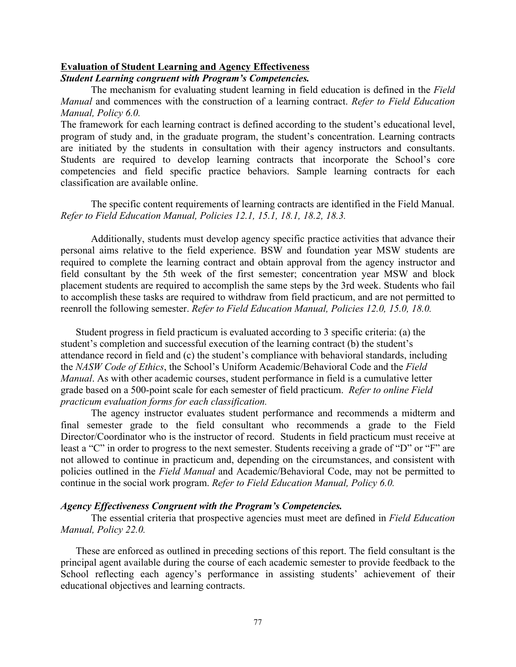#### **Evaluation of Student Learning and Agency Effectiveness**

#### *Student Learning congruent with Program's Competencies.*

The mechanism for evaluating student learning in field education is defined in the *Field Manual* and commences with the construction of a learning contract. *Refer to Field Education Manual, Policy 6.0.*

The framework for each learning contract is defined according to the student's educational level, program of study and, in the graduate program, the student's concentration. Learning contracts are initiated by the students in consultation with their agency instructors and consultants. Students are required to develop learning contracts that incorporate the School's core competencies and field specific practice behaviors. Sample learning contracts for each classification are available online.

The specific content requirements of learning contracts are identified in the Field Manual. *Refer to Field Education Manual, Policies 12.1, 15.1, 18.1, 18.2, 18.3.* 

Additionally, students must develop agency specific practice activities that advance their personal aims relative to the field experience. BSW and foundation year MSW students are required to complete the learning contract and obtain approval from the agency instructor and field consultant by the 5th week of the first semester; concentration year MSW and block placement students are required to accomplish the same steps by the 3rd week. Students who fail to accomplish these tasks are required to withdraw from field practicum, and are not permitted to reenroll the following semester. *Refer to Field Education Manual, Policies 12.0, 15.0, 18.0.*

Student progress in field practicum is evaluated according to 3 specific criteria: (a) the student's completion and successful execution of the learning contract (b) the student's attendance record in field and (c) the student's compliance with behavioral standards, including the *NASW Code of Ethics*, the School's Uniform Academic/Behavioral Code and the *Field Manual*. As with other academic courses, student performance in field is a cumulative letter grade based on a 500-point scale for each semester of field practicum. *Refer to online Field practicum evaluation forms for each classification.*

The agency instructor evaluates student performance and recommends a midterm and final semester grade to the field consultant who recommends a grade to the Field Director/Coordinator who is the instructor of record. Students in field practicum must receive at least a "C" in order to progress to the next semester. Students receiving a grade of "D" or "F" are not allowed to continue in practicum and, depending on the circumstances, and consistent with policies outlined in the *Field Manual* and Academic/Behavioral Code, may not be permitted to continue in the social work program. *Refer to Field Education Manual, Policy 6.0.*

#### *Agency Effectiveness Congruent with the Program's Competencies.*

The essential criteria that prospective agencies must meet are defined in *Field Education Manual, Policy 22.0.*

These are enforced as outlined in preceding sections of this report. The field consultant is the principal agent available during the course of each academic semester to provide feedback to the School reflecting each agency's performance in assisting students' achievement of their educational objectives and learning contracts.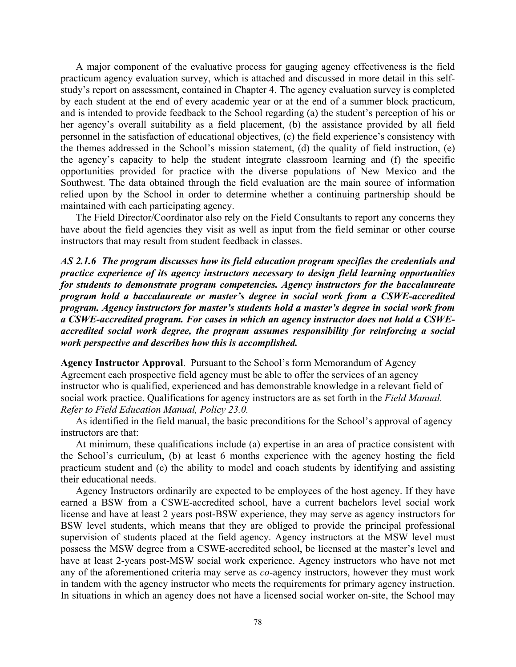A major component of the evaluative process for gauging agency effectiveness is the field practicum agency evaluation survey, which is attached and discussed in more detail in this selfstudy's report on assessment, contained in Chapter 4. The agency evaluation survey is completed by each student at the end of every academic year or at the end of a summer block practicum, and is intended to provide feedback to the School regarding (a) the student's perception of his or her agency's overall suitability as a field placement, (b) the assistance provided by all field personnel in the satisfaction of educational objectives, (c) the field experience's consistency with the themes addressed in the School's mission statement, (d) the quality of field instruction, (e) the agency's capacity to help the student integrate classroom learning and (f) the specific opportunities provided for practice with the diverse populations of New Mexico and the Southwest. The data obtained through the field evaluation are the main source of information relied upon by the School in order to determine whether a continuing partnership should be maintained with each participating agency.

The Field Director/Coordinator also rely on the Field Consultants to report any concerns they have about the field agencies they visit as well as input from the field seminar or other course instructors that may result from student feedback in classes.

*AS 2.1.6 The program discusses how its field education program specifies the credentials and practice experience of its agency instructors necessary to design field learning opportunities for students to demonstrate program competencies. Agency instructors for the baccalaureate program hold a baccalaureate or master's degree in social work from a CSWE-accredited program. Agency instructors for master's students hold a master's degree in social work from a CSWE-accredited program. For cases in which an agency instructor does not hold a CSWEaccredited social work degree, the program assumes responsibility for reinforcing a social work perspective and describes how this is accomplished.*

**Agency Instructor Approval**. Pursuant to the School's form Memorandum of Agency Agreement each prospective field agency must be able to offer the services of an agency instructor who is qualified, experienced and has demonstrable knowledge in a relevant field of social work practice. Qualifications for agency instructors are as set forth in the *Field Manual. Refer to Field Education Manual, Policy 23.0.*

As identified in the field manual, the basic preconditions for the School's approval of agency instructors are that:

At minimum, these qualifications include (a) expertise in an area of practice consistent with the School's curriculum, (b) at least 6 months experience with the agency hosting the field practicum student and (c) the ability to model and coach students by identifying and assisting their educational needs.

Agency Instructors ordinarily are expected to be employees of the host agency. If they have earned a BSW from a CSWE-accredited school, have a current bachelors level social work license and have at least 2 years post-BSW experience, they may serve as agency instructors for BSW level students, which means that they are obliged to provide the principal professional supervision of students placed at the field agency. Agency instructors at the MSW level must possess the MSW degree from a CSWE-accredited school, be licensed at the master's level and have at least 2-years post-MSW social work experience. Agency instructors who have not met any of the aforementioned criteria may serve as *co-*agency instructors, however they must work in tandem with the agency instructor who meets the requirements for primary agency instruction. In situations in which an agency does not have a licensed social worker on-site, the School may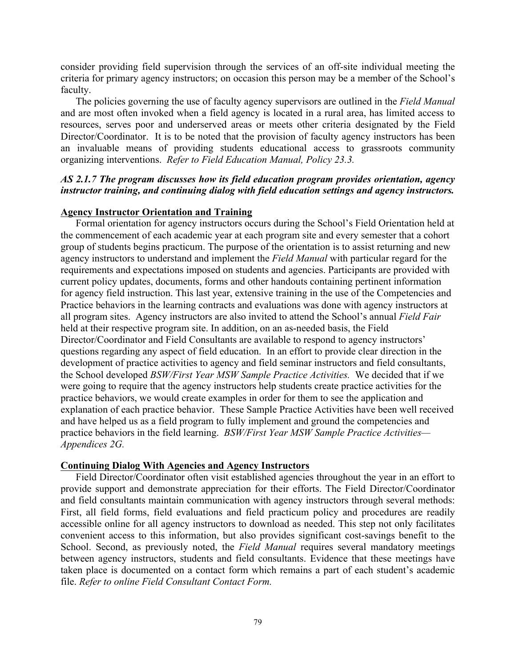consider providing field supervision through the services of an off-site individual meeting the criteria for primary agency instructors; on occasion this person may be a member of the School's faculty.

The policies governing the use of faculty agency supervisors are outlined in the *Field Manual* and are most often invoked when a field agency is located in a rural area, has limited access to resources, serves poor and underserved areas or meets other criteria designated by the Field Director/Coordinator. It is to be noted that the provision of faculty agency instructors has been an invaluable means of providing students educational access to grassroots community organizing interventions. *Refer to Field Education Manual, Policy 23.3.*

## *AS 2.1.7 The program discusses how its field education program provides orientation, agency instructor training, and continuing dialog with field education settings and agency instructors.*

#### **Agency Instructor Orientation and Training**

Formal orientation for agency instructors occurs during the School's Field Orientation held at the commencement of each academic year at each program site and every semester that a cohort group of students begins practicum. The purpose of the orientation is to assist returning and new agency instructors to understand and implement the *Field Manual* with particular regard for the requirements and expectations imposed on students and agencies. Participants are provided with current policy updates, documents, forms and other handouts containing pertinent information for agency field instruction. This last year, extensive training in the use of the Competencies and Practice behaviors in the learning contracts and evaluations was done with agency instructors at all program sites. Agency instructors are also invited to attend the School's annual *Field Fair*  held at their respective program site. In addition, on an as-needed basis, the Field Director/Coordinator and Field Consultants are available to respond to agency instructors' questions regarding any aspect of field education. In an effort to provide clear direction in the development of practice activities to agency and field seminar instructors and field consultants, the School developed *BSW/First Year MSW Sample Practice Activities.* We decided that if we were going to require that the agency instructors help students create practice activities for the practice behaviors, we would create examples in order for them to see the application and explanation of each practice behavior. These Sample Practice Activities have been well received and have helped us as a field program to fully implement and ground the competencies and practice behaviors in the field learning. *BSW/First Year MSW Sample Practice Activities— Appendices 2G.*

## **Continuing Dialog With Agencies and Agency Instructors**

Field Director/Coordinator often visit established agencies throughout the year in an effort to provide support and demonstrate appreciation for their efforts. The Field Director/Coordinator and field consultants maintain communication with agency instructors through several methods: First, all field forms, field evaluations and field practicum policy and procedures are readily accessible online for all agency instructors to download as needed. This step not only facilitates convenient access to this information, but also provides significant cost-savings benefit to the School. Second, as previously noted, the *Field Manual* requires several mandatory meetings between agency instructors, students and field consultants. Evidence that these meetings have taken place is documented on a contact form which remains a part of each student's academic file. *Refer to online Field Consultant Contact Form.*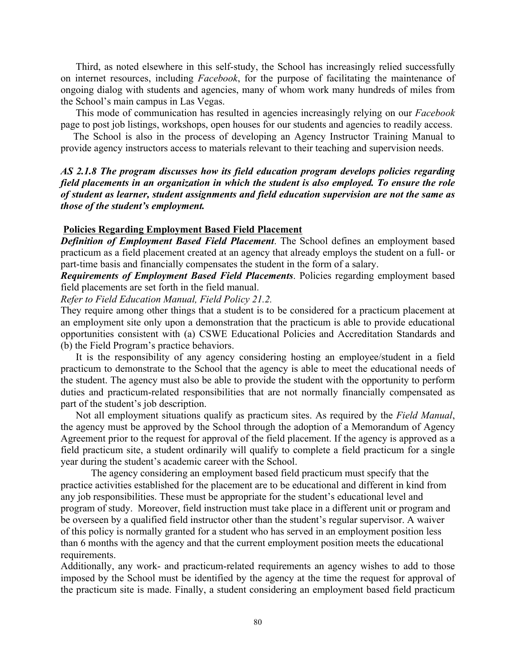Third, as noted elsewhere in this self-study, the School has increasingly relied successfully on internet resources, including *Facebook*, for the purpose of facilitating the maintenance of ongoing dialog with students and agencies, many of whom work many hundreds of miles from the School's main campus in Las Vegas.

 This mode of communication has resulted in agencies increasingly relying on our *Facebook*  page to post job listings, workshops, open houses for our students and agencies to readily access.

 The School is also in the process of developing an Agency Instructor Training Manual to provide agency instructors access to materials relevant to their teaching and supervision needs.

## *AS 2.1.8 The program discusses how its field education program develops policies regarding field placements in an organization in which the student is also employed. To ensure the role of student as learner, student assignments and field education supervision are not the same as those of the student's employment.*

## **Policies Regarding Employment Based Field Placement**

*Definition of Employment Based Field Placement*. The School defines an employment based practicum as a field placement created at an agency that already employs the student on a full- or part-time basis and financially compensates the student in the form of a salary.

*Requirements of Employment Based Field Placements*. Policies regarding employment based field placements are set forth in the field manual.

*Refer to Field Education Manual, Field Policy 21.2.* 

They require among other things that a student is to be considered for a practicum placement at an employment site only upon a demonstration that the practicum is able to provide educational opportunities consistent with (a) CSWE Educational Policies and Accreditation Standards and (b) the Field Program's practice behaviors.

It is the responsibility of any agency considering hosting an employee/student in a field practicum to demonstrate to the School that the agency is able to meet the educational needs of the student. The agency must also be able to provide the student with the opportunity to perform duties and practicum-related responsibilities that are not normally financially compensated as part of the student's job description.

Not all employment situations qualify as practicum sites. As required by the *Field Manual*, the agency must be approved by the School through the adoption of a Memorandum of Agency Agreement prior to the request for approval of the field placement. If the agency is approved as a field practicum site, a student ordinarily will qualify to complete a field practicum for a single year during the student's academic career with the School.

The agency considering an employment based field practicum must specify that the practice activities established for the placement are to be educational and different in kind from any job responsibilities. These must be appropriate for the student's educational level and program of study. Moreover, field instruction must take place in a different unit or program and be overseen by a qualified field instructor other than the student's regular supervisor. A waiver of this policy is normally granted for a student who has served in an employment position less than 6 months with the agency and that the current employment position meets the educational requirements.

Additionally, any work- and practicum-related requirements an agency wishes to add to those imposed by the School must be identified by the agency at the time the request for approval of the practicum site is made. Finally, a student considering an employment based field practicum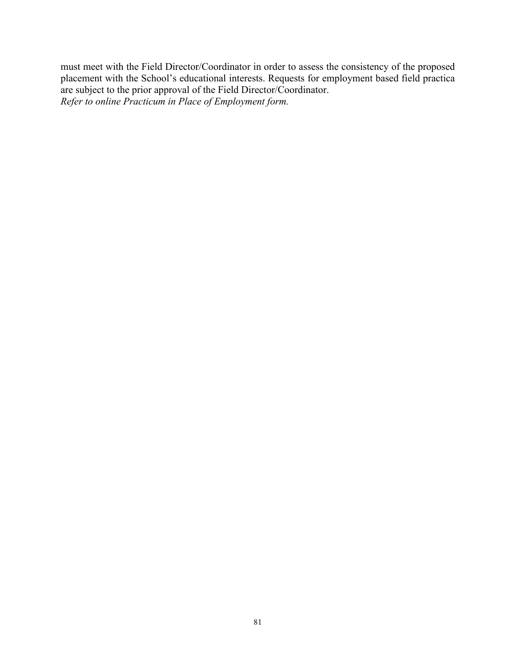must meet with the Field Director/Coordinator in order to assess the consistency of the proposed placement with the School's educational interests. Requests for employment based field practica are subject to the prior approval of the Field Director/Coordinator. *Refer to online Practicum in Place of Employment form.*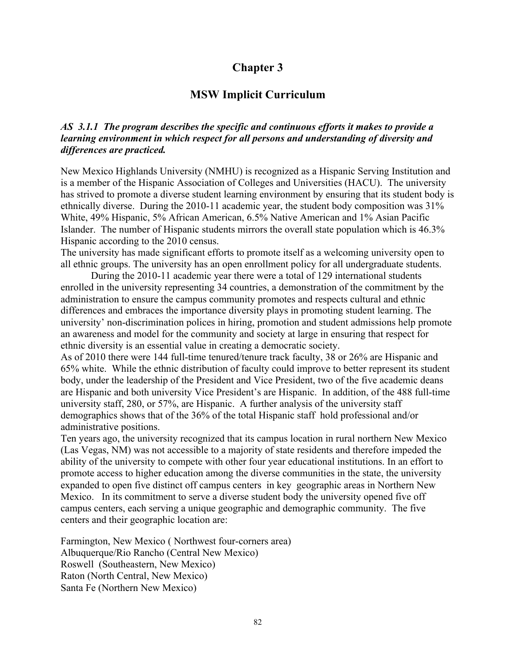# **Chapter 3**

# **MSW Implicit Curriculum**

# *AS 3.1.1 The program describes the specific and continuous efforts it makes to provide a learning environment in which respect for all persons and understanding of diversity and differences are practiced.*

New Mexico Highlands University (NMHU) is recognized as a Hispanic Serving Institution and is a member of the Hispanic Association of Colleges and Universities (HACU). The university has strived to promote a diverse student learning environment by ensuring that its student body is ethnically diverse. During the 2010-11 academic year, the student body composition was 31% White, 49% Hispanic, 5% African American, 6.5% Native American and 1% Asian Pacific Islander. The number of Hispanic students mirrors the overall state population which is 46.3% Hispanic according to the 2010 census.

The university has made significant efforts to promote itself as a welcoming university open to all ethnic groups. The university has an open enrollment policy for all undergraduate students.

During the 2010-11 academic year there were a total of 129 international students enrolled in the university representing 34 countries, a demonstration of the commitment by the administration to ensure the campus community promotes and respects cultural and ethnic differences and embraces the importance diversity plays in promoting student learning. The university' non-discrimination polices in hiring, promotion and student admissions help promote an awareness and model for the community and society at large in ensuring that respect for ethnic diversity is an essential value in creating a democratic society.

As of 2010 there were 144 full-time tenured/tenure track faculty, 38 or 26% are Hispanic and 65% white. While the ethnic distribution of faculty could improve to better represent its student body, under the leadership of the President and Vice President, two of the five academic deans are Hispanic and both university Vice President's are Hispanic. In addition, of the 488 full-time university staff, 280, or 57%, are Hispanic. A further analysis of the university staff demographics shows that of the 36% of the total Hispanic staff hold professional and/or administrative positions.

Ten years ago, the university recognized that its campus location in rural northern New Mexico (Las Vegas, NM) was not accessible to a majority of state residents and therefore impeded the ability of the university to compete with other four year educational institutions. In an effort to promote access to higher education among the diverse communities in the state, the university expanded to open five distinct off campus centers in key geographic areas in Northern New Mexico. In its commitment to serve a diverse student body the university opened five off campus centers, each serving a unique geographic and demographic community. The five centers and their geographic location are:

Farmington, New Mexico ( Northwest four-corners area) Albuquerque/Rio Rancho (Central New Mexico) Roswell (Southeastern, New Mexico) Raton (North Central, New Mexico) Santa Fe (Northern New Mexico)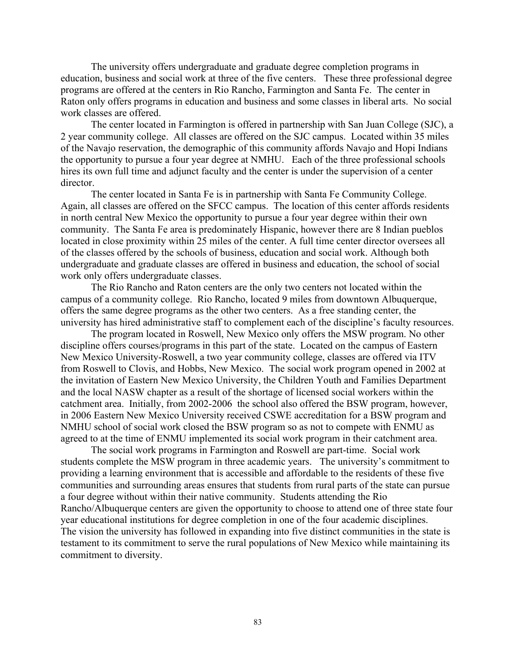The university offers undergraduate and graduate degree completion programs in education, business and social work at three of the five centers. These three professional degree programs are offered at the centers in Rio Rancho, Farmington and Santa Fe. The center in Raton only offers programs in education and business and some classes in liberal arts. No social work classes are offered.

The center located in Farmington is offered in partnership with San Juan College (SJC), a 2 year community college. All classes are offered on the SJC campus. Located within 35 miles of the Navajo reservation, the demographic of this community affords Navajo and Hopi Indians the opportunity to pursue a four year degree at NMHU. Each of the three professional schools hires its own full time and adjunct faculty and the center is under the supervision of a center director.

The center located in Santa Fe is in partnership with Santa Fe Community College. Again, all classes are offered on the SFCC campus. The location of this center affords residents in north central New Mexico the opportunity to pursue a four year degree within their own community. The Santa Fe area is predominately Hispanic, however there are 8 Indian pueblos located in close proximity within 25 miles of the center. A full time center director oversees all of the classes offered by the schools of business, education and social work. Although both undergraduate and graduate classes are offered in business and education, the school of social work only offers undergraduate classes.

The Rio Rancho and Raton centers are the only two centers not located within the campus of a community college. Rio Rancho, located 9 miles from downtown Albuquerque, offers the same degree programs as the other two centers. As a free standing center, the university has hired administrative staff to complement each of the discipline's faculty resources.

The program located in Roswell, New Mexico only offers the MSW program. No other discipline offers courses/programs in this part of the state. Located on the campus of Eastern New Mexico University-Roswell, a two year community college, classes are offered via ITV from Roswell to Clovis, and Hobbs, New Mexico. The social work program opened in 2002 at the invitation of Eastern New Mexico University, the Children Youth and Families Department and the local NASW chapter as a result of the shortage of licensed social workers within the catchment area. Initially, from 2002-2006 the school also offered the BSW program, however, in 2006 Eastern New Mexico University received CSWE accreditation for a BSW program and NMHU school of social work closed the BSW program so as not to compete with ENMU as agreed to at the time of ENMU implemented its social work program in their catchment area.

The social work programs in Farmington and Roswell are part-time. Social work students complete the MSW program in three academic years. The university's commitment to providing a learning environment that is accessible and affordable to the residents of these five communities and surrounding areas ensures that students from rural parts of the state can pursue a four degree without within their native community. Students attending the Rio Rancho/Albuquerque centers are given the opportunity to choose to attend one of three state four year educational institutions for degree completion in one of the four academic disciplines. The vision the university has followed in expanding into five distinct communities in the state is testament to its commitment to serve the rural populations of New Mexico while maintaining its commitment to diversity.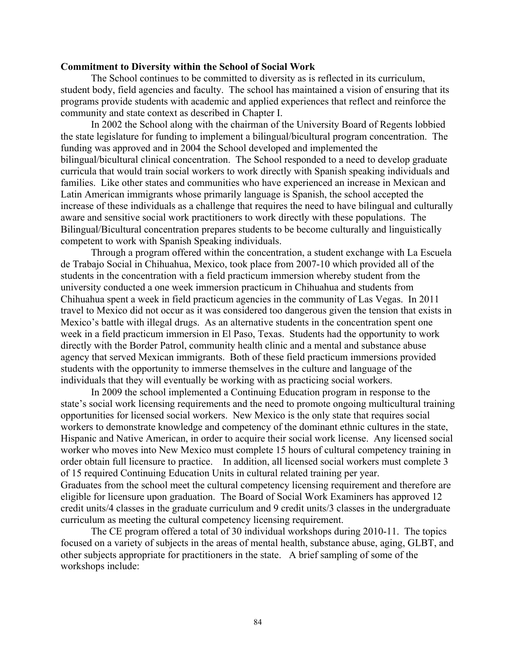#### **Commitment to Diversity within the School of Social Work**

The School continues to be committed to diversity as is reflected in its curriculum, student body, field agencies and faculty. The school has maintained a vision of ensuring that its programs provide students with academic and applied experiences that reflect and reinforce the community and state context as described in Chapter I.

In 2002 the School along with the chairman of the University Board of Regents lobbied the state legislature for funding to implement a bilingual/bicultural program concentration. The funding was approved and in 2004 the School developed and implemented the bilingual/bicultural clinical concentration. The School responded to a need to develop graduate curricula that would train social workers to work directly with Spanish speaking individuals and families. Like other states and communities who have experienced an increase in Mexican and Latin American immigrants whose primarily language is Spanish, the school accepted the increase of these individuals as a challenge that requires the need to have bilingual and culturally aware and sensitive social work practitioners to work directly with these populations. The Bilingual/Bicultural concentration prepares students to be become culturally and linguistically competent to work with Spanish Speaking individuals.

Through a program offered within the concentration, a student exchange with La Escuela de Trabajo Social in Chihuahua, Mexico, took place from 2007-10 which provided all of the students in the concentration with a field practicum immersion whereby student from the university conducted a one week immersion practicum in Chihuahua and students from Chihuahua spent a week in field practicum agencies in the community of Las Vegas. In 2011 travel to Mexico did not occur as it was considered too dangerous given the tension that exists in Mexico's battle with illegal drugs. As an alternative students in the concentration spent one week in a field practicum immersion in El Paso, Texas. Students had the opportunity to work directly with the Border Patrol, community health clinic and a mental and substance abuse agency that served Mexican immigrants. Both of these field practicum immersions provided students with the opportunity to immerse themselves in the culture and language of the individuals that they will eventually be working with as practicing social workers.

In 2009 the school implemented a Continuing Education program in response to the state's social work licensing requirements and the need to promote ongoing multicultural training opportunities for licensed social workers. New Mexico is the only state that requires social workers to demonstrate knowledge and competency of the dominant ethnic cultures in the state, Hispanic and Native American, in order to acquire their social work license. Any licensed social worker who moves into New Mexico must complete 15 hours of cultural competency training in order obtain full licensure to practice. In addition, all licensed social workers must complete 3 of 15 required Continuing Education Units in cultural related training per year. Graduates from the school meet the cultural competency licensing requirement and therefore are eligible for licensure upon graduation. The Board of Social Work Examiners has approved 12 credit units/4 classes in the graduate curriculum and 9 credit units/3 classes in the undergraduate curriculum as meeting the cultural competency licensing requirement.

The CE program offered a total of 30 individual workshops during 2010-11. The topics focused on a variety of subjects in the areas of mental health, substance abuse, aging, GLBT, and other subjects appropriate for practitioners in the state. A brief sampling of some of the workshops include: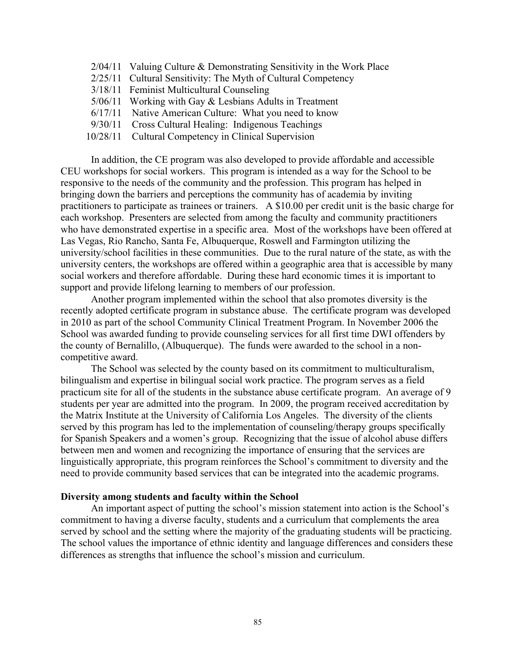- 2/04/11 Valuing Culture & Demonstrating Sensitivity in the Work Place
- 2/25/11 Cultural Sensitivity: The Myth of Cultural Competency
- 3/18/11 Feminist Multicultural Counseling
- 5/06/11 Working with Gay & Lesbians Adults in Treatment
- 6/17/11 Native American Culture: What you need to know
- 9/30/11 Cross Cultural Healing: Indigenous Teachings
- 10/28/11 Cultural Competency in Clinical Supervision

In addition, the CE program was also developed to provide affordable and accessible CEU workshops for social workers. This program is intended as a way for the School to be responsive to the needs of the community and the profession. This program has helped in bringing down the barriers and perceptions the community has of academia by inviting practitioners to participate as trainees or trainers. A \$10.00 per credit unit is the basic charge for each workshop. Presenters are selected from among the faculty and community practitioners who have demonstrated expertise in a specific area. Most of the workshops have been offered at Las Vegas, Rio Rancho, Santa Fe, Albuquerque, Roswell and Farmington utilizing the university/school facilities in these communities. Due to the rural nature of the state, as with the university centers, the workshops are offered within a geographic area that is accessible by many social workers and therefore affordable. During these hard economic times it is important to support and provide lifelong learning to members of our profession.

Another program implemented within the school that also promotes diversity is the recently adopted certificate program in substance abuse. The certificate program was developed in 2010 as part of the school Community Clinical Treatment Program. In November 2006 the School was awarded funding to provide counseling services for all first time DWI offenders by the county of Bernalillo, (Albuquerque). The funds were awarded to the school in a noncompetitive award.

The School was selected by the county based on its commitment to multiculturalism, bilingualism and expertise in bilingual social work practice. The program serves as a field practicum site for all of the students in the substance abuse certificate program. An average of 9 students per year are admitted into the program. In 2009, the program received accreditation by the Matrix Institute at the University of California Los Angeles. The diversity of the clients served by this program has led to the implementation of counseling/therapy groups specifically for Spanish Speakers and a women's group. Recognizing that the issue of alcohol abuse differs between men and women and recognizing the importance of ensuring that the services are linguistically appropriate, this program reinforces the School's commitment to diversity and the need to provide community based services that can be integrated into the academic programs.

#### **Diversity among students and faculty within the School**

An important aspect of putting the school's mission statement into action is the School's commitment to having a diverse faculty, students and a curriculum that complements the area served by school and the setting where the majority of the graduating students will be practicing. The school values the importance of ethnic identity and language differences and considers these differences as strengths that influence the school's mission and curriculum.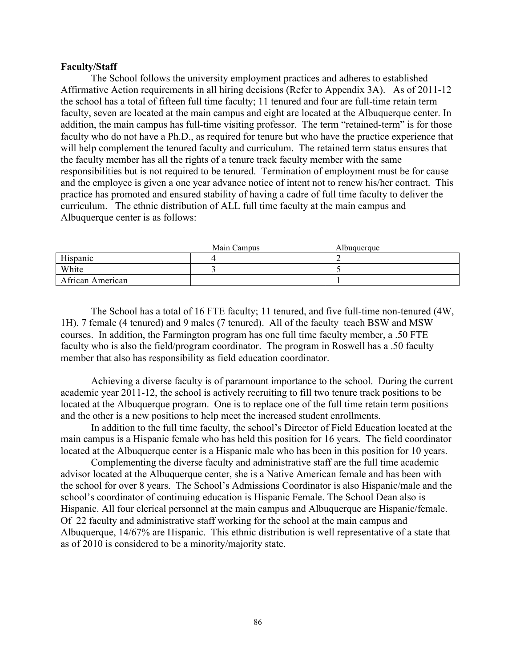#### **Faculty/Staff**

The School follows the university employment practices and adheres to established Affirmative Action requirements in all hiring decisions (Refer to Appendix 3A). As of 2011-12 the school has a total of fifteen full time faculty; 11 tenured and four are full-time retain term faculty, seven are located at the main campus and eight are located at the Albuquerque center. In addition, the main campus has full-time visiting professor. The term "retained-term" is for those faculty who do not have a Ph.D., as required for tenure but who have the practice experience that will help complement the tenured faculty and curriculum. The retained term status ensures that the faculty member has all the rights of a tenure track faculty member with the same responsibilities but is not required to be tenured. Termination of employment must be for cause and the employee is given a one year advance notice of intent not to renew his/her contract. This practice has promoted and ensured stability of having a cadre of full time faculty to deliver the curriculum. The ethnic distribution of ALL full time faculty at the main campus and Albuquerque center is as follows:

|                  | Main Campus | Albuquerque |  |
|------------------|-------------|-------------|--|
| Hispanic         |             |             |  |
| White            |             |             |  |
| African American |             |             |  |

The School has a total of 16 FTE faculty; 11 tenured, and five full-time non-tenured (4W, 1H). 7 female (4 tenured) and 9 males (7 tenured). All of the faculty teach BSW and MSW courses. In addition, the Farmington program has one full time faculty member, a .50 FTE faculty who is also the field/program coordinator. The program in Roswell has a .50 faculty member that also has responsibility as field education coordinator.

Achieving a diverse faculty is of paramount importance to the school. During the current academic year 2011-12, the school is actively recruiting to fill two tenure track positions to be located at the Albuquerque program. One is to replace one of the full time retain term positions and the other is a new positions to help meet the increased student enrollments.

In addition to the full time faculty, the school's Director of Field Education located at the main campus is a Hispanic female who has held this position for 16 years. The field coordinator located at the Albuquerque center is a Hispanic male who has been in this position for 10 years.

Complementing the diverse faculty and administrative staff are the full time academic advisor located at the Albuquerque center, she is a Native American female and has been with the school for over 8 years. The School's Admissions Coordinator is also Hispanic/male and the school's coordinator of continuing education is Hispanic Female. The School Dean also is Hispanic. All four clerical personnel at the main campus and Albuquerque are Hispanic/female. Of 22 faculty and administrative staff working for the school at the main campus and Albuquerque, 14/67% are Hispanic. This ethnic distribution is well representative of a state that as of 2010 is considered to be a minority/majority state.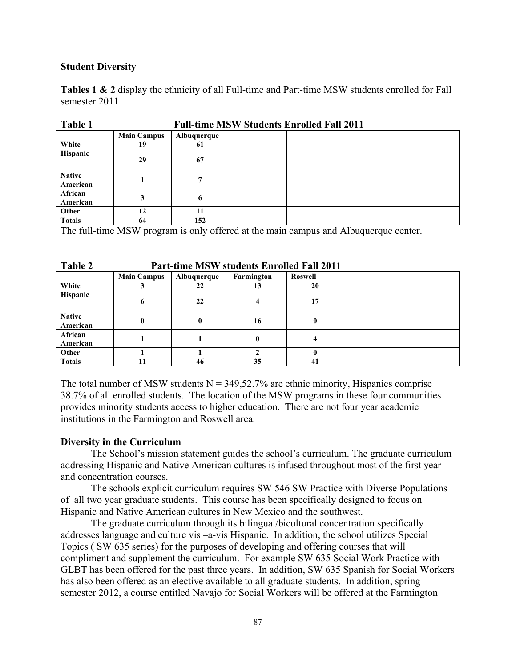#### **Student Diversity**

**Tables 1 & 2** display the ethnicity of all Full-time and Part-time MSW students enrolled for Fall semester 2011

| <b>L'AVIC 1</b>           | Pull-third MS W Students Employed Pall 2011 |              |  |  |  |
|---------------------------|---------------------------------------------|--------------|--|--|--|
|                           | <b>Main Campus</b>                          | Albuquerque  |  |  |  |
| White                     | 19                                          | 61           |  |  |  |
| <b>Hispanic</b>           | 29                                          | 67           |  |  |  |
| <b>Native</b><br>American |                                             | $\mathbf{r}$ |  |  |  |
| African<br>American       |                                             | 6            |  |  |  |
| Other                     | 12                                          | 11           |  |  |  |
| <b>Totals</b>             | 64                                          | 152          |  |  |  |

**Table 1 Full-time MSW Students Enrolled Fall 2011**

The full-time MSW program is only offered at the main campus and Albuquerque center.

| Table 2                   | <b>Part-time MSW students Enrolled Fall 2011</b> |             |            |                |  |
|---------------------------|--------------------------------------------------|-------------|------------|----------------|--|
|                           | <b>Main Campus</b>                               | Albuquerque | Farmington | <b>Roswell</b> |  |
| White                     |                                                  | 22          | 13         | 20             |  |
| Hispanic                  | 6                                                | 22          |            | 17             |  |
| <b>Native</b><br>American | 0                                                | 0           | 16         | 0              |  |
| African<br>American       |                                                  |             | 0          |                |  |
| Other                     |                                                  |             |            |                |  |
| <b>Totals</b>             |                                                  | 46          | 35         | 41             |  |

The total number of MSW students  $N = 349,52.7\%$  are ethnic minority, Hispanics comprise 38.7% of all enrolled students. The location of the MSW programs in these four communities provides minority students access to higher education. There are not four year academic institutions in the Farmington and Roswell area.

## **Diversity in the Curriculum**

The School's mission statement guides the school's curriculum. The graduate curriculum addressing Hispanic and Native American cultures is infused throughout most of the first year and concentration courses.

The schools explicit curriculum requires SW 546 SW Practice with Diverse Populations of all two year graduate students. This course has been specifically designed to focus on Hispanic and Native American cultures in New Mexico and the southwest.

The graduate curriculum through its bilingual/bicultural concentration specifically addresses language and culture vis –a-vis Hispanic. In addition, the school utilizes Special Topics ( SW 635 series) for the purposes of developing and offering courses that will compliment and supplement the curriculum. For example SW 635 Social Work Practice with GLBT has been offered for the past three years. In addition, SW 635 Spanish for Social Workers has also been offered as an elective available to all graduate students. In addition, spring semester 2012, a course entitled Navajo for Social Workers will be offered at the Farmington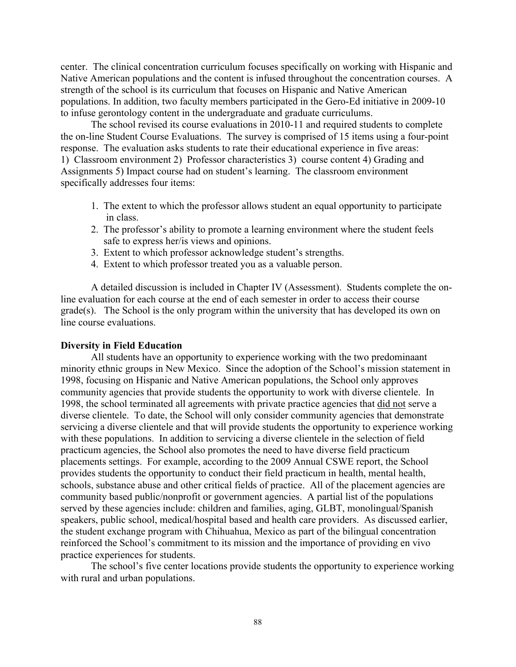center. The clinical concentration curriculum focuses specifically on working with Hispanic and Native American populations and the content is infused throughout the concentration courses. A strength of the school is its curriculum that focuses on Hispanic and Native American populations. In addition, two faculty members participated in the Gero-Ed initiative in 2009-10 to infuse gerontology content in the undergraduate and graduate curriculums.

The school revised its course evaluations in 2010-11 and required students to complete the on-line Student Course Evaluations. The survey is comprised of 15 items using a four-point response. The evaluation asks students to rate their educational experience in five areas: 1) Classroom environment 2) Professor characteristics 3) course content 4) Grading and Assignments 5) Impact course had on student's learning. The classroom environment specifically addresses four items:

- 1. The extent to which the professor allows student an equal opportunity to participate in class.
- 2. The professor's ability to promote a learning environment where the student feels safe to express her/is views and opinions.
- 3. Extent to which professor acknowledge student's strengths.
- 4. Extent to which professor treated you as a valuable person.

A detailed discussion is included in Chapter IV (Assessment). Students complete the online evaluation for each course at the end of each semester in order to access their course grade(s). The School is the only program within the university that has developed its own on line course evaluations.

#### **Diversity in Field Education**

All students have an opportunity to experience working with the two predominaant minority ethnic groups in New Mexico. Since the adoption of the School's mission statement in 1998, focusing on Hispanic and Native American populations, the School only approves community agencies that provide students the opportunity to work with diverse clientele. In 1998, the school terminated all agreements with private practice agencies that did not serve a diverse clientele. To date, the School will only consider community agencies that demonstrate servicing a diverse clientele and that will provide students the opportunity to experience working with these populations. In addition to servicing a diverse clientele in the selection of field practicum agencies, the School also promotes the need to have diverse field practicum placements settings. For example, according to the 2009 Annual CSWE report, the School provides students the opportunity to conduct their field practicum in health, mental health, schools, substance abuse and other critical fields of practice. All of the placement agencies are community based public/nonprofit or government agencies. A partial list of the populations served by these agencies include: children and families, aging, GLBT, monolingual/Spanish speakers, public school, medical/hospital based and health care providers. As discussed earlier, the student exchange program with Chihuahua, Mexico as part of the bilingual concentration reinforced the School's commitment to its mission and the importance of providing en vivo practice experiences for students.

The school's five center locations provide students the opportunity to experience working with rural and urban populations.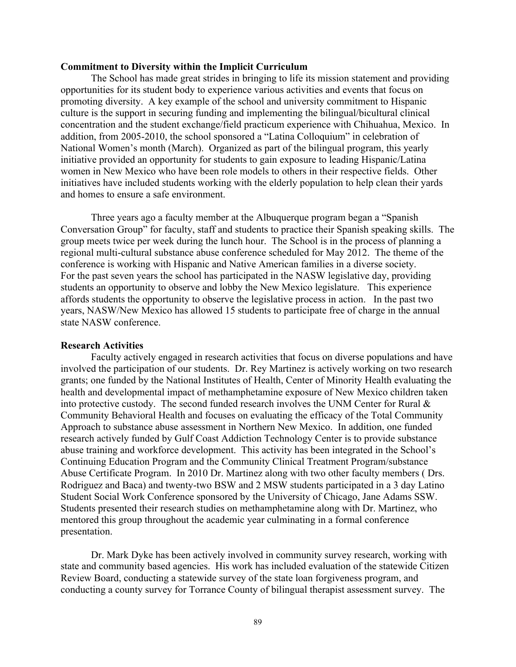#### **Commitment to Diversity within the Implicit Curriculum**

The School has made great strides in bringing to life its mission statement and providing opportunities for its student body to experience various activities and events that focus on promoting diversity. A key example of the school and university commitment to Hispanic culture is the support in securing funding and implementing the bilingual/bicultural clinical concentration and the student exchange/field practicum experience with Chihuahua, Mexico. In addition, from 2005-2010, the school sponsored a "Latina Colloquium" in celebration of National Women's month (March). Organized as part of the bilingual program, this yearly initiative provided an opportunity for students to gain exposure to leading Hispanic/Latina women in New Mexico who have been role models to others in their respective fields. Other initiatives have included students working with the elderly population to help clean their yards and homes to ensure a safe environment.

Three years ago a faculty member at the Albuquerque program began a "Spanish Conversation Group" for faculty, staff and students to practice their Spanish speaking skills. The group meets twice per week during the lunch hour. The School is in the process of planning a regional multi-cultural substance abuse conference scheduled for May 2012. The theme of the conference is working with Hispanic and Native American families in a diverse society. For the past seven years the school has participated in the NASW legislative day, providing students an opportunity to observe and lobby the New Mexico legislature. This experience affords students the opportunity to observe the legislative process in action. In the past two years, NASW/New Mexico has allowed 15 students to participate free of charge in the annual state NASW conference.

#### **Research Activities**

Faculty actively engaged in research activities that focus on diverse populations and have involved the participation of our students. Dr. Rey Martinez is actively working on two research grants; one funded by the National Institutes of Health, Center of Minority Health evaluating the health and developmental impact of methamphetamine exposure of New Mexico children taken into protective custody. The second funded research involves the UNM Center for Rural  $\&$ Community Behavioral Health and focuses on evaluating the efficacy of the Total Community Approach to substance abuse assessment in Northern New Mexico. In addition, one funded research actively funded by Gulf Coast Addiction Technology Center is to provide substance abuse training and workforce development. This activity has been integrated in the School's Continuing Education Program and the Community Clinical Treatment Program/substance Abuse Certificate Program. In 2010 Dr. Martinez along with two other faculty members ( Drs. Rodriguez and Baca) and twenty-two BSW and 2 MSW students participated in a 3 day Latino Student Social Work Conference sponsored by the University of Chicago, Jane Adams SSW. Students presented their research studies on methamphetamine along with Dr. Martinez, who mentored this group throughout the academic year culminating in a formal conference presentation.

Dr. Mark Dyke has been actively involved in community survey research, working with state and community based agencies. His work has included evaluation of the statewide Citizen Review Board, conducting a statewide survey of the state loan forgiveness program, and conducting a county survey for Torrance County of bilingual therapist assessment survey. The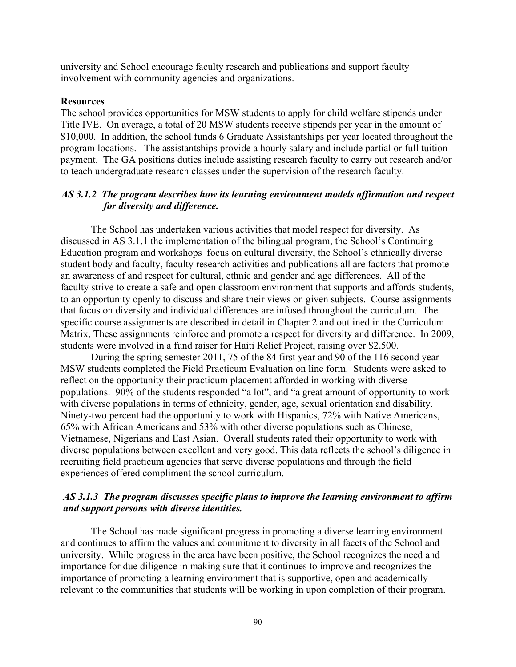university and School encourage faculty research and publications and support faculty involvement with community agencies and organizations.

#### **Resources**

The school provides opportunities for MSW students to apply for child welfare stipends under Title IVE. On average, a total of 20 MSW students receive stipends per year in the amount of \$10,000. In addition, the school funds 6 Graduate Assistantships per year located throughout the program locations. The assistantships provide a hourly salary and include partial or full tuition payment. The GA positions duties include assisting research faculty to carry out research and/or to teach undergraduate research classes under the supervision of the research faculty.

# *AS 3.1.2 The program describes how its learning environment models affirmation and respect for diversity and difference.*

The School has undertaken various activities that model respect for diversity. As discussed in AS 3.1.1 the implementation of the bilingual program, the School's Continuing Education program and workshops focus on cultural diversity, the School's ethnically diverse student body and faculty, faculty research activities and publications all are factors that promote an awareness of and respect for cultural, ethnic and gender and age differences. All of the faculty strive to create a safe and open classroom environment that supports and affords students, to an opportunity openly to discuss and share their views on given subjects. Course assignments that focus on diversity and individual differences are infused throughout the curriculum. The specific course assignments are described in detail in Chapter 2 and outlined in the Curriculum Matrix, These assignments reinforce and promote a respect for diversity and difference. In 2009, students were involved in a fund raiser for Haiti Relief Project, raising over \$2,500.

During the spring semester 2011, 75 of the 84 first year and 90 of the 116 second year MSW students completed the Field Practicum Evaluation on line form. Students were asked to reflect on the opportunity their practicum placement afforded in working with diverse populations. 90% of the students responded "a lot", and "a great amount of opportunity to work with diverse populations in terms of ethnicity, gender, age, sexual orientation and disability. Ninety-two percent had the opportunity to work with Hispanics, 72% with Native Americans, 65% with African Americans and 53% with other diverse populations such as Chinese, Vietnamese, Nigerians and East Asian. Overall students rated their opportunity to work with diverse populations between excellent and very good. This data reflects the school's diligence in recruiting field practicum agencies that serve diverse populations and through the field experiences offered compliment the school curriculum.

## *AS 3.1.3 The program discusses specific plans to improve the learning environment to affirm and support persons with diverse identities.*

The School has made significant progress in promoting a diverse learning environment and continues to affirm the values and commitment to diversity in all facets of the School and university. While progress in the area have been positive, the School recognizes the need and importance for due diligence in making sure that it continues to improve and recognizes the importance of promoting a learning environment that is supportive, open and academically relevant to the communities that students will be working in upon completion of their program.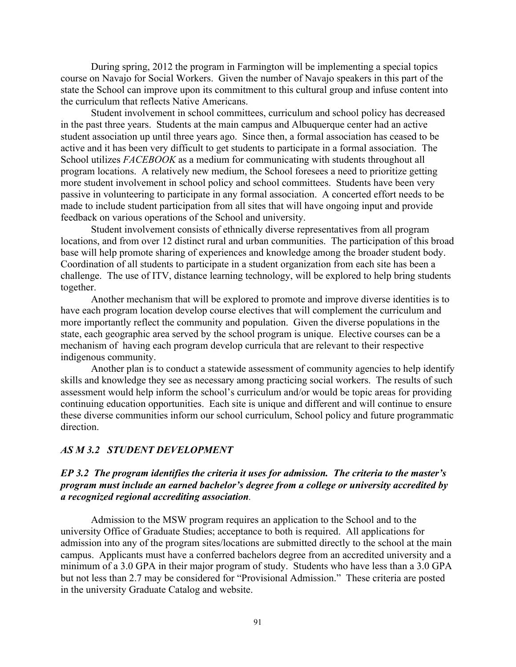During spring, 2012 the program in Farmington will be implementing a special topics course on Navajo for Social Workers. Given the number of Navajo speakers in this part of the state the School can improve upon its commitment to this cultural group and infuse content into the curriculum that reflects Native Americans.

Student involvement in school committees, curriculum and school policy has decreased in the past three years. Students at the main campus and Albuquerque center had an active student association up until three years ago. Since then, a formal association has ceased to be active and it has been very difficult to get students to participate in a formal association. The School utilizes *FACEBOOK* as a medium for communicating with students throughout all program locations. A relatively new medium, the School foresees a need to prioritize getting more student involvement in school policy and school committees. Students have been very passive in volunteering to participate in any formal association. A concerted effort needs to be made to include student participation from all sites that will have ongoing input and provide feedback on various operations of the School and university.

Student involvement consists of ethnically diverse representatives from all program locations, and from over 12 distinct rural and urban communities. The participation of this broad base will help promote sharing of experiences and knowledge among the broader student body. Coordination of all students to participate in a student organization from each site has been a challenge. The use of ITV, distance learning technology, will be explored to help bring students together.

Another mechanism that will be explored to promote and improve diverse identities is to have each program location develop course electives that will complement the curriculum and more importantly reflect the community and population. Given the diverse populations in the state, each geographic area served by the school program is unique. Elective courses can be a mechanism of having each program develop curricula that are relevant to their respective indigenous community.

Another plan is to conduct a statewide assessment of community agencies to help identify skills and knowledge they see as necessary among practicing social workers. The results of such assessment would help inform the school's curriculum and/or would be topic areas for providing continuing education opportunities. Each site is unique and different and will continue to ensure these diverse communities inform our school curriculum, School policy and future programmatic direction.

#### *AS M 3.2 STUDENT DEVELOPMENT*

## *EP 3.2 The program identifies the criteria it uses for admission. The criteria to the master's program must include an earned bachelor's degree from a college or university accredited by a recognized regional accrediting association.*

Admission to the MSW program requires an application to the School and to the university Office of Graduate Studies; acceptance to both is required. All applications for admission into any of the program sites/locations are submitted directly to the school at the main campus. Applicants must have a conferred bachelors degree from an accredited university and a minimum of a 3.0 GPA in their major program of study. Students who have less than a 3.0 GPA but not less than 2.7 may be considered for "Provisional Admission." These criteria are posted in the university Graduate Catalog and website.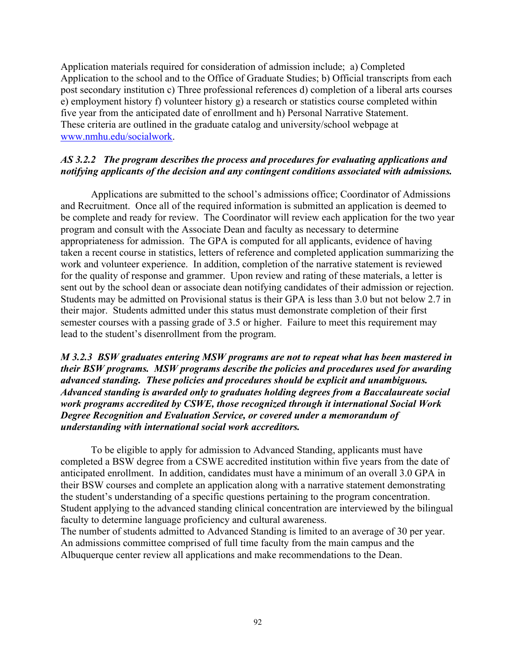Application materials required for consideration of admission include; a) Completed Application to the school and to the Office of Graduate Studies; b) Official transcripts from each post secondary institution c) Three professional references d) completion of a liberal arts courses e) employment history f) volunteer history g) a research or statistics course completed within five year from the anticipated date of enrollment and h) Personal Narrative Statement. These criteria are outlined in the graduate catalog and university/school webpage at www.nmhu.edu/socialwork.

## *AS 3.2.2 The program describes the process and procedures for evaluating applications and notifying applicants of the decision and any contingent conditions associated with admissions.*

Applications are submitted to the school's admissions office; Coordinator of Admissions and Recruitment. Once all of the required information is submitted an application is deemed to be complete and ready for review. The Coordinator will review each application for the two year program and consult with the Associate Dean and faculty as necessary to determine appropriateness for admission. The GPA is computed for all applicants, evidence of having taken a recent course in statistics, letters of reference and completed application summarizing the work and volunteer experience. In addition, completion of the narrative statement is reviewed for the quality of response and grammer. Upon review and rating of these materials, a letter is sent out by the school dean or associate dean notifying candidates of their admission or rejection. Students may be admitted on Provisional status is their GPA is less than 3.0 but not below 2.7 in their major. Students admitted under this status must demonstrate completion of their first semester courses with a passing grade of 3.5 or higher. Failure to meet this requirement may lead to the student's disenrollment from the program.

## *M 3.2.3 BSW graduates entering MSW programs are not to repeat what has been mastered in their BSW programs. MSW programs describe the policies and procedures used for awarding advanced standing. These policies and procedures should be explicit and unambiguous. Advanced standing is awarded only to graduates holding degrees from a Baccalaureate social work programs accredited by CSWE, those recognized through it international Social Work Degree Recognition and Evaluation Service, or covered under a memorandum of understanding with international social work accreditors.*

To be eligible to apply for admission to Advanced Standing, applicants must have completed a BSW degree from a CSWE accredited institution within five years from the date of anticipated enrollment. In addition, candidates must have a minimum of an overall 3.0 GPA in their BSW courses and complete an application along with a narrative statement demonstrating the student's understanding of a specific questions pertaining to the program concentration. Student applying to the advanced standing clinical concentration are interviewed by the bilingual faculty to determine language proficiency and cultural awareness.

The number of students admitted to Advanced Standing is limited to an average of 30 per year. An admissions committee comprised of full time faculty from the main campus and the Albuquerque center review all applications and make recommendations to the Dean.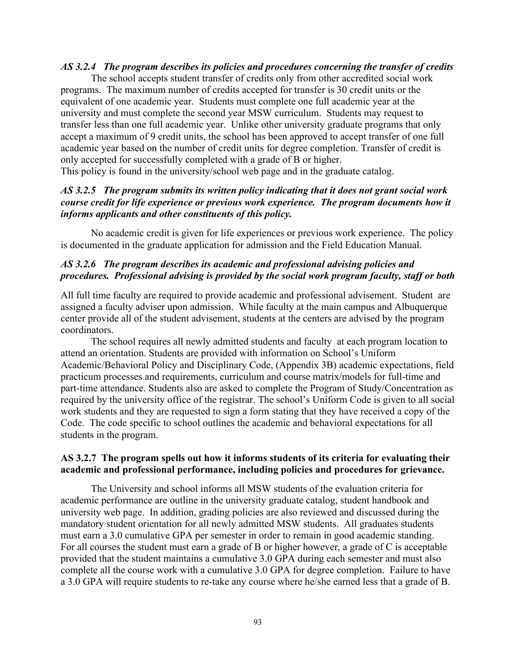#### *AS 3.2.4 The program describes its policies and procedures concerning the transfer of credits*

The school accepts student transfer of credits only from other accredited social work programs. The maximum number of credits accepted for transfer is 30 credit units or the equivalent of one academic year. Students must complete one full academic year at the university and must complete the second year MSW curriculum. Students may request to transfer less than one full academic year. Unlike other university graduate programs that only accept a maximum of 9 credit units, the school has been approved to accept transfer of one full academic year based on the number of credit units for degree completion. Transfer of credit is only accepted for successfully completed with a grade of B or higher.

This policy is found in the university/school web page and in the graduate catalog.

# *AS 3.2.5 The program submits its written policy indicating that it does not grant social work course credit for life experience or previous work experience. The program documents how it informs applicants and other constituents of this policy.*

No academic credit is given for life experiences or previous work experience. The policy is documented in the graduate application for admission and the Field Education Manual.

# *AS 3.2.6 The program describes its academic and professional advising policies and procedures. Professional advising is provided by the social work program faculty, staff or both*

All full time faculty are required to provide academic and professional advisement. Student are assigned a faculty adviser upon admission. While faculty at the main campus and Albuquerque center provide all of the student advisement, students at the centers are advised by the program coordinators.

The school requires all newly admitted students and faculty at each program location to attend an orientation. Students are provided with information on School's Uniform Academic/Behavioral Policy and Disciplinary Code, (Appendix 3B) academic expectations, field practicum processes and requirements, curriculum and course matrix/models for full-time and part-time attendance. Students also are asked to complete the Program of Study/Concentration as required by the university office of the registrar. The school's Uniform Code is given to all social work students and they are requested to sign a form stating that they have received a copy of the Code. The code specific to school outlines the academic and behavioral expectations for all students in the program.

## **AS 3.2.7 The program spells out how it informs students of its criteria for evaluating their academic and professional performance, including policies and procedures for grievance.**

The University and school informs all MSW students of the evaluation criteria for academic performance are outline in the university graduate catalog, student handbook and university web page. In addition, grading policies are also reviewed and discussed during the mandatory student orientation for all newly admitted MSW students. All graduates students must earn a 3.0 cumulative GPA per semester in order to remain in good academic standing. For all courses the student must earn a grade of B or higher however, a grade of C is acceptable provided that the student maintains a cumulative 3.0 GPA during each semester and must also complete all the course work with a cumulative 3.0 GPA for degree completion. Failure to have a 3.0 GPA will require students to re-take any course where he/she earned less that a grade of B.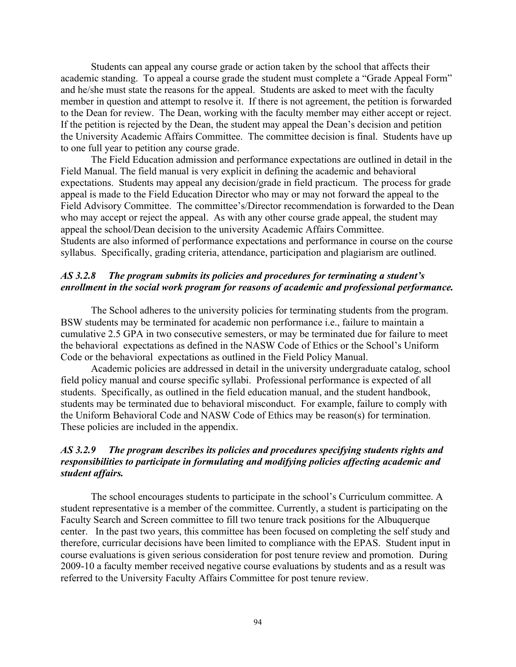Students can appeal any course grade or action taken by the school that affects their academic standing. To appeal a course grade the student must complete a "Grade Appeal Form" and he/she must state the reasons for the appeal. Students are asked to meet with the faculty member in question and attempt to resolve it. If there is not agreement, the petition is forwarded to the Dean for review. The Dean, working with the faculty member may either accept or reject. If the petition is rejected by the Dean, the student may appeal the Dean's decision and petition the University Academic Affairs Committee. The committee decision is final. Students have up to one full year to petition any course grade.

The Field Education admission and performance expectations are outlined in detail in the Field Manual. The field manual is very explicit in defining the academic and behavioral expectations. Students may appeal any decision/grade in field practicum. The process for grade appeal is made to the Field Education Director who may or may not forward the appeal to the Field Advisory Committee. The committee's/Director recommendation is forwarded to the Dean who may accept or reject the appeal. As with any other course grade appeal, the student may appeal the school/Dean decision to the university Academic Affairs Committee. Students are also informed of performance expectations and performance in course on the course syllabus. Specifically, grading criteria, attendance, participation and plagiarism are outlined.

### *AS 3.2.8 The program submits its policies and procedures for terminating a student's enrollment in the social work program for reasons of academic and professional performance.*

The School adheres to the university policies for terminating students from the program. BSW students may be terminated for academic non performance i.e., failure to maintain a cumulative 2.5 GPA in two consecutive semesters, or may be terminated due for failure to meet the behavioral expectations as defined in the NASW Code of Ethics or the School's Uniform Code or the behavioral expectations as outlined in the Field Policy Manual.

Academic policies are addressed in detail in the university undergraduate catalog, school field policy manual and course specific syllabi. Professional performance is expected of all students. Specifically, as outlined in the field education manual, and the student handbook, students may be terminated due to behavioral misconduct. For example, failure to comply with the Uniform Behavioral Code and NASW Code of Ethics may be reason(s) for termination. These policies are included in the appendix.

# *AS 3.2.9 The program describes its policies and procedures specifying students rights and responsibilities to participate in formulating and modifying policies affecting academic and student affairs.*

The school encourages students to participate in the school's Curriculum committee. A student representative is a member of the committee. Currently, a student is participating on the Faculty Search and Screen committee to fill two tenure track positions for the Albuquerque center. In the past two years, this committee has been focused on completing the self study and therefore, curricular decisions have been limited to compliance with the EPAS. Student input in course evaluations is given serious consideration for post tenure review and promotion. During 2009-10 a faculty member received negative course evaluations by students and as a result was referred to the University Faculty Affairs Committee for post tenure review.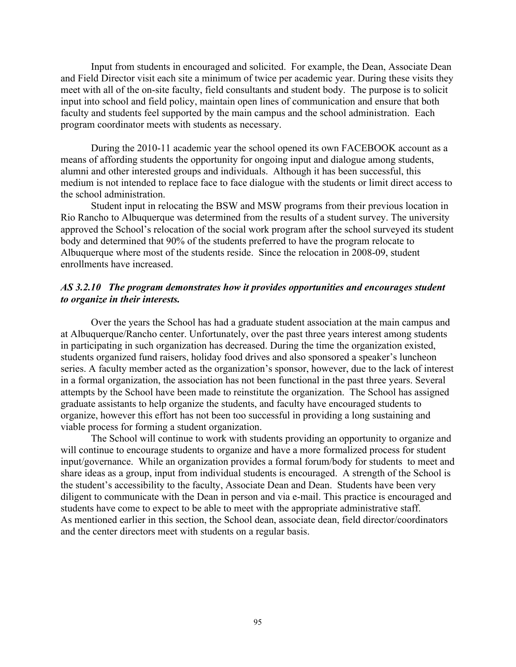Input from students in encouraged and solicited. For example, the Dean, Associate Dean and Field Director visit each site a minimum of twice per academic year. During these visits they meet with all of the on-site faculty, field consultants and student body. The purpose is to solicit input into school and field policy, maintain open lines of communication and ensure that both faculty and students feel supported by the main campus and the school administration. Each program coordinator meets with students as necessary.

During the 2010-11 academic year the school opened its own FACEBOOK account as a means of affording students the opportunity for ongoing input and dialogue among students, alumni and other interested groups and individuals. Although it has been successful, this medium is not intended to replace face to face dialogue with the students or limit direct access to the school administration.

Student input in relocating the BSW and MSW programs from their previous location in Rio Rancho to Albuquerque was determined from the results of a student survey. The university approved the School's relocation of the social work program after the school surveyed its student body and determined that 90% of the students preferred to have the program relocate to Albuquerque where most of the students reside. Since the relocation in 2008-09, student enrollments have increased.

### *AS 3.2.10 The program demonstrates how it provides opportunities and encourages student to organize in their interests.*

Over the years the School has had a graduate student association at the main campus and at Albuquerque/Rancho center. Unfortunately, over the past three years interest among students in participating in such organization has decreased. During the time the organization existed, students organized fund raisers, holiday food drives and also sponsored a speaker's luncheon series. A faculty member acted as the organization's sponsor, however, due to the lack of interest in a formal organization, the association has not been functional in the past three years. Several attempts by the School have been made to reinstitute the organization. The School has assigned graduate assistants to help organize the students, and faculty have encouraged students to organize, however this effort has not been too successful in providing a long sustaining and viable process for forming a student organization.

The School will continue to work with students providing an opportunity to organize and will continue to encourage students to organize and have a more formalized process for student input/governance. While an organization provides a formal forum/body for students to meet and share ideas as a group, input from individual students is encouraged. A strength of the School is the student's accessibility to the faculty, Associate Dean and Dean. Students have been very diligent to communicate with the Dean in person and via e-mail. This practice is encouraged and students have come to expect to be able to meet with the appropriate administrative staff. As mentioned earlier in this section, the School dean, associate dean, field director/coordinators and the center directors meet with students on a regular basis.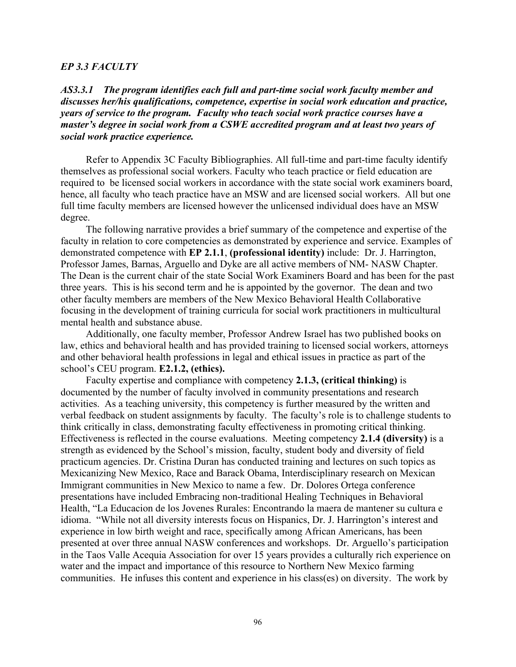#### *EP 3.3 FACULTY*

*AS3.3.1 The program identifies each full and part-time social work faculty member and discusses her/his qualifications, competence, expertise in social work education and practice, years of service to the program. Faculty who teach social work practice courses have a master's degree in social work from a CSWE accredited program and at least two years of social work practice experience.*

 Refer to Appendix 3C Faculty Bibliographies. All full-time and part-time faculty identify themselves as professional social workers. Faculty who teach practice or field education are required to be licensed social workers in accordance with the state social work examiners board, hence, all faculty who teach practice have an MSW and are licensed social workers. All but one full time faculty members are licensed however the unlicensed individual does have an MSW degree.

 The following narrative provides a brief summary of the competence and expertise of the faculty in relation to core competencies as demonstrated by experience and service. Examples of demonstrated competence with **EP 2.1.1**, **(professional identity)** include: Dr. J. Harrington, Professor James, Barnas, Arguello and Dyke are all active members of NM- NASW Chapter. The Dean is the current chair of the state Social Work Examiners Board and has been for the past three years. This is his second term and he is appointed by the governor. The dean and two other faculty members are members of the New Mexico Behavioral Health Collaborative focusing in the development of training curricula for social work practitioners in multicultural mental health and substance abuse.

 Additionally, one faculty member, Professor Andrew Israel has two published books on law, ethics and behavioral health and has provided training to licensed social workers, attorneys and other behavioral health professions in legal and ethical issues in practice as part of the school's CEU program. **E2.1.2, (ethics).**

 Faculty expertise and compliance with competency **2.1.3, (critical thinking)** is documented by the number of faculty involved in community presentations and research activities. As a teaching university, this competency is further measured by the written and verbal feedback on student assignments by faculty. The faculty's role is to challenge students to think critically in class, demonstrating faculty effectiveness in promoting critical thinking. Effectiveness is reflected in the course evaluations. Meeting competency **2.1.4 (diversity)** is a strength as evidenced by the School's mission, faculty, student body and diversity of field practicum agencies. Dr. Cristina Duran has conducted training and lectures on such topics as Mexicanizing New Mexico, Race and Barack Obama, Interdisciplinary research on Mexican Immigrant communities in New Mexico to name a few. Dr. Dolores Ortega conference presentations have included Embracing non-traditional Healing Techniques in Behavioral Health, "La Educacion de los Jovenes Rurales: Encontrando la maera de mantener su cultura e idioma. "While not all diversity interests focus on Hispanics, Dr. J. Harrington's interest and experience in low birth weight and race, specifically among African Americans, has been presented at over three annual NASW conferences and workshops. Dr. Arguello's participation in the Taos Valle Acequia Association for over 15 years provides a culturally rich experience on water and the impact and importance of this resource to Northern New Mexico farming communities. He infuses this content and experience in his class(es) on diversity. The work by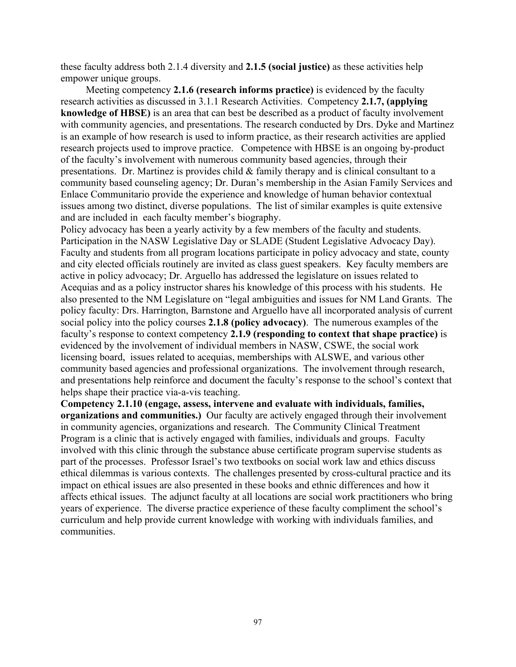these faculty address both 2.1.4 diversity and **2.1.5 (social justice)** as these activities help empower unique groups.

 Meeting competency **2.1.6 (research informs practice)** is evidenced by the faculty research activities as discussed in 3.1.1 Research Activities. Competency **2.1.7, (applying knowledge of HBSE)** is an area that can best be described as a product of faculty involvement with community agencies, and presentations. The research conducted by Drs. Dyke and Martinez is an example of how research is used to inform practice, as their research activities are applied research projects used to improve practice. Competence with HBSE is an ongoing by-product of the faculty's involvement with numerous community based agencies, through their presentations. Dr. Martinez is provides child & family therapy and is clinical consultant to a community based counseling agency; Dr. Duran's membership in the Asian Family Services and Enlace Communitario provide the experience and knowledge of human behavior contextual issues among two distinct, diverse populations. The list of similar examples is quite extensive and are included in each faculty member's biography.

Policy advocacy has been a yearly activity by a few members of the faculty and students. Participation in the NASW Legislative Day or SLADE (Student Legislative Advocacy Day). Faculty and students from all program locations participate in policy advocacy and state, county and city elected officials routinely are invited as class guest speakers. Key faculty members are active in policy advocacy; Dr. Arguello has addressed the legislature on issues related to Acequias and as a policy instructor shares his knowledge of this process with his students. He also presented to the NM Legislature on "legal ambiguities and issues for NM Land Grants. The policy faculty: Drs. Harrington, Barnstone and Arguello have all incorporated analysis of current social policy into the policy courses **2.1.8 (policy advocacy)**. The numerous examples of the faculty's response to context competency **2.1.9 (responding to context that shape practice)** is evidenced by the involvement of individual members in NASW, CSWE, the social work licensing board, issues related to acequias, memberships with ALSWE, and various other community based agencies and professional organizations. The involvement through research, and presentations help reinforce and document the faculty's response to the school's context that helps shape their practice via-a-vis teaching.

**Competency 2.1.10 (engage, assess, intervene and evaluate with individuals, families, organizations and communities.)** Our faculty are actively engaged through their involvement in community agencies, organizations and research. The Community Clinical Treatment Program is a clinic that is actively engaged with families, individuals and groups. Faculty involved with this clinic through the substance abuse certificate program supervise students as part of the processes. Professor Israel's two textbooks on social work law and ethics discuss ethical dilemmas is various contexts. The challenges presented by cross-cultural practice and its impact on ethical issues are also presented in these books and ethnic differences and how it affects ethical issues. The adjunct faculty at all locations are social work practitioners who bring years of experience. The diverse practice experience of these faculty compliment the school's curriculum and help provide current knowledge with working with individuals families, and communities.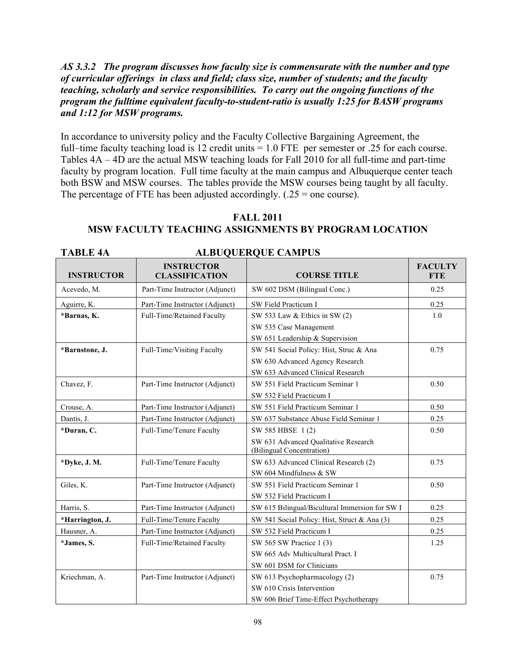## *AS 3.3.2 The program discusses how faculty size is commensurate with the number and type of curricular offerings in class and field; class size, number of students; and the faculty teaching, scholarly and service responsibilities. To carry out the ongoing functions of the program the fulltime equivalent faculty-to-student-ratio is usually 1:25 for BASW programs and 1:12 for MSW programs.*

In accordance to university policy and the Faculty Collective Bargaining Agreement, the full–time faculty teaching load is 12 credit units = 1.0 FTE per semester or .25 for each course. Tables 4A – 4D are the actual MSW teaching loads for Fall 2010 for all full-time and part-time faculty by program location. Full time faculty at the main campus and Albuquerque center teach both BSW and MSW courses. The tables provide the MSW courses being taught by all faculty. The percentage of FTE has been adjusted accordingly.  $(.25 = one course)$ .

## **FALL 2011 MSW FACULTY TEACHING ASSIGNMENTS BY PROGRAM LOCATION**

#### **TABLE 4A ALBUQUERQUE CAMPUS**

| <b>INSTRUCTOR</b> | <b>INSTRUCTOR</b><br><b>CLASSIFICATION</b> | <b>COURSE TITLE</b>                                               | <b>FACULTY</b><br><b>FTE</b> |  |
|-------------------|--------------------------------------------|-------------------------------------------------------------------|------------------------------|--|
| Acevedo, M.       | Part-Time Instructor (Adjunct)             | SW 602 DSM (Bilingual Conc.)                                      | 0.25                         |  |
| Aguirre, K.       | Part-Time Instructor (Adjunct)             | SW Field Practicum I                                              | 0.25                         |  |
| *Barnas, K.       | Full-Time/Retained Faculty                 | SW 533 Law & Ethics in SW (2)                                     | 1.0                          |  |
|                   |                                            | SW 535 Case Management                                            |                              |  |
|                   |                                            | SW 651 Leadership & Supervision                                   |                              |  |
| *Barnstone, J.    | Full-Time/Visiting Faculty                 | SW 541 Social Policy: Hist, Struc & Ana                           | 0.75                         |  |
|                   |                                            | SW 630 Advanced Agency Research                                   |                              |  |
|                   |                                            | SW 633 Advanced Clinical Research                                 |                              |  |
| Chavez, F.        | Part-Time Instructor (Adjunct)             | SW 551 Field Practicum Seminar 1                                  | 0.50                         |  |
|                   |                                            | SW 532 Field Practicum I                                          |                              |  |
| Crouse, A.        | Part-Time Instructor (Adjunct)             | SW 551 Field Practicum Seminar 1                                  | 0.50                         |  |
| Dantis, J.        | Part-Time Instructor (Adjunct)             | SW 637 Substance Abuse Field Seminar 1                            | 0.25                         |  |
| *Duran, C.        | Full-Time/Tenure Faculty                   | SW 585 HBSE 1(2)                                                  | 0.50                         |  |
|                   |                                            | SW 631 Advanced Qualitative Research<br>(Bilingual Concentration) |                              |  |
| *Dyke, J. M.      | Full-Time/Tenure Faculty                   | SW 633 Advanced Clinical Research (2)                             | 0.75                         |  |
|                   |                                            | SW 604 Mindfulness & SW                                           |                              |  |
| Giles, K.         | Part-Time Instructor (Adjunct)             | SW 551 Field Practicum Seminar 1                                  | 0.50                         |  |
|                   |                                            | SW 532 Field Practicum I                                          |                              |  |
| Harris, S.        | Part-Time Instructor (Adjunct)             | SW 615 Bilingual/Bicultural Immersion for SW I                    | 0.25                         |  |
| *Harrington, J.   | Full-Time/Tenure Faculty                   | SW 541 Social Policy: Hist, Struct & Ana (3)                      | 0.25                         |  |
| Hausner, A.       | Part-Time Instructor (Adjunct)             | SW 532 Field Practicum I                                          | 0.25                         |  |
| *James, S.        | Full-Time/Retained Faculty                 | SW 565 SW Practice 1 (3)                                          | 1.25                         |  |
|                   |                                            | SW 665 Adv Multicultural Pract. I                                 |                              |  |
|                   |                                            | SW 601 DSM for Clinicians                                         |                              |  |
| Kriechman, A.     | Part-Time Instructor (Adjunct)             | SW 613 Psychopharmacology (2)                                     | 0.75                         |  |
|                   |                                            | SW 610 Crisis Intervention                                        |                              |  |
|                   |                                            | SW 606 Brief Time-Effect Psychotherapy                            |                              |  |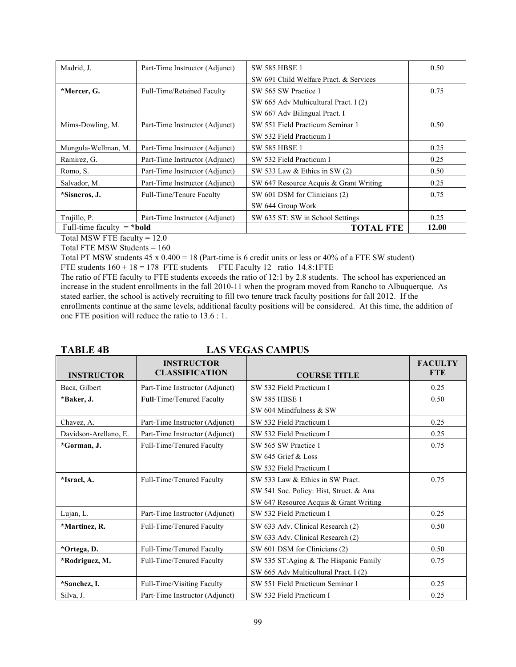| Madrid, J.                          | Part-Time Instructor (Adjunct) | <b>SW 585 HBSE 1</b>                   | 0.50  |
|-------------------------------------|--------------------------------|----------------------------------------|-------|
|                                     |                                | SW 691 Child Welfare Pract. & Services |       |
| *Mercer, G.                         | Full-Time/Retained Faculty     | SW 565 SW Practice 1                   | 0.75  |
|                                     |                                | SW 665 Adv Multicultural Pract. I (2)  |       |
|                                     |                                | SW 667 Adv Bilingual Pract. I          |       |
| Mims-Dowling, M.                    | Part-Time Instructor (Adjunct) | SW 551 Field Practicum Seminar 1       | 0.50  |
|                                     |                                | SW 532 Field Practicum I               |       |
| Mungula-Wellman, M.                 | Part-Time Instructor (Adjunct) | <b>SW 585 HBSE 1</b>                   | 0.25  |
| Ramirez, G.                         | Part-Time Instructor (Adjunct) | SW 532 Field Practicum I               | 0.25  |
| Romo, S.                            | Part-Time Instructor (Adjunct) | SW 533 Law & Ethics in SW (2)          | 0.50  |
| Salvador, M.                        | Part-Time Instructor (Adjunct) | SW 647 Resource Acquis & Grant Writing | 0.25  |
| *Sisneros, J.                       | Full-Time/Tenure Faculty       | SW 601 DSM for Clinicians (2)          | 0.75  |
|                                     |                                | SW 644 Group Work                      |       |
| Trujillo, P.                        | Part-Time Instructor (Adjunct) | SW 635 ST: SW in School Settings       | 0.25  |
| Full-time faculty $= *$ <b>bold</b> |                                | <b>TOTAL FTE</b>                       | 12.00 |

Total MSW FTE faculty = 12.0

Total FTE MSW Students = 160

Total PT MSW students 45 x 0.400 = 18 (Part-time is 6 credit units or less or 40% of a FTE SW student) FTE students  $160 + 18 = 178$  FTE students FTE Faculty 12 ratio 14.8:1FTE

The ratio of FTE faculty to FTE students exceeds the ratio of 12:1 by 2.8 students. The school has experienced an increase in the student enrollments in the fall 2010-11 when the program moved from Rancho to Albuquerque. As stated earlier, the school is actively recruiting to fill two tenure track faculty positions for fall 2012. If the enrollments continue at the same levels, additional faculty positions will be considered. At this time, the addition of one FTE position will reduce the ratio to 13.6 : 1.

#### TABLE 4B LAS VEGAS CAMPUS

| <b>INSTRUCTOR</b>     | <b>INSTRUCTOR</b><br><b>CLASSIFICATION</b> | <b>COURSE TITLE</b>                     | <b>FACULTY</b><br><b>FTE</b> |
|-----------------------|--------------------------------------------|-----------------------------------------|------------------------------|
| Baca, Gilbert         | Part-Time Instructor (Adjunct)             | SW 532 Field Practicum I                | 0.25                         |
| *Baker, J.            | <b>Full-Time/Tenured Faculty</b>           | <b>SW 585 HBSE 1</b>                    | 0.50                         |
|                       |                                            | SW 604 Mindfulness & SW                 |                              |
| Chavez, A.            | Part-Time Instructor (Adjunct)             | SW 532 Field Practicum I                | 0.25                         |
| Davidson-Arellano, E. | Part-Time Instructor (Adjunct)             | SW 532 Field Practicum I                | 0.25                         |
| *Gorman, J.           | Full-Time/Tenured Faculty                  | SW 565 SW Practice 1                    | 0.75                         |
|                       |                                            | SW 645 Grief & Loss                     |                              |
|                       |                                            | SW 532 Field Practicum I                |                              |
| *Israel, A.           | Full-Time/Tenured Faculty                  | SW 533 Law & Ethics in SW Pract.        | 0.75                         |
|                       |                                            | SW 541 Soc. Policy: Hist, Struct. & Ana |                              |
|                       |                                            | SW 647 Resource Acquis & Grant Writing  |                              |
| Lujan, L.             | Part-Time Instructor (Adjunct)             | SW 532 Field Practicum I                | 0.25                         |
| *Martinez, R.         | Full-Time/Tenured Faculty                  | SW 633 Adv. Clinical Research (2)       | 0.50                         |
|                       |                                            | SW 633 Adv. Clinical Research (2)       |                              |
| *Ortega, D.           | Full-Time/Tenured Faculty                  | SW 601 DSM for Clinicians (2)           | 0.50                         |
| *Rodriguez, M.        | Full-Time/Tenured Faculty                  | SW 535 ST:Aging & The Hispanic Family   | 0.75                         |
|                       |                                            | SW 665 Adv Multicultural Pract. I (2)   |                              |
| *Sanchez, I.          | Full-Time/Visiting Faculty                 | SW 551 Field Practicum Seminar 1        | 0.25                         |
| Silva, J.             | Part-Time Instructor (Adjunct)             | SW 532 Field Practicum I                | 0.25                         |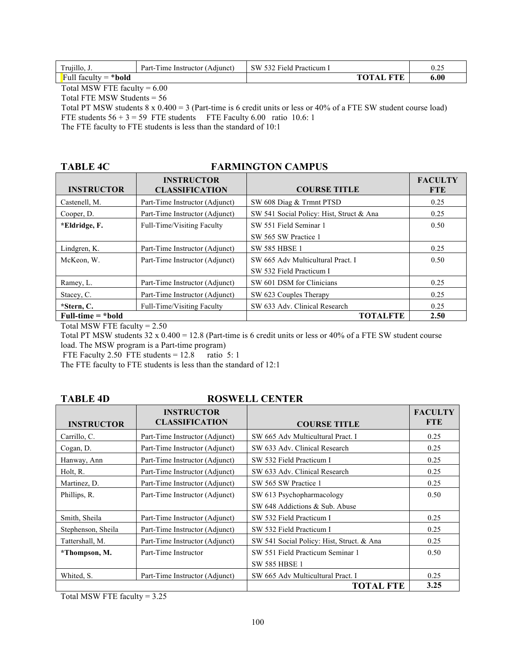| Trujillo, J.<br>$\sim$  | Part-<br>-Time Instructor (Adjunct) | SW 532 Field Practicum |                  | U.Z. |
|-------------------------|-------------------------------------|------------------------|------------------|------|
| Full faculty $= *$ bold |                                     |                        | <b>TOTAL FTE</b> | 6.00 |

Total MSW FTE faculty  $= 6.00$ 

Total FTE MSW Students = 56

Total PT MSW students 8 x 0.400 = 3 (Part-time is 6 credit units or less or 40% of a FTE SW student course load) FTE students  $56 + 3 = 59$  FTE students FTE Faculty 6.00 ratio 10.6: 1

The FTE faculty to FTE students is less than the standard of 10:1

#### TABLE 4C FARMINGTON CAMPUS

| <b>INSTRUCTOR</b>    | <b>INSTRUCTOR</b><br><b>CLASSIFICATION</b> | <b>COURSE TITLE</b>                      | <b>FACULTY</b><br><b>FTE</b> |
|----------------------|--------------------------------------------|------------------------------------------|------------------------------|
| Castenell, M.        | Part-Time Instructor (Adjunct)             | SW 608 Diag & Trmnt PTSD                 | 0.25                         |
| Cooper, D.           | Part-Time Instructor (Adjunct)             | SW 541 Social Policy: Hist, Struct & Ana | 0.25                         |
| *Eldridge, F.        | Full-Time/Visiting Faculty                 | SW 551 Field Seminar 1                   | 0.50                         |
|                      |                                            | SW 565 SW Practice 1                     |                              |
| Lindgren, K.         | Part-Time Instructor (Adjunct)             | <b>SW 585 HBSE 1</b>                     | 0.25                         |
| McKeon, W.           | Part-Time Instructor (Adjunct)             | SW 665 Adv Multicultural Pract. I        | 0.50                         |
|                      |                                            | SW 532 Field Practicum I                 |                              |
| Ramey, L.            | Part-Time Instructor (Adjunct)             | SW 601 DSM for Clinicians                | 0.25                         |
| Stacey, C.           | Part-Time Instructor (Adjunct)             | SW 623 Couples Therapy                   | 0.25                         |
| *Stern, C.           | Full-Time/Visiting Faculty                 | SW 633 Adv. Clinical Research            | 0.25                         |
| Full-time $= *$ bold |                                            | <b>TOTALFTE</b>                          | 2.50                         |

Total MSW FTE faculty = 2.50

Total PT MSW students 32 x 0.400 = 12.8 (Part-time is 6 credit units or less or 40% of a FTE SW student course load. The MSW program is a Part-time program)

FTE Faculty 2.50 FTE students =  $12.8$  ratio 5: 1

The FTE faculty to FTE students is less than the standard of 12:1

#### TABLE 4D ROSWELL CENTER

| <b>INSTRUCTOR</b>  | <b>INSTRUCTOR</b><br><b>CLASSIFICATION</b> | <b>COURSE TITLE</b>                       | <b>FACULTY</b><br><b>FTE</b> |
|--------------------|--------------------------------------------|-------------------------------------------|------------------------------|
| Carrillo, C.       | Part-Time Instructor (Adjunct)             | SW 665 Adv Multicultural Pract. I         | 0.25                         |
| Cogan, D.          | Part-Time Instructor (Adjunct)             | SW 633 Adv. Clinical Research             | 0.25                         |
| Hanway, Ann        | Part-Time Instructor (Adjunct)             | SW 532 Field Practicum I                  | 0.25                         |
| Holt, R.           | Part-Time Instructor (Adjunct)             | SW 633 Adv. Clinical Research             | 0.25                         |
| Martinez, D.       | Part-Time Instructor (Adjunct)             | SW 565 SW Practice 1                      | 0.25                         |
| Phillips, R.       | Part-Time Instructor (Adjunct)             | SW 613 Psychopharmacology                 | 0.50                         |
|                    |                                            | SW 648 Addictions & Sub. Abuse            |                              |
| Smith, Sheila      | Part-Time Instructor (Adjunct)             | SW 532 Field Practicum I                  | 0.25                         |
| Stephenson, Sheila | Part-Time Instructor (Adjunct)             | SW 532 Field Practicum I                  | 0.25                         |
| Tattershall, M.    | Part-Time Instructor (Adjunct)             | SW 541 Social Policy: Hist, Struct. & Ana | 0.25                         |
| *Thompson, M.      | Part-Time Instructor                       | SW 551 Field Practicum Seminar 1          | 0.50                         |
|                    |                                            | <b>SW 585 HBSE 1</b>                      |                              |
| Whited, S.         | Part-Time Instructor (Adjunct)             | SW 665 Adv Multicultural Pract. I         | 0.25                         |
|                    |                                            | TOTAL FTE                                 | 3.25                         |

Total MSW FTE faculty = 3.25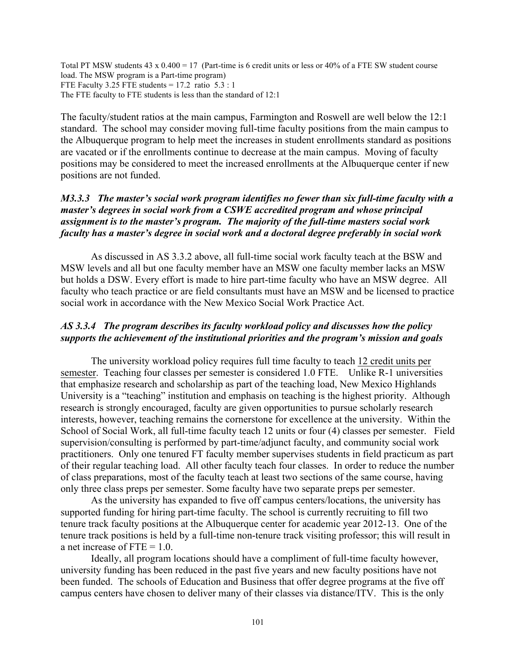Total PT MSW students  $43 \times 0.400 = 17$  (Part-time is 6 credit units or less or  $40\%$  of a FTE SW student course load. The MSW program is a Part-time program) FTE Faculty 3.25 FTE students =  $17.2$  ratio  $5.3:1$ The FTE faculty to FTE students is less than the standard of 12:1

The faculty/student ratios at the main campus, Farmington and Roswell are well below the 12:1 standard. The school may consider moving full-time faculty positions from the main campus to the Albuquerque program to help meet the increases in student enrollments standard as positions are vacated or if the enrollments continue to decrease at the main campus. Moving of faculty positions may be considered to meet the increased enrollments at the Albuquerque center if new positions are not funded.

## *M3.3.3 The master's social work program identifies no fewer than six full-time faculty with a master's degrees in social work from a CSWE accredited program and whose principal assignment is to the master's program. The majority of the full-time masters social work faculty has a master's degree in social work and a doctoral degree preferably in social work*

As discussed in AS 3.3.2 above, all full-time social work faculty teach at the BSW and MSW levels and all but one faculty member have an MSW one faculty member lacks an MSW but holds a DSW. Every effort is made to hire part-time faculty who have an MSW degree. All faculty who teach practice or are field consultants must have an MSW and be licensed to practice social work in accordance with the New Mexico Social Work Practice Act.

# *AS 3.3.4 The program describes its faculty workload policy and discusses how the policy supports the achievement of the institutional priorities and the program's mission and goals*

The university workload policy requires full time faculty to teach 12 credit units per semester. Teaching four classes per semester is considered 1.0 FTE. Unlike R-1 universities that emphasize research and scholarship as part of the teaching load, New Mexico Highlands University is a "teaching" institution and emphasis on teaching is the highest priority. Although research is strongly encouraged, faculty are given opportunities to pursue scholarly research interests, however, teaching remains the cornerstone for excellence at the university. Within the School of Social Work, all full-time faculty teach 12 units or four (4) classes per semester. Field supervision/consulting is performed by part-time/adjunct faculty, and community social work practitioners. Only one tenured FT faculty member supervises students in field practicum as part of their regular teaching load. All other faculty teach four classes. In order to reduce the number of class preparations, most of the faculty teach at least two sections of the same course, having only three class preps per semester. Some faculty have two separate preps per semester.

As the university has expanded to five off campus centers/locations, the university has supported funding for hiring part-time faculty. The school is currently recruiting to fill two tenure track faculty positions at the Albuquerque center for academic year 2012-13. One of the tenure track positions is held by a full-time non-tenure track visiting professor; this will result in a net increase of FTE = 1.0.

Ideally, all program locations should have a compliment of full-time faculty however, university funding has been reduced in the past five years and new faculty positions have not been funded. The schools of Education and Business that offer degree programs at the five off campus centers have chosen to deliver many of their classes via distance/ITV. This is the only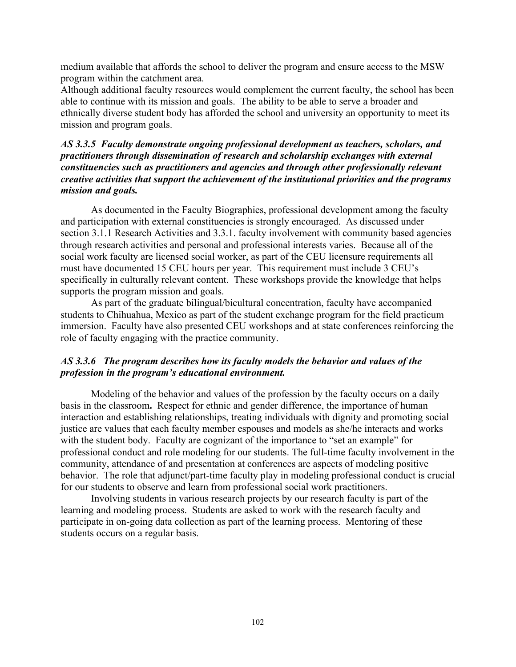medium available that affords the school to deliver the program and ensure access to the MSW program within the catchment area.

Although additional faculty resources would complement the current faculty, the school has been able to continue with its mission and goals. The ability to be able to serve a broader and ethnically diverse student body has afforded the school and university an opportunity to meet its mission and program goals.

# *AS 3.3.5 Faculty demonstrate ongoing professional development as teachers, scholars, and practitioners through dissemination of research and scholarship exchanges with external constituencies such as practitioners and agencies and through other professionally relevant creative activities that support the achievement of the institutional priorities and the programs mission and goals.*

As documented in the Faculty Biographies, professional development among the faculty and participation with external constituencies is strongly encouraged. As discussed under section 3.1.1 Research Activities and 3.3.1. faculty involvement with community based agencies through research activities and personal and professional interests varies. Because all of the social work faculty are licensed social worker, as part of the CEU licensure requirements all must have documented 15 CEU hours per year. This requirement must include 3 CEU's specifically in culturally relevant content. These workshops provide the knowledge that helps supports the program mission and goals.

As part of the graduate bilingual/bicultural concentration, faculty have accompanied students to Chihuahua, Mexico as part of the student exchange program for the field practicum immersion. Faculty have also presented CEU workshops and at state conferences reinforcing the role of faculty engaging with the practice community.

# *AS 3.3.6 The program describes how its faculty models the behavior and values of the profession in the program's educational environment.*

Modeling of the behavior and values of the profession by the faculty occurs on a daily basis in the classroom**.** Respect for ethnic and gender difference, the importance of human interaction and establishing relationships, treating individuals with dignity and promoting social justice are values that each faculty member espouses and models as she/he interacts and works with the student body. Faculty are cognizant of the importance to "set an example" for professional conduct and role modeling for our students. The full-time faculty involvement in the community, attendance of and presentation at conferences are aspects of modeling positive behavior. The role that adjunct/part-time faculty play in modeling professional conduct is crucial for our students to observe and learn from professional social work practitioners.

Involving students in various research projects by our research faculty is part of the learning and modeling process. Students are asked to work with the research faculty and participate in on-going data collection as part of the learning process. Mentoring of these students occurs on a regular basis.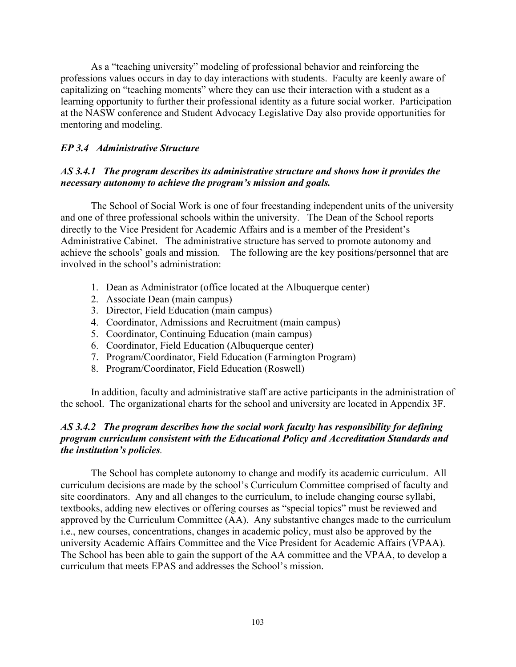As a "teaching university" modeling of professional behavior and reinforcing the professions values occurs in day to day interactions with students. Faculty are keenly aware of capitalizing on "teaching moments" where they can use their interaction with a student as a learning opportunity to further their professional identity as a future social worker. Participation at the NASW conference and Student Advocacy Legislative Day also provide opportunities for mentoring and modeling.

# *EP 3.4 Administrative Structure*

# *AS 3.4.1 The program describes its administrative structure and shows how it provides the necessary autonomy to achieve the program's mission and goals.*

The School of Social Work is one of four freestanding independent units of the university and one of three professional schools within the university. The Dean of the School reports directly to the Vice President for Academic Affairs and is a member of the President's Administrative Cabinet. The administrative structure has served to promote autonomy and achieve the schools' goals and mission. The following are the key positions/personnel that are involved in the school's administration:

- 1. Dean as Administrator (office located at the Albuquerque center)
- 2. Associate Dean (main campus)
- 3. Director, Field Education (main campus)
- 4. Coordinator, Admissions and Recruitment (main campus)
- 5. Coordinator, Continuing Education (main campus)
- 6. Coordinator, Field Education (Albuquerque center)
- 7. Program/Coordinator, Field Education (Farmington Program)
- 8. Program/Coordinator, Field Education (Roswell)

In addition, faculty and administrative staff are active participants in the administration of the school. The organizational charts for the school and university are located in Appendix 3F.

## *AS 3.4.2 The program describes how the social work faculty has responsibility for defining program curriculum consistent with the Educational Policy and Accreditation Standards and the institution's policies.*

The School has complete autonomy to change and modify its academic curriculum. All curriculum decisions are made by the school's Curriculum Committee comprised of faculty and site coordinators. Any and all changes to the curriculum, to include changing course syllabi, textbooks, adding new electives or offering courses as "special topics" must be reviewed and approved by the Curriculum Committee (AA). Any substantive changes made to the curriculum i.e., new courses, concentrations, changes in academic policy, must also be approved by the university Academic Affairs Committee and the Vice President for Academic Affairs (VPAA). The School has been able to gain the support of the AA committee and the VPAA, to develop a curriculum that meets EPAS and addresses the School's mission.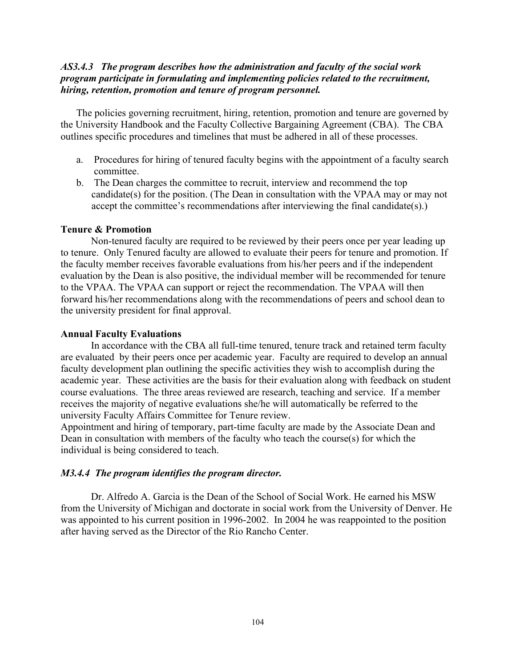## *AS3.4.3 The program describes how the administration and faculty of the social work program participate in formulating and implementing policies related to the recruitment, hiring, retention, promotion and tenure of program personnel.*

The policies governing recruitment, hiring, retention, promotion and tenure are governed by the University Handbook and the Faculty Collective Bargaining Agreement (CBA). The CBA outlines specific procedures and timelines that must be adhered in all of these processes.

- a. Procedures for hiring of tenured faculty begins with the appointment of a faculty search committee.
- b. The Dean charges the committee to recruit, interview and recommend the top candidate(s) for the position. (The Dean in consultation with the VPAA may or may not accept the committee's recommendations after interviewing the final candidate(s).)

## **Tenure & Promotion**

Non-tenured faculty are required to be reviewed by their peers once per year leading up to tenure. Only Tenured faculty are allowed to evaluate their peers for tenure and promotion. If the faculty member receives favorable evaluations from his/her peers and if the independent evaluation by the Dean is also positive, the individual member will be recommended for tenure to the VPAA. The VPAA can support or reject the recommendation. The VPAA will then forward his/her recommendations along with the recommendations of peers and school dean to the university president for final approval.

#### **Annual Faculty Evaluations**

In accordance with the CBA all full-time tenured, tenure track and retained term faculty are evaluated by their peers once per academic year. Faculty are required to develop an annual faculty development plan outlining the specific activities they wish to accomplish during the academic year. These activities are the basis for their evaluation along with feedback on student course evaluations. The three areas reviewed are research, teaching and service. If a member receives the majority of negative evaluations she/he will automatically be referred to the university Faculty Affairs Committee for Tenure review.

Appointment and hiring of temporary, part-time faculty are made by the Associate Dean and Dean in consultation with members of the faculty who teach the course(s) for which the individual is being considered to teach.

## *M3.4.4 The program identifies the program director.*

Dr. Alfredo A. Garcia is the Dean of the School of Social Work. He earned his MSW from the University of Michigan and doctorate in social work from the University of Denver. He was appointed to his current position in 1996-2002. In 2004 he was reappointed to the position after having served as the Director of the Rio Rancho Center.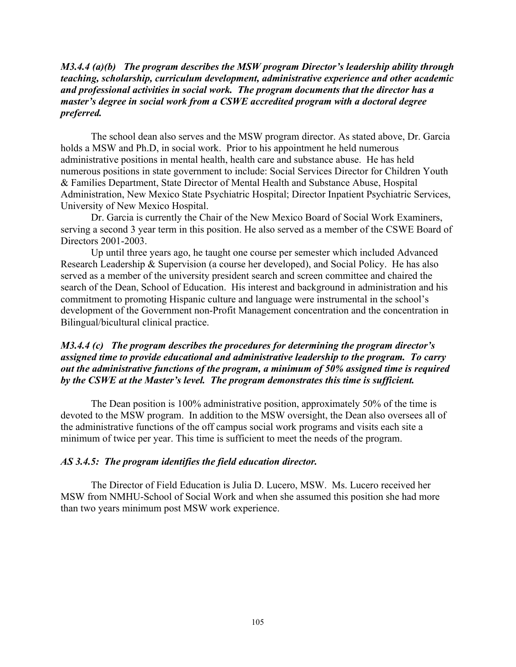## *M3.4.4 (a)(b) The program describes the MSW program Director's leadership ability through teaching, scholarship, curriculum development, administrative experience and other academic and professional activities in social work. The program documents that the director has a master's degree in social work from a CSWE accredited program with a doctoral degree preferred.*

The school dean also serves and the MSW program director. As stated above, Dr. Garcia holds a MSW and Ph.D, in social work. Prior to his appointment he held numerous administrative positions in mental health, health care and substance abuse. He has held numerous positions in state government to include: Social Services Director for Children Youth & Families Department, State Director of Mental Health and Substance Abuse, Hospital Administration, New Mexico State Psychiatric Hospital; Director Inpatient Psychiatric Services, University of New Mexico Hospital.

Dr. Garcia is currently the Chair of the New Mexico Board of Social Work Examiners, serving a second 3 year term in this position. He also served as a member of the CSWE Board of Directors 2001-2003.

Up until three years ago, he taught one course per semester which included Advanced Research Leadership & Supervision (a course her developed), and Social Policy. He has also served as a member of the university president search and screen committee and chaired the search of the Dean, School of Education. His interest and background in administration and his commitment to promoting Hispanic culture and language were instrumental in the school's development of the Government non-Profit Management concentration and the concentration in Bilingual/bicultural clinical practice.

## *M3.4.4 (c) The program describes the procedures for determining the program director's assigned time to provide educational and administrative leadership to the program. To carry out the administrative functions of the program, a minimum of 50% assigned time is required by the CSWE at the Master's level. The program demonstrates this time is sufficient.*

The Dean position is 100% administrative position, approximately 50% of the time is devoted to the MSW program. In addition to the MSW oversight, the Dean also oversees all of the administrative functions of the off campus social work programs and visits each site a minimum of twice per year. This time is sufficient to meet the needs of the program.

## *AS 3.4.5: The program identifies the field education director.*

The Director of Field Education is Julia D. Lucero, MSW. Ms. Lucero received her MSW from NMHU-School of Social Work and when she assumed this position she had more than two years minimum post MSW work experience.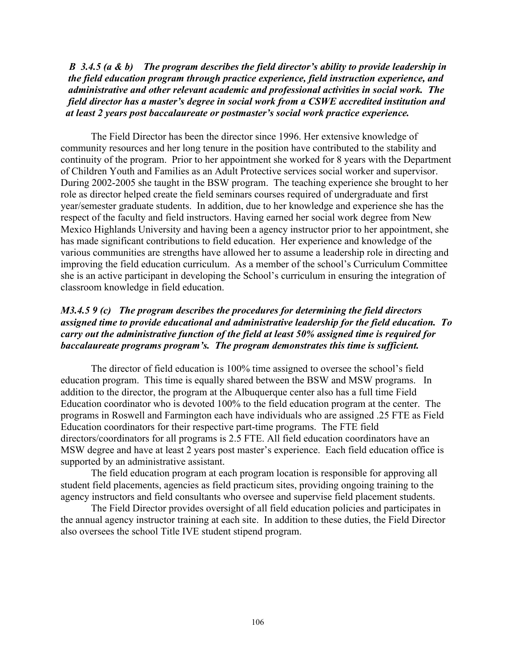*B 3.4.5 (a & b) The program describes the field director's ability to provide leadership in the field education program through practice experience, field instruction experience, and administrative and other relevant academic and professional activities in social work. The field director has a master's degree in social work from a CSWE accredited institution and at least 2 years post baccalaureate or postmaster's social work practice experience.*

The Field Director has been the director since 1996. Her extensive knowledge of community resources and her long tenure in the position have contributed to the stability and continuity of the program. Prior to her appointment she worked for 8 years with the Department of Children Youth and Families as an Adult Protective services social worker and supervisor. During 2002-2005 she taught in the BSW program. The teaching experience she brought to her role as director helped create the field seminars courses required of undergraduate and first year/semester graduate students. In addition, due to her knowledge and experience she has the respect of the faculty and field instructors. Having earned her social work degree from New Mexico Highlands University and having been a agency instructor prior to her appointment, she has made significant contributions to field education. Her experience and knowledge of the various communities are strengths have allowed her to assume a leadership role in directing and improving the field education curriculum. As a member of the school's Curriculum Committee she is an active participant in developing the School's curriculum in ensuring the integration of classroom knowledge in field education.

## *M3.4.5 9 (c) The program describes the procedures for determining the field directors assigned time to provide educational and administrative leadership for the field education. To carry out the administrative function of the field at least 50% assigned time is required for baccalaureate programs program's. The program demonstrates this time is sufficient.*

The director of field education is 100% time assigned to oversee the school's field education program. This time is equally shared between the BSW and MSW programs. In addition to the director, the program at the Albuquerque center also has a full time Field Education coordinator who is devoted 100% to the field education program at the center. The programs in Roswell and Farmington each have individuals who are assigned .25 FTE as Field Education coordinators for their respective part-time programs. The FTE field directors/coordinators for all programs is 2.5 FTE. All field education coordinators have an MSW degree and have at least 2 years post master's experience. Each field education office is supported by an administrative assistant.

The field education program at each program location is responsible for approving all student field placements, agencies as field practicum sites, providing ongoing training to the agency instructors and field consultants who oversee and supervise field placement students.

The Field Director provides oversight of all field education policies and participates in the annual agency instructor training at each site. In addition to these duties, the Field Director also oversees the school Title IVE student stipend program.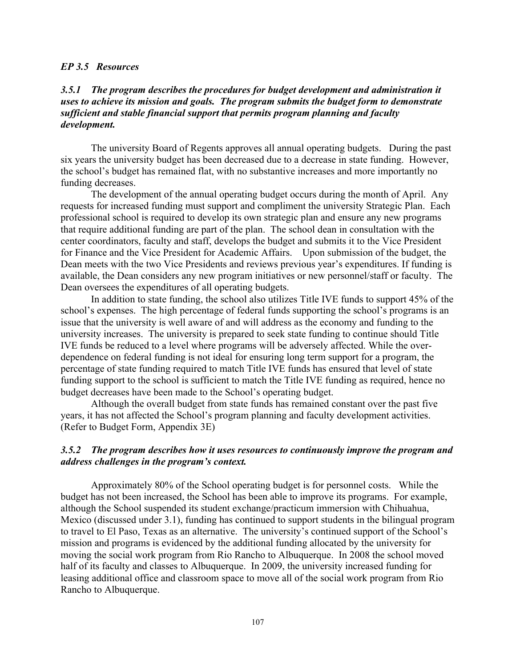#### *EP 3.5 Resources*

## *3.5.1 The program describes the procedures for budget development and administration it uses to achieve its mission and goals. The program submits the budget form to demonstrate sufficient and stable financial support that permits program planning and faculty development.*

The university Board of Regents approves all annual operating budgets. During the past six years the university budget has been decreased due to a decrease in state funding. However, the school's budget has remained flat, with no substantive increases and more importantly no funding decreases.

The development of the annual operating budget occurs during the month of April. Any requests for increased funding must support and compliment the university Strategic Plan. Each professional school is required to develop its own strategic plan and ensure any new programs that require additional funding are part of the plan. The school dean in consultation with the center coordinators, faculty and staff, develops the budget and submits it to the Vice President for Finance and the Vice President for Academic Affairs. Upon submission of the budget, the Dean meets with the two Vice Presidents and reviews previous year's expenditures. If funding is available, the Dean considers any new program initiatives or new personnel/staff or faculty. The Dean oversees the expenditures of all operating budgets.

In addition to state funding, the school also utilizes Title IVE funds to support 45% of the school's expenses. The high percentage of federal funds supporting the school's programs is an issue that the university is well aware of and will address as the economy and funding to the university increases. The university is prepared to seek state funding to continue should Title IVE funds be reduced to a level where programs will be adversely affected. While the overdependence on federal funding is not ideal for ensuring long term support for a program, the percentage of state funding required to match Title IVE funds has ensured that level of state funding support to the school is sufficient to match the Title IVE funding as required, hence no budget decreases have been made to the School's operating budget.

Although the overall budget from state funds has remained constant over the past five years, it has not affected the School's program planning and faculty development activities. (Refer to Budget Form, Appendix 3E)

### *3.5.2 The program describes how it uses resources to continuously improve the program and address challenges in the program's context.*

Approximately 80% of the School operating budget is for personnel costs. While the budget has not been increased, the School has been able to improve its programs. For example, although the School suspended its student exchange/practicum immersion with Chihuahua, Mexico (discussed under 3.1), funding has continued to support students in the bilingual program to travel to El Paso, Texas as an alternative. The university's continued support of the School's mission and programs is evidenced by the additional funding allocated by the university for moving the social work program from Rio Rancho to Albuquerque. In 2008 the school moved half of its faculty and classes to Albuquerque. In 2009, the university increased funding for leasing additional office and classroom space to move all of the social work program from Rio Rancho to Albuquerque.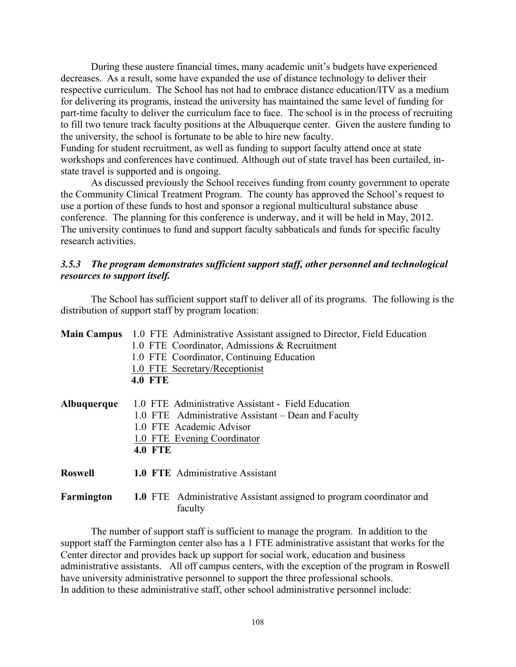During these austere financial times, many academic unit's budgets have experienced decreases. As a result, some have expanded the use of distance technology to deliver their respective curriculum. The School has not had to embrace distance education/ITV as a medium for delivering its programs, instead the university has maintained the same level of funding for part-time faculty to deliver the curriculum face to face. The school is in the process of recruiting to fill two tenure track faculty positions at the Albuquerque center. Given the austere funding to the university, the school is fortunate to be able to hire new faculty. Funding for student recruitment, as well as funding to support faculty attend once at state

workshops and conferences have continued. Although out of state travel has been curtailed, instate travel is supported and is ongoing.

As discussed previously the School receives funding from county government to operate the Community Clinical Treatment Program. The county has approved the School's request to use a portion of these funds to host and sponsor a regional multicultural substance abuse conference. The planning for this conference is underway, and it will be held in May, 2012. The university continues to fund and support faculty sabbaticals and funds for specific faculty research activities.

## *3.5.3 The program demonstrates sufficient support staff, other personnel and technological resources to support itself.*

The School has sufficient support staff to deliver all of its programs. The following is the distribution of support staff by program location:

| <b>Main Campus</b> | 1.0 FTE Administrative Assistant assigned to Director, Field Education<br>1.0 FTE Coordinator, Admissions & Recruitment<br>1.0 FTE Coordinator, Continuing Education<br>1.0 FTE Secretary/Receptionist<br><b>4.0 FTE</b> |
|--------------------|--------------------------------------------------------------------------------------------------------------------------------------------------------------------------------------------------------------------------|
| Albuquerque        | 1.0 FTE Administrative Assistant - Field Education<br>1.0 FTE Administrative Assistant – Dean and Faculty<br>1.0 FTE Academic Advisor<br>1.0 FTE Evening Coordinator<br><b>4.0 FTE</b>                                   |
| <b>Roswell</b>     | <b>1.0 FTE</b> Administrative Assistant                                                                                                                                                                                  |
| Farmington         | <b>1.0</b> FTE Administrative Assistant assigned to program coordinator and<br>faculty                                                                                                                                   |

The number of support staff is sufficient to manage the program. In addition to the support staff the Farmington center also has a 1 FTE administrative assistant that works for the Center director and provides back up support for social work, education and business administrative assistants. All off campus centers, with the exception of the program in Roswell have university administrative personnel to support the three professional schools. In addition to these administrative staff, other school administrative personnel include: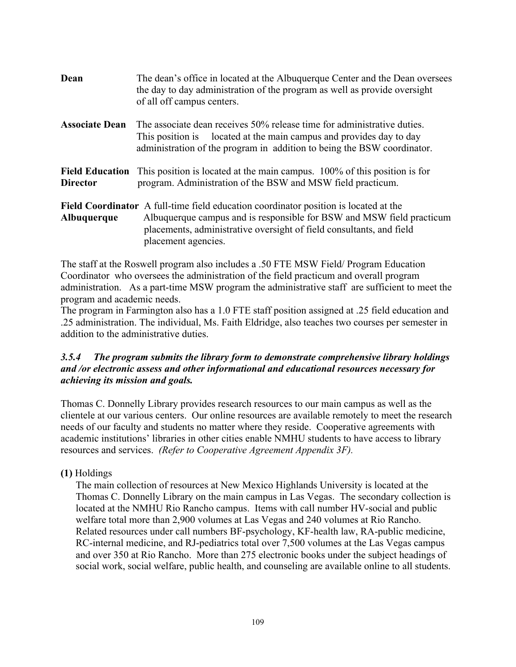| Dean                                      | The dean's office in located at the Albuquerque Center and the Dean oversees<br>the day to day administration of the program as well as provide oversight<br>of all off campus centers.                                                                             |
|-------------------------------------------|---------------------------------------------------------------------------------------------------------------------------------------------------------------------------------------------------------------------------------------------------------------------|
| <b>Associate Dean</b>                     | The associate dean receives 50% release time for administrative duties.<br>This position is located at the main campus and provides day to day<br>administration of the program in addition to being the BSW coordinator.                                           |
| <b>Field Education</b><br><b>Director</b> | This position is located at the main campus. 100% of this position is for<br>program. Administration of the BSW and MSW field practicum.                                                                                                                            |
| Albuquerque                               | <b>Field Coordinator</b> A full-time field education coordinator position is located at the<br>Albuquerque campus and is responsible for BSW and MSW field practicum<br>placements, administrative oversight of field consultants, and field<br>placement agencies. |

The staff at the Roswell program also includes a .50 FTE MSW Field/ Program Education Coordinator who oversees the administration of the field practicum and overall program administration. As a part-time MSW program the administrative staff are sufficient to meet the program and academic needs.

The program in Farmington also has a 1.0 FTE staff position assigned at .25 field education and .25 administration. The individual, Ms. Faith Eldridge, also teaches two courses per semester in addition to the administrative duties.

# *3.5.4 The program submits the library form to demonstrate comprehensive library holdings and /or electronic assess and other informational and educational resources necessary for achieving its mission and goals.*

Thomas C. Donnelly Library provides research resources to our main campus as well as the clientele at our various centers. Our online resources are available remotely to meet the research needs of our faculty and students no matter where they reside. Cooperative agreements with academic institutions' libraries in other cities enable NMHU students to have access to library resources and services. *(Refer to Cooperative Agreement Appendix 3F).*

# **(1)** Holdings

The main collection of resources at New Mexico Highlands University is located at the Thomas C. Donnelly Library on the main campus in Las Vegas. The secondary collection is located at the NMHU Rio Rancho campus. Items with call number HV-social and public welfare total more than 2,900 volumes at Las Vegas and 240 volumes at Rio Rancho. Related resources under call numbers BF-psychology, KF-health law, RA-public medicine, RC-internal medicine, and RJ-pediatrics total over 7,500 volumes at the Las Vegas campus and over 350 at Rio Rancho. More than 275 electronic books under the subject headings of social work, social welfare, public health, and counseling are available online to all students.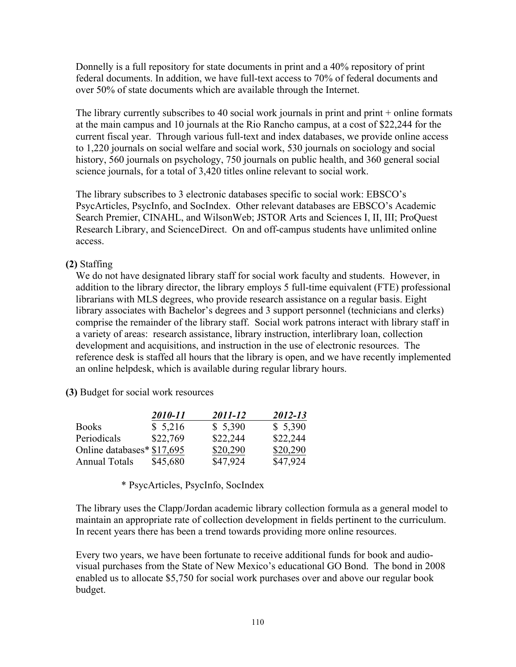Donnelly is a full repository for state documents in print and a 40% repository of print federal documents. In addition, we have full-text access to 70% of federal documents and over 50% of state documents which are available through the Internet.

The library currently subscribes to 40 social work journals in print and print + online formats at the main campus and 10 journals at the Rio Rancho campus, at a cost of \$22,244 for the current fiscal year. Through various full-text and index databases, we provide online access to 1,220 journals on social welfare and social work, 530 journals on sociology and social history, 560 journals on psychology, 750 journals on public health, and 360 general social science journals, for a total of 3,420 titles online relevant to social work.

The library subscribes to 3 electronic databases specific to social work: EBSCO's PsycArticles, PsycInfo, and SocIndex. Other relevant databases are EBSCO's Academic Search Premier, CINAHL, and WilsonWeb; JSTOR Arts and Sciences I, II, III; ProQuest Research Library, and ScienceDirect. On and off-campus students have unlimited online access.

# **(2)** Staffing

We do not have designated library staff for social work faculty and students. However, in addition to the library director, the library employs 5 full-time equivalent (FTE) professional librarians with MLS degrees, who provide research assistance on a regular basis. Eight library associates with Bachelor's degrees and 3 support personnel (technicians and clerks) comprise the remainder of the library staff. Social work patrons interact with library staff in a variety of areas: research assistance, library instruction, interlibrary loan, collection development and acquisitions, and instruction in the use of electronic resources. The reference desk is staffed all hours that the library is open, and we have recently implemented an online helpdesk, which is available during regular library hours.

 **(3)** Budget for social work resources

|                            | 2010-11  | 2011-12  | 2012-13  |
|----------------------------|----------|----------|----------|
| <b>Books</b>               | \$5,216  | \$5,390  | \$5,390  |
| Periodicals                | \$22,769 | \$22,244 | \$22,244 |
| Online databases* \$17,695 |          | \$20,290 | \$20,290 |
| <b>Annual Totals</b>       | \$45,680 | \$47,924 | \$47,924 |

\* PsycArticles, PsycInfo, SocIndex

The library uses the Clapp/Jordan academic library collection formula as a general model to maintain an appropriate rate of collection development in fields pertinent to the curriculum. In recent years there has been a trend towards providing more online resources.

Every two years, we have been fortunate to receive additional funds for book and audiovisual purchases from the State of New Mexico's educational GO Bond. The bond in 2008 enabled us to allocate \$5,750 for social work purchases over and above our regular book budget.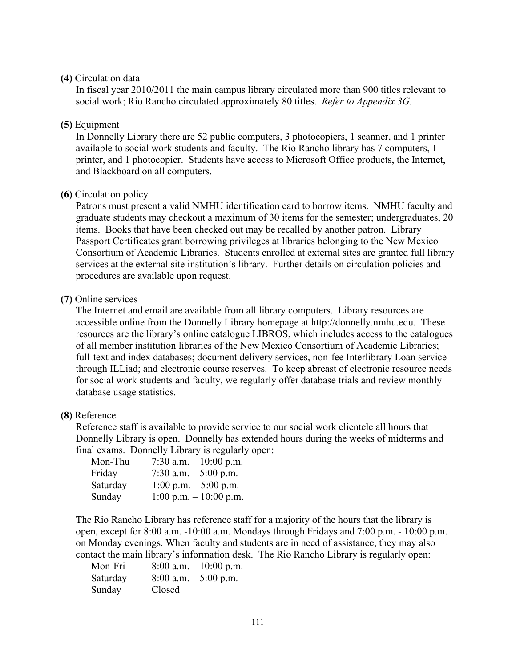## **(4)** Circulation data

In fiscal year 2010/2011 the main campus library circulated more than 900 titles relevant to social work; Rio Rancho circulated approximately 80 titles. *Refer to Appendix 3G.*

# **(5)** Equipment

In Donnelly Library there are 52 public computers, 3 photocopiers, 1 scanner, and 1 printer available to social work students and faculty. The Rio Rancho library has 7 computers, 1 printer, and 1 photocopier. Students have access to Microsoft Office products, the Internet, and Blackboard on all computers.

## **(6)** Circulation policy

Patrons must present a valid NMHU identification card to borrow items. NMHU faculty and graduate students may checkout a maximum of 30 items for the semester; undergraduates, 20 items. Books that have been checked out may be recalled by another patron. Library Passport Certificates grant borrowing privileges at libraries belonging to the New Mexico Consortium of Academic Libraries. Students enrolled at external sites are granted full library services at the external site institution's library. Further details on circulation policies and procedures are available upon request.

#### **(7)** Online services

The Internet and email are available from all library computers. Library resources are accessible online from the Donnelly Library homepage at http://donnelly.nmhu.edu. These resources are the library's online catalogue LIBROS, which includes access to the catalogues of all member institution libraries of the New Mexico Consortium of Academic Libraries; full-text and index databases; document delivery services, non-fee Interlibrary Loan service through ILLiad; and electronic course reserves. To keep abreast of electronic resource needs for social work students and faculty, we regularly offer database trials and review monthly database usage statistics.

#### **(8)** Reference

Reference staff is available to provide service to our social work clientele all hours that Donnelly Library is open. Donnelly has extended hours during the weeks of midterms and final exams. Donnelly Library is regularly open:

| Mon-Thu  | 7:30 a.m. $-10:00$ p.m.                  |
|----------|------------------------------------------|
| Friday   | 7:30 a.m. $-5:00$ p.m.                   |
| Saturday | $1:00$ p.m. $-5:00$ p.m.                 |
| Sunday   | $1:00 \text{ p.m.} - 10:00 \text{ p.m.}$ |

The Rio Rancho Library has reference staff for a majority of the hours that the library is open, except for 8:00 a.m. -10:00 a.m. Mondays through Fridays and 7:00 p.m. - 10:00 p.m. on Monday evenings. When faculty and students are in need of assistance, they may also contact the main library's information desk. The Rio Rancho Library is regularly open:

| Mon-Fri  | $8:00$ a.m. $-10:00$ p.m. |
|----------|---------------------------|
| Saturday | $8:00$ a.m. $-5:00$ p.m.  |
| Sunday   | Closed                    |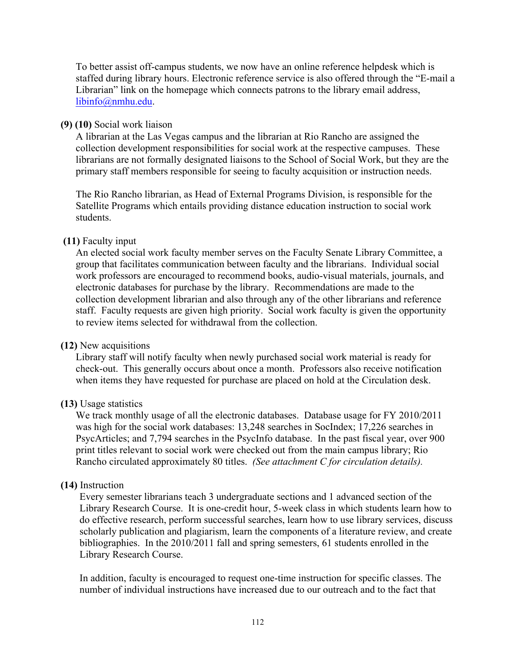To better assist off-campus students, we now have an online reference helpdesk which is staffed during library hours. Electronic reference service is also offered through the "E-mail a Librarian" link on the homepage which connects patrons to the library email address, libinfo@nmhu.edu.

## **(9) (10)** Social work liaison

A librarian at the Las Vegas campus and the librarian at Rio Rancho are assigned the collection development responsibilities for social work at the respective campuses. These librarians are not formally designated liaisons to the School of Social Work, but they are the primary staff members responsible for seeing to faculty acquisition or instruction needs.

The Rio Rancho librarian, as Head of External Programs Division, is responsible for the Satellite Programs which entails providing distance education instruction to social work students.

## **(11)** Faculty input

An elected social work faculty member serves on the Faculty Senate Library Committee, a group that facilitates communication between faculty and the librarians. Individual social work professors are encouraged to recommend books, audio-visual materials, journals, and electronic databases for purchase by the library. Recommendations are made to the collection development librarian and also through any of the other librarians and reference staff. Faculty requests are given high priority. Social work faculty is given the opportunity to review items selected for withdrawal from the collection.

#### **(12)** New acquisitions

Library staff will notify faculty when newly purchased social work material is ready for check-out. This generally occurs about once a month. Professors also receive notification when items they have requested for purchase are placed on hold at the Circulation desk.

# **(13)** Usage statistics

We track monthly usage of all the electronic databases. Database usage for FY 2010/2011 was high for the social work databases: 13,248 searches in SocIndex; 17,226 searches in PsycArticles; and 7,794 searches in the PsycInfo database. In the past fiscal year, over 900 print titles relevant to social work were checked out from the main campus library; Rio Rancho circulated approximately 80 titles. *(See attachment C for circulation details).*

#### **(14)** Instruction

Every semester librarians teach 3 undergraduate sections and 1 advanced section of the Library Research Course. It is one-credit hour, 5-week class in which students learn how to do effective research, perform successful searches, learn how to use library services, discuss scholarly publication and plagiarism, learn the components of a literature review, and create bibliographies. In the 2010/2011 fall and spring semesters, 61 students enrolled in the Library Research Course.

In addition, faculty is encouraged to request one-time instruction for specific classes. The number of individual instructions have increased due to our outreach and to the fact that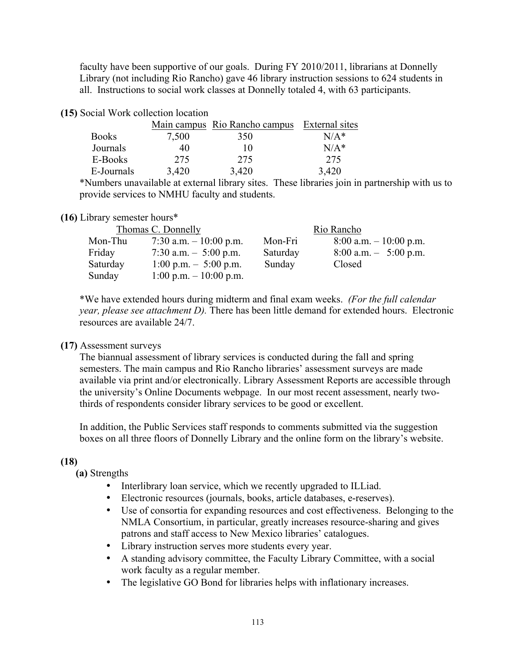faculty have been supportive of our goals. During FY 2010/2011, librarians at Donnelly Library (not including Rio Rancho) gave 46 library instruction sessions to 624 students in all. Instructions to social work classes at Donnelly totaled 4, with 63 participants.

| (15) Social Work collection location |  |  |  |
|--------------------------------------|--|--|--|
|--------------------------------------|--|--|--|

|              |       | Main campus Rio Rancho campus | External sites |
|--------------|-------|-------------------------------|----------------|
| <b>Books</b> | 7,500 | 350                           | $N/A^*$        |
| Journals     | 40    | 10                            | $N/A^*$        |
| E-Books      | 275   | 275                           | 275            |
| E-Journals   | 3,420 | 3,420                         | 3,420          |

\*Numbers unavailable at external library sites. These libraries join in partnership with us to provide services to NMHU faculty and students.

## **(16)** Library semester hours\*

|          | Thomas C. Donnelly                       |          | Rio Rancho                |
|----------|------------------------------------------|----------|---------------------------|
| Mon-Thu  | 7:30 a.m. $-10:00$ p.m.                  | Mon-Fri  | $8:00$ a.m. $-10:00$ p.m. |
| Friday   | 7:30 a.m. $-$ 5:00 p.m.                  | Saturday | $8:00$ a.m. $-5:00$ p.m.  |
| Saturday | $1:00 \text{ p.m.} - 5:00 \text{ p.m.}$  | Sunday   | Closed                    |
| Sunday   | $1:00 \text{ p.m.} - 10:00 \text{ p.m.}$ |          |                           |

\*We have extended hours during midterm and final exam weeks. *(For the full calendar year, please see attachment D).* There has been little demand for extended hours. Electronic resources are available 24/7.

# **(17)** Assessment surveys

The biannual assessment of library services is conducted during the fall and spring semesters. The main campus and Rio Rancho libraries' assessment surveys are made available via print and/or electronically. Library Assessment Reports are accessible through the university's Online Documents webpage. In our most recent assessment, nearly twothirds of respondents consider library services to be good or excellent.

In addition, the Public Services staff responds to comments submitted via the suggestion boxes on all three floors of Donnelly Library and the online form on the library's website.

# **(18)**

**(a)** Strengths

- Interlibrary loan service, which we recently upgraded to ILLiad.
- Electronic resources (journals, books, article databases, e-reserves).
- Use of consortia for expanding resources and cost effectiveness. Belonging to the NMLA Consortium, in particular, greatly increases resource-sharing and gives patrons and staff access to New Mexico libraries' catalogues.
- Library instruction serves more students every year.
- A standing advisory committee, the Faculty Library Committee, with a social work faculty as a regular member.
- The legislative GO Bond for libraries helps with inflationary increases.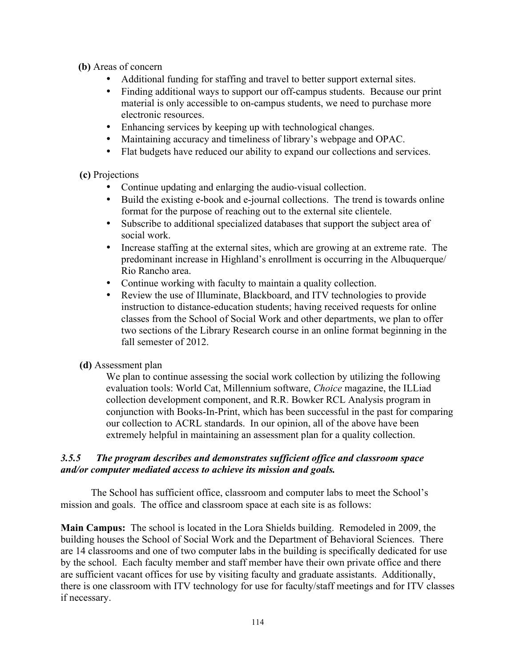**(b)** Areas of concern

- Additional funding for staffing and travel to better support external sites.
- Finding additional ways to support our off-campus students. Because our print material is only accessible to on-campus students, we need to purchase more electronic resources.
- Enhancing services by keeping up with technological changes.
- Maintaining accuracy and timeliness of library's webpage and OPAC.
- Flat budgets have reduced our ability to expand our collections and services.

**(c)** Projections

- Continue updating and enlarging the audio-visual collection.
- Build the existing e-book and e-journal collections. The trend is towards online format for the purpose of reaching out to the external site clientele.
- Subscribe to additional specialized databases that support the subject area of social work.
- Increase staffing at the external sites, which are growing at an extreme rate. The predominant increase in Highland's enrollment is occurring in the Albuquerque/ Rio Rancho area.
- Continue working with faculty to maintain a quality collection.
- Review the use of Illuminate, Blackboard, and ITV technologies to provide instruction to distance-education students; having received requests for online classes from the School of Social Work and other departments, we plan to offer two sections of the Library Research course in an online format beginning in the fall semester of 2012.

# **(d)** Assessment plan

We plan to continue assessing the social work collection by utilizing the following evaluation tools: World Cat, Millennium software, *Choice* magazine, the ILLiad collection development component, and R.R. Bowker RCL Analysis program in conjunction with Books-In-Print, which has been successful in the past for comparing our collection to ACRL standards. In our opinion, all of the above have been extremely helpful in maintaining an assessment plan for a quality collection.

# *3.5.5 The program describes and demonstrates sufficient office and classroom space and/or computer mediated access to achieve its mission and goals.*

The School has sufficient office, classroom and computer labs to meet the School's mission and goals. The office and classroom space at each site is as follows:

**Main Campus:** The school is located in the Lora Shields building. Remodeled in 2009, the building houses the School of Social Work and the Department of Behavioral Sciences. There are 14 classrooms and one of two computer labs in the building is specifically dedicated for use by the school. Each faculty member and staff member have their own private office and there are sufficient vacant offices for use by visiting faculty and graduate assistants. Additionally, there is one classroom with ITV technology for use for faculty/staff meetings and for ITV classes if necessary.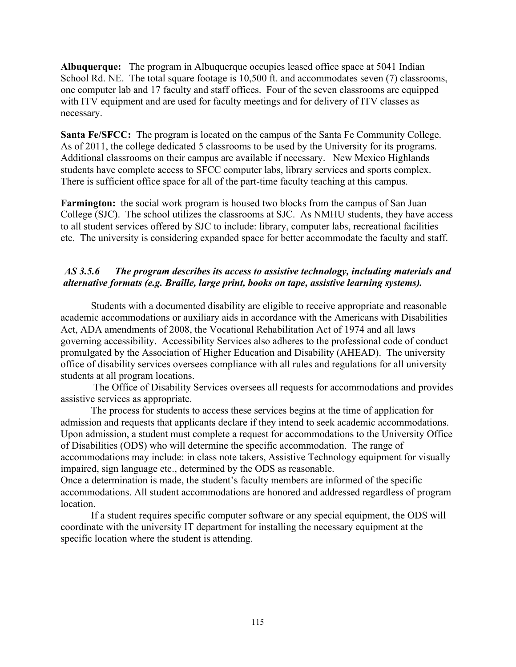**Albuquerque:** The program in Albuquerque occupies leased office space at 5041 Indian School Rd. NE. The total square footage is 10,500 ft. and accommodates seven (7) classrooms, one computer lab and 17 faculty and staff offices. Four of the seven classrooms are equipped with ITV equipment and are used for faculty meetings and for delivery of ITV classes as necessary.

**Santa Fe/SFCC:** The program is located on the campus of the Santa Fe Community College. As of 2011, the college dedicated 5 classrooms to be used by the University for its programs. Additional classrooms on their campus are available if necessary. New Mexico Highlands students have complete access to SFCC computer labs, library services and sports complex. There is sufficient office space for all of the part-time faculty teaching at this campus.

**Farmington:** the social work program is housed two blocks from the campus of San Juan College (SJC). The school utilizes the classrooms at SJC. As NMHU students, they have access to all student services offered by SJC to include: library, computer labs, recreational facilities etc. The university is considering expanded space for better accommodate the faculty and staff.

#### *AS 3.5.6 The program describes its access to assistive technology, including materials and alternative formats (e.g. Braille, large print, books on tape, assistive learning systems).*

Students with a documented disability are eligible to receive appropriate and reasonable academic accommodations or auxiliary aids in accordance with the Americans with Disabilities Act, ADA amendments of 2008, the Vocational Rehabilitation Act of 1974 and all laws governing accessibility. Accessibility Services also adheres to the professional code of conduct promulgated by the Association of Higher Education and Disability (AHEAD). The university office of disability services oversees compliance with all rules and regulations for all university students at all program locations.

The Office of Disability Services oversees all requests for accommodations and provides assistive services as appropriate.

The process for students to access these services begins at the time of application for admission and requests that applicants declare if they intend to seek academic accommodations. Upon admission, a student must complete a request for accommodations to the University Office of Disabilities (ODS) who will determine the specific accommodation. The range of accommodations may include: in class note takers, Assistive Technology equipment for visually impaired, sign language etc., determined by the ODS as reasonable.

Once a determination is made, the student's faculty members are informed of the specific accommodations. All student accommodations are honored and addressed regardless of program location.

If a student requires specific computer software or any special equipment, the ODS will coordinate with the university IT department for installing the necessary equipment at the specific location where the student is attending.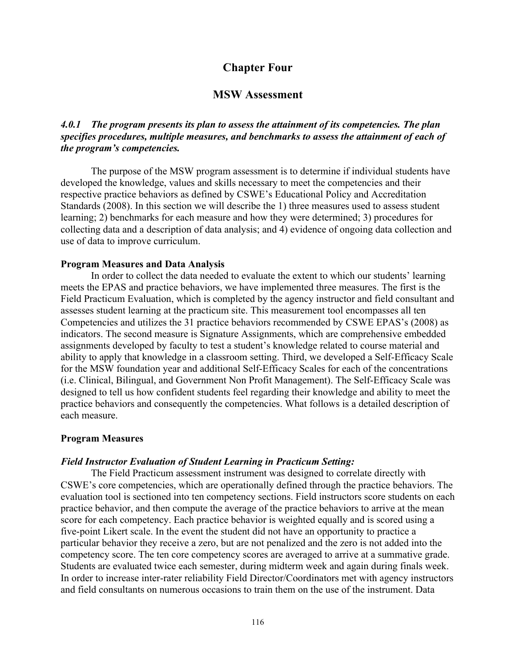# **Chapter Four**

## **MSW Assessment**

## *4.0.1 The program presents its plan to assess the attainment of its competencies. The plan specifies procedures, multiple measures, and benchmarks to assess the attainment of each of the program's competencies.*

The purpose of the MSW program assessment is to determine if individual students have developed the knowledge, values and skills necessary to meet the competencies and their respective practice behaviors as defined by CSWE's Educational Policy and Accreditation Standards (2008). In this section we will describe the 1) three measures used to assess student learning; 2) benchmarks for each measure and how they were determined; 3) procedures for collecting data and a description of data analysis; and 4) evidence of ongoing data collection and use of data to improve curriculum.

#### **Program Measures and Data Analysis**

In order to collect the data needed to evaluate the extent to which our students' learning meets the EPAS and practice behaviors, we have implemented three measures. The first is the Field Practicum Evaluation, which is completed by the agency instructor and field consultant and assesses student learning at the practicum site. This measurement tool encompasses all ten Competencies and utilizes the 31 practice behaviors recommended by CSWE EPAS's (2008) as indicators. The second measure is Signature Assignments, which are comprehensive embedded assignments developed by faculty to test a student's knowledge related to course material and ability to apply that knowledge in a classroom setting. Third, we developed a Self-Efficacy Scale for the MSW foundation year and additional Self-Efficacy Scales for each of the concentrations (i.e. Clinical, Bilingual, and Government Non Profit Management). The Self-Efficacy Scale was designed to tell us how confident students feel regarding their knowledge and ability to meet the practice behaviors and consequently the competencies. What follows is a detailed description of each measure.

#### **Program Measures**

#### *Field Instructor Evaluation of Student Learning in Practicum Setting:*

The Field Practicum assessment instrument was designed to correlate directly with CSWE's core competencies, which are operationally defined through the practice behaviors. The evaluation tool is sectioned into ten competency sections. Field instructors score students on each practice behavior, and then compute the average of the practice behaviors to arrive at the mean score for each competency. Each practice behavior is weighted equally and is scored using a five-point Likert scale. In the event the student did not have an opportunity to practice a particular behavior they receive a zero, but are not penalized and the zero is not added into the competency score. The ten core competency scores are averaged to arrive at a summative grade. Students are evaluated twice each semester, during midterm week and again during finals week. In order to increase inter-rater reliability Field Director/Coordinators met with agency instructors and field consultants on numerous occasions to train them on the use of the instrument. Data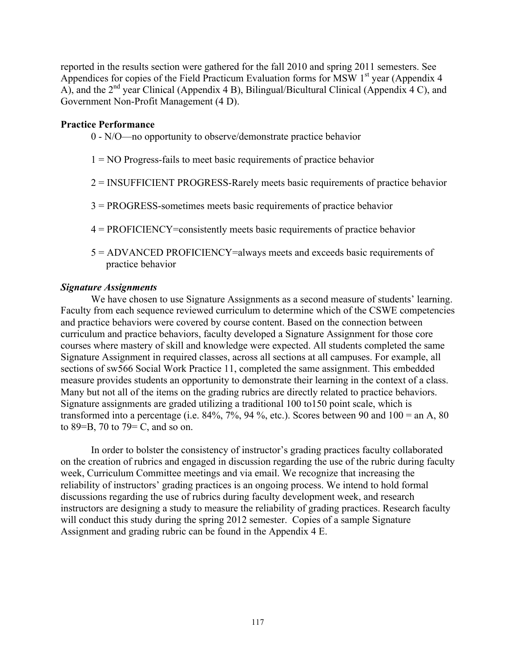reported in the results section were gathered for the fall 2010 and spring 2011 semesters. See Appendices for copies of the Field Practicum Evaluation forms for MSW  $1<sup>st</sup>$  year (Appendix 4 A), and the  $2<sup>nd</sup>$  year Clinical (Appendix 4 B), Bilingual/Bicultural Clinical (Appendix 4 C), and Government Non-Profit Management (4 D).

#### **Practice Performance**

- 0 N/O—no opportunity to observe/demonstrate practice behavior
- 1 = NO Progress-fails to meet basic requirements of practice behavior
- 2 = INSUFFICIENT PROGRESS-Rarely meets basic requirements of practice behavior
- 3 = PROGRESS-sometimes meets basic requirements of practice behavior
- 4 = PROFICIENCY=consistently meets basic requirements of practice behavior
- 5 = ADVANCED PROFICIENCY=always meets and exceeds basic requirements of practice behavior

#### *Signature Assignments*

We have chosen to use Signature Assignments as a second measure of students' learning. Faculty from each sequence reviewed curriculum to determine which of the CSWE competencies and practice behaviors were covered by course content. Based on the connection between curriculum and practice behaviors, faculty developed a Signature Assignment for those core courses where mastery of skill and knowledge were expected. All students completed the same Signature Assignment in required classes, across all sections at all campuses. For example, all sections of sw566 Social Work Practice 11, completed the same assignment. This embedded measure provides students an opportunity to demonstrate their learning in the context of a class. Many but not all of the items on the grading rubrics are directly related to practice behaviors. Signature assignments are graded utilizing a traditional 100 to150 point scale, which is transformed into a percentage (i.e.  $84\%, 7\%, 94\%,$  etc.). Scores between 90 and  $100 =$  an A,  $80$ to 89=B, 70 to 79= C, and so on.

In order to bolster the consistency of instructor's grading practices faculty collaborated on the creation of rubrics and engaged in discussion regarding the use of the rubric during faculty week, Curriculum Committee meetings and via email. We recognize that increasing the reliability of instructors' grading practices is an ongoing process. We intend to hold formal discussions regarding the use of rubrics during faculty development week, and research instructors are designing a study to measure the reliability of grading practices. Research faculty will conduct this study during the spring 2012 semester. Copies of a sample Signature Assignment and grading rubric can be found in the Appendix 4 E.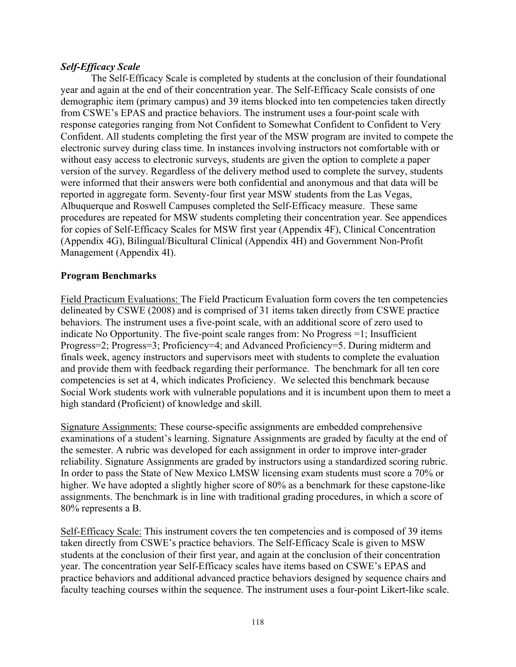## *Self-Efficacy Scale*

The Self-Efficacy Scale is completed by students at the conclusion of their foundational year and again at the end of their concentration year. The Self-Efficacy Scale consists of one demographic item (primary campus) and 39 items blocked into ten competencies taken directly from CSWE's EPAS and practice behaviors. The instrument uses a four-point scale with response categories ranging from Not Confident to Somewhat Confident to Confident to Very Confident. All students completing the first year of the MSW program are invited to compete the electronic survey during class time. In instances involving instructors not comfortable with or without easy access to electronic surveys, students are given the option to complete a paper version of the survey. Regardless of the delivery method used to complete the survey, students were informed that their answers were both confidential and anonymous and that data will be reported in aggregate form. Seventy-four first year MSW students from the Las Vegas, Albuquerque and Roswell Campuses completed the Self-Efficacy measure. These same procedures are repeated for MSW students completing their concentration year. See appendices for copies of Self-Efficacy Scales for MSW first year (Appendix 4F), Clinical Concentration (Appendix 4G), Bilingual/Bicultural Clinical (Appendix 4H) and Government Non-Profit Management (Appendix 4I).

## **Program Benchmarks**

Field Practicum Evaluations: The Field Practicum Evaluation form covers the ten competencies delineated by CSWE (2008) and is comprised of 31 items taken directly from CSWE practice behaviors. The instrument uses a five-point scale, with an additional score of zero used to indicate No Opportunity. The five-point scale ranges from: No Progress =1; Insufficient Progress=2; Progress=3; Proficiency=4; and Advanced Proficiency=5. During midterm and finals week, agency instructors and supervisors meet with students to complete the evaluation and provide them with feedback regarding their performance. The benchmark for all ten core competencies is set at 4, which indicates Proficiency. We selected this benchmark because Social Work students work with vulnerable populations and it is incumbent upon them to meet a high standard (Proficient) of knowledge and skill.

Signature Assignments: These course-specific assignments are embedded comprehensive examinations of a student's learning. Signature Assignments are graded by faculty at the end of the semester. A rubric was developed for each assignment in order to improve inter-grader reliability. Signature Assignments are graded by instructors using a standardized scoring rubric. In order to pass the State of New Mexico LMSW licensing exam students must score a 70% or higher. We have adopted a slightly higher score of 80% as a benchmark for these capstone-like assignments. The benchmark is in line with traditional grading procedures, in which a score of 80% represents a B.

Self-Efficacy Scale: This instrument covers the ten competencies and is composed of 39 items taken directly from CSWE's practice behaviors. The Self-Efficacy Scale is given to MSW students at the conclusion of their first year, and again at the conclusion of their concentration year. The concentration year Self-Efficacy scales have items based on CSWE's EPAS and practice behaviors and additional advanced practice behaviors designed by sequence chairs and faculty teaching courses within the sequence. The instrument uses a four-point Likert-like scale.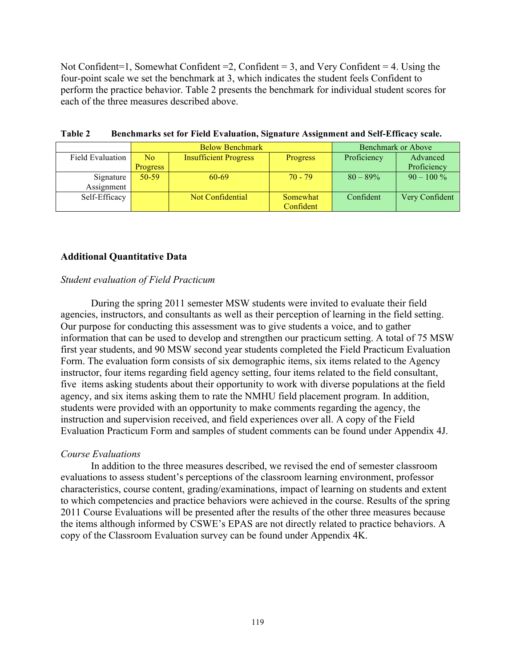Not Confident=1, Somewhat Confident  $=2$ , Confident  $=3$ , and Very Confident  $=4$ . Using the four-point scale we set the benchmark at 3, which indicates the student feels Confident to perform the practice behavior. Table 2 presents the benchmark for individual student scores for each of the three measures described above.

|                         |                 | <b>Below Benchmark</b>       |                 | <b>Benchmark or Above</b> |                |
|-------------------------|-----------------|------------------------------|-----------------|---------------------------|----------------|
| <b>Field Evaluation</b> | No.             | <b>Insufficient Progress</b> | <b>Progress</b> | Proficiency               | Advanced       |
|                         | <b>Progress</b> |                              |                 |                           | Proficiency    |
| Signature               | $50-59$         | 60-69                        | $70 - 79$       | $80 - 89\%$               | $90 - 100\%$   |
| Assignment              |                 |                              |                 |                           |                |
| Self-Efficacy           |                 | Not Confidential             | Somewhat        | Confident                 | Very Confident |
|                         |                 |                              | Confident       |                           |                |

**Table 2 Benchmarks set for Field Evaluation, Signature Assignment and Self-Efficacy scale.** 

## **Additional Quantitative Data**

#### *Student evaluation of Field Practicum*

During the spring 2011 semester MSW students were invited to evaluate their field agencies, instructors, and consultants as well as their perception of learning in the field setting. Our purpose for conducting this assessment was to give students a voice, and to gather information that can be used to develop and strengthen our practicum setting. A total of 75 MSW first year students, and 90 MSW second year students completed the Field Practicum Evaluation Form. The evaluation form consists of six demographic items, six items related to the Agency instructor, four items regarding field agency setting, four items related to the field consultant, five items asking students about their opportunity to work with diverse populations at the field agency, and six items asking them to rate the NMHU field placement program. In addition, students were provided with an opportunity to make comments regarding the agency, the instruction and supervision received, and field experiences over all. A copy of the Field Evaluation Practicum Form and samples of student comments can be found under Appendix 4J.

#### *Course Evaluations*

In addition to the three measures described, we revised the end of semester classroom evaluations to assess student's perceptions of the classroom learning environment, professor characteristics, course content, grading/examinations, impact of learning on students and extent to which competencies and practice behaviors were achieved in the course. Results of the spring 2011 Course Evaluations will be presented after the results of the other three measures because the items although informed by CSWE's EPAS are not directly related to practice behaviors. A copy of the Classroom Evaluation survey can be found under Appendix 4K.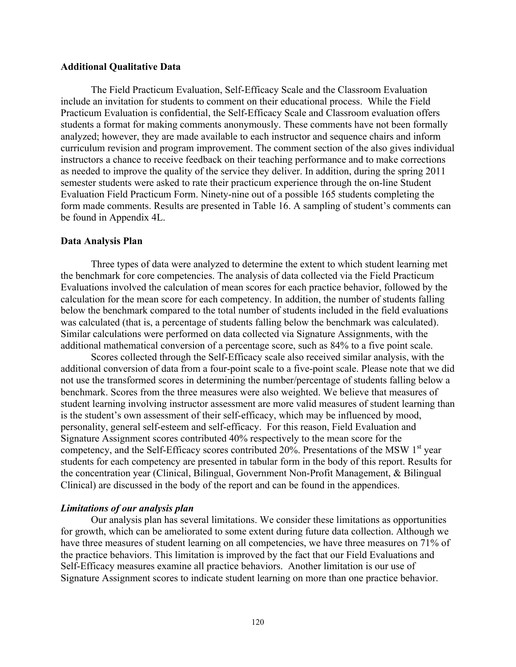#### **Additional Qualitative Data**

The Field Practicum Evaluation, Self-Efficacy Scale and the Classroom Evaluation include an invitation for students to comment on their educational process. While the Field Practicum Evaluation is confidential, the Self-Efficacy Scale and Classroom evaluation offers students a format for making comments anonymously. These comments have not been formally analyzed; however, they are made available to each instructor and sequence chairs and inform curriculum revision and program improvement. The comment section of the also gives individual instructors a chance to receive feedback on their teaching performance and to make corrections as needed to improve the quality of the service they deliver. In addition, during the spring 2011 semester students were asked to rate their practicum experience through the on-line Student Evaluation Field Practicum Form. Ninety-nine out of a possible 165 students completing the form made comments. Results are presented in Table 16. A sampling of student's comments can be found in Appendix 4L.

#### **Data Analysis Plan**

Three types of data were analyzed to determine the extent to which student learning met the benchmark for core competencies. The analysis of data collected via the Field Practicum Evaluations involved the calculation of mean scores for each practice behavior, followed by the calculation for the mean score for each competency. In addition, the number of students falling below the benchmark compared to the total number of students included in the field evaluations was calculated (that is, a percentage of students falling below the benchmark was calculated). Similar calculations were performed on data collected via Signature Assignments, with the additional mathematical conversion of a percentage score, such as 84% to a five point scale.

Scores collected through the Self-Efficacy scale also received similar analysis, with the additional conversion of data from a four-point scale to a five-point scale. Please note that we did not use the transformed scores in determining the number/percentage of students falling below a benchmark. Scores from the three measures were also weighted. We believe that measures of student learning involving instructor assessment are more valid measures of student learning than is the student's own assessment of their self-efficacy, which may be influenced by mood, personality, general self-esteem and self-efficacy. For this reason, Field Evaluation and Signature Assignment scores contributed 40% respectively to the mean score for the competency, and the Self-Efficacy scores contributed 20%. Presentations of the MSW  $1<sup>st</sup>$  year students for each competency are presented in tabular form in the body of this report. Results for the concentration year (Clinical, Bilingual, Government Non-Profit Management, & Bilingual Clinical) are discussed in the body of the report and can be found in the appendices.

#### *Limitations of our analysis plan*

Our analysis plan has several limitations. We consider these limitations as opportunities for growth, which can be ameliorated to some extent during future data collection. Although we have three measures of student learning on all competencies, we have three measures on 71% of the practice behaviors. This limitation is improved by the fact that our Field Evaluations and Self-Efficacy measures examine all practice behaviors. Another limitation is our use of Signature Assignment scores to indicate student learning on more than one practice behavior.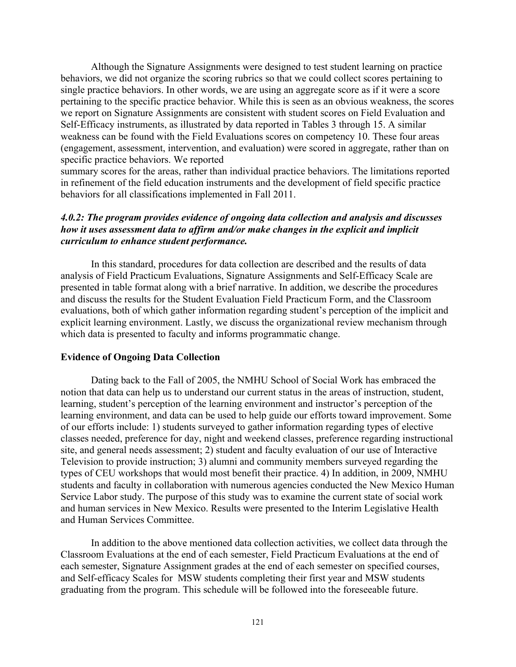Although the Signature Assignments were designed to test student learning on practice behaviors, we did not organize the scoring rubrics so that we could collect scores pertaining to single practice behaviors. In other words, we are using an aggregate score as if it were a score pertaining to the specific practice behavior. While this is seen as an obvious weakness, the scores we report on Signature Assignments are consistent with student scores on Field Evaluation and Self-Efficacy instruments, as illustrated by data reported in Tables 3 through 15. A similar weakness can be found with the Field Evaluations scores on competency 10. These four areas (engagement, assessment, intervention, and evaluation) were scored in aggregate, rather than on specific practice behaviors. We reported

summary scores for the areas, rather than individual practice behaviors. The limitations reported in refinement of the field education instruments and the development of field specific practice behaviors for all classifications implemented in Fall 2011.

## *4.0.2: The program provides evidence of ongoing data collection and analysis and discusses how it uses assessment data to affirm and/or make changes in the explicit and implicit curriculum to enhance student performance.*

In this standard, procedures for data collection are described and the results of data analysis of Field Practicum Evaluations, Signature Assignments and Self-Efficacy Scale are presented in table format along with a brief narrative. In addition, we describe the procedures and discuss the results for the Student Evaluation Field Practicum Form, and the Classroom evaluations, both of which gather information regarding student's perception of the implicit and explicit learning environment. Lastly, we discuss the organizational review mechanism through which data is presented to faculty and informs programmatic change.

#### **Evidence of Ongoing Data Collection**

Dating back to the Fall of 2005, the NMHU School of Social Work has embraced the notion that data can help us to understand our current status in the areas of instruction, student, learning, student's perception of the learning environment and instructor's perception of the learning environment, and data can be used to help guide our efforts toward improvement. Some of our efforts include: 1) students surveyed to gather information regarding types of elective classes needed, preference for day, night and weekend classes, preference regarding instructional site, and general needs assessment; 2) student and faculty evaluation of our use of Interactive Television to provide instruction; 3) alumni and community members surveyed regarding the types of CEU workshops that would most benefit their practice. 4) In addition, in 2009, NMHU students and faculty in collaboration with numerous agencies conducted the New Mexico Human Service Labor study. The purpose of this study was to examine the current state of social work and human services in New Mexico. Results were presented to the Interim Legislative Health and Human Services Committee.

In addition to the above mentioned data collection activities, we collect data through the Classroom Evaluations at the end of each semester, Field Practicum Evaluations at the end of each semester, Signature Assignment grades at the end of each semester on specified courses, and Self-efficacy Scales for MSW students completing their first year and MSW students graduating from the program. This schedule will be followed into the foreseeable future.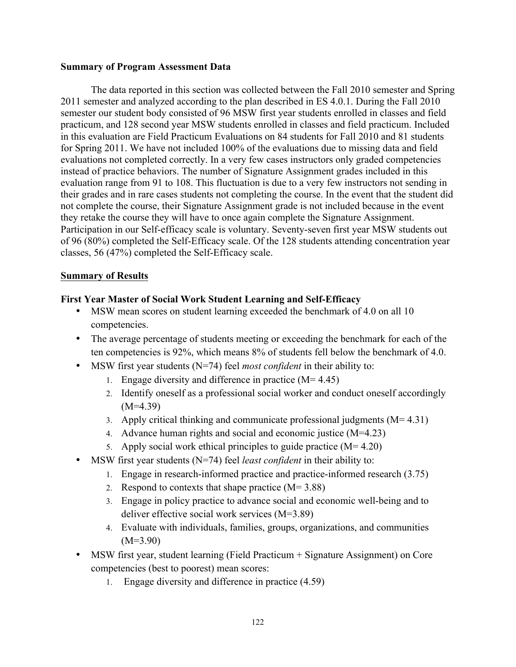#### **Summary of Program Assessment Data**

The data reported in this section was collected between the Fall 2010 semester and Spring 2011 semester and analyzed according to the plan described in ES 4.0.1. During the Fall 2010 semester our student body consisted of 96 MSW first year students enrolled in classes and field practicum, and 128 second year MSW students enrolled in classes and field practicum. Included in this evaluation are Field Practicum Evaluations on 84 students for Fall 2010 and 81 students for Spring 2011. We have not included 100% of the evaluations due to missing data and field evaluations not completed correctly. In a very few cases instructors only graded competencies instead of practice behaviors. The number of Signature Assignment grades included in this evaluation range from 91 to 108. This fluctuation is due to a very few instructors not sending in their grades and in rare cases students not completing the course. In the event that the student did not complete the course, their Signature Assignment grade is not included because in the event they retake the course they will have to once again complete the Signature Assignment. Participation in our Self-efficacy scale is voluntary. Seventy-seven first year MSW students out of 96 (80%) completed the Self-Efficacy scale. Of the 128 students attending concentration year classes, 56 (47%) completed the Self-Efficacy scale.

## **Summary of Results**

## **First Year Master of Social Work Student Learning and Self-Efficacy**

- MSW mean scores on student learning exceeded the benchmark of 4.0 on all 10 competencies.
- The average percentage of students meeting or exceeding the benchmark for each of the ten competencies is 92%, which means 8% of students fell below the benchmark of 4.0.
- MSW first year students (N=74) feel *most confident* in their ability to:
	- 1. Engage diversity and difference in practice  $(M= 4.45)$
	- 2. Identify oneself as a professional social worker and conduct oneself accordingly  $(M=4.39)$
	- 3. Apply critical thinking and communicate professional judgments  $(M= 4.31)$
	- 4. Advance human rights and social and economic justice (M=4.23)
	- 5. Apply social work ethical principles to guide practice  $(M= 4.20)$
- MSW first year students (N=74) feel *least confident* in their ability to:
	- 1. Engage in research-informed practice and practice-informed research (3.75)
	- 2. Respond to contexts that shape practice  $(M= 3.88)$
	- 3. Engage in policy practice to advance social and economic well-being and to deliver effective social work services (M=3.89)
	- 4. Evaluate with individuals, families, groups, organizations, and communities  $(M=3.90)$
- MSW first year, student learning (Field Practicum + Signature Assignment) on Core competencies (best to poorest) mean scores:
	- 1. Engage diversity and difference in practice (4.59)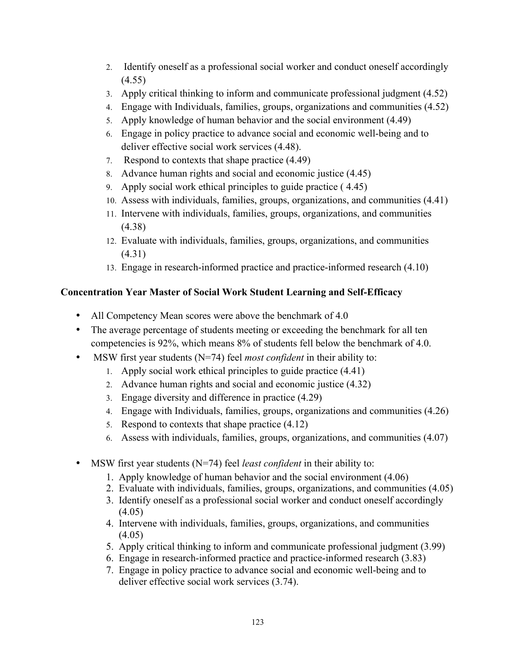- 2. Identify oneself as a professional social worker and conduct oneself accordingly (4.55)
- 3. Apply critical thinking to inform and communicate professional judgment (4.52)
- 4. Engage with Individuals, families, groups, organizations and communities (4.52)
- 5. Apply knowledge of human behavior and the social environment (4.49)
- 6. Engage in policy practice to advance social and economic well-being and to deliver effective social work services (4.48).
- 7. Respond to contexts that shape practice (4.49)
- 8. Advance human rights and social and economic justice (4.45)
- 9. Apply social work ethical principles to guide practice ( 4.45)
- 10. Assess with individuals, families, groups, organizations, and communities (4.41)
- 11. Intervene with individuals, families, groups, organizations, and communities (4.38)
- 12. Evaluate with individuals, families, groups, organizations, and communities (4.31)
- 13. Engage in research-informed practice and practice-informed research (4.10)

# **Concentration Year Master of Social Work Student Learning and Self-Efficacy**

- All Competency Mean scores were above the benchmark of 4.0
- The average percentage of students meeting or exceeding the benchmark for all ten competencies is 92%, which means 8% of students fell below the benchmark of 4.0.
- MSW first year students (N=74) feel *most confident* in their ability to:
	- 1. Apply social work ethical principles to guide practice (4.41)
	- 2. Advance human rights and social and economic justice (4.32)
	- 3. Engage diversity and difference in practice (4.29)
	- 4. Engage with Individuals, families, groups, organizations and communities (4.26)
	- 5. Respond to contexts that shape practice (4.12)
	- 6. Assess with individuals, families, groups, organizations, and communities (4.07)
- MSW first year students (N=74) feel *least confident* in their ability to:
	- 1. Apply knowledge of human behavior and the social environment (4.06)
	- 2. Evaluate with individuals, families, groups, organizations, and communities (4.05)
	- 3. Identify oneself as a professional social worker and conduct oneself accordingly  $(4.05)$
	- 4. Intervene with individuals, families, groups, organizations, and communities  $(4.05)$
	- 5. Apply critical thinking to inform and communicate professional judgment (3.99)
	- 6. Engage in research-informed practice and practice-informed research (3.83)
	- 7. Engage in policy practice to advance social and economic well-being and to deliver effective social work services (3.74).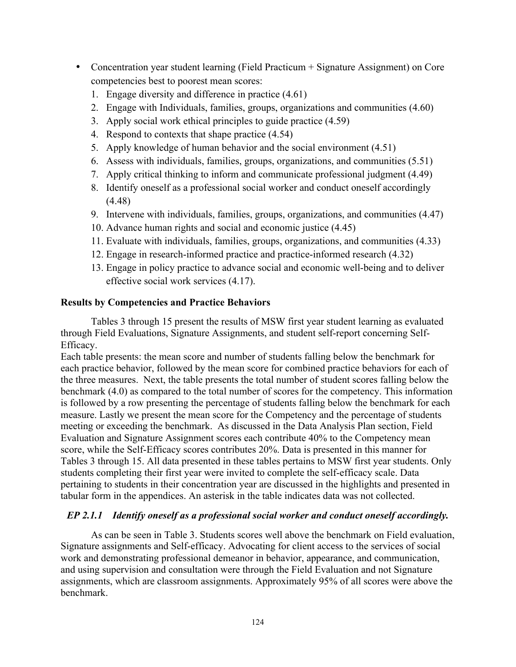- Concentration year student learning (Field Practicum + Signature Assignment) on Core competencies best to poorest mean scores:
	- 1. Engage diversity and difference in practice (4.61)
	- 2. Engage with Individuals, families, groups, organizations and communities (4.60)
	- 3. Apply social work ethical principles to guide practice (4.59)
	- 4. Respond to contexts that shape practice (4.54)
	- 5. Apply knowledge of human behavior and the social environment (4.51)
	- 6. Assess with individuals, families, groups, organizations, and communities (5.51)
	- 7. Apply critical thinking to inform and communicate professional judgment (4.49)
	- 8. Identify oneself as a professional social worker and conduct oneself accordingly (4.48)
	- 9. Intervene with individuals, families, groups, organizations, and communities (4.47)
	- 10. Advance human rights and social and economic justice (4.45)
	- 11. Evaluate with individuals, families, groups, organizations, and communities (4.33)
	- 12. Engage in research-informed practice and practice-informed research (4.32)
	- 13. Engage in policy practice to advance social and economic well-being and to deliver effective social work services (4.17).

# **Results by Competencies and Practice Behaviors**

Tables 3 through 15 present the results of MSW first year student learning as evaluated through Field Evaluations, Signature Assignments, and student self-report concerning Self-Efficacy.

Each table presents: the mean score and number of students falling below the benchmark for each practice behavior, followed by the mean score for combined practice behaviors for each of the three measures. Next, the table presents the total number of student scores falling below the benchmark (4.0) as compared to the total number of scores for the competency. This information is followed by a row presenting the percentage of students falling below the benchmark for each measure. Lastly we present the mean score for the Competency and the percentage of students meeting or exceeding the benchmark. As discussed in the Data Analysis Plan section, Field Evaluation and Signature Assignment scores each contribute 40% to the Competency mean score, while the Self-Efficacy scores contributes 20%. Data is presented in this manner for Tables 3 through 15. All data presented in these tables pertains to MSW first year students. Only students completing their first year were invited to complete the self-efficacy scale. Data pertaining to students in their concentration year are discussed in the highlights and presented in tabular form in the appendices. An asterisk in the table indicates data was not collected.

# *EP 2.1.1 Identify oneself as a professional social worker and conduct oneself accordingly.*

As can be seen in Table 3. Students scores well above the benchmark on Field evaluation, Signature assignments and Self-efficacy. Advocating for client access to the services of social work and demonstrating professional demeanor in behavior, appearance, and communication, and using supervision and consultation were through the Field Evaluation and not Signature assignments, which are classroom assignments. Approximately 95% of all scores were above the benchmark.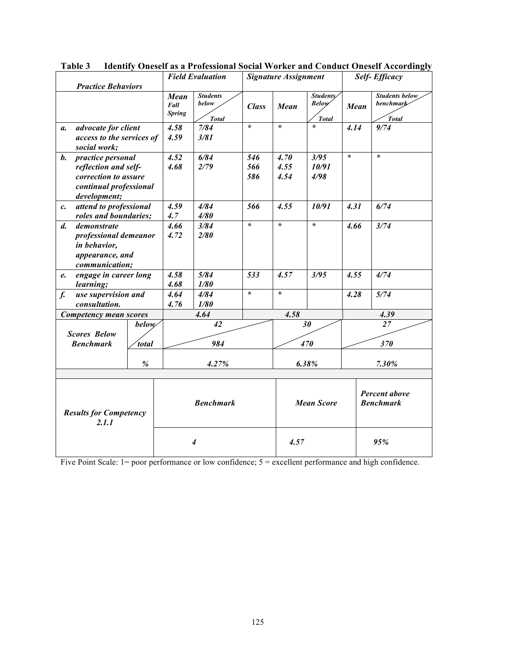| <b>Practice Behaviors</b>              |                                                 |              | <b>Field Evaluation</b>       |                                          | <b>Signature Assignment</b> |                   |                                           | <b>Self-Efficacy</b>                     |                                             |  |
|----------------------------------------|-------------------------------------------------|--------------|-------------------------------|------------------------------------------|-----------------------------|-------------------|-------------------------------------------|------------------------------------------|---------------------------------------------|--|
|                                        |                                                 |              | Mean<br>Fall<br><b>Spring</b> | <b>Students</b><br>below<br><b>Total</b> | <b>Class</b>                | Mean              | Students/<br><b>Below</b><br><b>Total</b> | Mean                                     | <b>Students below</b><br>benchmark<br>Total |  |
| a.                                     | advocate for client                             |              | 4.58                          | 7/84                                     | $\star$                     | $\star$           | $\star$                                   | 4.14                                     | 9/74                                        |  |
|                                        | access to the services of<br>social work;       |              | 4.59                          | 3/81                                     |                             |                   |                                           |                                          |                                             |  |
| b.                                     | practice personal                               |              | 4.52                          | 6/84                                     | 546                         | 4.70              | 3/95                                      | $\star$                                  | $\star$                                     |  |
|                                        | reflection and self-                            |              | 4.68                          | 2/79                                     | 566                         | 4.55              | 10/91                                     |                                          |                                             |  |
|                                        | correction to assure<br>continual professional  |              |                               |                                          | 586                         | 4.54              | 4/98                                      |                                          |                                             |  |
|                                        | development;                                    |              |                               |                                          |                             |                   |                                           |                                          |                                             |  |
| $c_{\cdot}$                            | attend to professional<br>roles and boundaries; |              | 4.59<br>4.7                   | 4/84<br>4/80                             | 566                         | 4.55              | 10/91                                     | 4.31                                     | 6/74                                        |  |
| $d_{\cdot}$                            | demonstrate                                     |              | 4.66                          | 3/84                                     | $\star$                     | $\star$           | $\star$                                   | 4.66                                     | 3/74                                        |  |
|                                        | professional demeanor                           |              | 4.72                          | 2/80                                     |                             |                   |                                           |                                          |                                             |  |
|                                        | in behavior,                                    |              |                               |                                          |                             |                   |                                           |                                          |                                             |  |
|                                        | appearance, and                                 |              |                               |                                          |                             |                   |                                           |                                          |                                             |  |
|                                        | communication;                                  |              |                               |                                          |                             |                   |                                           |                                          |                                             |  |
| e.                                     | engage in career long                           |              | 4.58                          | 5/84                                     | 533                         | 4.57              | 3/95                                      | 4.55                                     | 4/74                                        |  |
|                                        | learning;                                       |              | 4.68                          | 1/80                                     |                             |                   |                                           |                                          |                                             |  |
| $f_{\cdot}$                            | use supervision and                             |              | 4.64                          | 4/84                                     | $\star$                     | $\star$           |                                           | 4.28                                     | 5/74                                        |  |
|                                        | consultation.                                   |              | 4.76                          | 1/80                                     |                             |                   |                                           |                                          |                                             |  |
|                                        | <b>Competency mean scores</b>                   |              |                               | 4.64                                     |                             | 4.58              |                                           |                                          | 4.39                                        |  |
|                                        |                                                 | <b>below</b> |                               | 42                                       |                             |                   | 30                                        |                                          | 27                                          |  |
|                                        | <b>Scores Below</b>                             |              |                               |                                          |                             |                   |                                           |                                          |                                             |  |
|                                        | <b>Benchmark</b>                                | <i>total</i> |                               | 984                                      |                             |                   | 470                                       | 370                                      |                                             |  |
|                                        |                                                 | $\%$         |                               | 4.27%                                    |                             | 6.38%             |                                           |                                          | 7.30%                                       |  |
|                                        |                                                 |              |                               |                                          |                             |                   |                                           |                                          |                                             |  |
| <b>Results for Competency</b><br>2.1.1 |                                                 |              | <b>Benchmark</b>              |                                          |                             | <b>Mean Score</b> |                                           | <b>Percent above</b><br><b>Benchmark</b> |                                             |  |
|                                        |                                                 |              | $\overline{4}$                |                                          |                             | 4.57              |                                           |                                          | 95%                                         |  |

**Table 3 Identify Oneself as a Professional Social Worker and Conduct Oneself Accordingly**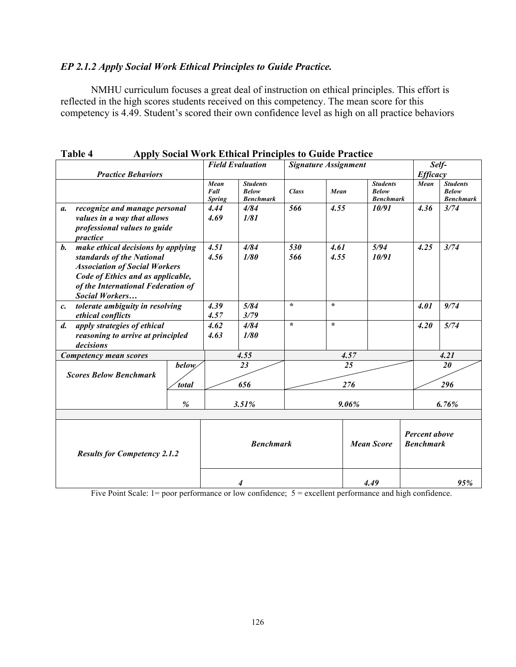## *EP 2.1.2 Apply Social Work Ethical Principles to Guide Practice.*

NMHU curriculum focuses a great deal of instruction on ethical principles. This effort is reflected in the high scores students received on this competency. The mean score for this competency is 4.49. Student's scored their own confidence level as high on all practice behaviors

| <b>Practice Behaviors</b>                                                                                                                                                                               |                               | <b>Field Evaluation</b>                             |              | <b>Signature Assignment</b> |                                                     |      | Self-<br><b>Efficacy</b>                            |  |
|---------------------------------------------------------------------------------------------------------------------------------------------------------------------------------------------------------|-------------------------------|-----------------------------------------------------|--------------|-----------------------------|-----------------------------------------------------|------|-----------------------------------------------------|--|
|                                                                                                                                                                                                         | Mean<br>Fall<br><b>Spring</b> | <b>Students</b><br><b>Below</b><br><b>Benchmark</b> | <b>Class</b> | Mean                        | <b>Students</b><br><b>Below</b><br><b>Benchmark</b> | Mean | <b>Students</b><br><b>Below</b><br><b>Benchmark</b> |  |
| recognize and manage personal<br>a.<br>values in a way that allows<br>professional values to guide<br>practice                                                                                          | 4.44<br>4.69                  | 4/84<br>1/81                                        | 566          | 4.55                        | 10/91                                               | 4.36 | 3/74                                                |  |
| b. make ethical decisions by applying<br>standards of the National<br><b>Association of Social Workers</b><br>Code of Ethics and as applicable,<br>of the International Federation of<br>Social Workers | 4.51<br>4.56                  | 4/84<br>1/80                                        | 530<br>566   | 4.61<br>4.55                | 5/94<br>10/91                                       | 4.25 | 3/74                                                |  |
| tolerate ambiguity in resolving<br>$c$ .<br>ethical conflicts                                                                                                                                           | 4.39<br>4.57                  | 5/84<br>3/79                                        | $\star$      | $\star$                     |                                                     | 4.01 | 9/74                                                |  |
| apply strategies of ethical<br>$d_{\cdot}$<br>reasoning to arrive at principled<br>decisions                                                                                                            | 4.62<br>4.63                  | 4/84<br>1/80                                        | $\star$      | $\star$                     |                                                     | 4.20 | 5/74                                                |  |
| Competency mean scores                                                                                                                                                                                  |                               | 4.55                                                |              | 4.57                        |                                                     |      | 4.21                                                |  |
| below/<br><b>Scores Below Benchmark</b><br>total                                                                                                                                                        |                               | 23<br>656                                           | 25<br>276    |                             |                                                     |      | 20<br>296                                           |  |
| $\%$                                                                                                                                                                                                    |                               | 3.51%                                               |              |                             | 9.06%                                               |      | 6.76%                                               |  |
| <b>Results for Competency 2.1.2</b>                                                                                                                                                                     |                               | <b>Benchmark</b>                                    |              | <b>Mean Score</b>           |                                                     |      | <b>Percent above</b><br><b>Benchmark</b>            |  |
|                                                                                                                                                                                                         |                               | 4                                                   |              |                             | 4.49                                                |      | 95%                                                 |  |

**Table 4 Apply Social Work Ethical Principles to Guide Practice**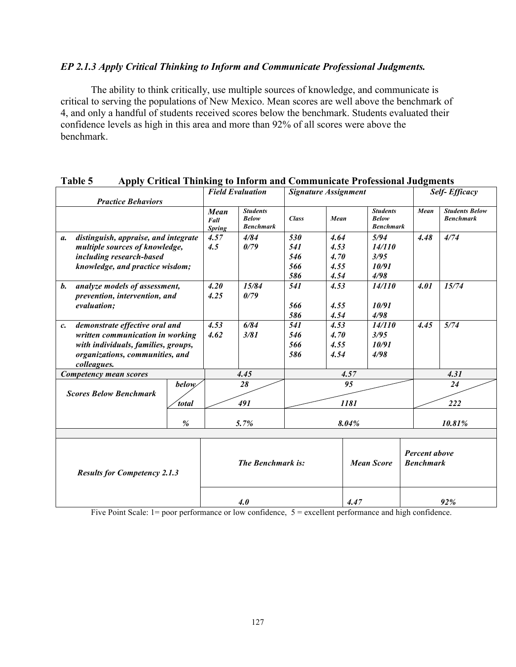#### *EP 2.1.3 Apply Critical Thinking to Inform and Communicate Professional Judgments.*

The ability to think critically, use multiple sources of knowledge, and communicate is critical to serving the populations of New Mexico. Mean scores are well above the benchmark of 4, and only a handful of students received scores below the benchmark. Students evaluated their confidence levels as high in this area and more than 92% of all scores were above the benchmark.

|                                                               |                                                                                                                                                             |                   | <b>Field Evaluation</b>       |                                                     | <b>Signature Assignment</b>     |                                      |                                                     |                                          | <b>Self-Efficacy</b>                      |  |
|---------------------------------------------------------------|-------------------------------------------------------------------------------------------------------------------------------------------------------------|-------------------|-------------------------------|-----------------------------------------------------|---------------------------------|--------------------------------------|-----------------------------------------------------|------------------------------------------|-------------------------------------------|--|
|                                                               | <b>Practice Behaviors</b>                                                                                                                                   |                   | Mean<br>Fall<br><b>Spring</b> | <b>Students</b><br><b>Below</b><br><b>Benchmark</b> | <b>Class</b>                    | Mean                                 | <b>Students</b><br><b>Below</b><br><b>Benchmark</b> | Mean                                     | <b>Students Below</b><br><b>Benchmark</b> |  |
| $\mathfrak{a}.$                                               | distinguish, appraise, and integrate<br>multiple sources of knowledge,<br>including research-based<br>knowledge, and practice wisdom;                       |                   | 4.57<br>4.5                   | 4/84<br>0/79                                        | 530<br>541<br>546<br>566<br>586 | 4.64<br>4.53<br>4.70<br>4.55<br>4.54 | 5/94<br>14/110<br>3/95<br>10/91<br>4/98             | 4.48                                     | 4/74                                      |  |
| $\mathbf{b}$ .                                                | analyze models of assessment,<br>prevention, intervention, and<br>evaluation;                                                                               |                   | 4.20<br>4.25                  | 15/84<br>0/79                                       | 541<br>566<br>586               | 4.53<br>4.55<br>4.54                 | 14/110<br>10/91<br>4/98                             | 4.01                                     | 15/74                                     |  |
| c.                                                            | demonstrate effective oral and<br>written communication in working<br>with individuals, families, groups,<br>organizations, communities, and<br>colleagues. |                   | 4.53<br>4.62                  | 6/84<br>3/81                                        | 541<br>546<br>566<br>586        | 4.53<br>4.70<br>4.55<br>4.54         | 14/110<br>3/95<br>10/91<br>4/98                     | 4.45                                     | 5/74                                      |  |
|                                                               | Competency mean scores                                                                                                                                      |                   | 4.45                          |                                                     |                                 | 4.57                                 |                                                     |                                          | 4.31                                      |  |
| <b>below</b><br><b>Scores Below Benchmark</b><br><i>total</i> |                                                                                                                                                             |                   |                               | 28<br>491                                           | 95<br>1181                      |                                      |                                                     |                                          | 24<br>222                                 |  |
|                                                               |                                                                                                                                                             | $\%$              |                               | 5.7%                                                | 8.04%                           |                                      |                                                     | 10.81%                                   |                                           |  |
| <b>Results for Competency 2.1.3</b>                           |                                                                                                                                                             | The Benchmark is: |                               |                                                     | <b>Mean Score</b>               |                                      |                                                     | <b>Percent above</b><br><b>Benchmark</b> |                                           |  |
|                                                               |                                                                                                                                                             |                   |                               | 4.0                                                 |                                 | 4.47                                 |                                                     | 92%                                      |                                           |  |

#### **Table 5 Apply Critical Thinking to Inform and Communicate Professional Judgments**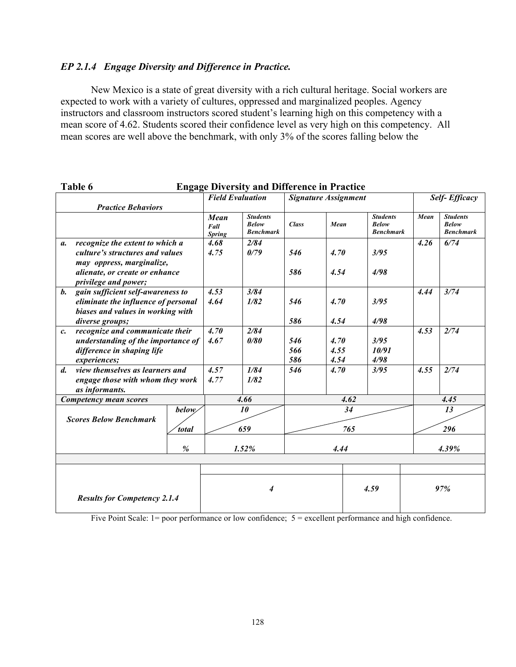# *EP 2.1.4 Engage Diversity and Difference in Practice.*

New Mexico is a state of great diversity with a rich cultural heritage. Social workers are expected to work with a variety of cultures, oppressed and marginalized peoples. Agency instructors and classroom instructors scored student's learning high on this competency with a mean score of 4.62. Students scored their confidence level as very high on this competency. All mean scores are well above the benchmark, with only 3% of the scores falling below the

| Table 6                                             | <b>Engage Diversity and Difference in Practice</b> |                               |                                                     |              |                             |                                                     |                      |                                                     |  |  |  |
|-----------------------------------------------------|----------------------------------------------------|-------------------------------|-----------------------------------------------------|--------------|-----------------------------|-----------------------------------------------------|----------------------|-----------------------------------------------------|--|--|--|
|                                                     |                                                    | <b>Field Evaluation</b>       |                                                     |              | <b>Signature Assignment</b> |                                                     | <b>Self-Efficacy</b> |                                                     |  |  |  |
| <b>Practice Behaviors</b>                           |                                                    |                               |                                                     |              |                             |                                                     |                      |                                                     |  |  |  |
|                                                     |                                                    | Mean<br>Fall<br><b>Spring</b> | <b>Students</b><br><b>Below</b><br><b>Benchmark</b> | <b>Class</b> | Mean                        | <b>Students</b><br><b>Below</b><br><b>Benchmark</b> | Mean                 | <b>Students</b><br><b>Below</b><br><b>Benchmark</b> |  |  |  |
| recognize the extent to which a<br>а.               |                                                    | 4.68                          | 2/84                                                |              |                             |                                                     | 4.26                 | 6/74                                                |  |  |  |
| culture's structures and values                     |                                                    | 4.75                          | 0/79                                                | 546          | 4.70                        | 3/95                                                |                      |                                                     |  |  |  |
|                                                     | may oppress, marginalize,                          |                               |                                                     |              |                             |                                                     |                      |                                                     |  |  |  |
| alienate, or create or enhance                      |                                                    |                               |                                                     | 586          | 4.54                        | 4/98                                                |                      |                                                     |  |  |  |
| privilege and power;                                |                                                    |                               |                                                     |              |                             |                                                     |                      |                                                     |  |  |  |
| $\mathbf{b}$ .<br>gain sufficient self-awareness to |                                                    | 4.53                          | 3/84                                                |              |                             |                                                     | 4.44                 | 3/74                                                |  |  |  |
| eliminate the influence of personal                 |                                                    | 4.64                          | 1/82                                                | 546          | 4.70                        | 3/95                                                |                      |                                                     |  |  |  |
| biases and values in working with                   |                                                    |                               |                                                     |              |                             |                                                     |                      |                                                     |  |  |  |
| diverse groups;                                     |                                                    |                               |                                                     | 586          | 4.54                        | 4/98                                                |                      |                                                     |  |  |  |
| recognize and communicate their<br>$c_{\cdot}$      |                                                    | 4.70                          | 2/84                                                |              |                             |                                                     | 4.53                 | 2/74                                                |  |  |  |
| understanding of the importance of                  |                                                    | 4.67                          | 0/80                                                | 546          | 4.70                        | 3/95                                                |                      |                                                     |  |  |  |
| difference in shaping life                          |                                                    |                               |                                                     | 566          | 4.55                        | 10/91                                               |                      |                                                     |  |  |  |
| experiences;                                        |                                                    |                               |                                                     | 586          | 4.54                        | 4/98                                                |                      |                                                     |  |  |  |
| view themselves as learners and<br>$\mathbf{d}$     |                                                    | 4.57                          | 1/84                                                | 546          | 4.70                        | 3/95                                                | 4.55                 | 2/74                                                |  |  |  |
| engage those with whom they work                    |                                                    | 4.77                          | 1/82                                                |              |                             |                                                     |                      |                                                     |  |  |  |
| as informants.                                      |                                                    |                               |                                                     |              |                             |                                                     |                      |                                                     |  |  |  |
| Competency mean scores                              |                                                    |                               | 4.66                                                | 4.62         |                             |                                                     | 4.45                 |                                                     |  |  |  |
|                                                     | below                                              |                               | 10                                                  |              | 34                          |                                                     |                      | 13                                                  |  |  |  |
| <b>Scores Below Benchmark</b>                       |                                                    |                               | 659                                                 |              |                             |                                                     |                      |                                                     |  |  |  |
|                                                     | total                                              |                               |                                                     |              | 765                         |                                                     |                      | 296                                                 |  |  |  |
| $\%$                                                |                                                    |                               | 1.52%                                               |              | 4.44                        |                                                     | 4.39%                |                                                     |  |  |  |
|                                                     |                                                    |                               |                                                     |              |                             |                                                     |                      |                                                     |  |  |  |
|                                                     |                                                    |                               |                                                     |              |                             |                                                     |                      |                                                     |  |  |  |
|                                                     |                                                    |                               |                                                     |              |                             |                                                     |                      |                                                     |  |  |  |
|                                                     |                                                    | $\boldsymbol{4}$              |                                                     |              |                             | 4.59                                                |                      | 97%                                                 |  |  |  |
| <b>Results for Competency 2.1.4</b>                 |                                                    |                               |                                                     |              |                             |                                                     |                      |                                                     |  |  |  |
|                                                     |                                                    |                               |                                                     |              |                             |                                                     |                      |                                                     |  |  |  |

#### **Table 6 Engage Diversity and Difference in Practice**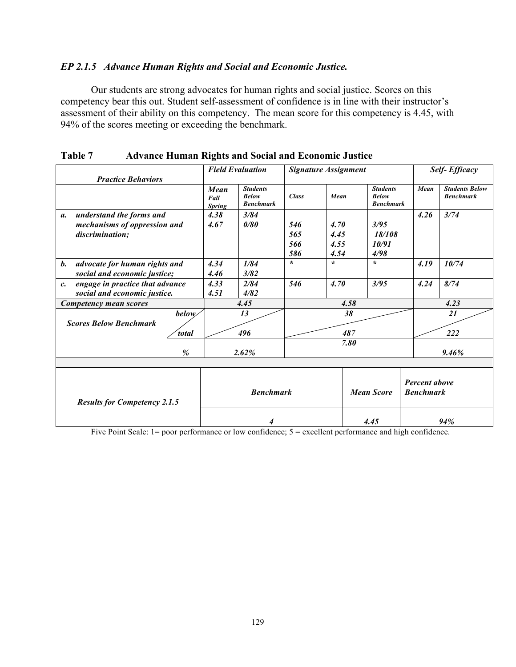## *EP 2.1.5 Advance Human Rights and Social and Economic Justice.*

Our students are strong advocates for human rights and social justice. Scores on this competency bear this out. Student self-assessment of confidence is in line with their instructor's assessment of their ability on this competency. The mean score for this competency is 4.45, with 94% of the scores meeting or exceeding the benchmark.

|                                                    |              |                               | <b>Field Evaluation</b>                             | <b>Signature Assignment</b> |         |                   |                                                     |  | <b>Self-Efficacy</b>                     |                                           |  |
|----------------------------------------------------|--------------|-------------------------------|-----------------------------------------------------|-----------------------------|---------|-------------------|-----------------------------------------------------|--|------------------------------------------|-------------------------------------------|--|
| <b>Practice Behaviors</b>                          |              |                               |                                                     |                             |         |                   |                                                     |  |                                          |                                           |  |
|                                                    |              | Mean<br>Fall<br><b>Spring</b> | <b>Students</b><br><b>Below</b><br><b>Benchmark</b> | <b>Class</b>                | Mean    |                   | <b>Students</b><br><b>Below</b><br><b>Benchmark</b> |  | Mean                                     | <b>Students Below</b><br><b>Benchmark</b> |  |
| understand the forms and<br>$\mathfrak{a}$ .       |              | 4.38                          | 3/84                                                |                             |         |                   |                                                     |  | 4.26                                     | 3/74                                      |  |
| mechanisms of oppression and                       |              | 4.67                          | 0/80                                                | 546                         | 4.70    |                   | 3/95                                                |  |                                          |                                           |  |
| discrimination;                                    |              |                               |                                                     | 565                         | 4.45    |                   | 18/108                                              |  |                                          |                                           |  |
|                                                    |              |                               |                                                     | 566                         | 4.55    |                   | 10/91                                               |  |                                          |                                           |  |
|                                                    |              |                               |                                                     | 586                         | 4.54    |                   | 4/98                                                |  |                                          |                                           |  |
| advocate for human rights and<br>b.                |              | 4.34                          | 1/84                                                | $\star$                     | $\star$ |                   | $\star$                                             |  | 4.19                                     | 10/74                                     |  |
| social and economic justice;                       |              | 4.46                          | 3/82                                                |                             |         |                   |                                                     |  |                                          |                                           |  |
| engage in practice that advance<br>$\mathcal{C}$ . |              | 4.33                          | 2/84                                                | 546                         | 4.70    |                   | 3/95                                                |  | 4.24                                     | 8/74                                      |  |
| social and economic justice.                       |              | 4.51                          | 4/82                                                |                             |         |                   |                                                     |  |                                          |                                           |  |
| Competency mean scores                             |              |                               | 4.45                                                |                             |         | 4.58              |                                                     |  |                                          | 4.23                                      |  |
| <b>Scores Below Benchmark</b>                      | <i>below</i> | 13                            |                                                     | 38                          |         |                   |                                                     |  | 21                                       |                                           |  |
|                                                    | <i>total</i> |                               | 496                                                 |                             |         | 487               |                                                     |  | 222                                      |                                           |  |
|                                                    |              |                               |                                                     |                             |         | 7.80              |                                                     |  |                                          |                                           |  |
|                                                    | %            |                               | 2.62%                                               |                             |         |                   |                                                     |  |                                          | 9.46%                                     |  |
|                                                    |              |                               |                                                     |                             |         |                   |                                                     |  |                                          |                                           |  |
| <b>Results for Competency 2.1.5</b>                |              | <b>Benchmark</b>              |                                                     |                             |         | <b>Mean Score</b> |                                                     |  | <b>Percent above</b><br><b>Benchmark</b> |                                           |  |
|                                                    |              | 4.45<br>4                     |                                                     |                             |         | 94%               |                                                     |  |                                          |                                           |  |

**Table 7 Advance Human Rights and Social and Economic Justice**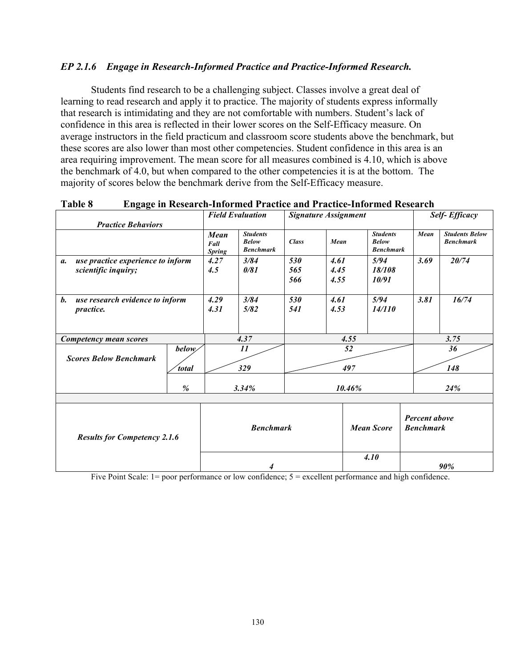#### *EP 2.1.6 Engage in Research-Informed Practice and Practice-Informed Research.*

Students find research to be a challenging subject. Classes involve a great deal of learning to read research and apply it to practice. The majority of students express informally that research is intimidating and they are not comfortable with numbers. Student's lack of confidence in this area is reflected in their lower scores on the Self-Efficacy measure. On average instructors in the field practicum and classroom score students above the benchmark, but these scores are also lower than most other competencies. Student confidence in this area is an area requiring improvement. The mean score for all measures combined is 4.10, which is above the benchmark of 4.0, but when compared to the other competencies it is at the bottom. The majority of scores below the benchmark derive from the Self-Efficacy measure.

| <b>Practice Behaviors</b>                                        |                              | <b>Signature Assignment</b><br><b>Field Evaluation</b> |                                                     |                   |                      |      | <b>Self-Efficacy</b>                                |                                          |                                           |  |
|------------------------------------------------------------------|------------------------------|--------------------------------------------------------|-----------------------------------------------------|-------------------|----------------------|------|-----------------------------------------------------|------------------------------------------|-------------------------------------------|--|
|                                                                  |                              | Mean<br>Fall<br><b>Spring</b>                          | <b>Students</b><br><b>Below</b><br><b>Benchmark</b> | <b>Class</b>      | Mean                 |      | <b>Students</b><br><b>Below</b><br><b>Benchmark</b> | Mean                                     | <b>Students Below</b><br><b>Benchmark</b> |  |
| use practice experience to inform<br>a.<br>scientific inquiry;   |                              | 4.27<br>4.5                                            | 3/84<br>0/81                                        | 530<br>565<br>566 | 4.61<br>4.45<br>4.55 |      | 5/94<br>18/108<br>10/91                             | 3.69                                     | 20/74                                     |  |
| <b>b.</b><br>use research evidence to inform<br><i>practice.</i> |                              | 4.29<br>4.31                                           | 3/84<br>5/82                                        | 530<br>541        | 4.61<br>4.53         |      | 5/94<br>14/110                                      | 3.81                                     | 16/74                                     |  |
| Competency mean scores                                           |                              |                                                        | 4.37                                                |                   |                      | 4.55 |                                                     |                                          | 3.75                                      |  |
| <b>Scores Below Benchmark</b>                                    | <b>below</b><br><i>total</i> |                                                        | 11<br>329                                           | 52<br>497         |                      |      | 36<br>148                                           |                                          |                                           |  |
|                                                                  | $\%$                         |                                                        | 3.34%                                               | 10.46%            |                      |      |                                                     |                                          | 24%                                       |  |
|                                                                  |                              |                                                        |                                                     |                   |                      |      |                                                     |                                          |                                           |  |
| <b>Results for Competency 2.1.6</b>                              |                              | <b>Benchmark</b>                                       |                                                     |                   |                      |      | <b>Mean Score</b>                                   | <b>Percent above</b><br><b>Benchmark</b> |                                           |  |
|                                                                  |                              | 4                                                      |                                                     |                   |                      | 4.10 |                                                     | 90%                                      |                                           |  |

#### **Table 8 Engage in Research-Informed Practice and Practice-Informed Research**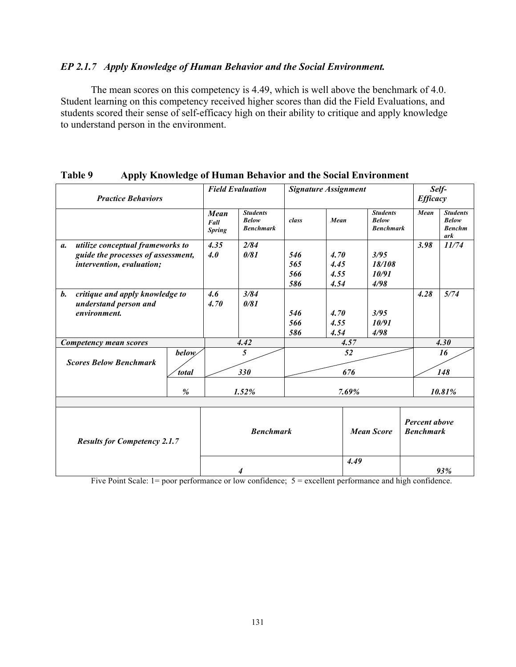#### *EP 2.1.7 Apply Knowledge of Human Behavior and the Social Environment.*

The mean scores on this competency is 4.49, which is well above the benchmark of 4.0. Student learning on this competency received higher scores than did the Field Evaluations, and students scored their sense of self-efficacy high on their ability to critique and apply knowledge to understand person in the environment.

| .<br><b>Practice Behaviors</b>                                             | o                            |                               | <b>Field Evaluation</b>                             | <b>Signature Assignment</b> |                   |      |                                                     | <b>Efficacy</b>                          | Self-                                                   |
|----------------------------------------------------------------------------|------------------------------|-------------------------------|-----------------------------------------------------|-----------------------------|-------------------|------|-----------------------------------------------------|------------------------------------------|---------------------------------------------------------|
|                                                                            |                              | Mean<br>Fall<br><b>Spring</b> | <b>Students</b><br><b>Below</b><br><b>Benchmark</b> | class                       | Mean              |      | <b>Students</b><br><b>Below</b><br><b>Benchmark</b> | Mean                                     | <b>Students</b><br><b>Below</b><br><b>Benchm</b><br>ark |
| utilize conceptual frameworks to<br>а.                                     |                              | 4.35                          | 2/84                                                |                             |                   |      |                                                     | 3.98                                     | 11/74                                                   |
| guide the processes of assessment,                                         |                              | 4.0                           | 0/81                                                | 546                         | 4.70              |      | 3/95                                                |                                          |                                                         |
| intervention, evaluation;                                                  |                              |                               |                                                     | 565                         | 4.45              |      | 18/108                                              |                                          |                                                         |
|                                                                            |                              |                               |                                                     | 566                         | 4.55              |      | 10/91                                               |                                          |                                                         |
|                                                                            |                              |                               |                                                     | 586                         | 4.54              |      | 4/98                                                |                                          |                                                         |
| $\mathbf{b}$ .<br>critique and apply knowledge to<br>understand person and |                              | 4.6<br>4.70                   | 3/84<br>0/81                                        |                             |                   |      |                                                     | 4.28                                     | 5/74                                                    |
| environment.                                                               |                              |                               |                                                     | 546                         | 4.70              |      | 3/95                                                |                                          |                                                         |
|                                                                            |                              |                               |                                                     | 566                         | 4.55              |      | 10/91                                               |                                          |                                                         |
|                                                                            |                              |                               |                                                     | 586                         | 4.54              |      | 4/98                                                |                                          |                                                         |
| Competency mean scores                                                     |                              | 4.42                          |                                                     | 4.57                        |                   |      |                                                     |                                          | 4.30                                                    |
| <b>Scores Below Benchmark</b>                                              | <i>below</i><br><i>total</i> |                               | 5<br>330                                            | 52<br>676                   |                   |      |                                                     |                                          | 16<br>148                                               |
|                                                                            | %                            |                               | 1.52%                                               |                             | 7.69%             |      |                                                     |                                          | 10.81%                                                  |
|                                                                            |                              |                               |                                                     |                             |                   |      |                                                     |                                          |                                                         |
| <b>Results for Competency 2.1.7</b>                                        |                              | <b>Benchmark</b>              |                                                     |                             | <b>Mean Score</b> |      |                                                     | <b>Percent above</b><br><b>Benchmark</b> |                                                         |
|                                                                            |                              |                               |                                                     |                             |                   | 4.49 |                                                     |                                          | 93%                                                     |

#### **Table 9 Apply Knowledge of Human Behavior and the Social Environment**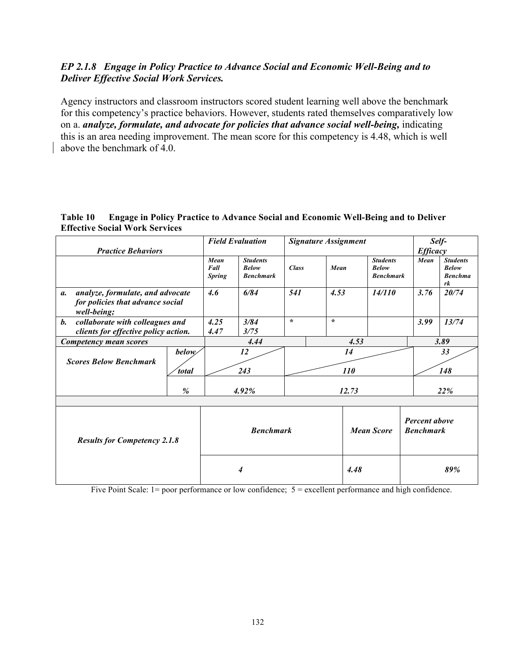## *EP 2.1.8 Engage in Policy Practice to Advance Social and Economic Well-Being and to Deliver Effective Social Work Services.*

Agency instructors and classroom instructors scored student learning well above the benchmark for this competency's practice behaviors. However, students rated themselves comparatively low on a. *analyze, formulate, and advocate for policies that advance social well-being,* indicating this is an area needing improvement. The mean score for this competency is 4.48, which is well above the benchmark of 4.0.

#### **Table 10 Engage in Policy Practice to Advance Social and Economic Well-Being and to Deliver Effective Social Work Services**

|                                                                                           |                       |                               | <b>Field Evaluation</b>                             | <b>Signature Assignment</b> |               |  |                                                     | Self-     |                 |                                                         |
|-------------------------------------------------------------------------------------------|-----------------------|-------------------------------|-----------------------------------------------------|-----------------------------|---------------|--|-----------------------------------------------------|-----------|-----------------|---------------------------------------------------------|
| <b>Practice Behaviors</b>                                                                 |                       |                               |                                                     |                             |               |  |                                                     |           | <b>Efficacy</b> |                                                         |
|                                                                                           |                       | Mean<br>Fall<br><b>Spring</b> | <b>Students</b><br><b>Below</b><br><b>Benchmark</b> | <b>Class</b>                | Mean          |  | <b>Students</b><br><b>Below</b><br><b>Benchmark</b> |           | Mean            | <b>Students</b><br><b>Below</b><br><b>Benchma</b><br>rk |
| analyze, formulate, and advocate<br>а.<br>for policies that advance social<br>well-being; |                       | 4.6                           | 6/84                                                | 541                         | 4.53          |  | 14/110                                              |           | 3.76            | 20/74                                                   |
| <b>b.</b><br>collaborate with colleagues and                                              |                       | 4.25                          | 3/84                                                | $\star$                     | $\mathcal{N}$ |  |                                                     |           | 3.99            | 13/74                                                   |
| clients for effective policy action.                                                      |                       | 4.47                          | 3/75                                                |                             |               |  |                                                     |           |                 |                                                         |
| <b>Competency mean scores</b>                                                             |                       | 4.44                          |                                                     |                             | 4.53          |  | 3.89                                                |           |                 |                                                         |
| <b>Scores Below Benchmark</b>                                                             | <b>below</b><br>total |                               | 12<br>243                                           | 14<br><i>110</i>            |               |  |                                                     | 33<br>148 |                 |                                                         |
|                                                                                           | %                     |                               | 4.92%                                               | 12.73                       |               |  |                                                     | 22%       |                 |                                                         |
|                                                                                           |                       |                               |                                                     |                             |               |  |                                                     |           |                 |                                                         |
| <b>Results for Competency 2.1.8</b>                                                       | <b>Benchmark</b>      |                               |                                                     | <b>Mean Score</b>           |               |  | <b>Percent above</b><br><b>Benchmark</b>            |           |                 |                                                         |
|                                                                                           |                       |                               | 4                                                   | 4.48                        |               |  |                                                     |           |                 | 89%                                                     |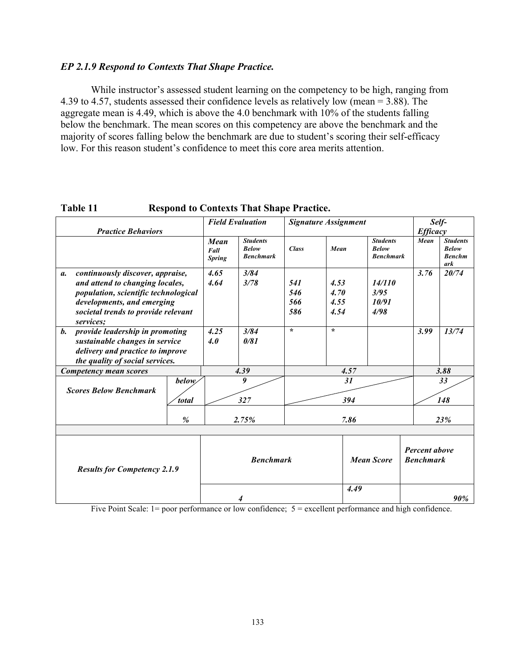#### *EP 2.1.9 Respond to Contexts That Shape Practice.*

While instructor's assessed student learning on the competency to be high, ranging from 4.39 to 4.57, students assessed their confidence levels as relatively low (mean = 3.88). The aggregate mean is 4.49, which is above the 4.0 benchmark with 10% of the students falling below the benchmark. The mean scores on this competency are above the benchmark and the majority of scores falling below the benchmark are due to student's scoring their self-efficacy low. For this reason student's confidence to meet this core area merits attention.

|                                                                                                                                                                                                     |                              |                               | <b>Field Evaluation</b>                             |                          | <b>Signature Assignment</b>  |                                                     |      | Self-                                                   |
|-----------------------------------------------------------------------------------------------------------------------------------------------------------------------------------------------------|------------------------------|-------------------------------|-----------------------------------------------------|--------------------------|------------------------------|-----------------------------------------------------|------|---------------------------------------------------------|
| <b>Practice Behaviors</b>                                                                                                                                                                           |                              |                               |                                                     |                          |                              |                                                     |      | <b>Efficacy</b>                                         |
|                                                                                                                                                                                                     |                              | Mean<br>Fall<br><b>Spring</b> | <b>Students</b><br><b>Below</b><br><b>Benchmark</b> | <b>Class</b>             | Mean                         | <b>Students</b><br><b>Below</b><br><b>Benchmark</b> | Mean | <b>Students</b><br><b>Below</b><br><b>Benchm</b><br>ark |
| continuously discover, appraise,<br>а.<br>and attend to changing locales,<br>population, scientific technological<br>developments, and emerging<br>societal trends to provide relevant<br>services; |                              | 4.65<br>4.64                  | 3/84<br>3/78                                        | 541<br>546<br>566<br>586 | 4.53<br>4.70<br>4.55<br>4.54 | 14/110<br>3/95<br>10/91<br>4/98                     | 3.76 | 20/74                                                   |
| provide leadership in promoting<br>$\mathbf{b}$ .<br>sustainable changes in service<br>delivery and practice to improve<br>the quality of social services.                                          |                              | 4.25<br>4.0                   | 3/84<br>0/81                                        | $\star$                  | $\star$                      |                                                     | 3.99 | 13/74                                                   |
| Competency mean scores                                                                                                                                                                              |                              |                               | 4.39                                                |                          | 4.57                         |                                                     |      | 3.88                                                    |
| <b>Scores Below Benchmark</b>                                                                                                                                                                       | <b>below</b><br><i>total</i> | 31<br>9<br>327<br>394         |                                                     |                          |                              |                                                     |      | 33<br>148                                               |
|                                                                                                                                                                                                     | %                            |                               | 2.75%                                               |                          | 7.86                         |                                                     |      | 23%                                                     |
| <b>Results for Competency 2.1.9</b>                                                                                                                                                                 |                              | <b>Benchmark</b>              |                                                     |                          | <b>Mean Score</b>            |                                                     |      | <b>Percent above</b><br><b>Benchmark</b>                |
|                                                                                                                                                                                                     |                              |                               | 4                                                   |                          | 4.49                         |                                                     |      | 90%                                                     |

**Table 11 Respond to Contexts That Shape Practice.**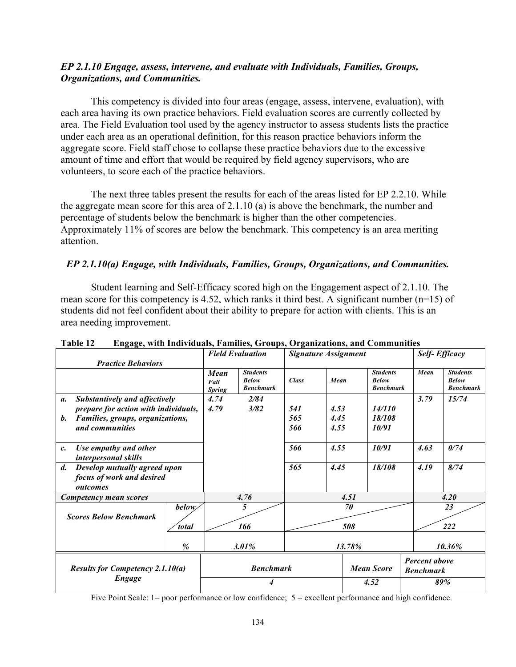## *EP 2.1.10 Engage, assess, intervene, and evaluate with Individuals, Families, Groups, Organizations, and Communities.*

This competency is divided into four areas (engage, assess, intervene, evaluation), with each area having its own practice behaviors. Field evaluation scores are currently collected by area. The Field Evaluation tool used by the agency instructor to assess students lists the practice under each area as an operational definition, for this reason practice behaviors inform the aggregate score. Field staff chose to collapse these practice behaviors due to the excessive amount of time and effort that would be required by field agency supervisors, who are volunteers, to score each of the practice behaviors.

The next three tables present the results for each of the areas listed for EP 2.2.10. While the aggregate mean score for this area of 2.1.10 (a) is above the benchmark, the number and percentage of students below the benchmark is higher than the other competencies. Approximately 11% of scores are below the benchmark. This competency is an area meriting attention.

## *EP 2.1.10(a) Engage, with Individuals, Families, Groups, Organizations, and Communities.*

Student learning and Self-Efficacy scored high on the Engagement aspect of 2.1.10. The mean score for this competency is 4.52, which ranks it third best. A significant number (n=15) of students did not feel confident about their ability to prepare for action with clients. This is an area needing improvement.

|                                                     |              | <b>Field Evaluation</b>              |                                                     | <b>Signature Assignment</b> |      |        |                                                     | <b>Self-Efficacy</b> |                                                     |  |
|-----------------------------------------------------|--------------|--------------------------------------|-----------------------------------------------------|-----------------------------|------|--------|-----------------------------------------------------|----------------------|-----------------------------------------------------|--|
| <b>Practice Behaviors</b>                           |              |                                      |                                                     |                             |      |        |                                                     |                      |                                                     |  |
|                                                     |              | <b>Mean</b><br>Fall<br><b>Spring</b> | <b>Students</b><br><b>Below</b><br><b>Benchmark</b> | <b>Class</b>                | Mean |        | <b>Students</b><br><b>Below</b><br><b>Benchmark</b> | Mean                 | <b>Students</b><br><b>Below</b><br><b>Benchmark</b> |  |
| Substantively and affectively<br>$\mathfrak{a}.$    |              | 4.74                                 | 2/84                                                |                             |      |        |                                                     | 3.79                 | 15/74                                               |  |
| prepare for action with individuals,                |              | 4.79                                 | 3/82                                                | 541                         | 4.53 |        | 14/110                                              |                      |                                                     |  |
| Families, groups, organizations,<br><i>b</i> .      |              |                                      |                                                     | 565                         | 4.45 |        | 18/108                                              |                      |                                                     |  |
| and communities                                     |              |                                      |                                                     | 566                         | 4.55 |        | 10/91                                               |                      |                                                     |  |
| Use empathy and other<br>c.<br>interpersonal skills |              |                                      |                                                     | 566                         | 4.55 |        | 10/91                                               | 4.63                 | 0/74                                                |  |
| $\boldsymbol{d}$ .<br>Develop mutually agreed upon  |              |                                      |                                                     | 565                         | 4.45 |        | 18/108                                              | 4.19                 | 8/74                                                |  |
| focus of work and desired                           |              |                                      |                                                     |                             |      |        |                                                     |                      |                                                     |  |
| outcomes                                            |              |                                      |                                                     |                             |      |        |                                                     |                      |                                                     |  |
| Competency mean scores                              |              | 4.76                                 |                                                     | 4.51                        |      |        |                                                     |                      | 4.20                                                |  |
|                                                     | <i>below</i> |                                      | 5                                                   |                             |      | 70     |                                                     |                      | 23                                                  |  |
| <b>Scores Below Benchmark</b>                       | total        |                                      | 166                                                 | 508                         |      |        |                                                     |                      | 222                                                 |  |
|                                                     |              |                                      |                                                     |                             |      |        |                                                     |                      |                                                     |  |
|                                                     | %            |                                      | $3.01\%$                                            |                             |      | 13.78% |                                                     |                      | 10.36%                                              |  |
|                                                     |              |                                      |                                                     |                             |      |        |                                                     | Percent above        |                                                     |  |
| <b>Results for Competency 2.1.10(a)</b>             |              |                                      | <b>Benchmark</b>                                    |                             |      |        | <b>Mean Score</b>                                   | <b>Benchmark</b>     |                                                     |  |
| <b>Engage</b>                                       |              | 4                                    |                                                     |                             | 4.52 |        | 89%                                                 |                      |                                                     |  |

**Table 12 Engage, with Individuals, Families, Groups, Organizations, and Communities**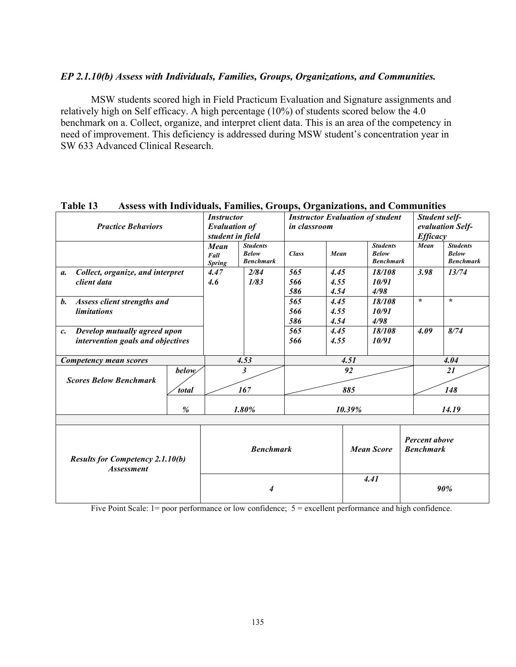#### *EP 2.1.10(b) Assess with Individuals, Families, Groups, Organizations, and Communities.*

MSW students scored high in Field Practicum Evaluation and Signature assignments and relatively high on Self efficacy. A high percentage (10%) of students scored below the 4.0 benchmark on a. Collect, organize, and interpret client data. This is an area of the competency in need of improvement. This deficiency is addressed during MSW student's concentration year in SW 633 Advanced Clinical Research.

| 1 AVIL 1J                                                    | Азэсээ үни нийгийнэ, ганнисэ, Огоирэ, Огданганонэ, ани Соннийнисэ |                          |                                  |              |      |      |                                         |               |                                   |                                  |
|--------------------------------------------------------------|-------------------------------------------------------------------|--------------------------|----------------------------------|--------------|------|------|-----------------------------------------|---------------|-----------------------------------|----------------------------------|
|                                                              |                                                                   | <i><b>Instructor</b></i> |                                  |              |      |      | <b>Instructor Evaluation of student</b> | Student self- |                                   |                                  |
| <b>Practice Behaviors</b>                                    |                                                                   | <b>Evaluation of</b>     |                                  | in classroom |      |      |                                         |               |                                   | evaluation Self-                 |
|                                                              |                                                                   | student in field         |                                  |              |      |      |                                         |               | <b>Efficacy</b>                   |                                  |
|                                                              |                                                                   | Mean                     | <b>Students</b>                  |              |      |      | <b>Students</b>                         |               | Mean                              | <b>Students</b>                  |
|                                                              |                                                                   | Fall                     | <b>Below</b><br><b>Benchmark</b> | <b>Class</b> | Mean |      | <b>Below</b><br><b>Benchmark</b>        |               |                                   | <b>Below</b><br><b>Benchmark</b> |
|                                                              |                                                                   | <b>Spring</b>            |                                  |              |      |      |                                         |               |                                   |                                  |
| Collect, organize, and interpret<br>$\mathfrak{a}.$          |                                                                   | 4.47                     | 2/84                             | 565          | 4.45 |      | 18/108                                  |               | 3.98                              | 13/74                            |
| client data                                                  |                                                                   | 4.6                      | 1/83                             | 566          | 4.55 |      | 10/91                                   |               |                                   |                                  |
|                                                              |                                                                   |                          |                                  | 586          | 4.54 |      | 4/98                                    |               |                                   |                                  |
| Assess client strengths and<br><b>b.</b>                     |                                                                   |                          |                                  | 565          | 4.45 |      | 18/108                                  |               | $\mathcal{N}$                     | $\star$                          |
| <i>limitations</i>                                           |                                                                   |                          |                                  | 566          | 4.55 |      | 10/91                                   |               |                                   |                                  |
|                                                              |                                                                   |                          |                                  | 586          | 4.54 |      | 4/98                                    |               |                                   |                                  |
| Develop mutually agreed upon<br>$c$ .                        |                                                                   |                          |                                  | 565          | 4.45 |      | 18/108                                  |               | 4.09                              | 8/74                             |
| intervention goals and objectives                            |                                                                   |                          |                                  | 566          | 4.55 |      | 10/91                                   |               |                                   |                                  |
|                                                              |                                                                   |                          |                                  |              |      |      |                                         |               |                                   |                                  |
| Competency mean scores                                       |                                                                   |                          | 4.53                             |              |      | 4.51 |                                         |               |                                   | 4.04                             |
|                                                              | below/                                                            |                          | 3                                |              |      | 92   |                                         |               |                                   | 21                               |
| <b>Scores Below Benchmark</b>                                |                                                                   |                          |                                  |              |      |      |                                         |               |                                   |                                  |
|                                                              | total                                                             |                          | 167                              |              |      | 885  |                                         |               |                                   | 148                              |
|                                                              |                                                                   |                          |                                  |              |      |      |                                         |               |                                   |                                  |
|                                                              | %                                                                 |                          | 1.80%                            | 10.39%       |      |      |                                         |               |                                   | 14.19                            |
|                                                              |                                                                   |                          |                                  |              |      |      |                                         |               |                                   |                                  |
| <b>Results for Competency 2.1.10(b)</b><br><b>Assessment</b> |                                                                   |                          | <b>Benchmark</b>                 |              |      |      | <b>Mean Score</b>                       |               | Percent above<br><b>Benchmark</b> |                                  |
|                                                              | 4                                                                 |                          |                                  | 4.41         |      | 90%  |                                         |               |                                   |                                  |

# **Table 13 Assess with Individuals, Families, Groups, Organizations, and Communities**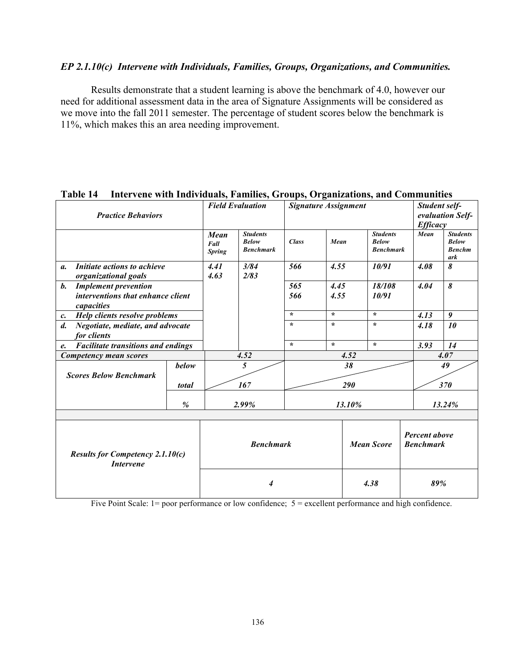#### *EP 2.1.10(c) Intervene with Individuals, Families, Groups, Organizations, and Communities.*

Results demonstrate that a student learning is above the benchmark of 4.0, however our need for additional assessment data in the area of Signature Assignments will be considered as we move into the fall 2011 semester. The percentage of student scores below the benchmark is 11%, which makes this an area needing improvement.

|                                                                         | L AVIV 17<br>Thici vene with Thurviquals, Fallines, Groups, Organizations, and Communities |                               |                                                     |                             |         |                   |                                     |                                          |                                                         |  |
|-------------------------------------------------------------------------|--------------------------------------------------------------------------------------------|-------------------------------|-----------------------------------------------------|-----------------------------|---------|-------------------|-------------------------------------|------------------------------------------|---------------------------------------------------------|--|
|                                                                         |                                                                                            |                               | <b>Field Evaluation</b>                             | <b>Signature Assignment</b> |         |                   |                                     | Student self-                            |                                                         |  |
| <b>Practice Behaviors</b>                                               |                                                                                            |                               |                                                     |                             |         |                   |                                     |                                          | evaluation Self-                                        |  |
|                                                                         |                                                                                            |                               |                                                     |                             |         |                   |                                     | <b>Efficacy</b>                          |                                                         |  |
|                                                                         |                                                                                            | Mean<br>Fall<br><b>Spring</b> | <b>Students</b><br><b>Below</b><br><b>Benchmark</b> | <b>Class</b>                | Mean    | <b>Below</b>      | <b>Students</b><br><b>Benchmark</b> | Mean                                     | <b>Students</b><br><b>Below</b><br><b>Benchm</b><br>ark |  |
| Initiate actions to achieve<br>$\mathfrak{a}$ .<br>organizational goals |                                                                                            | 4.41<br>4.63                  | 3/84<br>2/83                                        | 566                         | 4.55    |                   | 10/91                               | 4.08                                     | 8                                                       |  |
| <b>Implement prevention</b><br><b>b.</b>                                |                                                                                            |                               |                                                     | 565                         | 4.45    |                   | 18/108                              | 4.04                                     | 8                                                       |  |
| interventions that enhance client                                       |                                                                                            |                               |                                                     | 566                         | 4.55    |                   | 10/91                               |                                          |                                                         |  |
| capacities                                                              |                                                                                            |                               |                                                     |                             |         |                   |                                     |                                          |                                                         |  |
| Help clients resolve problems<br>$c_{\cdot}$                            |                                                                                            |                               |                                                     | $\star$                     | $\star$ | $\star$           |                                     | 4.13                                     | 9                                                       |  |
| Negotiate, mediate, and advocate<br>$\mathfrak{d}$ .                    |                                                                                            |                               |                                                     | $\mathcal{N}$               | $\star$ | $\star$           |                                     | 4.18                                     | 10                                                      |  |
| for clients                                                             |                                                                                            |                               |                                                     |                             |         |                   |                                     |                                          |                                                         |  |
| <b>Facilitate transitions and endings</b><br>$e_{\cdot}$                |                                                                                            |                               |                                                     | $\star$                     | $\star$ | $\mathcal{L}$     |                                     | 3.93                                     | 14                                                      |  |
| Competency mean scores                                                  |                                                                                            |                               | 4.52                                                |                             |         | 4.52              |                                     |                                          | 4.07                                                    |  |
|                                                                         | below                                                                                      |                               | 5                                                   |                             |         | 38                |                                     |                                          | 49                                                      |  |
| <b>Scores Below Benchmark</b>                                           |                                                                                            |                               |                                                     |                             |         |                   |                                     |                                          |                                                         |  |
|                                                                         | total                                                                                      |                               | 167                                                 |                             |         | 290               |                                     |                                          | <b>370</b>                                              |  |
|                                                                         |                                                                                            |                               |                                                     |                             |         |                   |                                     |                                          |                                                         |  |
|                                                                         | $\%$                                                                                       |                               | 2.99%                                               |                             |         | 13.10%            |                                     |                                          | 13.24%                                                  |  |
|                                                                         |                                                                                            |                               |                                                     |                             |         |                   |                                     |                                          |                                                         |  |
| <b>Results for Competency 2.1.10(c)</b><br><b>Intervene</b>             |                                                                                            |                               | <b>Benchmark</b>                                    |                             |         | <b>Mean Score</b> |                                     | <b>Percent above</b><br><b>Benchmark</b> |                                                         |  |
|                                                                         | 4                                                                                          |                               |                                                     | 4.38                        |         | 89%               |                                     |                                          |                                                         |  |

#### **Table 14 Intervene with Individuals, Families, Groups, Organizations, and Communities**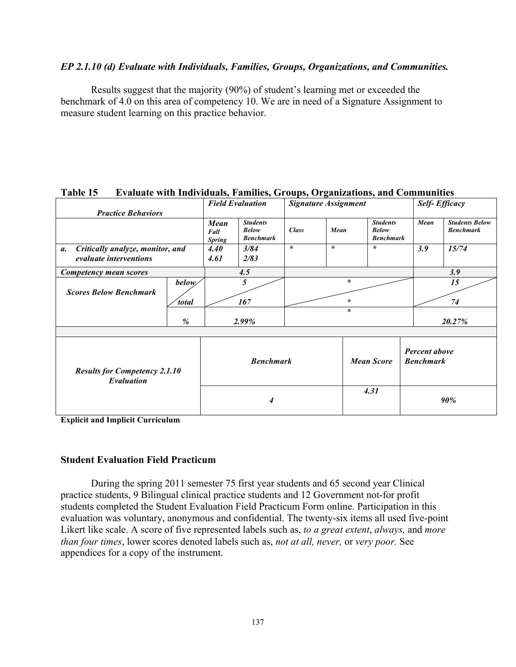#### *EP 2.1.10 (d) Evaluate with Individuals, Families, Groups, Organizations, and Communities.*

Results suggest that the majority (90%) of student's learning met or exceeded the benchmark of 4.0 on this area of competency 10. We are in need of a Signature Assignment to measure student learning on this practice behavior.

|                                                                  |                        |                                      | <b>Field Evaluation</b>                             |              | <b>Signature Assignment</b> |                                                     |                                   | <b>Self-Efficacy</b>                      |
|------------------------------------------------------------------|------------------------|--------------------------------------|-----------------------------------------------------|--------------|-----------------------------|-----------------------------------------------------|-----------------------------------|-------------------------------------------|
| <b>Practice Behaviors</b>                                        |                        |                                      |                                                     |              |                             |                                                     |                                   |                                           |
|                                                                  |                        | <b>Mean</b><br>Fall<br><b>Spring</b> | <b>Students</b><br><b>Below</b><br><b>Benchmark</b> | <b>Class</b> | Mean                        | <b>Students</b><br><b>Below</b><br><b>Benchmark</b> | Mean                              | <b>Students Below</b><br><b>Benchmark</b> |
| Critically analyze, monitor, and<br>a.<br>evaluate interventions |                        | 4.40<br>4.61                         | 3/84<br>2/83                                        | $\star$      | $\star$                     | $\star$                                             | 3.9                               | 15/74                                     |
| Competency mean scores                                           |                        | 4.5                                  |                                                     |              |                             |                                                     |                                   | 3.9                                       |
| <b>Scores Below Benchmark</b>                                    | below/<br><i>total</i> |                                      | 5<br>167                                            |              | $\star$<br>$\star$          |                                                     |                                   | 15<br>74                                  |
|                                                                  | %                      |                                      | 2.99%                                               |              | $\star$                     |                                                     |                                   | 20.27%                                    |
| <b>Results for Competency 2.1.10</b><br>Evaluation               |                        | <b>Benchmark</b>                     |                                                     |              |                             | <b>Mean Score</b>                                   | Percent above<br><b>Benchmark</b> |                                           |
|                                                                  |                        | 4                                    |                                                     |              |                             | 4.31                                                |                                   | 90%                                       |

## **Table 15 Evaluate with Individuals, Families, Groups, Organizations, and Communities**

**Explicit and Implicit Curriculum** 

#### **Student Evaluation Field Practicum**

During the spring 2011 semester 75 first year students and 65 second year Clinical practice students, 9 Bilingual clinical practice students and 12 Government not-for profit students completed the Student Evaluation Field Practicum Form online. Participation in this evaluation was voluntary, anonymous and confidential. The twenty-six items all used five-point Likert like scale. A score of five represented labels such as, *to a great extent*, *always,* and *more than four times*, lower scores denoted labels such as, *not at all, never,* or *very poor.* See appendices for a copy of the instrument.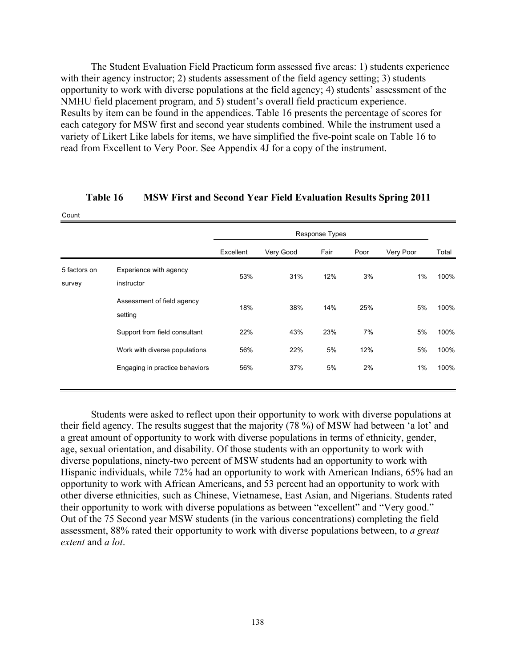The Student Evaluation Field Practicum form assessed five areas: 1) students experience with their agency instructor; 2) students assessment of the field agency setting; 3) students opportunity to work with diverse populations at the field agency; 4) students' assessment of the NMHU field placement program, and 5) student's overall field practicum experience. Results by item can be found in the appendices. Table 16 presents the percentage of scores for each category for MSW first and second year students combined. While the instrument used a variety of Likert Like labels for items, we have simplified the five-point scale on Table 16 to read from Excellent to Very Poor. See Appendix 4J for a copy of the instrument.

|                        |                                       |           |           | <b>Response Types</b> |      |           |       |
|------------------------|---------------------------------------|-----------|-----------|-----------------------|------|-----------|-------|
|                        |                                       | Excellent | Very Good | Fair                  | Poor | Very Poor | Total |
| 5 factors on<br>survey | Experience with agency<br>instructor  | 53%       | 31%       | 12%                   | 3%   | $1\%$     | 100%  |
|                        | Assessment of field agency<br>setting | 18%       | 38%       | 14%                   | 25%  | 5%        | 100%  |
|                        | Support from field consultant         | 22%       | 43%       | 23%                   | 7%   | 5%        | 100%  |
|                        | Work with diverse populations         | 56%       | 22%       | 5%                    | 12%  | 5%        | 100%  |
|                        | Engaging in practice behaviors        | 56%       | 37%       | 5%                    | 2%   | $1\%$     | 100%  |

## **Table 16 MSW First and Second Year Field Evaluation Results Spring 2011**

Count

Students were asked to reflect upon their opportunity to work with diverse populations at their field agency. The results suggest that the majority (78 %) of MSW had between 'a lot' and a great amount of opportunity to work with diverse populations in terms of ethnicity, gender, age, sexual orientation, and disability. Of those students with an opportunity to work with diverse populations, ninety-two percent of MSW students had an opportunity to work with Hispanic individuals, while 72% had an opportunity to work with American Indians, 65% had an opportunity to work with African Americans, and 53 percent had an opportunity to work with other diverse ethnicities, such as Chinese, Vietnamese, East Asian, and Nigerians. Students rated their opportunity to work with diverse populations as between "excellent" and "Very good." Out of the 75 Second year MSW students (in the various concentrations) completing the field assessment, 88% rated their opportunity to work with diverse populations between, to *a great extent* and *a lot*.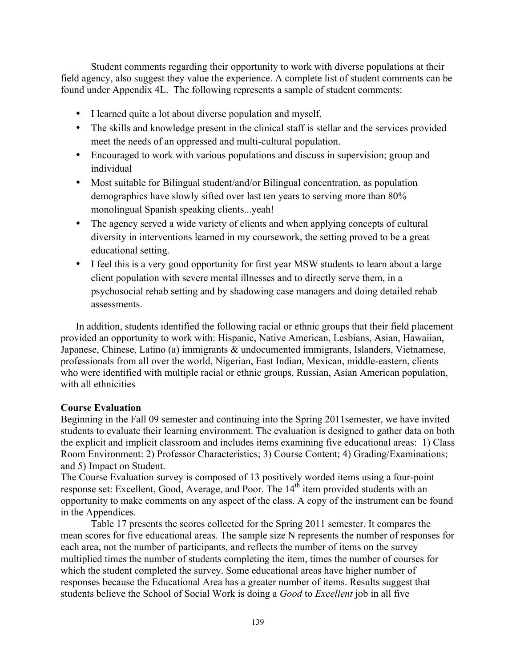Student comments regarding their opportunity to work with diverse populations at their field agency, also suggest they value the experience. A complete list of student comments can be found under Appendix 4L. The following represents a sample of student comments:

- I learned quite a lot about diverse population and myself.
- The skills and knowledge present in the clinical staff is stellar and the services provided meet the needs of an oppressed and multi-cultural population.
- Encouraged to work with various populations and discuss in supervision; group and individual
- Most suitable for Bilingual student/and/or Bilingual concentration, as population demographics have slowly sifted over last ten years to serving more than 80% monolingual Spanish speaking clients...yeah!
- The agency served a wide variety of clients and when applying concepts of cultural diversity in interventions learned in my coursework, the setting proved to be a great educational setting.
- I feel this is a very good opportunity for first year MSW students to learn about a large client population with severe mental illnesses and to directly serve them, in a psychosocial rehab setting and by shadowing case managers and doing detailed rehab assessments.

In addition, students identified the following racial or ethnic groups that their field placement provided an opportunity to work with: Hispanic, Native American, Lesbians, Asian, Hawaiian, Japanese, Chinese, Latino (a) immigrants & undocumented immigrants, Islanders, Vietnamese, professionals from all over the world, Nigerian, East Indian, Mexican, middle-eastern, clients who were identified with multiple racial or ethnic groups, Russian, Asian American population, with all ethnicities

# **Course Evaluation**

Beginning in the Fall 09 semester and continuing into the Spring 2011semester, we have invited students to evaluate their learning environment. The evaluation is designed to gather data on both the explicit and implicit classroom and includes items examining five educational areas: 1) Class Room Environment: 2) Professor Characteristics; 3) Course Content; 4) Grading/Examinations; and 5) Impact on Student.

The Course Evaluation survey is composed of 13 positively worded items using a four-point response set: Excellent, Good, Average, and Poor. The  $14<sup>th</sup>$  item provided students with an opportunity to make comments on any aspect of the class. A copy of the instrument can be found in the Appendices.

Table 17 presents the scores collected for the Spring 2011 semester. It compares the mean scores for five educational areas. The sample size N represents the number of responses for each area, not the number of participants, and reflects the number of items on the survey multiplied times the number of students completing the item, times the number of courses for which the student completed the survey. Some educational areas have higher number of responses because the Educational Area has a greater number of items. Results suggest that students believe the School of Social Work is doing a *Good* to *Excellent* job in all five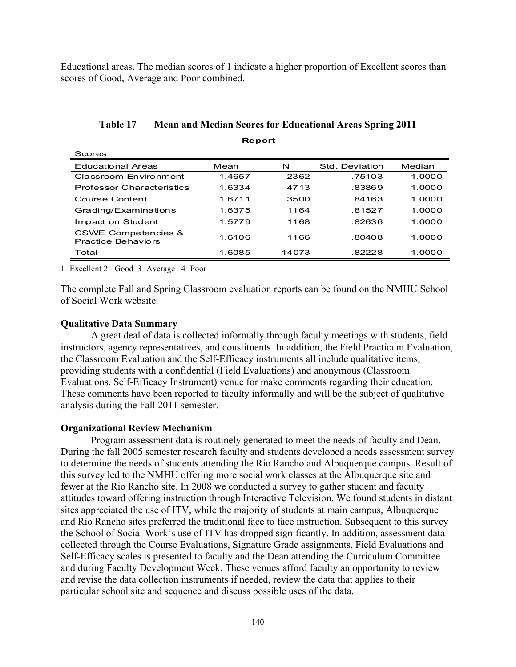Educational areas. The median scores of 1 indicate a higher proportion of Excellent scores than scores of Good, Average and Poor combined.

| Scores                                                      |        |       |                |        |
|-------------------------------------------------------------|--------|-------|----------------|--------|
| <b>Educational Areas</b>                                    | Mean   | N     | Std. Deviation | Median |
| Classroom Environment                                       | 1.4657 | 2362  | .75103         | 1.0000 |
| Professor Characteristics                                   | 1.6334 | 4713  | .83869         | 1.0000 |
| Course Content                                              | 1.6711 | 3500  | .84163         | 1.0000 |
| Grading/Examinations                                        | 1 6375 | 1164  | .81527         | 1.0000 |
| Impact on Student                                           | 1.5779 | 1168  | .82636         | 1.0000 |
| <b>CSWE Competencies &amp;</b><br><b>Practice Behaviors</b> | 1.6106 | 1166  | .80408         | 1.0000 |
| Total                                                       | 1.6085 | 14073 | .82228         | 1.0000 |

**Table 17 Mean and Median Scores for Educational Areas Spring 2011 Report**

1=Excellent 2= Good 3=Average 4=Poor

The complete Fall and Spring Classroom evaluation reports can be found on the NMHU School of Social Work website.

#### **Qualitative Data Summary**

A great deal of data is collected informally through faculty meetings with students, field instructors, agency representatives, and constituents. In addition, the Field Practicum Evaluation, the Classroom Evaluation and the Self-Efficacy instruments all include qualitative items, providing students with a confidential (Field Evaluations) and anonymous (Classroom Evaluations, Self-Efficacy Instrument) venue for make comments regarding their education. These comments have been reported to faculty informally and will be the subject of qualitative analysis during the Fall 2011 semester.

#### **Organizational Review Mechanism**

Program assessment data is routinely generated to meet the needs of faculty and Dean. During the fall 2005 semester research faculty and students developed a needs assessment survey to determine the needs of students attending the Rio Rancho and Albuquerque campus. Result of this survey led to the NMHU offering more social work classes at the Albuquerque site and fewer at the Rio Rancho site. In 2008 we conducted a survey to gather student and faculty attitudes toward offering instruction through Interactive Television. We found students in distant sites appreciated the use of ITV, while the majority of students at main campus, Albuquerque and Rio Rancho sites preferred the traditional face to face instruction. Subsequent to this survey the School of Social Work's use of ITV has dropped significantly. In addition, assessment data collected through the Course Evaluations, Signature Grade assignments, Field Evaluations and Self-Efficacy scales is presented to faculty and the Dean attending the Curriculum Committee and during Faculty Development Week. These venues afford faculty an opportunity to review and revise the data collection instruments if needed, review the data that applies to their particular school site and sequence and discuss possible uses of the data.